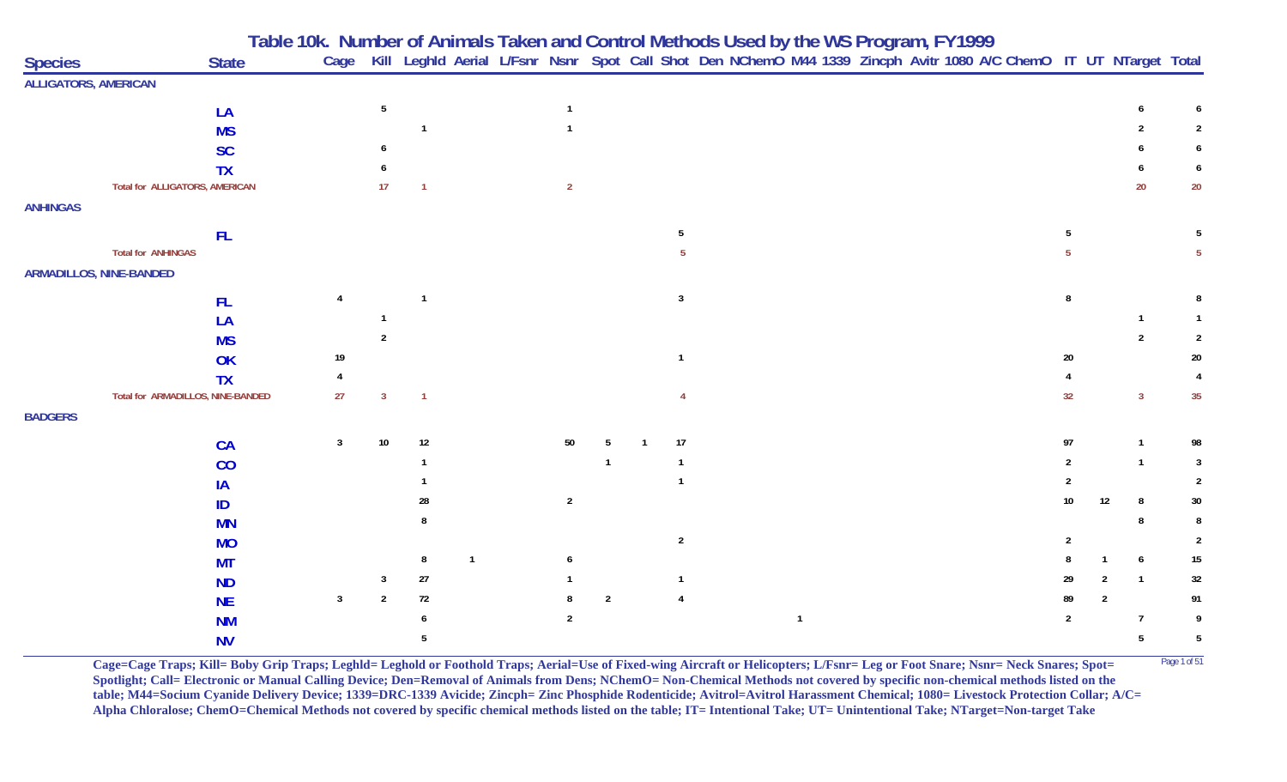| <b>Species</b>              | <b>State</b>                          | Table 10k. Number of Animals Taken and Control Methods Used by the WS Program, FY1999<br>Cage Kill Leghld Aerial L/Fsnr Nsnr Spot Call Shot Den NChemO M44 1339 Zincph Avitr 1080 A/C ChemO IT UT NTarget Total |                 |                   |  |                |                |                |  |              |  |  |                 |                |              |                |
|-----------------------------|---------------------------------------|-----------------------------------------------------------------------------------------------------------------------------------------------------------------------------------------------------------------|-----------------|-------------------|--|----------------|----------------|----------------|--|--------------|--|--|-----------------|----------------|--------------|----------------|
| <b>ALLIGATORS, AMERICAN</b> |                                       |                                                                                                                                                                                                                 |                 |                   |  |                |                |                |  |              |  |  |                 |                |              |                |
|                             | LA                                    |                                                                                                                                                                                                                 | $5\phantom{.0}$ |                   |  | $\mathbf{1}$   |                |                |  |              |  |  |                 |                |              |                |
|                             | <b>MS</b>                             |                                                                                                                                                                                                                 |                 |                   |  |                |                |                |  |              |  |  |                 |                |              |                |
|                             | <b>SC</b>                             |                                                                                                                                                                                                                 |                 |                   |  |                |                |                |  |              |  |  |                 |                |              | 6              |
|                             | <b>TX</b>                             |                                                                                                                                                                                                                 |                 |                   |  |                |                |                |  |              |  |  |                 |                |              |                |
|                             | <b>Total for ALLIGATORS, AMERICAN</b> |                                                                                                                                                                                                                 | 17              |                   |  | $\overline{2}$ |                |                |  |              |  |  |                 |                | 20           | 20             |
| <b>ANHINGAS</b>             |                                       |                                                                                                                                                                                                                 |                 |                   |  |                |                |                |  |              |  |  |                 |                |              |                |
|                             |                                       |                                                                                                                                                                                                                 |                 |                   |  |                |                |                |  |              |  |  |                 |                |              |                |
|                             | <b>FL</b>                             |                                                                                                                                                                                                                 |                 |                   |  |                |                | 5              |  |              |  |  |                 |                |              |                |
|                             | <b>Total for ANHINGAS</b>             |                                                                                                                                                                                                                 |                 |                   |  |                |                |                |  |              |  |  |                 |                |              | -5             |
|                             | <b>ARMADILLOS, NINE-BANDED</b>        |                                                                                                                                                                                                                 |                 |                   |  |                |                |                |  |              |  |  |                 |                |              |                |
|                             | <b>FL</b>                             |                                                                                                                                                                                                                 |                 |                   |  |                |                | $\mathbf{3}$   |  |              |  |  |                 |                |              |                |
|                             | LA                                    |                                                                                                                                                                                                                 |                 |                   |  |                |                |                |  |              |  |  |                 |                |              |                |
|                             | <b>MS</b>                             |                                                                                                                                                                                                                 |                 |                   |  |                |                |                |  |              |  |  |                 |                |              | $\overline{2}$ |
|                             | OK                                    | 19                                                                                                                                                                                                              |                 |                   |  |                |                | $\mathbf{1}$   |  |              |  |  | 20              |                |              | 20             |
|                             | <b>TX</b>                             |                                                                                                                                                                                                                 |                 |                   |  |                |                |                |  |              |  |  |                 |                |              |                |
|                             | Total for ARMADILLOS, NINE-BANDED     | 27                                                                                                                                                                                                              | 3               | -1                |  |                |                |                |  |              |  |  | 32              |                | $\mathbf{3}$ | 35             |
| <b>BADGERS</b>              |                                       |                                                                                                                                                                                                                 |                 |                   |  |                |                |                |  |              |  |  |                 |                |              |                |
|                             |                                       |                                                                                                                                                                                                                 | 10              | $12 \overline{ }$ |  |                |                | 17             |  |              |  |  |                 |                |              |                |
|                             | <b>CA</b>                             | 3                                                                                                                                                                                                               |                 |                   |  | 50             |                | $\mathbf{1}$   |  |              |  |  | 97              |                |              | 98             |
|                             | CO                                    |                                                                                                                                                                                                                 |                 |                   |  |                |                | $\mathbf 1$    |  |              |  |  |                 |                |              |                |
|                             | IA                                    |                                                                                                                                                                                                                 |                 |                   |  |                |                |                |  |              |  |  |                 |                |              | 2              |
|                             | ID                                    |                                                                                                                                                                                                                 |                 | 28                |  | $\overline{2}$ |                |                |  |              |  |  | 10 <sup>°</sup> | 12             | -8           | 30             |
|                             | <b>MN</b>                             |                                                                                                                                                                                                                 |                 |                   |  |                |                |                |  |              |  |  |                 |                | 8            |                |
|                             | <b>MO</b>                             |                                                                                                                                                                                                                 |                 |                   |  |                |                | $\overline{2}$ |  |              |  |  |                 |                |              | $\overline{2}$ |
|                             | <b>MT</b>                             |                                                                                                                                                                                                                 |                 | 8                 |  |                |                |                |  |              |  |  |                 |                | 6            | 15             |
|                             | <b>ND</b>                             |                                                                                                                                                                                                                 | 3               | $27\,$            |  |                |                | $\mathbf{1}$   |  |              |  |  | 29              |                |              | 32             |
|                             | <b>NE</b>                             | 3                                                                                                                                                                                                               | 2               | 72                |  |                | $\overline{2}$ | $\overline{4}$ |  |              |  |  | 89              | $\overline{2}$ |              | 91             |
|                             | <b>NM</b>                             |                                                                                                                                                                                                                 |                 |                   |  | 2              |                |                |  | $\mathbf{1}$ |  |  | 2               |                | 7            | 9              |
|                             | <b>NV</b>                             |                                                                                                                                                                                                                 |                 |                   |  |                |                |                |  |              |  |  |                 |                | 5            | 5              |

**Cage=Cage Traps; Kill= Boby Grip Traps; Leghld= Leghold or Foothold Traps; Aerial=Use of Fixed-wing Aircraft or Helicopters; L/Fsnr= Leg or Foot Snare; Nsnr= Neck Snares; Spot=** <sup>Page 1 of 51</sup> **Spotlight; Call= Electronic or Manual Calling Device; Den=Removal of Animals from Dens; NChemO= Non-Chemical Methods not covered by specific non-chemical methods listed on the table; M44=Socium Cyanide Delivery Device; 1339=DRC-1339 Avicide; Zincph= Zinc Phosphide Rodenticide; Avitrol=Avitrol Harassment Chemical; 1080= Livestock Protection Collar; A/C= Alpha Chloralose; ChemO=Chemical Methods not covered by specific chemical methods listed on the table; IT= Intentional Take; UT= Unintentional Take; NTarget=Non-target Take**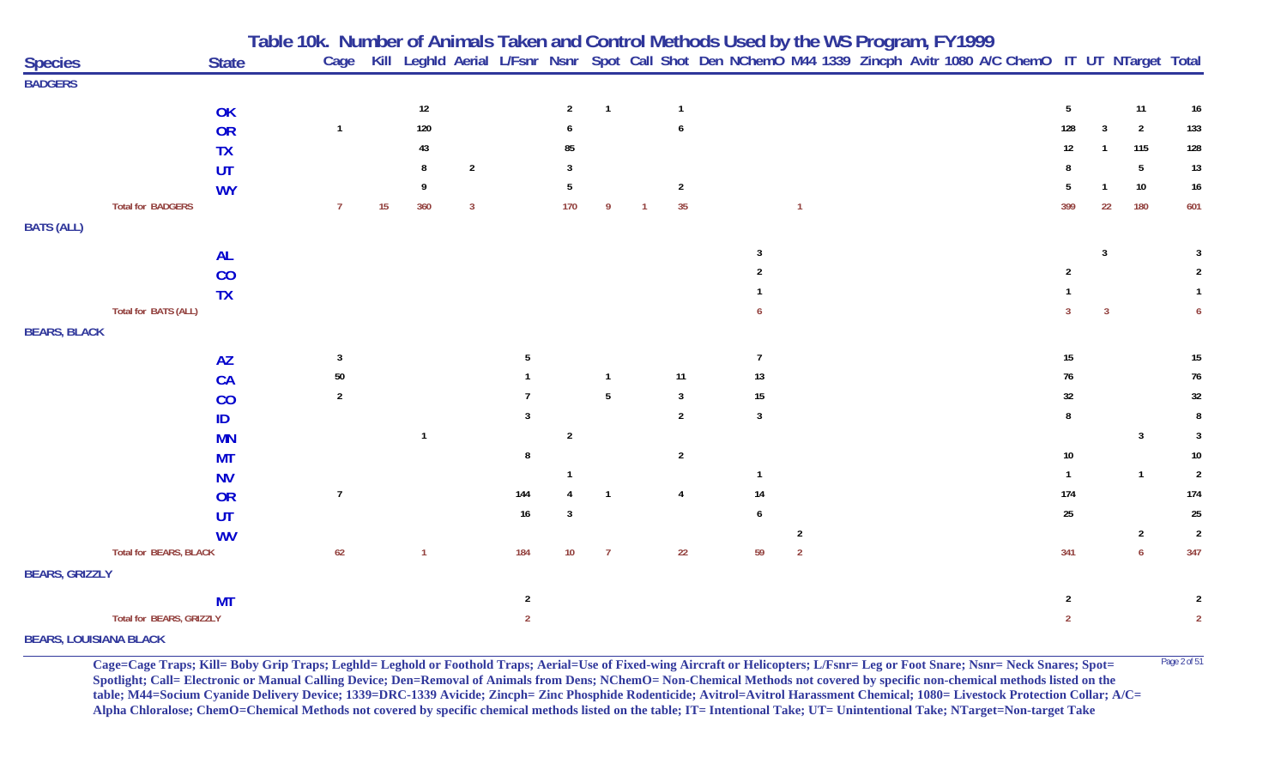|                               |                               |              | Table 10k.  Number of Animals Taken and Control Methods Used by the WS Program, FY1999 |    |                |                |                |                |                |                |                |                                                                                                                        |                |  |  |     |                 |                |                  |                 |
|-------------------------------|-------------------------------|--------------|----------------------------------------------------------------------------------------|----|----------------|----------------|----------------|----------------|----------------|----------------|----------------|------------------------------------------------------------------------------------------------------------------------|----------------|--|--|-----|-----------------|----------------|------------------|-----------------|
| <b>Species</b>                |                               | <b>State</b> |                                                                                        |    |                |                |                |                |                |                |                | Cage Kill Leghld Aerial L/Fsnr Nsnr Spot Call Shot Den NChemO M44 1339 Zincph Avitr 1080 A/C ChemO IT UT NTarget Total |                |  |  |     |                 |                |                  |                 |
| <b>BADGERS</b>                |                               |              |                                                                                        |    |                |                |                |                |                |                |                |                                                                                                                        |                |  |  |     |                 |                |                  |                 |
|                               |                               | OK           |                                                                                        |    | 12             |                |                | $\overline{2}$ | $\overline{1}$ |                | $\mathbf{1}$   |                                                                                                                        |                |  |  |     | $5\phantom{.0}$ |                | 11               | 16              |
|                               |                               | OR           | $\mathbf{1}$                                                                           |    | 120            |                |                |                |                |                | 6              |                                                                                                                        |                |  |  |     | 128             | 3              | $\overline{2}$   | 133             |
|                               |                               | <b>TX</b>    |                                                                                        |    | 43             |                |                | 85             |                |                |                |                                                                                                                        |                |  |  |     | 12              |                | 115              | 128             |
|                               |                               | UT           |                                                                                        |    | 8              | $\overline{2}$ |                |                |                |                |                |                                                                                                                        |                |  |  |     |                 |                | $5\phantom{.0}$  | 13              |
|                               |                               | <b>WY</b>    |                                                                                        |    | 9              |                |                |                |                |                | $\overline{2}$ |                                                                                                                        |                |  |  |     |                 |                | 10               | 16              |
|                               | <b>Total for BADGERS</b>      |              | $\overline{7}$                                                                         | 15 | 360            | $\overline{3}$ |                | 170            | 9              | $\overline{1}$ | 35             |                                                                                                                        | $\overline{1}$ |  |  |     | 399             | 22             | 180              | 601             |
| <b>BATS (ALL)</b>             |                               |              |                                                                                        |    |                |                |                |                |                |                |                |                                                                                                                        |                |  |  |     |                 |                |                  |                 |
|                               |                               |              |                                                                                        |    |                |                |                |                |                |                |                |                                                                                                                        |                |  |  |     |                 | $\overline{3}$ |                  |                 |
|                               |                               | <b>AL</b>    |                                                                                        |    |                |                |                |                |                |                |                |                                                                                                                        |                |  |  |     | 2               |                |                  | 2               |
|                               |                               | CO           |                                                                                        |    |                |                |                |                |                |                |                |                                                                                                                        |                |  |  |     |                 |                |                  |                 |
|                               | Total for BATS (ALL)          | <b>TX</b>    |                                                                                        |    |                |                |                |                |                |                |                |                                                                                                                        |                |  |  |     |                 | $\overline{3}$ |                  |                 |
|                               |                               |              |                                                                                        |    |                |                |                |                |                |                |                |                                                                                                                        |                |  |  |     |                 |                |                  |                 |
| <b>BEARS, BLACK</b>           |                               |              |                                                                                        |    |                |                |                |                |                |                |                |                                                                                                                        |                |  |  |     |                 |                |                  |                 |
|                               |                               | <b>AZ</b>    | 3                                                                                      |    |                |                |                |                |                |                |                | $\overline{7}$                                                                                                         |                |  |  |     | $15\,$          |                |                  | $15\,$          |
|                               |                               | CA           | $50\,$                                                                                 |    |                |                |                |                | $\mathbf{1}$   |                | 11             | 13                                                                                                                     |                |  |  |     | 76              |                |                  | 76              |
|                               |                               | CO           | $\overline{2}$                                                                         |    |                |                |                |                | 5              |                | $\mathbf{3}$   | 15                                                                                                                     |                |  |  |     | 32              |                |                  | 32              |
|                               |                               | ID           |                                                                                        |    |                |                |                |                |                |                | $\overline{2}$ | $\mathbf{3}$                                                                                                           |                |  |  |     | 8               |                |                  | 8               |
|                               |                               | <b>MN</b>    |                                                                                        |    | $\overline{1}$ |                |                | $\overline{2}$ |                |                |                |                                                                                                                        |                |  |  |     |                 |                | $\mathbf{3}$     | 3               |
|                               |                               | <b>MT</b>    |                                                                                        |    |                |                | 8              |                |                |                | $\overline{2}$ |                                                                                                                        |                |  |  |     | 10              |                |                  | 10 <sub>1</sub> |
|                               |                               | <b>NV</b>    |                                                                                        |    |                |                |                |                |                |                |                | $\mathbf{1}$                                                                                                           |                |  |  | -1  |                 |                | $\overline{1}$   | $\overline{2}$  |
|                               |                               | OR           | $\overline{7}$                                                                         |    |                |                | 144            |                | $\mathbf 1$    |                | $\overline{4}$ | 14                                                                                                                     |                |  |  |     | 174             |                |                  | $174$           |
|                               |                               | <b>UT</b>    |                                                                                        |    |                |                | $16\,$         | 3              |                |                |                | 6                                                                                                                      |                |  |  |     | 25              |                |                  | $25\,$          |
|                               |                               | <b>WV</b>    |                                                                                        |    |                |                |                |                |                |                |                |                                                                                                                        | 2              |  |  |     |                 |                | $\overline{2}$   | $\overline{2}$  |
|                               | <b>Total for BEARS, BLACK</b> |              | 62                                                                                     |    |                |                | 184            | 10             | $\overline{7}$ |                | 22             | 59                                                                                                                     | $\overline{2}$ |  |  | 341 |                 |                | $\boldsymbol{6}$ | 347             |
| <b>BEARS, GRIZZLY</b>         |                               |              |                                                                                        |    |                |                |                |                |                |                |                |                                                                                                                        |                |  |  |     |                 |                |                  |                 |
|                               |                               | <b>MT</b>    |                                                                                        |    |                |                | $\mathbf{2}$   |                |                |                |                |                                                                                                                        |                |  |  |     | $\overline{2}$  |                |                  | 2               |
|                               | Total for BEARS, GRIZZLY      |              |                                                                                        |    |                |                | $\overline{2}$ |                |                |                |                |                                                                                                                        |                |  |  |     | $\overline{2}$  |                |                  | $\overline{2}$  |
| <b>BEARS, LOUISIANA BLACK</b> |                               |              |                                                                                        |    |                |                |                |                |                |                |                |                                                                                                                        |                |  |  |     |                 |                |                  |                 |

**Cage=Cage Traps; Kill= Boby Grip Traps; Leghld= Leghold or Foothold Traps; Aerial=Use of Fixed-wing Aircraft or Helicopters; L/Fsnr= Leg or Foot Snare; Nsnr= Neck Snares; Spot= <sup>Page 2 of 51</sup> Spotlight; Call= Electronic or Manual Calling Device; Den=Removal of Animals from Dens; NChemO= Non-Chemical Methods not covered by specific non-chemical methods listed on the table; M44=Socium Cyanide Delivery Device; 1339=DRC-1339 Avicide; Zincph= Zinc Phosphide Rodenticide; Avitrol=Avitrol Harassment Chemical; 1080= Livestock Protection Collar; A/C= Alpha Chloralose; ChemO=Chemical Methods not covered by specific chemical methods listed on the table; IT= Intentional Take; UT= Unintentional Take; NTarget=Non-target Take**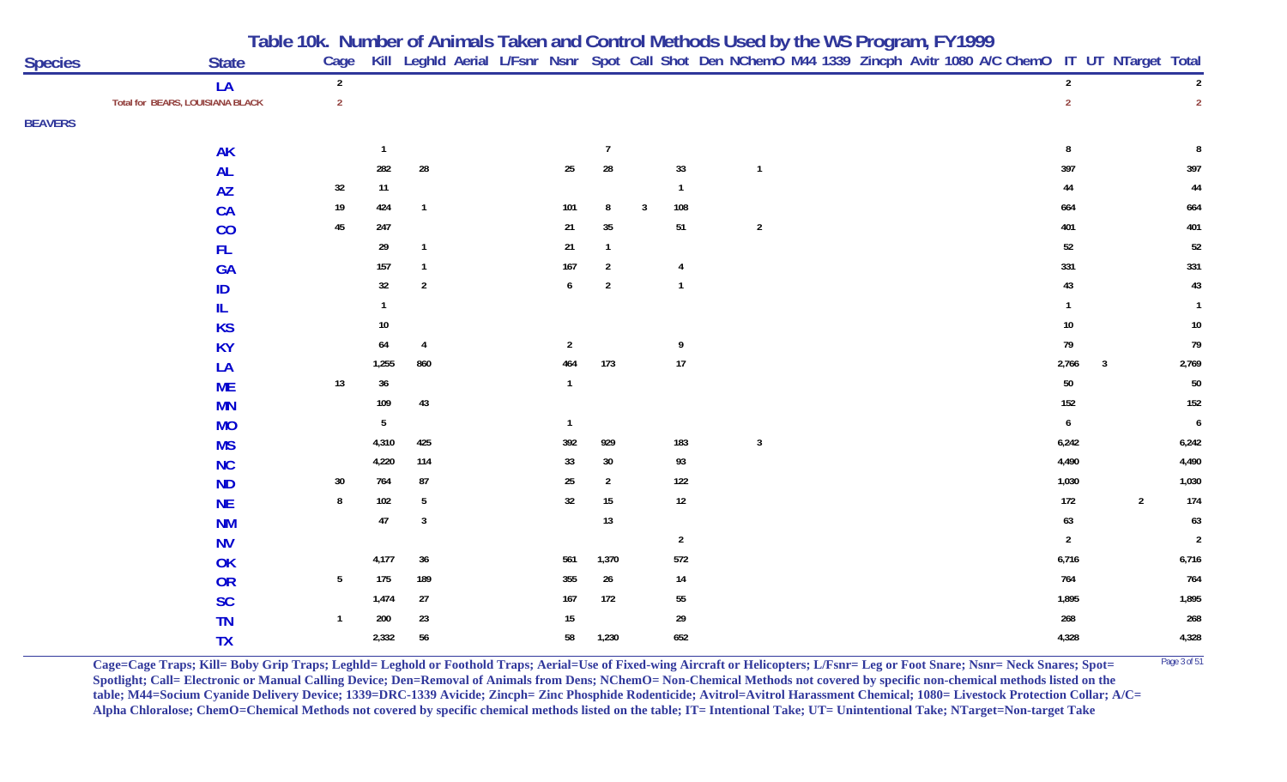|  |  | Table 10k. Number of Animals Taken and Control Methods Used by the WS Program, FY1999 |  |  |
|--|--|---------------------------------------------------------------------------------------|--|--|
|--|--|---------------------------------------------------------------------------------------|--|--|

| <b>Species</b> | <b>State</b>                     | Cage            |                |                 |  |                  |                |                |                |              |  |  | Kill Leghld Aerial L/Fsnr Nsnr Spot Call Shot Den NChemO M44 1339 Zincph Avitr 1080 A/C ChemO IT UT NTarget Total |                |              |                |                |
|----------------|----------------------------------|-----------------|----------------|-----------------|--|------------------|----------------|----------------|----------------|--------------|--|--|-------------------------------------------------------------------------------------------------------------------|----------------|--------------|----------------|----------------|
|                | LA                               | $\overline{2}$  |                |                 |  |                  |                |                |                |              |  |  |                                                                                                                   | $\overline{2}$ |              |                | $\overline{2}$ |
|                | Total for BEARS, LOUISIANA BLACK | $\overline{2}$  |                |                 |  |                  |                |                |                |              |  |  |                                                                                                                   | $\overline{2}$ |              |                | $\overline{2}$ |
| <b>BEAVERS</b> |                                  |                 |                |                 |  |                  |                |                |                |              |  |  |                                                                                                                   |                |              |                |                |
|                | <b>AK</b>                        |                 | $\overline{1}$ |                 |  |                  | $\overline{7}$ |                |                |              |  |  |                                                                                                                   | 8              |              |                | 8              |
|                | <b>AL</b>                        |                 | 282            | ${\bf 28}$      |  | $25\phantom{.0}$ | 28             |                | 33             | $\mathbf{1}$ |  |  |                                                                                                                   | 397            |              |                | 397            |
|                | <b>AZ</b>                        | 32              | 11             |                 |  |                  |                |                | $\overline{1}$ |              |  |  |                                                                                                                   | 44             |              |                | $\bf 44$       |
|                | CA                               | 19              | 424            | $\overline{1}$  |  | 101              | 8              | $\overline{3}$ | 108            |              |  |  |                                                                                                                   | 664            |              |                | 664            |
|                | CO                               | $45\,$          | 247            |                 |  | 21               | $35\,$         |                | 51             | $\sqrt{2}$   |  |  |                                                                                                                   | 401            |              |                | 401            |
|                | FL.                              |                 | 29             | $\mathbf{1}$    |  | $21\,$           |                |                |                |              |  |  |                                                                                                                   | $52\,$         |              |                | $52\,$         |
|                | <b>GA</b>                        |                 | 157            | $\mathbf{1}$    |  | 167              | $\overline{2}$ |                | $\overline{4}$ |              |  |  |                                                                                                                   | 331            |              |                | 331            |
|                | ID                               |                 | 32             | $\overline{2}$  |  | $6\phantom{.0}$  | $\overline{2}$ |                | $\overline{1}$ |              |  |  |                                                                                                                   | $43\,$         |              |                | $43\,$         |
|                | IL                               |                 | $\mathbf 1$    |                 |  |                  |                |                |                |              |  |  |                                                                                                                   | $\mathbf{1}$   |              |                | $\overline{1}$ |
|                | <b>KS</b>                        |                 | 10             |                 |  |                  |                |                |                |              |  |  |                                                                                                                   | $10\,$         |              |                | 10             |
|                | <b>KY</b>                        |                 | 64             | $\overline{4}$  |  | $\overline{2}$   |                |                | 9              |              |  |  |                                                                                                                   | 79             |              |                | 79             |
|                | LA                               |                 | 1,255          | 860             |  | 464              | 173            |                | $17\,$         |              |  |  |                                                                                                                   | 2,766          | $\mathbf{3}$ |                | 2,769          |
|                | <b>ME</b>                        | 13              | 36             |                 |  | $\mathbf{1}$     |                |                |                |              |  |  |                                                                                                                   | $50\,$         |              |                | $50\,$         |
|                | <b>MN</b>                        |                 | 109            | 43              |  |                  |                |                |                |              |  |  |                                                                                                                   | $152$          |              |                | 152            |
|                | <b>MO</b>                        |                 | 5              |                 |  | $\mathbf{1}$     |                |                |                |              |  |  |                                                                                                                   | 6              |              |                | $\pmb{6}$      |
|                | <b>MS</b>                        |                 | 4,310          | 425             |  | 392              | 929            |                | 183            | $\mathbf{3}$ |  |  |                                                                                                                   | 6,242          |              |                | 6,242          |
|                | <b>NC</b>                        |                 | 4,220          | 114             |  | 33               | $30\,$         |                | 93             |              |  |  |                                                                                                                   | 4,490          |              |                | 4,490          |
|                | <b>ND</b>                        | 30              | 764            | $87\,$          |  | $25\,$           | $\overline{2}$ |                | $122$          |              |  |  |                                                                                                                   | 1,030          |              |                | 1,030          |
|                | <b>NE</b>                        | 8               | $102\,$        | $5\phantom{.0}$ |  | 32               | $15\,$         |                | 12             |              |  |  |                                                                                                                   | $172\,$        |              | $\overline{2}$ | $174$          |
|                | <b>NM</b>                        |                 | $47\,$         | $\mathbf{3}$    |  |                  | 13             |                |                |              |  |  |                                                                                                                   | $\bf 63$       |              |                | $\bf 63$       |
|                | <b>NV</b>                        |                 |                |                 |  |                  |                |                | $\overline{2}$ |              |  |  |                                                                                                                   | $\sqrt{2}$     |              |                | $\overline{2}$ |
|                | OK                               |                 | 4,177          | $36\,$          |  | 561              | 1,370          |                | 572            |              |  |  |                                                                                                                   | 6,716          |              |                | 6,716          |
|                | OR                               | $5\phantom{.0}$ | 175            | 189             |  | 355              | 26             |                | 14             |              |  |  |                                                                                                                   | $764$          |              |                | 764            |
|                | <b>SC</b>                        |                 | 1,474          | $27\,$          |  | 167              | 172            |                | 55             |              |  |  |                                                                                                                   | 1,895          |              |                | 1,895          |
|                | <b>TN</b>                        | $\mathbf{1}$    | 200            | 23              |  | 15               |                |                | 29             |              |  |  |                                                                                                                   | 268            |              |                | 268            |
|                | <b>TX</b>                        |                 | 2,332          | 56              |  | 58               | 1,230          |                | 652            |              |  |  |                                                                                                                   | 4,328          |              |                | 4,328          |

**Cage=Cage Traps; Kill= Boby Grip Traps; Leghld= Leghold or Foothold Traps; Aerial=Use of Fixed-wing Aircraft or Helicopters; L/Fsnr= Leg or Foot Snare; Nsnr= Neck Snares; Spot= <sup>Page 3 of 51</sup> Spotlight; Call= Electronic or Manual Calling Device; Den=Removal of Animals from Dens; NChemO= Non-Chemical Methods not covered by specific non-chemical methods listed on the table; M44=Socium Cyanide Delivery Device; 1339=DRC-1339 Avicide; Zincph= Zinc Phosphide Rodenticide; Avitrol=Avitrol Harassment Chemical; 1080= Livestock Protection Collar; A/C= Alpha Chloralose; ChemO=Chemical Methods not covered by specific chemical methods listed on the table; IT= Intentional Take; UT= Unintentional Take; NTarget=Non-target Take**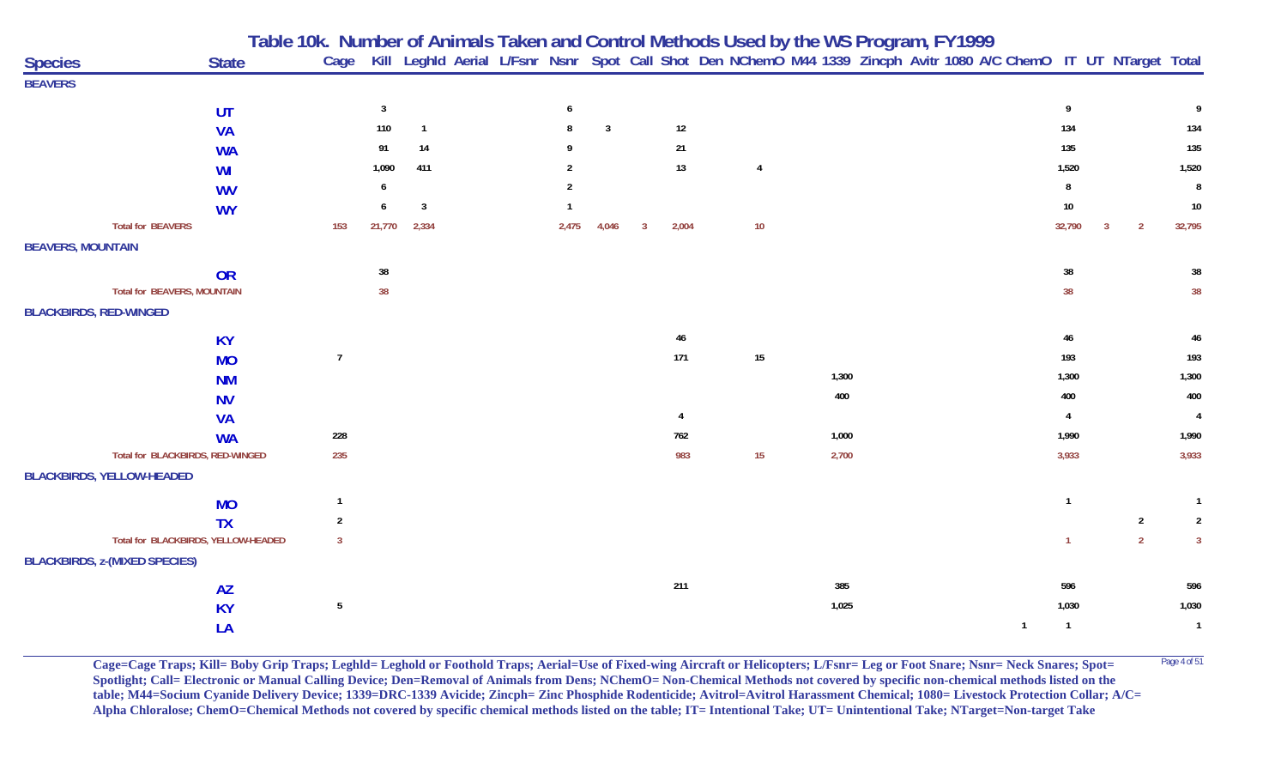|                                      |              |                |                |                |       |                |   |                |                |       | Table 10k. Number of Animals Taken and Control Methods Used by the WS Program, FY1999<br>Cage Kill Leghld Aerial L/Fsnr Nsnr Spot Call Shot Den NChemO M44 1339 Zincph Avitr 1080 A/C ChemO IT UT NTarget Total |                |   |                |                |
|--------------------------------------|--------------|----------------|----------------|----------------|-------|----------------|---|----------------|----------------|-------|-----------------------------------------------------------------------------------------------------------------------------------------------------------------------------------------------------------------|----------------|---|----------------|----------------|
| <b>Species</b>                       | <b>State</b> |                |                |                |       |                |   |                |                |       |                                                                                                                                                                                                                 |                |   |                |                |
| <b>BEAVERS</b>                       |              |                |                |                |       |                |   |                |                |       |                                                                                                                                                                                                                 |                |   |                |                |
|                                      | UT           |                | $\overline{3}$ |                | 6     |                |   |                |                |       |                                                                                                                                                                                                                 | 9              |   |                |                |
|                                      | <b>VA</b>    |                | 110            | $\overline{1}$ | -8    | $\overline{3}$ |   | 12             |                |       |                                                                                                                                                                                                                 | 134            |   |                | 134            |
|                                      | <b>WA</b>    |                | 91             | 14             |       |                |   | 21             |                |       |                                                                                                                                                                                                                 | 135            |   |                | 135            |
|                                      | WI           |                | 1,090          | 411            |       |                |   | 13             | $\overline{4}$ |       |                                                                                                                                                                                                                 | 1,520          |   |                | 1,520          |
|                                      | <b>WV</b>    |                | 6              |                |       |                |   |                |                |       |                                                                                                                                                                                                                 | 8              |   |                | 8              |
|                                      | <b>WY</b>    |                |                | $\overline{3}$ |       |                |   |                |                |       |                                                                                                                                                                                                                 | 10             |   |                | 10             |
| <b>Total for BEAVERS</b>             |              | 153            | 21,770         | 2,334          | 2,475 | 4,046          | 3 | 2,004          | 10             |       |                                                                                                                                                                                                                 | 32,790         | 3 | $\overline{2}$ | 32,795         |
| <b>BEAVERS, MOUNTAIN</b>             |              |                |                |                |       |                |   |                |                |       |                                                                                                                                                                                                                 |                |   |                |                |
|                                      | <b>OR</b>    |                | 38             |                |       |                |   |                |                |       |                                                                                                                                                                                                                 | 38             |   |                | 38             |
| <b>Total for BEAVERS, MOUNTAIN</b>   |              |                | 38             |                |       |                |   |                |                |       |                                                                                                                                                                                                                 | 38             |   |                | 38             |
| <b>BLACKBIRDS, RED-WINGED</b>        |              |                |                |                |       |                |   |                |                |       |                                                                                                                                                                                                                 |                |   |                |                |
|                                      | <b>KY</b>    |                |                |                |       |                |   | 46             |                |       |                                                                                                                                                                                                                 | 46             |   |                | 46             |
|                                      | <b>MO</b>    | $\overline{7}$ |                |                |       |                |   | 171            | $15\,$         |       |                                                                                                                                                                                                                 | 193            |   |                | 193            |
|                                      | <b>NM</b>    |                |                |                |       |                |   |                |                | 1,300 |                                                                                                                                                                                                                 | 1,300          |   |                | 1,300          |
|                                      | <b>NV</b>    |                |                |                |       |                |   |                |                | 400   |                                                                                                                                                                                                                 | 400            |   |                | 400            |
|                                      | <b>VA</b>    |                |                |                |       |                |   | $\overline{4}$ |                |       |                                                                                                                                                                                                                 | 4              |   |                | $\overline{4}$ |
|                                      | <b>WA</b>    | 228            |                |                |       |                |   | 762            |                | 1,000 |                                                                                                                                                                                                                 | 1,990          |   |                | 1,990          |
| Total for BLACKBIRDS, RED-WINGED     |              | 235            |                |                |       |                |   | 983            | 15             | 2,700 |                                                                                                                                                                                                                 | 3,933          |   |                | 3,933          |
| <b>BLACKBIRDS, YELLOW-HEADED</b>     |              |                |                |                |       |                |   |                |                |       |                                                                                                                                                                                                                 |                |   |                |                |
|                                      | <b>MO</b>    | $\mathbf{1}$   |                |                |       |                |   |                |                |       |                                                                                                                                                                                                                 | $\mathbf{1}$   |   |                | $\overline{1}$ |
|                                      | <b>TX</b>    | $\overline{2}$ |                |                |       |                |   |                |                |       |                                                                                                                                                                                                                 |                |   | $\overline{2}$ | $\overline{2}$ |
| Total for BLACKBIRDS, YELLOW-HEADED  |              | $\overline{3}$ |                |                |       |                |   |                |                |       |                                                                                                                                                                                                                 | $\mathbf{1}$   |   | $\overline{2}$ | $\overline{3}$ |
| <b>BLACKBIRDS, z-(MIXED SPECIES)</b> |              |                |                |                |       |                |   |                |                |       |                                                                                                                                                                                                                 |                |   |                |                |
|                                      | <b>AZ</b>    |                |                |                |       |                |   | 211            |                | 385   |                                                                                                                                                                                                                 | 596            |   |                | 596            |
|                                      | <b>KY</b>    | $\sqrt{5}$     |                |                |       |                |   |                |                | 1,025 |                                                                                                                                                                                                                 | 1,030          |   |                | 1,030          |
|                                      | LA           |                |                |                |       |                |   |                |                |       | $\overline{1}$                                                                                                                                                                                                  | $\overline{1}$ |   |                | $\overline{1}$ |
|                                      |              |                |                |                |       |                |   |                |                |       |                                                                                                                                                                                                                 |                |   |                |                |

Cage=Cage Traps; Kill= Boby Grip Traps; Leghld= Leghold or Foothold Traps; Aerial=Use of Fixed-wing Aircraft or Helicopters; L/Fsnr= Leg or Foot Snare; Nsnr= Neck Snares; Spot= <sup>Page 4 of 51</sup> **Spotlight; Call= Electronic or Manual Calling Device; Den=Removal of Animals from Dens; NChemO= Non-Chemical Methods not covered by specific non-chemical methods listed on the table; M44=Socium Cyanide Delivery Device; 1339=DRC-1339 Avicide; Zincph= Zinc Phosphide Rodenticide; Avitrol=Avitrol Harassment Chemical; 1080= Livestock Protection Collar; A/C= Alpha Chloralose; ChemO=Chemical Methods not covered by specific chemical methods listed on the table; IT= Intentional Take; UT= Unintentional Take; NTarget=Non-target Take**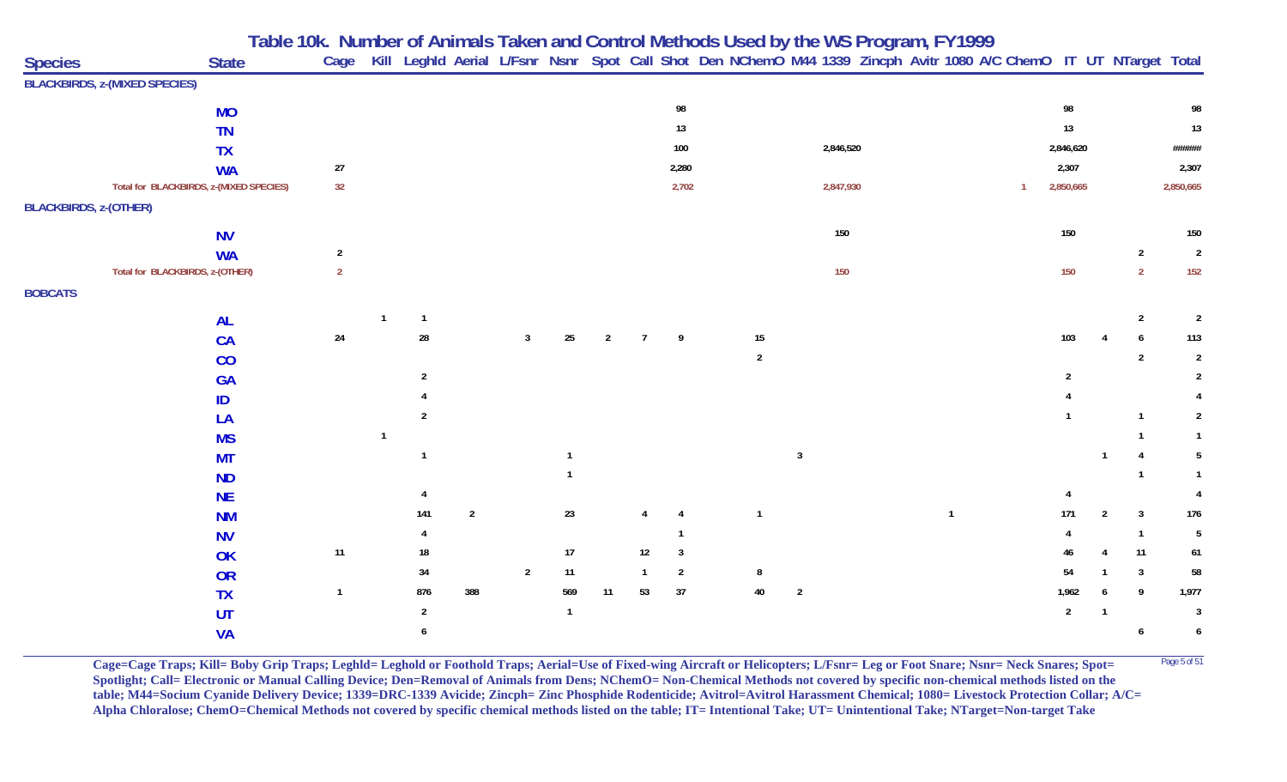|                              |                                         | Table 10k. Number of Animals Taken and Control Methods Used by the WS Program, FY1999 |                |                |                |              |                |                |                |                |                                                                                                                        |                |              |                |                |                        |                 |
|------------------------------|-----------------------------------------|---------------------------------------------------------------------------------------|----------------|----------------|----------------|--------------|----------------|----------------|----------------|----------------|------------------------------------------------------------------------------------------------------------------------|----------------|--------------|----------------|----------------|------------------------|-----------------|
| <b>Species</b>               | <b>State</b>                            |                                                                                       |                |                |                |              |                |                |                |                | Cage Kill Leghld Aerial L/Fsnr Nsnr Spot Call Shot Den NChemO M44 1339 Zincph Avitr 1080 A/C ChemO IT UT NTarget Total |                |              |                |                |                        |                 |
|                              | <b>BLACKBIRDS, z-(MIXED SPECIES)</b>    |                                                                                       |                |                |                |              |                |                |                |                |                                                                                                                        |                |              |                |                |                        |                 |
|                              | <b>MO</b>                               |                                                                                       |                |                |                |              |                |                | 98             |                |                                                                                                                        |                |              | 98             |                |                        | 98              |
|                              | <b>TN</b>                               |                                                                                       |                |                |                |              |                |                | $13\,$         |                |                                                                                                                        |                |              | $13$           |                |                        | $13$            |
|                              | <b>TX</b>                               |                                                                                       |                |                |                |              |                |                | $100\,$        |                | 2,846,520                                                                                                              |                |              | 2,846,620      |                |                        | ######          |
|                              | <b>WA</b>                               | 27                                                                                    |                |                |                |              |                |                | 2,280          |                |                                                                                                                        |                |              | 2,307          |                |                        | 2,307           |
|                              | Total for BLACKBIRDS, z-(MIXED SPECIES) | 32                                                                                    |                |                |                |              |                |                | 2,702          |                | 2,847,930                                                                                                              |                | $\mathbf{1}$ | 2,850,665      |                |                        | 2,850,665       |
| <b>BLACKBIRDS, z-(OTHER)</b> |                                         |                                                                                       |                |                |                |              |                |                |                |                |                                                                                                                        |                |              |                |                |                        |                 |
|                              | <b>NV</b>                               |                                                                                       |                |                |                |              |                |                |                |                | 150                                                                                                                    |                |              | 150            |                |                        | 150             |
|                              | <b>WA</b>                               | $\sqrt{2}$                                                                            |                |                |                |              |                |                |                |                |                                                                                                                        |                |              |                |                | $\overline{2}$         | $\overline{2}$  |
|                              | Total for BLACKBIRDS, z-(OTHER)         | $\overline{2}$                                                                        |                |                |                |              |                |                |                |                | 150                                                                                                                    |                |              | 150            |                | $\overline{2}$         | 152             |
| <b>BOBCATS</b>               |                                         |                                                                                       |                |                |                |              |                |                |                |                |                                                                                                                        |                |              |                |                |                        |                 |
|                              | <b>AL</b>                               |                                                                                       | $\overline{1}$ |                |                |              |                |                |                |                |                                                                                                                        |                |              |                |                | $\overline{2}$         | $\overline{2}$  |
|                              | CA                                      | $24\,$                                                                                | 28             |                | 3              | 25           | $\overline{2}$ | $\overline{7}$ | 9              | 15             |                                                                                                                        |                |              | 103            |                | 6                      | 113             |
|                              | CO                                      |                                                                                       |                |                |                |              |                |                |                | $\overline{2}$ |                                                                                                                        |                |              |                |                | $\overline{2}$         | $\overline{2}$  |
|                              | <b>GA</b>                               |                                                                                       | $\overline{2}$ |                |                |              |                |                |                |                |                                                                                                                        |                |              | $\overline{2}$ |                |                        | 2               |
|                              | ID                                      |                                                                                       |                |                |                |              |                |                |                |                |                                                                                                                        |                |              |                |                |                        |                 |
|                              | LA                                      |                                                                                       | $\overline{2}$ |                |                |              |                |                |                |                |                                                                                                                        |                |              |                |                | 1                      | $\overline{2}$  |
|                              | <b>MS</b>                               |                                                                                       |                |                |                |              |                |                |                |                |                                                                                                                        |                |              |                |                |                        |                 |
|                              | <b>MT</b>                               |                                                                                       | $\mathbf{1}$   |                |                |              |                |                |                |                | $\mathbf{3}$                                                                                                           |                |              |                |                | $\boldsymbol{\Lambda}$ | 5               |
|                              | <b>ND</b>                               |                                                                                       |                |                |                |              |                |                |                |                |                                                                                                                        |                |              |                |                | 1                      |                 |
|                              | <b>NE</b>                               |                                                                                       |                |                |                |              |                |                |                |                |                                                                                                                        |                |              |                |                |                        |                 |
|                              | <b>NM</b>                               |                                                                                       | 141            | $\overline{2}$ |                | $23\,$       |                |                | 4              | $\overline{1}$ |                                                                                                                        | $\overline{1}$ |              | 171            | $\overline{2}$ | $\overline{3}$         | 176             |
|                              | <b>NV</b>                               |                                                                                       |                |                |                |              |                |                |                |                |                                                                                                                        |                |              |                |                | $\overline{1}$         | $5\phantom{.0}$ |
|                              | OK                                      | $11$                                                                                  | 18             |                |                | 17           |                | 12             | $\mathbf{3}$   |                |                                                                                                                        |                |              | 46             |                | 11                     | $61\,$          |
|                              | OR                                      |                                                                                       | 34             |                | $\overline{2}$ | 11           |                | $\mathbf{1}$   | $\overline{2}$ | 8              |                                                                                                                        |                |              | 54             |                | $\overline{3}$         | 58              |
|                              | <b>TX</b>                               | $\mathbf{1}$                                                                          | 876            | 388            |                | 569          | 11             | 53             | 37             | 40             | $\overline{2}$                                                                                                         |                |              | 1,962          |                | 9                      | 1,977           |
|                              | UT                                      |                                                                                       | $\overline{2}$ |                |                | $\mathbf{1}$ |                |                |                |                |                                                                                                                        |                |              | $\overline{2}$ | -1             |                        | $\overline{3}$  |
|                              | <b>VA</b>                               |                                                                                       | 6              |                |                |              |                |                |                |                |                                                                                                                        |                |              |                |                | 6                      | 6               |

**Cage=Cage Traps; Kill= Boby Grip Traps; Leghld= Leghold or Foothold Traps; Aerial=Use of Fixed-wing Aircraft or Helicopters; L/Fsnr= Leg or Foot Snare; Nsnr= Neck Snares; Spot=** <sup>Page 5 of 51</sup> **Spotlight; Call= Electronic or Manual Calling Device; Den=Removal of Animals from Dens; NChemO= Non-Chemical Methods not covered by specific non-chemical methods listed on the table; M44=Socium Cyanide Delivery Device; 1339=DRC-1339 Avicide; Zincph= Zinc Phosphide Rodenticide; Avitrol=Avitrol Harassment Chemical; 1080= Livestock Protection Collar; A/C= Alpha Chloralose; ChemO=Chemical Methods not covered by specific chemical methods listed on the table; IT= Intentional Take; UT= Unintentional Take; NTarget=Non-target Take**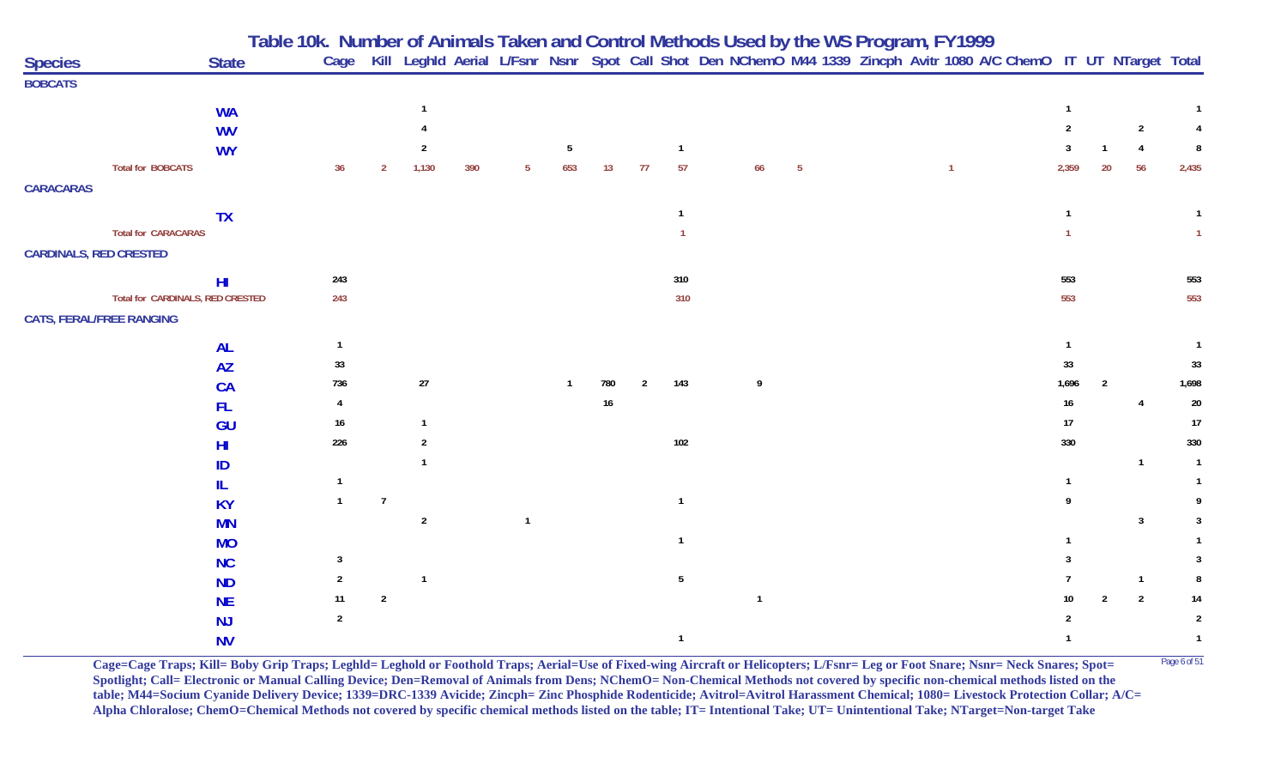|                                 |                                  |                        | Table 10k. Number of Animals Taken and Control Methods Used by the WS Program, FY1999 |                |                |     |                         |                 |     |                |                 |                                                                                                                        |                 |  |              |  |                |                |                         |                |
|---------------------------------|----------------------------------|------------------------|---------------------------------------------------------------------------------------|----------------|----------------|-----|-------------------------|-----------------|-----|----------------|-----------------|------------------------------------------------------------------------------------------------------------------------|-----------------|--|--------------|--|----------------|----------------|-------------------------|----------------|
| <b>Species</b>                  |                                  | <b>State</b>           |                                                                                       |                |                |     |                         |                 |     |                |                 | Cage Kill Leghld Aerial L/Fsnr Nsnr Spot Call Shot Den NChemO M44 1339 Zincph Avitr 1080 A/C ChemO IT UT NTarget Total |                 |  |              |  |                |                |                         |                |
| <b>BOBCATS</b>                  |                                  |                        |                                                                                       |                |                |     |                         |                 |     |                |                 |                                                                                                                        |                 |  |              |  |                |                |                         |                |
|                                 |                                  | <b>WA</b>              |                                                                                       |                |                |     |                         |                 |     |                |                 |                                                                                                                        |                 |  |              |  |                |                |                         |                |
|                                 |                                  | <b>WV</b>              |                                                                                       |                |                |     |                         |                 |     |                |                 |                                                                                                                        |                 |  |              |  | $\overline{2}$ |                | $\overline{2}$          |                |
|                                 |                                  | <b>WY</b>              |                                                                                       |                | $\overline{2}$ |     |                         | $5\phantom{.0}$ |     |                | $\overline{1}$  |                                                                                                                        |                 |  |              |  |                |                | $\overline{4}$          | 8              |
|                                 | <b>Total for BOBCATS</b>         |                        | 36                                                                                    | $\overline{2}$ | 1,130          | 390 | -5                      | 653             | 13  | 77             | 57              | 66                                                                                                                     | $5\phantom{.0}$ |  | $\mathbf{1}$ |  | 2,359          | 20             | 56                      | 2,435          |
| <b>CARACARAS</b>                |                                  |                        |                                                                                       |                |                |     |                         |                 |     |                |                 |                                                                                                                        |                 |  |              |  |                |                |                         |                |
|                                 |                                  | <b>TX</b>              |                                                                                       |                |                |     |                         |                 |     |                | $\mathbf{1}$    |                                                                                                                        |                 |  |              |  |                |                |                         |                |
|                                 | <b>Total for CARACARAS</b>       |                        |                                                                                       |                |                |     |                         |                 |     |                |                 |                                                                                                                        |                 |  |              |  |                |                |                         |                |
| <b>CARDINALS, RED CRESTED</b>   |                                  |                        |                                                                                       |                |                |     |                         |                 |     |                |                 |                                                                                                                        |                 |  |              |  |                |                |                         |                |
|                                 |                                  | H <sub>l</sub>         | 243                                                                                   |                |                |     |                         |                 |     |                | 310             |                                                                                                                        |                 |  |              |  | 553            |                |                         | 553            |
|                                 | Total for CARDINALS, RED CRESTED |                        | 243                                                                                   |                |                |     |                         |                 |     |                | 310             |                                                                                                                        |                 |  |              |  | 553            |                |                         | 553            |
| <b>CATS, FERAL/FREE RANGING</b> |                                  |                        |                                                                                       |                |                |     |                         |                 |     |                |                 |                                                                                                                        |                 |  |              |  |                |                |                         |                |
|                                 |                                  |                        | $\mathbf{1}$                                                                          |                |                |     |                         |                 |     |                |                 |                                                                                                                        |                 |  |              |  |                |                |                         |                |
|                                 |                                  | <b>AL</b><br><b>AZ</b> | 33                                                                                    |                |                |     |                         |                 |     |                |                 |                                                                                                                        |                 |  |              |  | 33             |                |                         | 33             |
|                                 |                                  | <b>CA</b>              | 736                                                                                   |                | $27$           |     |                         | $\mathbf{1}$    | 780 | $\overline{2}$ | 143             | 9                                                                                                                      |                 |  |              |  | 1,696          | $\overline{2}$ |                         | 1,698          |
|                                 |                                  | <b>FL</b>              |                                                                                       |                |                |     |                         |                 | 16  |                |                 |                                                                                                                        |                 |  |              |  | 16             |                | $\overline{4}$          | $20\,$         |
|                                 |                                  | GU                     | 16                                                                                    |                |                |     |                         |                 |     |                |                 |                                                                                                                        |                 |  |              |  | 17             |                |                         | $17$           |
|                                 |                                  | HI                     | 226                                                                                   |                | $\overline{2}$ |     |                         |                 |     |                | 102             |                                                                                                                        |                 |  |              |  | 330            |                |                         | 330            |
|                                 |                                  | ID                     |                                                                                       |                |                |     |                         |                 |     |                |                 |                                                                                                                        |                 |  |              |  |                |                | $\overline{1}$          | $\mathbf{1}$   |
|                                 |                                  | IL                     |                                                                                       |                |                |     |                         |                 |     |                |                 |                                                                                                                        |                 |  |              |  |                |                |                         |                |
|                                 |                                  | <b>KY</b>              |                                                                                       | $\overline{7}$ |                |     |                         |                 |     |                | $\mathbf{1}$    |                                                                                                                        |                 |  |              |  |                |                |                         |                |
|                                 |                                  | <b>MN</b>              |                                                                                       |                | $\overline{2}$ |     | $\overline{\mathbf{1}}$ |                 |     |                |                 |                                                                                                                        |                 |  |              |  |                |                | $\overline{3}$          | -3             |
|                                 |                                  | <b>MO</b>              |                                                                                       |                |                |     |                         |                 |     |                | $\mathbf{1}$    |                                                                                                                        |                 |  |              |  |                |                |                         |                |
|                                 |                                  | <b>NC</b>              | 3                                                                                     |                |                |     |                         |                 |     |                |                 |                                                                                                                        |                 |  |              |  |                |                |                         |                |
|                                 |                                  | <b>ND</b>              | $\overline{2}$                                                                        |                | $\overline{1}$ |     |                         |                 |     |                | $5\phantom{.0}$ |                                                                                                                        |                 |  |              |  |                |                | $\overline{\mathbf{1}}$ | 8              |
|                                 |                                  | <b>NE</b>              | 11                                                                                    | $\overline{2}$ |                |     |                         |                 |     |                |                 | $\overline{1}$                                                                                                         |                 |  |              |  | 10             | $\overline{2}$ | $\overline{2}$          | 14             |
|                                 |                                  | <b>NJ</b>              | $\overline{2}$                                                                        |                |                |     |                         |                 |     |                |                 |                                                                                                                        |                 |  |              |  | 2              |                |                         | $\overline{2}$ |
|                                 |                                  | <b>NV</b>              |                                                                                       |                |                |     |                         |                 |     |                | $\mathbf{1}$    |                                                                                                                        |                 |  |              |  |                |                |                         | $\mathbf{1}$   |

**Cage=Cage Traps; Kill= Boby Grip Traps; Leghld= Leghold or Foothold Traps; Aerial=Use of Fixed-wing Aircraft or Helicopters; L/Fsnr= Leg or Foot Snare; Nsnr= Neck Snares; Spot= <sup>Page 6 of 51</sup> Spotlight; Call= Electronic or Manual Calling Device; Den=Removal of Animals from Dens; NChemO= Non-Chemical Methods not covered by specific non-chemical methods listed on the table; M44=Socium Cyanide Delivery Device; 1339=DRC-1339 Avicide; Zincph= Zinc Phosphide Rodenticide; Avitrol=Avitrol Harassment Chemical; 1080= Livestock Protection Collar; A/C= Alpha Chloralose; ChemO=Chemical Methods not covered by specific chemical methods listed on the table; IT= Intentional Take; UT= Unintentional Take; NTarget=Non-target Take**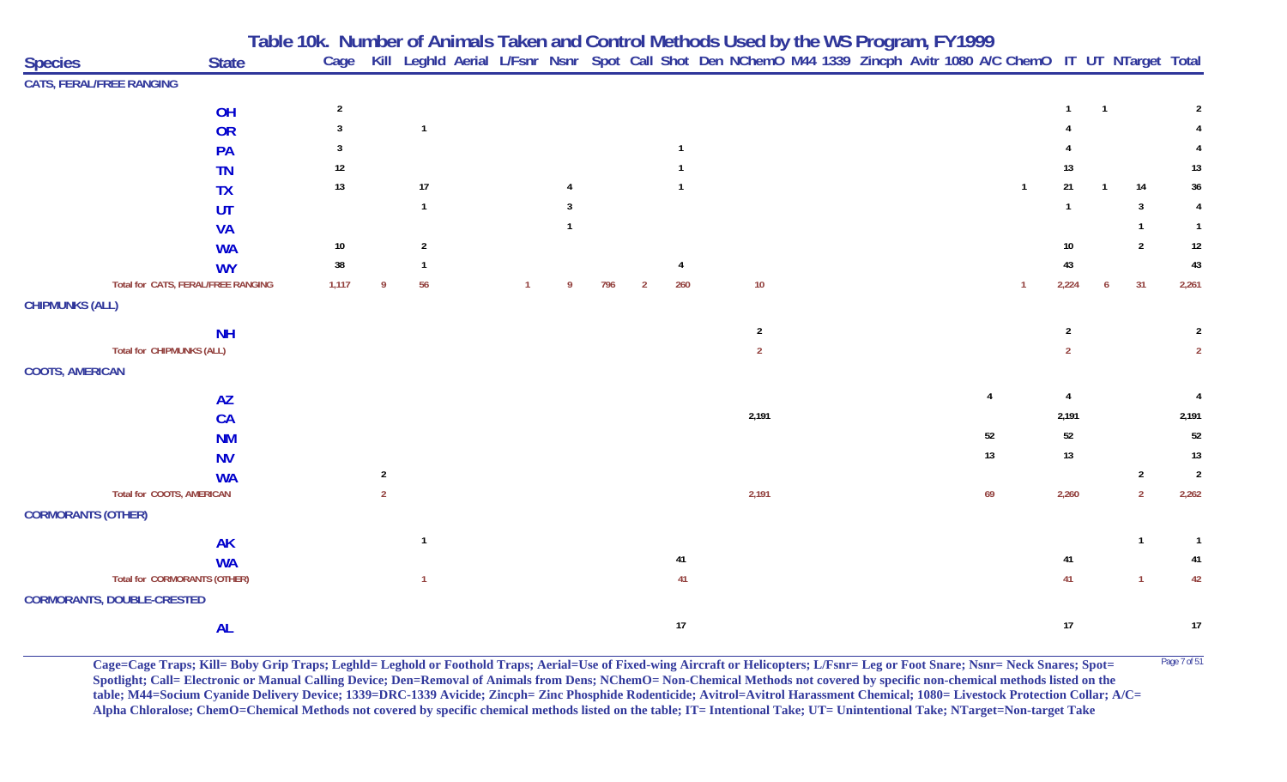|                                 |                                     | Table 10k. Number of Animals Taken and Control Methods Used by the WS Program, FY1999 |                                                                                                                   |  |    |     |   |        |                |  |  |    |                |                           |                |                |                |
|---------------------------------|-------------------------------------|---------------------------------------------------------------------------------------|-------------------------------------------------------------------------------------------------------------------|--|----|-----|---|--------|----------------|--|--|----|----------------|---------------------------|----------------|----------------|----------------|
| <b>Species</b>                  | <b>State</b>                        | Cage                                                                                  | Kill Leghld Aerial L/Fsnr Nsnr Spot Call Shot Den NChemO M44 1339 Zincph Avitr 1080 A/C ChemO IT UT NTarget Total |  |    |     |   |        |                |  |  |    |                |                           |                |                |                |
| <b>CATS, FERAL/FREE RANGING</b> |                                     |                                                                                       |                                                                                                                   |  |    |     |   |        |                |  |  |    |                |                           |                |                |                |
|                                 | OH                                  | $\overline{2}$                                                                        |                                                                                                                   |  |    |     |   |        |                |  |  |    |                | $\mathbf{1}$              | $\overline{1}$ |                |                |
|                                 | OR                                  | 3                                                                                     | $\overline{1}$                                                                                                    |  |    |     |   |        |                |  |  |    |                |                           |                |                |                |
|                                 | PA                                  | 3                                                                                     |                                                                                                                   |  |    |     |   |        |                |  |  |    |                |                           |                |                |                |
|                                 | <b>TN</b>                           | 12                                                                                    |                                                                                                                   |  |    |     |   |        |                |  |  |    |                | 13                        |                |                | 13             |
|                                 | <b>TX</b>                           | 13                                                                                    | 17                                                                                                                |  |    |     |   |        |                |  |  |    | $\overline{1}$ | 21                        | $\overline{1}$ | 14             | $36\,$         |
|                                 | UT                                  |                                                                                       | $\overline{1}$                                                                                                    |  |    |     |   |        |                |  |  |    |                |                           |                | 3              |                |
|                                 | <b>VA</b>                           |                                                                                       |                                                                                                                   |  |    |     |   |        |                |  |  |    |                |                           |                | $\mathbf{1}$   |                |
|                                 | <b>WA</b>                           | $10\,$                                                                                | $\overline{2}$                                                                                                    |  |    |     |   |        |                |  |  |    |                | 10                        |                | $\overline{2}$ | $12\,$         |
|                                 | <b>WY</b>                           | $38\,$                                                                                | $\mathbf{1}$                                                                                                      |  |    |     |   |        |                |  |  |    |                | 43                        |                |                | 43             |
|                                 | Total for CATS, FERAL/FREE RANGING  | 1,117                                                                                 | 56<br>9                                                                                                           |  | -9 | 796 | 2 | 260    | $10\,$         |  |  |    | $\overline{1}$ | 2,224                     | 6              | 31             | 2,261          |
| <b>CHIPMUNKS (ALL)</b>          |                                     |                                                                                       |                                                                                                                   |  |    |     |   |        |                |  |  |    |                |                           |                |                |                |
|                                 | <b>NH</b>                           |                                                                                       |                                                                                                                   |  |    |     |   |        | $\overline{2}$ |  |  |    |                | $\overline{2}$            |                |                | $\overline{2}$ |
|                                 | Total for CHIPMUNKS (ALL)           |                                                                                       |                                                                                                                   |  |    |     |   |        | $\overline{2}$ |  |  |    |                | $\overline{2}$            |                |                | $\overline{2}$ |
| <b>COOTS, AMERICAN</b>          |                                     |                                                                                       |                                                                                                                   |  |    |     |   |        |                |  |  |    |                |                           |                |                |                |
|                                 | <b>AZ</b>                           |                                                                                       |                                                                                                                   |  |    |     |   |        |                |  |  | 4  |                | $\boldsymbol{\varLambda}$ |                |                | 4              |
|                                 | <b>CA</b>                           |                                                                                       |                                                                                                                   |  |    |     |   |        | 2,191          |  |  |    |                | 2,191                     |                |                | 2,191          |
|                                 | <b>NM</b>                           |                                                                                       |                                                                                                                   |  |    |     |   |        |                |  |  | 52 |                | $52\,$                    |                |                | 52             |
|                                 | <b>NV</b>                           |                                                                                       |                                                                                                                   |  |    |     |   |        |                |  |  | 13 |                | $13\,$                    |                |                | $13$           |
|                                 | <b>WA</b>                           |                                                                                       | $\overline{2}$                                                                                                    |  |    |     |   |        |                |  |  |    |                |                           |                | $\overline{2}$ | $\overline{2}$ |
|                                 | <b>Total for COOTS, AMERICAN</b>    |                                                                                       | $\overline{2}$                                                                                                    |  |    |     |   |        | 2,191          |  |  | 69 |                | 2,260                     |                | $\overline{2}$ | 2,262          |
| <b>CORMORANTS (OTHER)</b>       |                                     |                                                                                       |                                                                                                                   |  |    |     |   |        |                |  |  |    |                |                           |                |                |                |
|                                 | <b>AK</b>                           |                                                                                       | $\mathbf{1}$                                                                                                      |  |    |     |   |        |                |  |  |    |                |                           |                | $\mathbf{1}$   | $\overline{1}$ |
|                                 | <b>WA</b>                           |                                                                                       |                                                                                                                   |  |    |     |   | 41     |                |  |  |    |                | 41                        |                |                | 41             |
|                                 | <b>Total for CORMORANTS (OTHER)</b> |                                                                                       | $\mathbf{1}$                                                                                                      |  |    |     |   | 41     |                |  |  |    |                | 41                        |                | $\mathbf{1}$   | 42             |
|                                 | <b>CORMORANTS, DOUBLE-CRESTED</b>   |                                                                                       |                                                                                                                   |  |    |     |   |        |                |  |  |    |                |                           |                |                |                |
|                                 | <b>AL</b>                           |                                                                                       |                                                                                                                   |  |    |     |   | $17\,$ |                |  |  |    |                | 17                        |                |                | $17\,$         |

Cage=Cage Traps; Kill= Boby Grip Traps; Leghld= Leghold or Foothold Traps; Aerial=Use of Fixed-wing Aircraft or Helicopters; L/Fsnr= Leg or Foot Snare; Nsnr= Neck Snares; Spot= <sup>Page 7 of 51</sup> **Spotlight; Call= Electronic or Manual Calling Device; Den=Removal of Animals from Dens; NChemO= Non-Chemical Methods not covered by specific non-chemical methods listed on the table; M44=Socium Cyanide Delivery Device; 1339=DRC-1339 Avicide; Zincph= Zinc Phosphide Rodenticide; Avitrol=Avitrol Harassment Chemical; 1080= Livestock Protection Collar; A/C= Alpha Chloralose; ChemO=Chemical Methods not covered by specific chemical methods listed on the table; IT= Intentional Take; UT= Unintentional Take; NTarget=Non-target Take**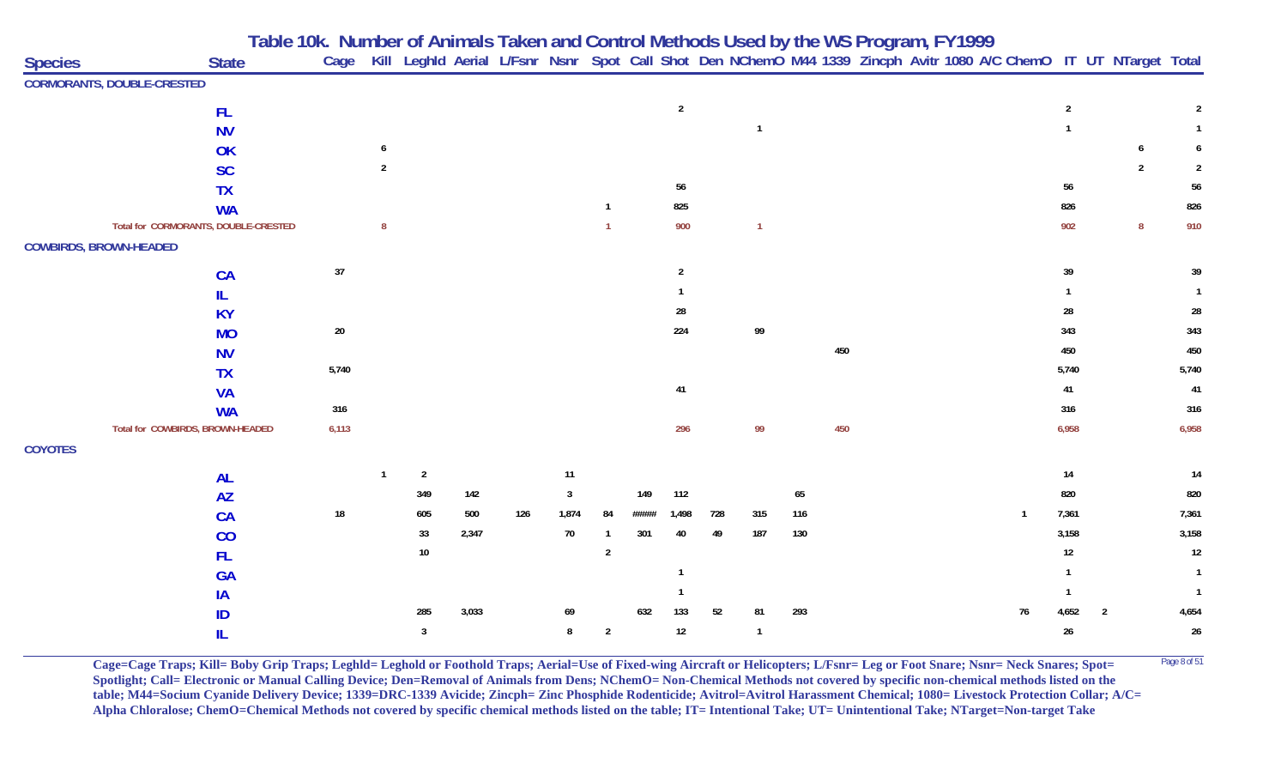|                |                                      | Table 10k. Number of Animals Taken and Control Methods Used by the WS Program, FY1999<br>Cage Kill Leghld Aerial L/Fsnr Nsnr Spot Call Shot Den NChemO M44 1339 Zincph Avitr 1080 A/C ChemO IT UT NTarget Total |                |                |       |     |              |                |       |                |     |                |     |     |  |             |                |                          |                  |                |
|----------------|--------------------------------------|-----------------------------------------------------------------------------------------------------------------------------------------------------------------------------------------------------------------|----------------|----------------|-------|-----|--------------|----------------|-------|----------------|-----|----------------|-----|-----|--|-------------|----------------|--------------------------|------------------|----------------|
| <b>Species</b> | <b>State</b>                         | Cage                                                                                                                                                                                                            |                |                |       |     |              |                |       |                |     |                |     |     |  |             |                |                          |                  |                |
|                | <b>CORMORANTS, DOUBLE-CRESTED</b>    |                                                                                                                                                                                                                 |                |                |       |     |              |                |       |                |     |                |     |     |  |             |                |                          |                  |                |
|                | <b>FL</b>                            |                                                                                                                                                                                                                 |                |                |       |     |              |                |       | $\overline{2}$ |     |                |     |     |  |             | $\overline{2}$ |                          |                  | 2              |
|                | <b>NV</b>                            |                                                                                                                                                                                                                 |                |                |       |     |              |                |       |                |     | $\mathbf{1}$   |     |     |  |             |                |                          |                  |                |
|                | OK                                   |                                                                                                                                                                                                                 | 6              |                |       |     |              |                |       |                |     |                |     |     |  |             |                |                          | 6                | 6              |
|                | <b>SC</b>                            |                                                                                                                                                                                                                 | $\overline{2}$ |                |       |     |              |                |       |                |     |                |     |     |  |             |                |                          | $\overline{2}$   |                |
|                | <b>TX</b>                            |                                                                                                                                                                                                                 |                |                |       |     |              |                |       | 56             |     |                |     |     |  |             | 56             |                          |                  | 56             |
|                | <b>WA</b>                            |                                                                                                                                                                                                                 |                |                |       |     |              | $\mathbf{1}$   |       | 825            |     |                |     |     |  |             | 826            |                          |                  | 826            |
|                | Total for CORMORANTS, DOUBLE-CRESTED |                                                                                                                                                                                                                 | $\bf 8$        |                |       |     |              | $\mathbf{1}$   |       | 900            |     | $\mathbf{1}$   |     |     |  |             | 902            |                          | $\boldsymbol{8}$ | 910            |
|                | <b>COWBIRDS, BROWN-HEADED</b>        |                                                                                                                                                                                                                 |                |                |       |     |              |                |       |                |     |                |     |     |  |             |                |                          |                  |                |
|                | CA                                   | $37\,$                                                                                                                                                                                                          |                |                |       |     |              |                |       | $\overline{2}$ |     |                |     |     |  |             | 39             |                          |                  | 39             |
|                | IL.                                  |                                                                                                                                                                                                                 |                |                |       |     |              |                |       |                |     |                |     |     |  |             |                |                          |                  |                |
|                | <b>KY</b>                            |                                                                                                                                                                                                                 |                |                |       |     |              |                |       | 28             |     |                |     |     |  |             | 28             |                          |                  | 28             |
|                | <b>MO</b>                            | $20\,$                                                                                                                                                                                                          |                |                |       |     |              |                |       | 224            |     | 99             |     |     |  |             | 343            |                          |                  | 343            |
|                | <b>NV</b>                            |                                                                                                                                                                                                                 |                |                |       |     |              |                |       |                |     |                |     | 450 |  |             | 450            |                          |                  | 450            |
|                | <b>TX</b>                            | 5,740                                                                                                                                                                                                           |                |                |       |     |              |                |       |                |     |                |     |     |  |             | 5,740          |                          |                  | 5,740          |
|                | <b>VA</b>                            |                                                                                                                                                                                                                 |                |                |       |     |              |                |       | 41             |     |                |     |     |  |             | 41             |                          |                  | 41             |
|                | <b>WA</b>                            | 316                                                                                                                                                                                                             |                |                |       |     |              |                |       |                |     |                |     |     |  |             | 316            |                          |                  | 316            |
|                | Total for COWBIRDS, BROWN-HEADED     | 6,113                                                                                                                                                                                                           |                |                |       |     |              |                |       | 296            |     | 99             |     | 450 |  |             | 6,958          |                          |                  | 6,958          |
| <b>COYOTES</b> |                                      |                                                                                                                                                                                                                 |                |                |       |     |              |                |       |                |     |                |     |     |  |             |                |                          |                  |                |
|                | <b>AL</b>                            |                                                                                                                                                                                                                 | $\mathbf{1}$   | $\overline{2}$ |       |     | 11           |                |       |                |     |                |     |     |  |             | 14             |                          |                  | 14             |
|                | <b>AZ</b>                            |                                                                                                                                                                                                                 |                | 349            | 142   |     | $\mathbf{3}$ |                | 149   | 112            |     |                | 65  |     |  |             | 820            |                          |                  | 820            |
|                | <b>CA</b>                            | $18\,$                                                                                                                                                                                                          |                | 605            | 500   | 126 | 1,874        | 84             | ##### | 1,498          | 728 | 315            | 116 |     |  | $\mathbf 1$ | 7,361          |                          |                  | 7,361          |
|                | CO                                   |                                                                                                                                                                                                                 |                | 33             | 2,347 |     | 70           | $\mathbf{1}$   | 301   | 40             | 49  | 187            | 130 |     |  |             | 3,158          |                          |                  | 3,158          |
|                | <b>FL</b>                            |                                                                                                                                                                                                                 |                | $10\,$         |       |     |              | $\overline{2}$ |       |                |     |                |     |     |  |             | 12             |                          |                  | 12             |
|                | <b>GA</b>                            |                                                                                                                                                                                                                 |                |                |       |     |              |                |       |                |     |                |     |     |  |             |                |                          |                  | -1             |
|                | IA                                   |                                                                                                                                                                                                                 |                |                |       |     |              |                |       |                |     |                |     |     |  |             |                |                          |                  | $\overline{1}$ |
|                | ID                                   |                                                                                                                                                                                                                 |                | 285            | 3,033 |     | 69           |                | 632   | 133            | 52  | 81             | 293 |     |  | 76          | 4,652          | $\overline{\phantom{a}}$ |                  | 4,654          |
|                |                                      |                                                                                                                                                                                                                 |                | $\mathbf{3}$   |       |     | 8            | $\overline{2}$ |       | 12             |     | $\overline{1}$ |     |     |  |             | 26             |                          |                  | 26             |

**Cage=Cage Traps; Kill= Boby Grip Traps; Leghld= Leghold or Foothold Traps; Aerial=Use of Fixed-wing Aircraft or Helicopters; L/Fsnr= Leg or Foot Snare; Nsnr= Neck Snares; Spot= <sup>Page 8 of 51</sup> Spotlight; Call= Electronic or Manual Calling Device; Den=Removal of Animals from Dens; NChemO= Non-Chemical Methods not covered by specific non-chemical methods listed on the table; M44=Socium Cyanide Delivery Device; 1339=DRC-1339 Avicide; Zincph= Zinc Phosphide Rodenticide; Avitrol=Avitrol Harassment Chemical; 1080= Livestock Protection Collar; A/C= Alpha Chloralose; ChemO=Chemical Methods not covered by specific chemical methods listed on the table; IT= Intentional Take; UT= Unintentional Take; NTarget=Non-target Take**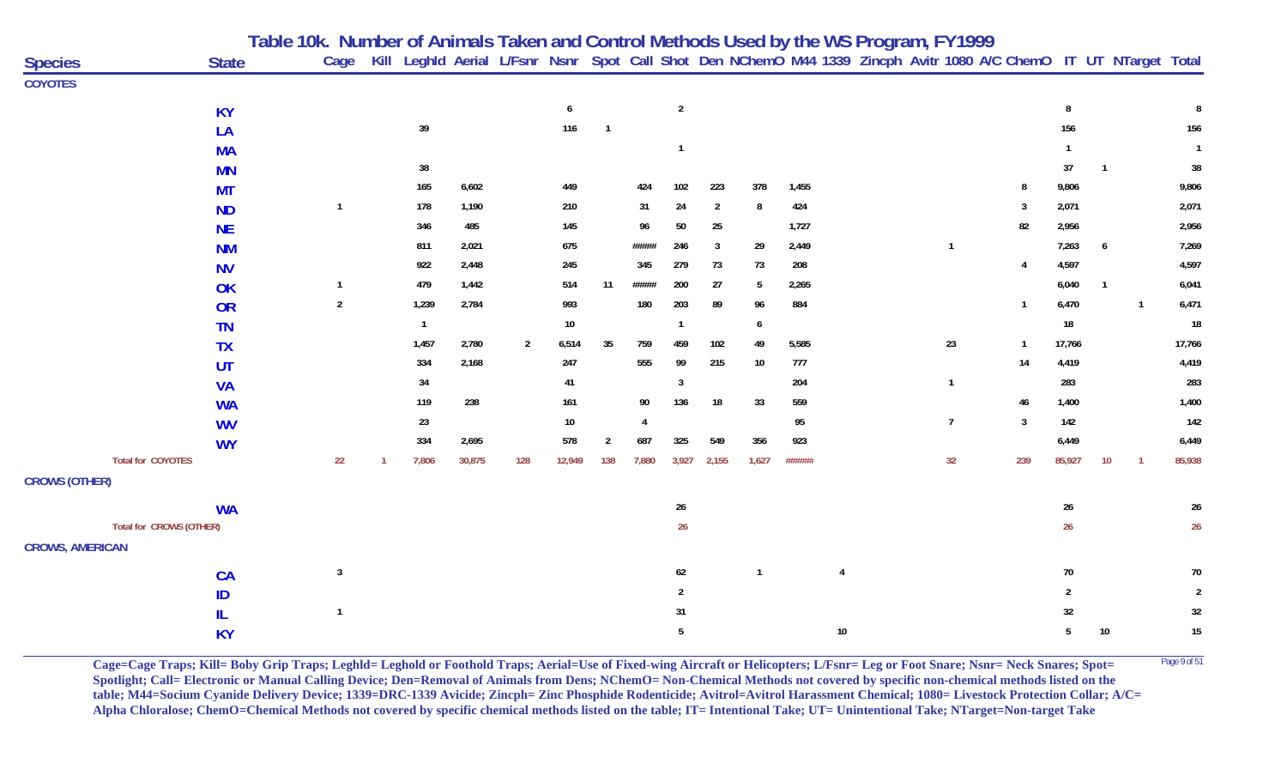|                        |                          | Table 10k. Number of Animals Taken and Control Methods Used by the WS Program, FY1999 |                |                |        |                |        |                |                |                |                |              |        |    |  |                |                |                |                |                |                                                                                                                   |
|------------------------|--------------------------|---------------------------------------------------------------------------------------|----------------|----------------|--------|----------------|--------|----------------|----------------|----------------|----------------|--------------|--------|----|--|----------------|----------------|----------------|----------------|----------------|-------------------------------------------------------------------------------------------------------------------|
| <b>Species</b>         | <b>State</b>             |                                                                                       | Cage           |                |        |                |        |                |                |                |                |              |        |    |  |                |                |                |                |                | Kill Leghld Aerial L/Fsnr Nsnr Spot Call Shot Den NChemO M44 1339 Zincph Avitr 1080 A/C ChemO IT UT NTarget Total |
| <b>COYOTES</b>         |                          |                                                                                       |                |                |        |                |        |                |                |                |                |              |        |    |  |                |                |                |                |                |                                                                                                                   |
|                        | <b>KY</b>                |                                                                                       |                |                |        |                | 6      |                |                | $\sqrt{2}$     |                |              |        |    |  |                |                | 8              |                |                | 8                                                                                                                 |
|                        | LA                       |                                                                                       |                | 39             |        |                | 116    | $\overline{1}$ |                |                |                |              |        |    |  |                |                | 156            |                |                | 156                                                                                                               |
|                        | <b>MA</b>                |                                                                                       |                |                |        |                |        |                |                | $\overline{1}$ |                |              |        |    |  |                |                |                |                |                | $\mathbf{1}$                                                                                                      |
|                        | <b>MN</b>                |                                                                                       |                | 38             |        |                |        |                |                |                |                |              |        |    |  |                |                | 37             | $\overline{1}$ |                | $38\,$                                                                                                            |
|                        | <b>MT</b>                |                                                                                       |                | 165            | 6,602  |                | 449    |                | 424            | 102            | 223            | 378          | 1,455  |    |  |                | -8             | 9,806          |                |                | 9,806                                                                                                             |
|                        | <b>ND</b>                |                                                                                       | $\overline{1}$ | 178            | 1,190  |                | 210    |                | 31             | 24             | $\overline{2}$ | 8            | 424    |    |  |                | 3              | 2,071          |                |                | 2,071                                                                                                             |
|                        | <b>NE</b>                |                                                                                       |                | 346            | 485    |                | 145    |                | 96             | 50             | 25             |              | 1,727  |    |  |                | 82             | 2,956          |                |                | 2,956                                                                                                             |
|                        | <b>NM</b>                |                                                                                       |                | 811            | 2,021  |                | 675    |                | #####          | 246            | $\overline{3}$ | 29           | 2,449  |    |  | $\mathbf{1}$   |                | 7,263          | 6              |                | 7,269                                                                                                             |
|                        | <b>NV</b>                |                                                                                       |                | 922            | 2,448  |                | 245    |                | 345            | 279            | 73             | 73           | 208    |    |  |                | 4              | 4,597          |                |                | 4,597                                                                                                             |
|                        | OK                       |                                                                                       | $\overline{1}$ | 479            | 1,442  |                | 514    | 11             | #####          | 200            | 27             | 5            | 2,265  |    |  |                |                | 6,040          | $\overline{1}$ |                | 6,041                                                                                                             |
|                        | OR                       |                                                                                       | $\overline{2}$ | 1,239          | 2,784  |                | 993    |                | 180            | 203            | 89             | 96           | 884    |    |  |                | -1             | 6,470          |                | $\overline{1}$ | 6,471                                                                                                             |
|                        | <b>TN</b>                |                                                                                       |                | $\overline{1}$ |        |                | $10\,$ |                |                | $\overline{1}$ |                | 6            |        |    |  |                |                | 18             |                |                | $18\,$                                                                                                            |
|                        | <b>TX</b>                |                                                                                       |                | 1,457          | 2,780  | $\overline{2}$ | 6,514  | 35             | 759            | 459            | 102            | 49           | 5,585  |    |  | 23             | $\overline{1}$ | 17,766         |                |                | 17,766                                                                                                            |
|                        | <b>UT</b>                |                                                                                       |                | 334            | 2,168  |                | 247    |                | 555            | 99             | 215            | 10           | 777    |    |  |                | 14             | 4,419          |                |                | 4,419                                                                                                             |
|                        | <b>VA</b>                |                                                                                       |                | 34             |        |                | 41     |                |                | 3              |                |              | 204    |    |  | $\mathbf{1}$   |                | 283            |                |                | 283                                                                                                               |
|                        | <b>WA</b>                |                                                                                       |                | 119            | 238    |                | 161    |                | 90             | 136            | 18             | 33           | 559    |    |  |                | 46             | 1,400          |                |                | 1,400                                                                                                             |
|                        | <b>WV</b>                |                                                                                       |                | 23             |        |                | 10     |                | $\overline{4}$ |                |                |              | 95     |    |  | $\overline{7}$ | $\mathbf{3}$   | 142            |                |                | 142                                                                                                               |
|                        | <b>WY</b>                |                                                                                       |                | 334            | 2,695  |                | 578    | $\overline{2}$ | 687            | 325            | 549            | 356          | 923    |    |  |                |                | 6,449          |                |                | 6,449                                                                                                             |
|                        | <b>Total for COYOTES</b> |                                                                                       | 22             | 7,806          | 30,875 | 128            | 12,949 | 138            | 7,880          | 3,927          | 2,155          | 1,627        | ###### |    |  | 32             | 239            | 85,927         | 10             | $\overline{1}$ | 85,938                                                                                                            |
| <b>CROWS (OTHER)</b>   |                          |                                                                                       |                |                |        |                |        |                |                |                |                |              |        |    |  |                |                |                |                |                |                                                                                                                   |
|                        | <b>WA</b>                |                                                                                       |                |                |        |                |        |                |                | 26             |                |              |        |    |  |                |                | 26             |                |                | $26\phantom{.0}$                                                                                                  |
|                        | Total for CROWS (OTHER)  |                                                                                       |                |                |        |                |        |                |                | 26             |                |              |        |    |  |                |                | 26             |                |                | $26\phantom{.0}$                                                                                                  |
| <b>CROWS, AMERICAN</b> |                          |                                                                                       |                |                |        |                |        |                |                |                |                |              |        |    |  |                |                |                |                |                |                                                                                                                   |
|                        | CA                       |                                                                                       | $\mathbf{3}$   |                |        |                |        |                |                | 62             |                | $\mathbf{1}$ |        | 4  |  |                |                | 70             |                |                | 70                                                                                                                |
|                        | ID                       |                                                                                       |                |                |        |                |        |                |                | $\overline{2}$ |                |              |        |    |  |                |                | $\overline{2}$ |                |                | $\overline{2}$                                                                                                    |
|                        | IL.                      |                                                                                       | $\overline{1}$ |                |        |                |        |                |                | 31             |                |              |        |    |  |                |                | 32             |                |                | 32                                                                                                                |
|                        | <b>KY</b>                |                                                                                       |                |                |        |                |        |                |                | 5              |                |              |        | 10 |  |                |                | 5              | 10             |                | $15\,$                                                                                                            |

**Cage=Cage Traps; Kill= Boby Grip Traps; Leghld= Leghold or Foothold Traps; Aerial=Use of Fixed-wing Aircraft or Helicopters; L/Fsnr= Leg or Foot Snare; Nsnr= Neck Snares; Spot= <sup>Page 9 of 51</sup> Spotlight; Call= Electronic or Manual Calling Device; Den=Removal of Animals from Dens; NChemO= Non-Chemical Methods not covered by specific non-chemical methods listed on the table; M44=Socium Cyanide Delivery Device; 1339=DRC-1339 Avicide; Zincph= Zinc Phosphide Rodenticide; Avitrol=Avitrol Harassment Chemical; 1080= Livestock Protection Collar; A/C= Alpha Chloralose; ChemO=Chemical Methods not covered by specific chemical methods listed on the table; IT= Intentional Take; UT= Unintentional Take; NTarget=Non-target Take**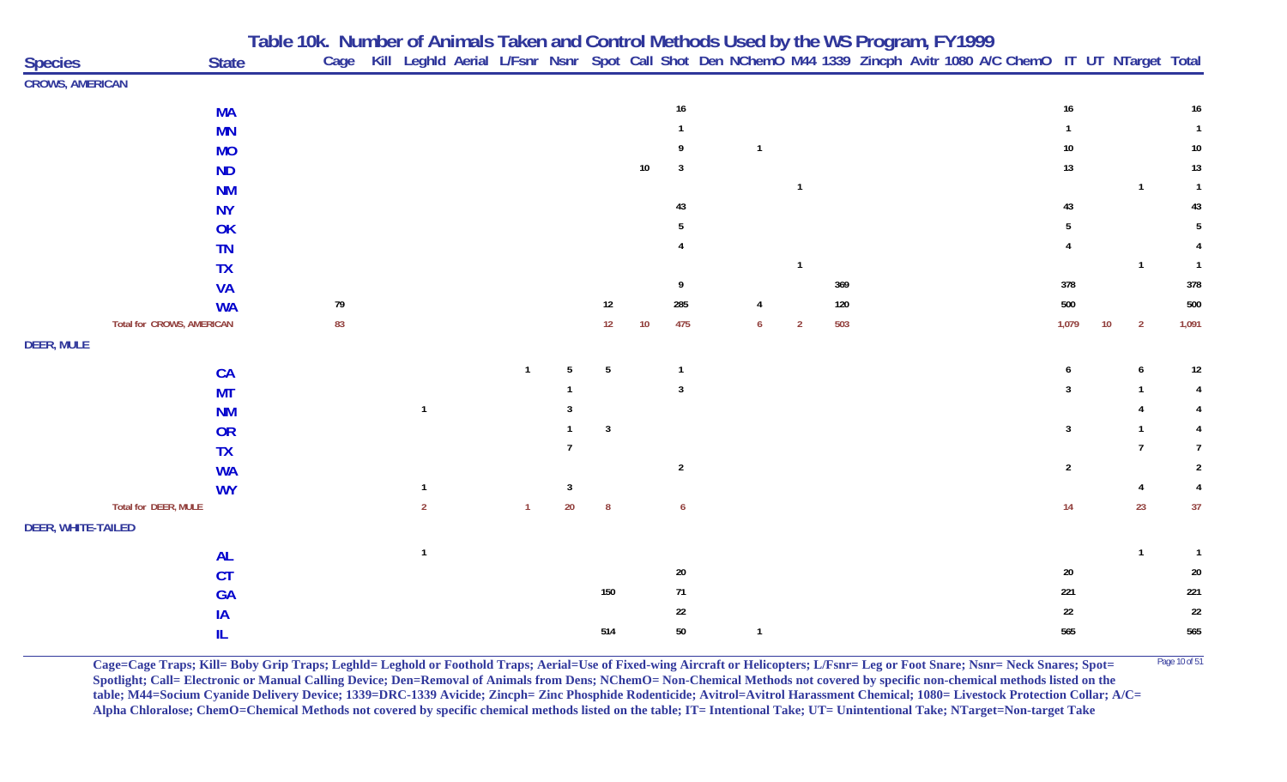|                           |                                  |              | Table 10k. Number of Animals Taken and Control Methods Used by the WS Program, FY1999 |                |              |                |                  |                 |                |                                                                                                                        |                |     |  |  |                 |                                   |                 |
|---------------------------|----------------------------------|--------------|---------------------------------------------------------------------------------------|----------------|--------------|----------------|------------------|-----------------|----------------|------------------------------------------------------------------------------------------------------------------------|----------------|-----|--|--|-----------------|-----------------------------------|-----------------|
| <b>Species</b>            |                                  | <b>State</b> |                                                                                       |                |              |                |                  |                 |                | Cage Kill Leghld Aerial L/Fsnr Nsnr Spot Call Shot Den NChemO M44 1339 Zincph Avitr 1080 A/C ChemO IT UT NTarget Total |                |     |  |  |                 |                                   |                 |
| <b>CROWS, AMERICAN</b>    |                                  |              |                                                                                       |                |              |                |                  |                 |                |                                                                                                                        |                |     |  |  |                 |                                   |                 |
|                           |                                  | <b>MA</b>    |                                                                                       |                |              |                |                  |                 | 16             |                                                                                                                        |                |     |  |  | 16              |                                   | $16\phantom{.}$ |
|                           |                                  | <b>MN</b>    |                                                                                       |                |              |                |                  |                 |                |                                                                                                                        |                |     |  |  |                 |                                   | $\mathbf{1}$    |
|                           |                                  | <b>MO</b>    |                                                                                       |                |              |                |                  |                 |                |                                                                                                                        |                |     |  |  | 10 <sub>1</sub> |                                   | $10\,$          |
|                           |                                  | <b>ND</b>    |                                                                                       |                |              |                |                  | $10\,$          | $\overline{3}$ |                                                                                                                        |                |     |  |  | 13              |                                   | 13              |
|                           |                                  | <b>NM</b>    |                                                                                       |                |              |                |                  |                 |                |                                                                                                                        | $\mathbf{1}$   |     |  |  |                 | $\overline{1}$                    | $\overline{1}$  |
|                           |                                  | <b>NY</b>    |                                                                                       |                |              |                |                  |                 | 43             |                                                                                                                        |                |     |  |  | 43              |                                   | 43              |
|                           |                                  | OK           |                                                                                       |                |              |                |                  |                 |                |                                                                                                                        |                |     |  |  |                 |                                   |                 |
|                           |                                  | <b>TN</b>    |                                                                                       |                |              |                |                  |                 |                |                                                                                                                        |                |     |  |  |                 |                                   |                 |
|                           |                                  | <b>TX</b>    |                                                                                       |                |              |                |                  |                 |                |                                                                                                                        | $\overline{1}$ |     |  |  |                 | $\overline{1}$                    | $\overline{1}$  |
|                           |                                  | <b>VA</b>    |                                                                                       |                |              |                |                  |                 |                |                                                                                                                        |                | 369 |  |  | 378             |                                   | 378             |
|                           |                                  | <b>WA</b>    | 79                                                                                    |                |              |                | 12               |                 | 285            | 4                                                                                                                      |                | 120 |  |  | 500             |                                   | 500             |
|                           | <b>Total for CROWS, AMERICAN</b> |              | 83                                                                                    |                |              |                | 12               | 10 <sup>°</sup> | 475            | $\boldsymbol{6}$                                                                                                       | $\overline{2}$ | 503 |  |  | 1,079           | 10 <sup>°</sup><br>$\overline{2}$ | 1,091           |
| <b>DEER, MULE</b>         |                                  |              |                                                                                       |                |              |                |                  |                 |                |                                                                                                                        |                |     |  |  |                 |                                   |                 |
|                           |                                  | CA           |                                                                                       |                |              | -5             | $5\phantom{.0}$  |                 | $\overline{1}$ |                                                                                                                        |                |     |  |  | 6               | 6                                 | 12              |
|                           |                                  | <b>MT</b>    |                                                                                       |                |              |                |                  |                 | $\overline{3}$ |                                                                                                                        |                |     |  |  | 3               |                                   |                 |
|                           |                                  | <b>NM</b>    |                                                                                       | $\mathbf{1}$   |              |                |                  |                 |                |                                                                                                                        |                |     |  |  |                 |                                   |                 |
|                           |                                  | <b>OR</b>    |                                                                                       |                |              |                | $\overline{3}$   |                 |                |                                                                                                                        |                |     |  |  | $\mathbf{3}$    |                                   |                 |
|                           |                                  | <b>TX</b>    |                                                                                       |                |              | $\overline{7}$ |                  |                 |                |                                                                                                                        |                |     |  |  |                 | $\overline{7}$                    | $\overline{7}$  |
|                           |                                  | <b>WA</b>    |                                                                                       |                |              |                |                  |                 | $\overline{2}$ |                                                                                                                        |                |     |  |  | $2^{\circ}$     |                                   | $\overline{2}$  |
|                           |                                  | <b>WY</b>    |                                                                                       | $\mathbf{1}$   |              | $\overline{3}$ |                  |                 |                |                                                                                                                        |                |     |  |  |                 | 4                                 | $\overline{4}$  |
|                           | Total for DEER, MULE             |              |                                                                                       | $\overline{2}$ | $\mathbf{1}$ | $20\,$         | $\boldsymbol{8}$ |                 | 6              |                                                                                                                        |                |     |  |  | 14              | 23                                | 37              |
| <b>DEER, WHITE-TAILED</b> |                                  |              |                                                                                       |                |              |                |                  |                 |                |                                                                                                                        |                |     |  |  |                 |                                   |                 |
|                           |                                  | <b>AL</b>    |                                                                                       | $\overline{1}$ |              |                |                  |                 |                |                                                                                                                        |                |     |  |  |                 | $\overline{1}$                    | $\mathbf{1}$    |
|                           |                                  | <b>CT</b>    |                                                                                       |                |              |                |                  |                 | $20\,$         |                                                                                                                        |                |     |  |  | $20\,$          |                                   | $20\,$          |
|                           |                                  | <b>GA</b>    |                                                                                       |                |              |                | 150              |                 | $71\,$         |                                                                                                                        |                |     |  |  | 221             |                                   | 221             |
|                           | IA                               |              |                                                                                       |                |              |                |                  |                 | $22\,$         |                                                                                                                        |                |     |  |  | 22              |                                   | $22\,$          |
|                           | IL.                              |              |                                                                                       |                |              |                | 514              |                 | $50\,$         | $\mathbf{1}$                                                                                                           |                |     |  |  | 565             |                                   | 565             |

**Cage=Cage Traps; Kill= Boby Grip Traps; Leghld= Leghold or Foothold Traps; Aerial=Use of Fixed-wing Aircraft or Helicopters; L/Fsnr= Leg or Foot Snare; Nsnr= Neck Snares; Spot=** <sup>Page 10 of 51</sup> **Spotlight; Call= Electronic or Manual Calling Device; Den=Removal of Animals from Dens; NChemO= Non-Chemical Methods not covered by specific non-chemical methods listed on the table; M44=Socium Cyanide Delivery Device; 1339=DRC-1339 Avicide; Zincph= Zinc Phosphide Rodenticide; Avitrol=Avitrol Harassment Chemical; 1080= Livestock Protection Collar; A/C= Alpha Chloralose; ChemO=Chemical Methods not covered by specific chemical methods listed on the table; IT= Intentional Take; UT= Unintentional Take; NTarget=Non-target Take**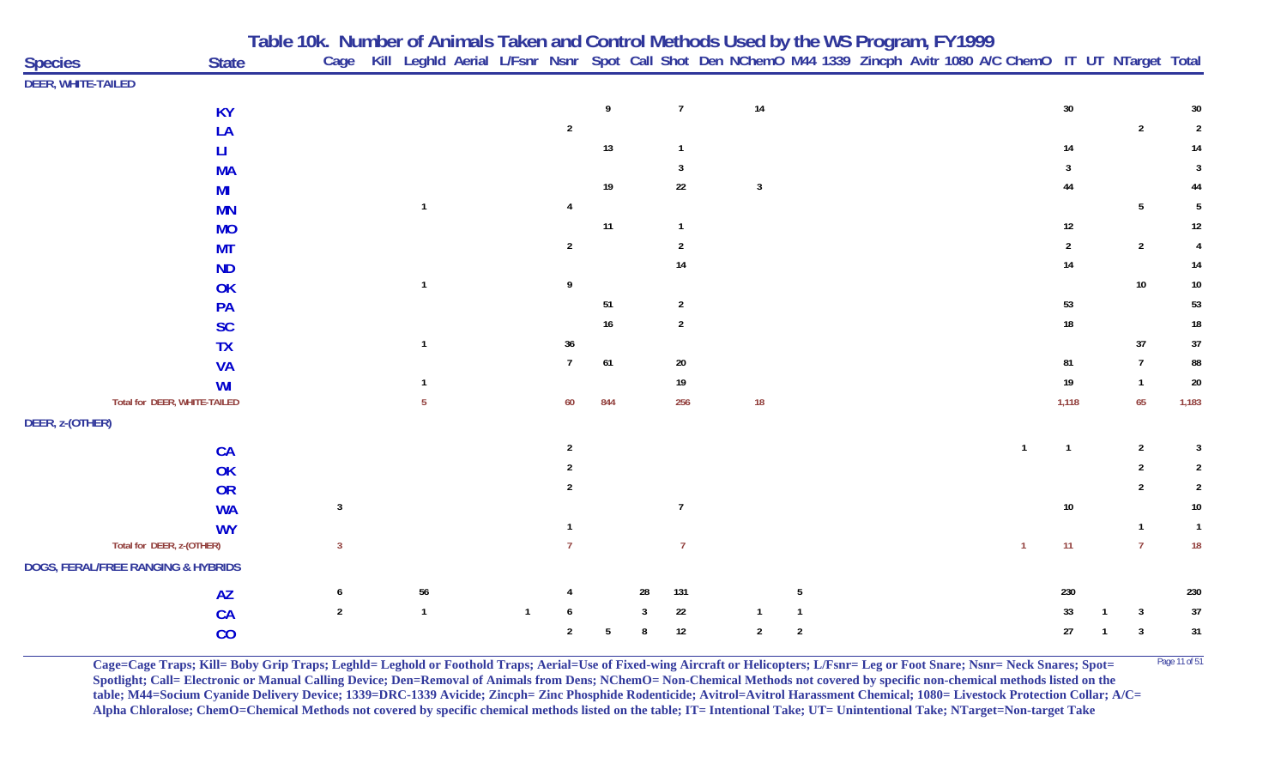|                                               |              | Table 10k. Number of Animals Taken and Control Methods Used by the WS Program, FY1999<br>Cage Kill Leghld Aerial L/Fsnr Nsnr Spot Call Shot Den NChemO M44 1339 Zincph Avitr 1080 A/C ChemO IT UT NTarget Total |              |              |                |     |    |                |                |              |  |                |                |                 |                |
|-----------------------------------------------|--------------|-----------------------------------------------------------------------------------------------------------------------------------------------------------------------------------------------------------------|--------------|--------------|----------------|-----|----|----------------|----------------|--------------|--|----------------|----------------|-----------------|----------------|
| <b>Species</b>                                | <b>State</b> |                                                                                                                                                                                                                 |              |              |                |     |    |                |                |              |  |                |                |                 |                |
| <b>DEER, WHITE-TAILED</b>                     |              |                                                                                                                                                                                                                 |              |              |                |     |    |                |                |              |  |                |                |                 |                |
|                                               | <b>KY</b>    |                                                                                                                                                                                                                 |              |              |                | 9   |    | $\overline{7}$ | $14$           |              |  |                | $30\,$         |                 | 30             |
|                                               | LA           |                                                                                                                                                                                                                 |              |              | $\overline{2}$ |     |    |                |                |              |  |                |                | $\overline{2}$  | $\overline{2}$ |
|                                               | Ш            |                                                                                                                                                                                                                 |              |              |                | 13  |    | $\overline{1}$ |                |              |  |                | 14             |                 | 14             |
|                                               | <b>MA</b>    |                                                                                                                                                                                                                 |              |              |                |     |    | $\overline{3}$ |                |              |  |                | 3              |                 | 3              |
|                                               | MI           |                                                                                                                                                                                                                 |              |              |                | 19  |    | 22             | $\overline{3}$ |              |  |                | 44             |                 | 44             |
|                                               | <b>MN</b>    |                                                                                                                                                                                                                 | $\mathbf{1}$ |              |                |     |    |                |                |              |  |                |                | $5\phantom{.0}$ | 5              |
|                                               | <b>MO</b>    |                                                                                                                                                                                                                 |              |              |                | 11  |    | $\overline{1}$ |                |              |  |                | $12\,$         |                 | $12\,$         |
|                                               | <b>MT</b>    |                                                                                                                                                                                                                 |              |              | $\overline{2}$ |     |    | $\overline{2}$ |                |              |  |                | $\overline{2}$ | $\overline{2}$  | $\overline{4}$ |
|                                               | <b>ND</b>    |                                                                                                                                                                                                                 |              |              |                |     |    | 14             |                |              |  |                | $14$           |                 | $14\,$         |
|                                               | OK           |                                                                                                                                                                                                                 | $\mathbf{1}$ |              | 9              |     |    |                |                |              |  |                |                | 10              | $10\,$         |
|                                               | PA           |                                                                                                                                                                                                                 |              |              |                | 51  |    | $\overline{2}$ |                |              |  |                | 53             |                 | 53             |
|                                               | <b>SC</b>    |                                                                                                                                                                                                                 |              |              |                | 16  |    | $\overline{2}$ |                |              |  |                | $18\,$         |                 | ${\bf 18}$     |
|                                               | <b>TX</b>    |                                                                                                                                                                                                                 | $\mathbf{1}$ |              | 36             |     |    |                |                |              |  |                |                | 37              | 37             |
|                                               | <b>VA</b>    |                                                                                                                                                                                                                 |              |              | $\overline{7}$ | 61  |    | $20\,$         |                |              |  |                | 81             | $\overline{7}$  | 88             |
|                                               | WI           |                                                                                                                                                                                                                 |              |              |                |     |    | 19             |                |              |  |                | 19             | $\mathbf{1}$    | $20\,$         |
| Total for DEER, WHITE-TAILED                  |              |                                                                                                                                                                                                                 | 5            |              | 60             | 844 |    | 256            | $18$           |              |  |                | 1,118          | 65              | 1,183          |
| DEER, z-(OTHER)                               |              |                                                                                                                                                                                                                 |              |              |                |     |    |                |                |              |  |                |                |                 |                |
|                                               | <b>CA</b>    |                                                                                                                                                                                                                 |              |              | $\overline{2}$ |     |    |                |                |              |  | $\overline{1}$ | $\overline{1}$ | $\overline{2}$  | 3              |
|                                               | OK           |                                                                                                                                                                                                                 |              |              |                |     |    |                |                |              |  |                |                | $\mathfrak{p}$  | $\overline{2}$ |
|                                               | OR           |                                                                                                                                                                                                                 |              |              | $\mathfrak{p}$ |     |    |                |                |              |  |                |                | $\overline{2}$  | $\overline{2}$ |
|                                               | <b>WA</b>    | $\mathbf{3}$                                                                                                                                                                                                    |              |              |                |     |    | $\overline{7}$ |                |              |  |                | 10             |                 | $10\,$         |
|                                               | <b>WY</b>    |                                                                                                                                                                                                                 |              |              |                |     |    |                |                |              |  |                |                | $\mathbf{1}$    | $\overline{1}$ |
| Total for DEER, z-(OTHER)                     |              | $\overline{3}$                                                                                                                                                                                                  |              |              |                |     |    | $\overline{7}$ |                |              |  | $\overline{1}$ | 11             | $\overline{7}$  | 18             |
| <b>DOGS, FERAL/FREE RANGING &amp; HYBRIDS</b> |              |                                                                                                                                                                                                                 |              |              |                |     |    |                |                |              |  |                |                |                 |                |
|                                               | <b>AZ</b>    | 6                                                                                                                                                                                                               | 56           |              |                |     | 28 | 131            |                | 5            |  |                | 230            |                 | 230            |
|                                               | CA           | $\overline{2}$                                                                                                                                                                                                  | $\mathbf{1}$ | $\mathbf{1}$ |                |     | 3  | 22             | $\overline{1}$ | $\mathbf{1}$ |  |                | 33             | $\mathbf{3}$    | 37             |
|                                               | CO           |                                                                                                                                                                                                                 |              |              | $\overline{2}$ | 5   | 8  | 12             | $\overline{2}$ | $\sqrt{2}$   |  |                | 27             | $\overline{3}$  | $31$           |

**Cage=Cage Traps; Kill= Boby Grip Traps; Leghld= Leghold or Foothold Traps; Aerial=Use of Fixed-wing Aircraft or Helicopters; L/Fsnr= Leg or Foot Snare; Nsnr= Neck Snares; Spot=** Page 11 of 51 **Spotlight; Call= Electronic or Manual Calling Device; Den=Removal of Animals from Dens; NChemO= Non-Chemical Methods not covered by specific non-chemical methods listed on the table; M44=Socium Cyanide Delivery Device; 1339=DRC-1339 Avicide; Zincph= Zinc Phosphide Rodenticide; Avitrol=Avitrol Harassment Chemical; 1080= Livestock Protection Collar; A/C= Alpha Chloralose; ChemO=Chemical Methods not covered by specific chemical methods listed on the table; IT= Intentional Take; UT= Unintentional Take; NTarget=Non-target Take**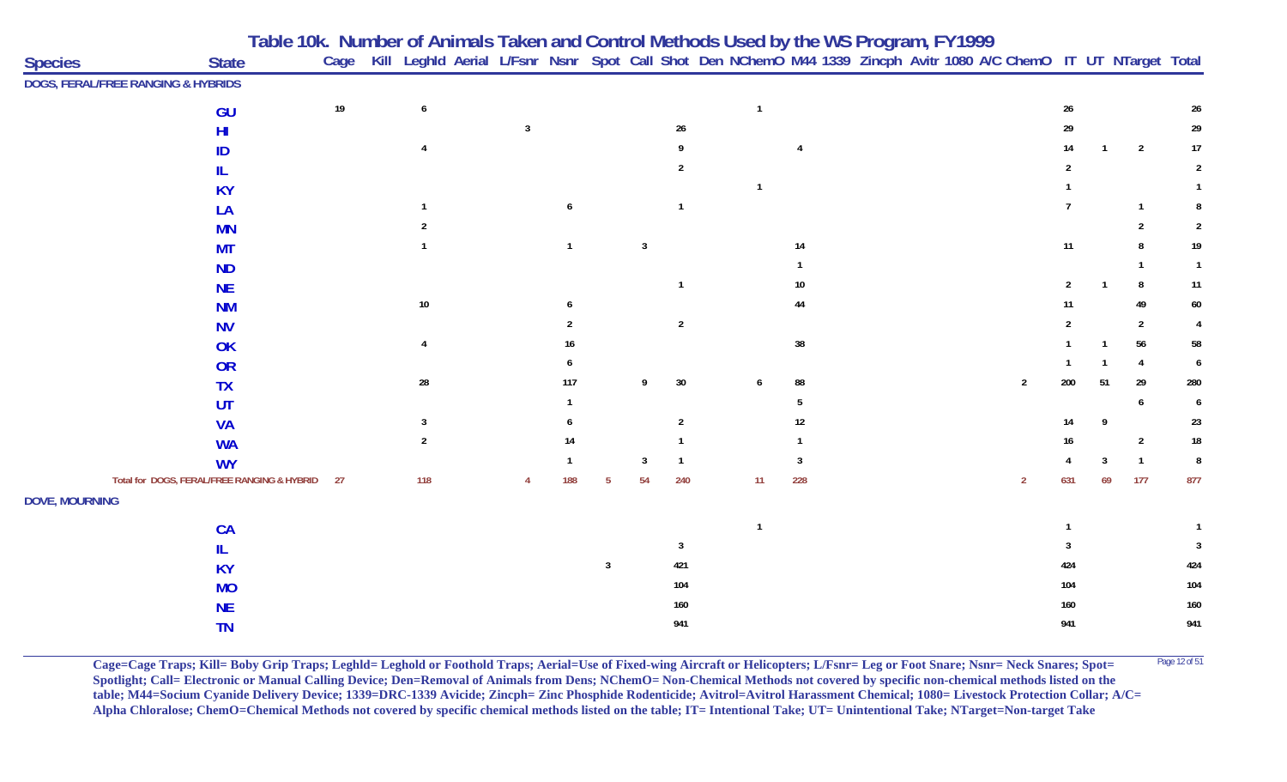| <b>Species</b>        | <b>State</b>                                |      | Table 10k. Number of Animals Taken and Control Methods Used by the WS Program, FY1999<br>Cage Kill Leghld Aerial L/Fsnr Nsnr Spot Call Shot Den NChemO M44 1339 Zincph Avitr 1080 A/C ChemO IT UT NTarget Total |   |              |   |                |                |                |                 |  |  |                |                |    |                |                |
|-----------------------|---------------------------------------------|------|-----------------------------------------------------------------------------------------------------------------------------------------------------------------------------------------------------------------|---|--------------|---|----------------|----------------|----------------|-----------------|--|--|----------------|----------------|----|----------------|----------------|
|                       | DOGS, FERAL/FREE RANGING & HYBRIDS          |      |                                                                                                                                                                                                                 |   |              |   |                |                |                |                 |  |  |                |                |    |                |                |
|                       | GU                                          | $19$ | 6                                                                                                                                                                                                               |   |              |   |                |                | $\overline{1}$ |                 |  |  |                | $26\,$         |    |                | 26             |
|                       | HI                                          |      |                                                                                                                                                                                                                 | 3 |              |   |                | $26\,$         |                |                 |  |  |                | 29             |    |                | 29             |
|                       | ID                                          |      |                                                                                                                                                                                                                 |   |              |   |                |                |                |                 |  |  |                | 14             |    | $\overline{2}$ | 17             |
|                       |                                             |      |                                                                                                                                                                                                                 |   |              |   |                | $\overline{2}$ |                |                 |  |  |                | $\mathfrak{p}$ |    |                | $\overline{2}$ |
|                       | <b>KY</b>                                   |      |                                                                                                                                                                                                                 |   |              |   |                |                |                |                 |  |  |                |                |    |                |                |
|                       | LA                                          |      |                                                                                                                                                                                                                 |   | 6            |   |                | $\mathbf{1}$   |                |                 |  |  |                | $\overline{7}$ |    | $\overline{1}$ | 8              |
|                       | <b>MN</b>                                   |      |                                                                                                                                                                                                                 |   |              |   |                |                |                |                 |  |  |                |                |    | $\mathcal{P}$  | $\overline{2}$ |
|                       | <b>MT</b>                                   |      |                                                                                                                                                                                                                 |   | $\mathbf{1}$ |   | $\overline{3}$ |                |                | 14              |  |  |                | 11             |    |                | 19             |
|                       | <b>ND</b>                                   |      |                                                                                                                                                                                                                 |   |              |   |                |                |                |                 |  |  |                |                |    |                | $\overline{1}$ |
|                       | <b>NE</b>                                   |      |                                                                                                                                                                                                                 |   |              |   |                |                |                | 10 <sup>°</sup> |  |  |                |                |    | 8              | 11             |
|                       | <b>NM</b>                                   |      | $10\,$                                                                                                                                                                                                          |   |              |   |                |                |                | 44              |  |  |                | 11             |    | 49             | 60             |
|                       | <b>NV</b>                                   |      |                                                                                                                                                                                                                 |   |              |   |                | $\sqrt{2}$     |                |                 |  |  |                |                |    | $\overline{2}$ |                |
|                       | OK                                          |      |                                                                                                                                                                                                                 |   |              |   |                |                |                | 38              |  |  |                |                |    | 56             | 58             |
|                       | OR                                          |      |                                                                                                                                                                                                                 |   |              |   |                |                |                |                 |  |  |                |                |    | $\overline{4}$ | 6              |
|                       | <b>TX</b>                                   |      | ${\bf 28}$                                                                                                                                                                                                      |   | 117          |   | 9              | $30\,$         |                | 88              |  |  | $\overline{2}$ | 200            | 51 | 29             | 280            |
|                       | UT                                          |      |                                                                                                                                                                                                                 |   |              |   |                |                |                |                 |  |  |                |                |    |                | 6              |
|                       | <b>VA</b>                                   |      | 3                                                                                                                                                                                                               |   |              |   |                | $\overline{2}$ |                | 12              |  |  |                |                | Q  |                | 23             |
|                       | <b>WA</b>                                   |      | $\overline{2}$                                                                                                                                                                                                  |   | 14           |   |                | $\mathbf{1}$   |                |                 |  |  |                | 16             |    | $\overline{2}$ | $18\,$         |
|                       | <b>WY</b>                                   |      |                                                                                                                                                                                                                 |   | -1           |   | 3              | $\mathbf{1}$   |                | 3               |  |  |                |                | 3  | $\overline{1}$ | 8              |
|                       | Total for DOGS, FERAL/FREE RANGING & HYBRID | 27   | 118                                                                                                                                                                                                             |   | 188          | 5 | 54             | 240            | 11             | 228             |  |  | $\overline{2}$ | 631            | 69 | 177            | 877            |
| <b>DOVE, MOURNING</b> |                                             |      |                                                                                                                                                                                                                 |   |              |   |                |                |                |                 |  |  |                |                |    |                |                |
|                       | CA                                          |      |                                                                                                                                                                                                                 |   |              |   |                |                | $\overline{1}$ |                 |  |  |                |                |    |                |                |
|                       | IL.                                         |      |                                                                                                                                                                                                                 |   |              |   |                | 3              |                |                 |  |  |                |                |    |                | 3              |
|                       | <b>KY</b>                                   |      |                                                                                                                                                                                                                 |   |              | 3 |                | 421            |                |                 |  |  |                | 424            |    |                | 424            |
|                       | <b>MO</b>                                   |      |                                                                                                                                                                                                                 |   |              |   |                | 104            |                |                 |  |  |                | 104            |    |                | 104            |
|                       | <b>NE</b>                                   |      |                                                                                                                                                                                                                 |   |              |   |                | 160            |                |                 |  |  |                | 160            |    |                | 160            |
|                       | <b>TN</b>                                   |      |                                                                                                                                                                                                                 |   |              |   |                | 941            |                |                 |  |  |                | 941            |    |                | 941            |

**Cage=Cage Traps; Kill= Boby Grip Traps; Leghld= Leghold or Foothold Traps; Aerial=Use of Fixed-wing Aircraft or Helicopters; L/Fsnr= Leg or Foot Snare; Nsnr= Neck Snares; Spot=** <sup>Page 12 of 51</sup> **Spotlight; Call= Electronic or Manual Calling Device; Den=Removal of Animals from Dens; NChemO= Non-Chemical Methods not covered by specific non-chemical methods listed on the table; M44=Socium Cyanide Delivery Device; 1339=DRC-1339 Avicide; Zincph= Zinc Phosphide Rodenticide; Avitrol=Avitrol Harassment Chemical; 1080= Livestock Protection Collar; A/C= Alpha Chloralose; ChemO=Chemical Methods not covered by specific chemical methods listed on the table; IT= Intentional Take; UT= Unintentional Take; NTarget=Non-target Take**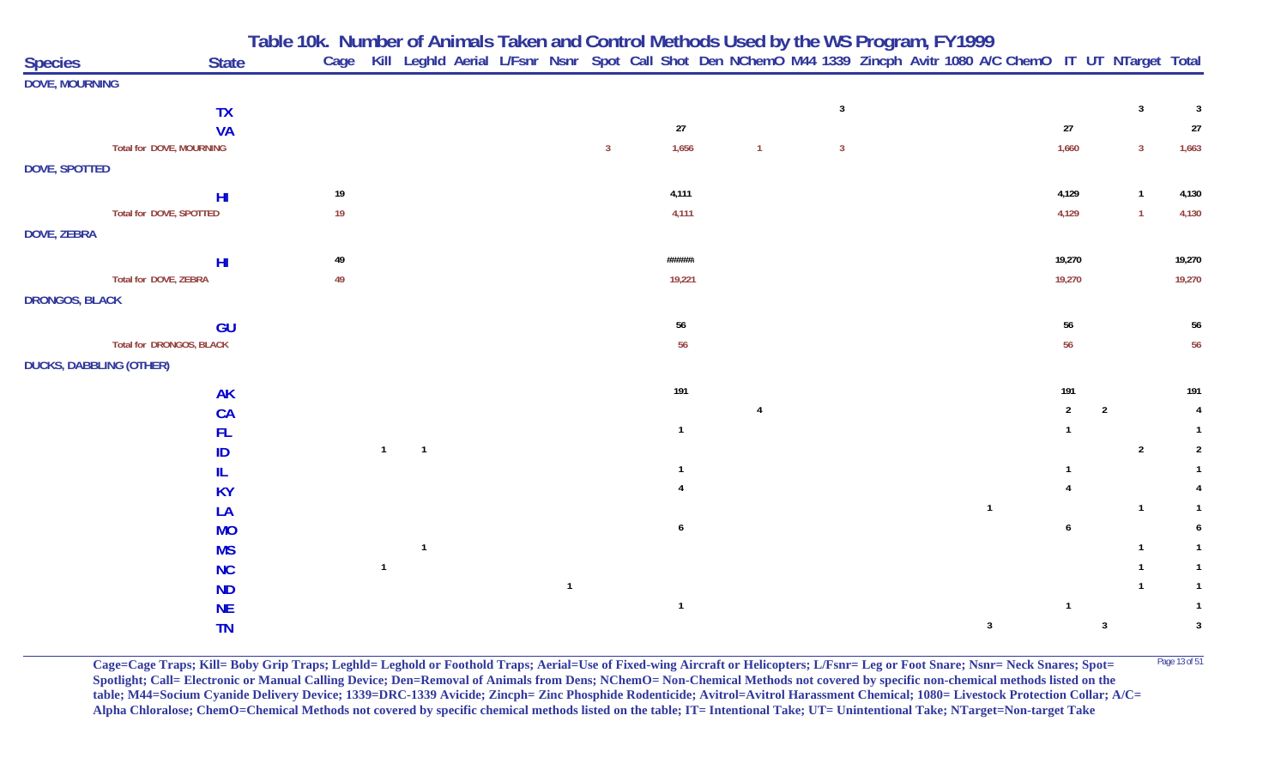| <b>Species</b>                 |                                | <b>State</b> |      |                |                |                |              |                |                |                | Table 10k. Number of Animals Taken and Control Methods Used by the WS Program, FY1999<br>Cage Kill Leghld Aerial L/Fsnr Nsnr Spot Call Shot Den NChemO M44 1339 Zincph Avitr 1080 A/C ChemO IT UT NTarget Total |                |                |                         |                |
|--------------------------------|--------------------------------|--------------|------|----------------|----------------|----------------|--------------|----------------|----------------|----------------|-----------------------------------------------------------------------------------------------------------------------------------------------------------------------------------------------------------------|----------------|----------------|-------------------------|----------------|
| <b>DOVE, MOURNING</b>          |                                |              |      |                |                |                |              |                |                |                |                                                                                                                                                                                                                 |                |                |                         |                |
|                                | <b>TX</b>                      |              |      |                |                |                |              |                |                | $\overline{3}$ |                                                                                                                                                                                                                 |                |                | $\overline{\mathbf{3}}$ | $\mathbf{3}$   |
|                                | <b>VA</b>                      |              |      |                |                |                |              | 27             |                |                |                                                                                                                                                                                                                 | $27\,$         |                |                         | 27             |
|                                | Total for DOVE, MOURNING       |              |      |                |                |                | $\mathbf{3}$ | 1,656          | $\mathbf{1}$   | $\overline{3}$ |                                                                                                                                                                                                                 | 1,660          |                | $\overline{3}$          | 1,663          |
| DOVE, SPOTTED                  |                                |              |      |                |                |                |              |                |                |                |                                                                                                                                                                                                                 |                |                |                         |                |
|                                | H <sub>II</sub>                |              | $19$ |                |                |                |              | 4,111          |                |                |                                                                                                                                                                                                                 | 4,129          |                | $\overline{1}$          | 4,130          |
|                                | <b>Total for DOVE, SPOTTED</b> |              | 19   |                |                |                |              | 4,111          |                |                |                                                                                                                                                                                                                 | 4,129          |                | $\overline{1}$          | 4,130          |
| <b>DOVE, ZEBRA</b>             |                                |              |      |                |                |                |              |                |                |                |                                                                                                                                                                                                                 |                |                |                         |                |
|                                | H <sub>II</sub>                |              | 49   |                |                |                |              | ######         |                |                |                                                                                                                                                                                                                 | 19,270         |                |                         | 19,270         |
|                                | Total for DOVE, ZEBRA          |              | 49   |                |                |                |              | 19,221         |                |                |                                                                                                                                                                                                                 | 19,270         |                |                         | 19,270         |
| <b>DRONGOS, BLACK</b>          |                                |              |      |                |                |                |              |                |                |                |                                                                                                                                                                                                                 |                |                |                         |                |
|                                |                                | GU           |      |                |                |                |              | 56             |                |                |                                                                                                                                                                                                                 | 56             |                |                         | 56             |
|                                | Total for DRONGOS, BLACK       |              |      |                |                |                |              | 56             |                |                |                                                                                                                                                                                                                 | 56             |                |                         | 56             |
| <b>DUCKS, DABBLING (OTHER)</b> |                                |              |      |                |                |                |              |                |                |                |                                                                                                                                                                                                                 |                |                |                         |                |
|                                |                                | <b>AK</b>    |      |                |                |                |              | 191            |                |                |                                                                                                                                                                                                                 | 191            |                |                         | 191            |
|                                | <b>CA</b>                      |              |      |                |                |                |              |                | $\overline{4}$ |                |                                                                                                                                                                                                                 | $\overline{2}$ | $\overline{2}$ |                         | $\overline{4}$ |
|                                | <b>FL</b>                      |              |      |                |                |                |              | $\mathbf{1}$   |                |                |                                                                                                                                                                                                                 |                |                |                         |                |
|                                | ID                             |              |      | $\overline{1}$ | $\overline{1}$ |                |              |                |                |                |                                                                                                                                                                                                                 |                |                | $\overline{2}$          | $\overline{2}$ |
|                                | IL                             |              |      |                |                |                |              | $\mathbf{1}$   |                |                |                                                                                                                                                                                                                 |                |                |                         |                |
|                                | <b>KY</b>                      |              |      |                |                |                |              |                |                |                |                                                                                                                                                                                                                 |                |                |                         |                |
|                                | LA                             |              |      |                |                |                |              |                |                |                | $\overline{1}$                                                                                                                                                                                                  |                |                | $\overline{1}$          | $\mathbf{1}$   |
|                                |                                | <b>MO</b>    |      |                |                |                |              | 6              |                |                |                                                                                                                                                                                                                 | 6              |                |                         | 6              |
|                                |                                | <b>MS</b>    |      |                | $\mathbf{1}$   |                |              |                |                |                |                                                                                                                                                                                                                 |                |                |                         | $\mathbf{1}$   |
|                                | <b>NC</b>                      |              |      | $\overline{1}$ |                |                |              |                |                |                |                                                                                                                                                                                                                 |                |                |                         | $\mathbf{1}$   |
|                                | <b>ND</b>                      |              |      |                |                | $\overline{1}$ |              |                |                |                |                                                                                                                                                                                                                 |                |                |                         | $\mathbf{1}$   |
|                                | <b>NE</b>                      |              |      |                |                |                |              | $\overline{1}$ |                |                |                                                                                                                                                                                                                 | $\overline{1}$ |                |                         | $\mathbf{1}$   |
|                                |                                | <b>TN</b>    |      |                |                |                |              |                |                |                | $\mathbf{3}$                                                                                                                                                                                                    |                | $\overline{3}$ |                         | $\mathbf{3}$   |

**Cage=Cage Traps; Kill= Boby Grip Traps; Leghld= Leghold or Foothold Traps; Aerial=Use of Fixed-wing Aircraft or Helicopters; L/Fsnr= Leg or Foot Snare; Nsnr= Neck Snares; Spot=** <sup>Page 13 of 51</sup> **Spotlight; Call= Electronic or Manual Calling Device; Den=Removal of Animals from Dens; NChemO= Non-Chemical Methods not covered by specific non-chemical methods listed on the table; M44=Socium Cyanide Delivery Device; 1339=DRC-1339 Avicide; Zincph= Zinc Phosphide Rodenticide; Avitrol=Avitrol Harassment Chemical; 1080= Livestock Protection Collar; A/C= Alpha Chloralose; ChemO=Chemical Methods not covered by specific chemical methods listed on the table; IT= Intentional Take; UT= Unintentional Take; NTarget=Non-target Take**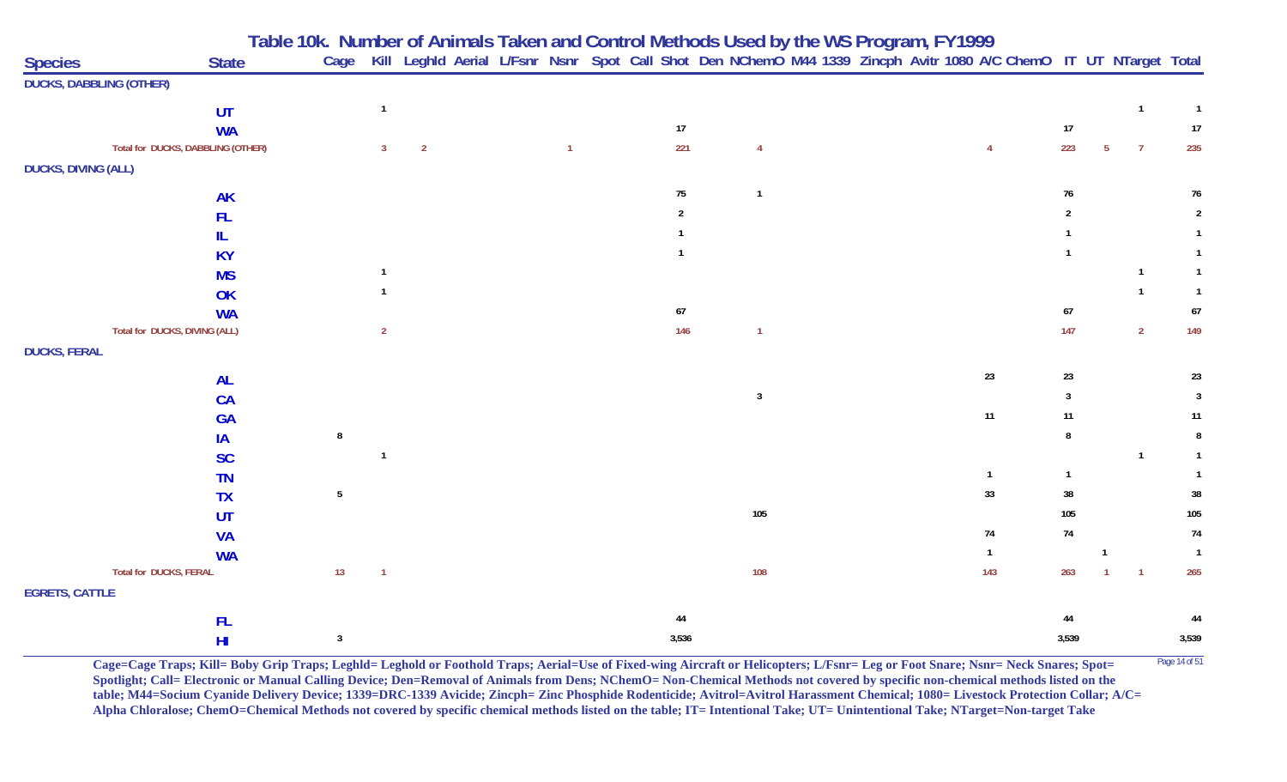| <b>Species</b>                 | <b>State</b>                      |                 |                                |  |                |                |                |  | Table 10k. Number of Animals Taken and Control Methods Used by the WS Program, FY1999<br>Cage Kill Leghld Aerial L/Fsnr Nsnr Spot Call Shot Den NChemO M44 1339 Zincph Avitr 1080 A/C ChemO IT UT NTarget Total |                |                |                |                |
|--------------------------------|-----------------------------------|-----------------|--------------------------------|--|----------------|----------------|----------------|--|-----------------------------------------------------------------------------------------------------------------------------------------------------------------------------------------------------------------|----------------|----------------|----------------|----------------|
| <b>DUCKS, DABBLING (OTHER)</b> |                                   |                 |                                |  |                |                |                |  |                                                                                                                                                                                                                 |                |                |                |                |
|                                | UT                                |                 | $\overline{1}$                 |  |                |                |                |  |                                                                                                                                                                                                                 |                |                | $\mathbf{1}$   | $\overline{1}$ |
|                                | <b>WA</b>                         |                 |                                |  |                | 17             |                |  |                                                                                                                                                                                                                 | 17             |                |                | 17             |
|                                | Total for DUCKS, DABBLING (OTHER) |                 | $\overline{2}$<br>$\mathbf{3}$ |  | $\overline{1}$ | 221            | $\overline{4}$ |  | $\overline{4}$                                                                                                                                                                                                  | 223            | 5 <sub>5</sub> | $\overline{7}$ | 235            |
| <b>DUCKS, DIVING (ALL)</b>     |                                   |                 |                                |  |                |                |                |  |                                                                                                                                                                                                                 |                |                |                |                |
|                                | <b>AK</b>                         |                 |                                |  |                | 75             | $\mathbf{1}$   |  |                                                                                                                                                                                                                 | $76\,$         |                |                | $76\,$         |
|                                | FL                                |                 |                                |  |                | $\overline{2}$ |                |  |                                                                                                                                                                                                                 | $\overline{2}$ |                |                | $\overline{2}$ |
|                                | IL                                |                 |                                |  |                |                |                |  |                                                                                                                                                                                                                 |                |                |                |                |
|                                | <b>KY</b>                         |                 |                                |  |                | $\overline{1}$ |                |  |                                                                                                                                                                                                                 |                |                |                | $\mathbf{1}$   |
|                                | <b>MS</b>                         |                 | $\mathbf{1}$                   |  |                |                |                |  |                                                                                                                                                                                                                 |                |                | $\mathbf{1}$   | $\mathbf{1}$   |
|                                | OK                                |                 |                                |  |                |                |                |  |                                                                                                                                                                                                                 |                |                | $\mathbf{1}$   |                |
|                                | <b>WA</b>                         |                 |                                |  |                | $67\,$         |                |  |                                                                                                                                                                                                                 | $\sqrt{67}$    |                |                | $67\,$         |
|                                | Total for DUCKS, DIVING (ALL)     |                 | $\overline{2}$                 |  |                | 146            | $\overline{1}$ |  |                                                                                                                                                                                                                 | 147            |                | $\overline{2}$ | 149            |
| <b>DUCKS, FERAL</b>            |                                   |                 |                                |  |                |                |                |  |                                                                                                                                                                                                                 |                |                |                |                |
|                                | <b>AL</b>                         |                 |                                |  |                |                |                |  | 23                                                                                                                                                                                                              | 23             |                |                | 23             |
|                                | CA                                |                 |                                |  |                |                | $\overline{3}$ |  |                                                                                                                                                                                                                 | 3              |                |                | $\overline{3}$ |
|                                | <b>GA</b>                         |                 |                                |  |                |                |                |  | $11$                                                                                                                                                                                                            | 11             |                |                | 11             |
|                                | IA                                | $\bf{8}$        |                                |  |                |                |                |  |                                                                                                                                                                                                                 | 8              |                |                | 8              |
|                                | <b>SC</b>                         |                 | $\mathbf{1}$                   |  |                |                |                |  |                                                                                                                                                                                                                 |                |                | $\mathbf{1}$   |                |
|                                | <b>TN</b>                         |                 |                                |  |                |                |                |  | $\mathbf{1}$                                                                                                                                                                                                    | $\mathbf{1}$   |                |                |                |
|                                | <b>TX</b>                         | $5\phantom{.0}$ |                                |  |                |                |                |  | 33                                                                                                                                                                                                              | $38\,$         |                |                | $38\,$         |
|                                | UT                                |                 |                                |  |                |                | 105            |  |                                                                                                                                                                                                                 | 105            |                |                | 105            |
|                                | <b>VA</b>                         |                 |                                |  |                |                |                |  | 74                                                                                                                                                                                                              | $74\,$         |                |                | $74$           |
|                                | <b>WA</b>                         |                 |                                |  |                |                |                |  | $\mathbf{1}$                                                                                                                                                                                                    |                | $\mathbf{1}$   |                | $\overline{1}$ |
|                                | Total for DUCKS, FERAL            | 13              | $\overline{1}$                 |  |                |                | 108            |  | 143                                                                                                                                                                                                             | 263            |                | $\overline{1}$ | 265            |
| <b>EGRETS, CATTLE</b>          |                                   |                 |                                |  |                |                |                |  |                                                                                                                                                                                                                 |                |                |                |                |
|                                | FL                                |                 |                                |  |                | 44             |                |  |                                                                                                                                                                                                                 | 44             |                |                | 44             |
|                                | H <sub>II</sub>                   | $\mathbf{3}$    |                                |  |                | 3,536          |                |  |                                                                                                                                                                                                                 | 3,539          |                |                | 3,539          |

**Cage=Cage Traps; Kill= Boby Grip Traps; Leghld= Leghold or Foothold Traps; Aerial=Use of Fixed-wing Aircraft or Helicopters; L/Fsnr= Leg or Foot Snare; Nsnr= Neck Snares; Spot=** <sup>Page 14 of 51</sup> **Spotlight; Call= Electronic or Manual Calling Device; Den=Removal of Animals from Dens; NChemO= Non-Chemical Methods not covered by specific non-chemical methods listed on the table; M44=Socium Cyanide Delivery Device; 1339=DRC-1339 Avicide; Zincph= Zinc Phosphide Rodenticide; Avitrol=Avitrol Harassment Chemical; 1080= Livestock Protection Collar; A/C= Alpha Chloralose; ChemO=Chemical Methods not covered by specific chemical methods listed on the table; IT= Intentional Take; UT= Unintentional Take; NTarget=Non-target Take**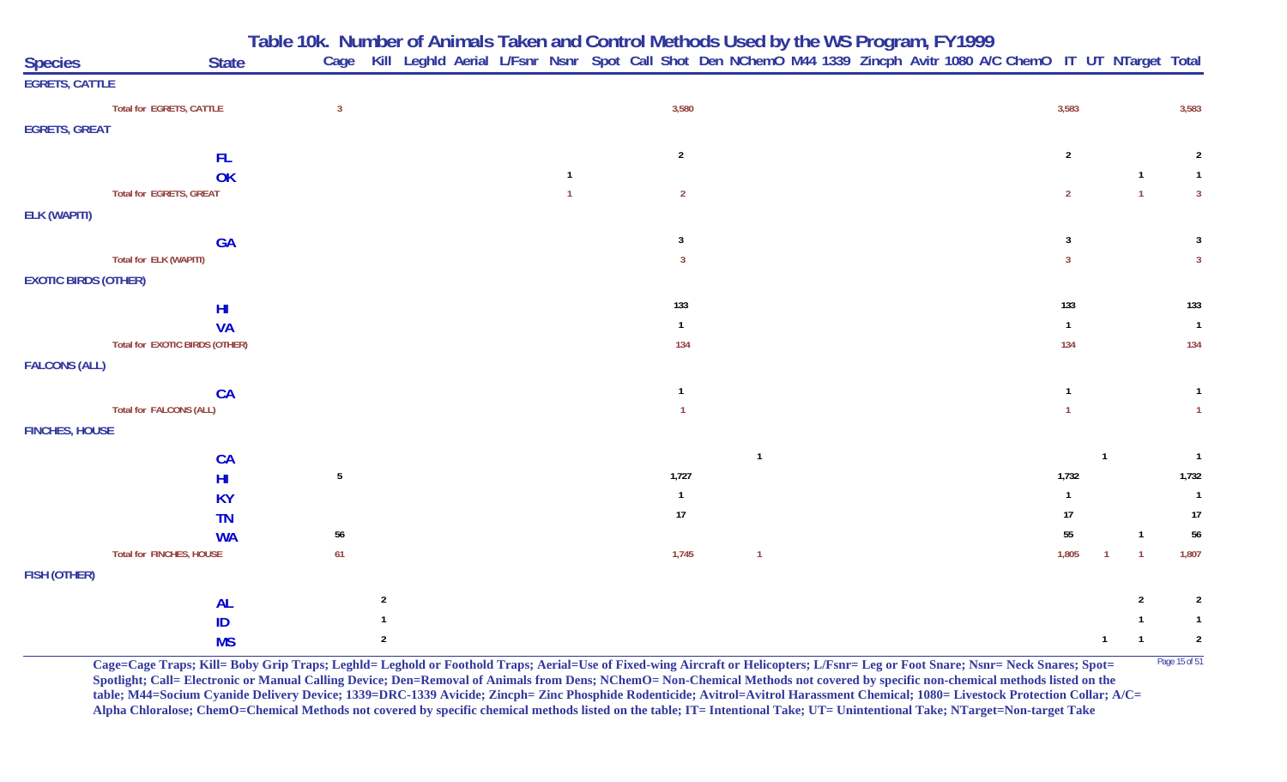**Table 10k. Number of Animals Taken and Control Methods Used by the WS Program, FY 1999**

| <b>Species</b>              | <b>State</b>                   | Cage            |                |                |                | Kill Leghld Aerial L/Fsnr Nsnr Spot Call Shot Den NChemO M44 1339 Zincph Avitr 1080 A/C ChemO IT UT NTarget Total |                |                              |                |
|-----------------------------|--------------------------------|-----------------|----------------|----------------|----------------|-------------------------------------------------------------------------------------------------------------------|----------------|------------------------------|----------------|
| <b>EGRETS, CATTLE</b>       |                                |                 |                |                |                |                                                                                                                   |                |                              |                |
|                             | Total for EGRETS, CATTLE       | $\overline{3}$  |                | 3,580          |                |                                                                                                                   | 3,583          |                              | 3,583          |
| <b>EGRETS, GREAT</b>        |                                |                 |                |                |                |                                                                                                                   |                |                              |                |
|                             | FL.                            |                 |                | $\overline{2}$ |                |                                                                                                                   | $\overline{2}$ |                              | $\overline{2}$ |
|                             | OK                             |                 | $\overline{1}$ |                |                |                                                                                                                   |                | $\overline{1}$               | $\overline{1}$ |
|                             | Total for EGRETS, GREAT        |                 |                | $\overline{2}$ |                |                                                                                                                   | $\overline{2}$ | $\overline{1}$               | $\overline{3}$ |
| <b>ELK (WAPITI)</b>         |                                |                 |                |                |                |                                                                                                                   |                |                              |                |
|                             | <b>GA</b>                      |                 |                | 3              |                |                                                                                                                   | 3              |                              | 3              |
|                             | Total for ELK (WAPITI)         |                 |                | $\overline{3}$ |                |                                                                                                                   | $\mathbf{3}$   |                              | $\mathbf{3}$   |
| <b>EXOTIC BIRDS (OTHER)</b> |                                |                 |                |                |                |                                                                                                                   |                |                              |                |
|                             | H <sub>l</sub>                 |                 |                | 133            |                |                                                                                                                   | 133            |                              | 133            |
|                             | <b>VA</b>                      |                 |                | $\overline{1}$ |                |                                                                                                                   | $\mathbf{1}$   |                              | $\overline{1}$ |
|                             | Total for EXOTIC BIRDS (OTHER) |                 |                | 134            |                |                                                                                                                   | 134            |                              | 134            |
| <b>FALCONS (ALL)</b>        |                                |                 |                |                |                |                                                                                                                   |                |                              |                |
|                             | CA                             |                 |                | $\overline{1}$ |                |                                                                                                                   | $\overline{1}$ |                              | $\mathbf{1}$   |
|                             | Total for FALCONS (ALL)        |                 |                | $\overline{1}$ |                |                                                                                                                   | $\overline{1}$ |                              | $\overline{1}$ |
| <b>FINCHES, HOUSE</b>       |                                |                 |                |                |                |                                                                                                                   |                |                              |                |
|                             | CA                             |                 |                |                | $\overline{1}$ |                                                                                                                   |                |                              | $\overline{1}$ |
|                             | H <sub>II</sub>                | $5\phantom{.0}$ |                | 1,727          |                |                                                                                                                   | 1,732          |                              | 1,732          |
|                             | <b>KY</b>                      |                 |                | $\overline{1}$ |                |                                                                                                                   | $\mathbf{1}$   |                              | $\overline{1}$ |
|                             | <b>TN</b>                      |                 |                | $17\,$         |                |                                                                                                                   | 17             |                              | 17             |
|                             | <b>WA</b>                      | 56              |                |                |                |                                                                                                                   | 55             | $\mathbf{1}$                 | $56\,$         |
|                             | Total for FINCHES, HOUSE       | 61              |                | 1,745          | $\overline{1}$ |                                                                                                                   | 1,805          | $\mathbf{1}$<br>$\mathbf{1}$ | 1,807          |
| FISH (OTHER)                |                                |                 |                |                |                |                                                                                                                   |                |                              |                |
|                             | <b>AL</b>                      | $\overline{2}$  |                |                |                |                                                                                                                   |                | $\overline{2}$               | $\overline{2}$ |
|                             | ID                             |                 |                |                |                |                                                                                                                   |                |                              | $\mathbf{1}$   |
|                             | <b>MS</b>                      | $\overline{2}$  |                |                |                |                                                                                                                   |                | $\overline{1}$<br>-1         | $\sqrt{2}$     |

**Cage=Cage Traps; Kill= Boby Grip Traps; Leghld= Leghold or Foothold Traps; Aerial=Use of Fixed-wing Aircraft or Helicopters; L/Fsnr= Leg or Foot Snare; Nsnr= Neck Snares; Spot= <sup>Page 15 of 51</sup> Spotlight; Call= Electronic or Manual Calling Device; Den=Removal of Animals from Dens; NChemO= Non-Chemical Methods not covered by specific non-chemical methods listed on the table; M44=Socium Cyanide Delivery Device; 1339=DRC-1339 Avicide; Zincph= Zinc Phosphide Rodenticide; Avitrol=Avitrol Harassment Chemical; 1080= Livestock Protection Collar; A/C= Alpha Chloralose; ChemO=Chemical Methods not covered by specific chemical methods listed on the table; IT= Intentional Take; UT= Unintentional Take; NTarget=Non-target Take**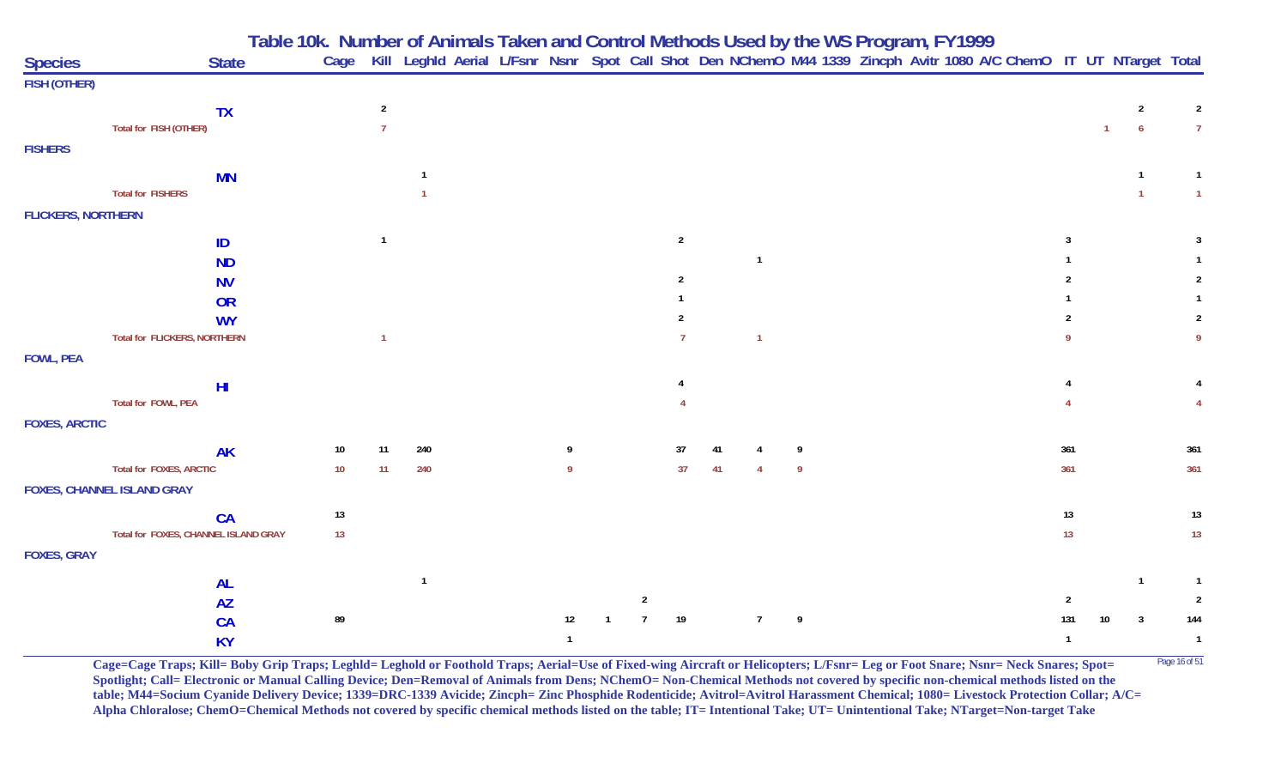| <b>Species</b>            |                                      | Table 10k. Number of Animals Taken and Control Methods Used by the WS Program, FY1999<br>Cage Kill Leghld Aerial L/Fsnr Nsnr Spot Call Shot Den NChemO M44 1339 Zincph Avitr 1080 A/C ChemO IT UT NTarget Total<br><b>State</b> |        |                |                |  |              |                |                |    |                |    |  |  |              |    |                |                |
|---------------------------|--------------------------------------|---------------------------------------------------------------------------------------------------------------------------------------------------------------------------------------------------------------------------------|--------|----------------|----------------|--|--------------|----------------|----------------|----|----------------|----|--|--|--------------|----|----------------|----------------|
| <b>FISH (OTHER)</b>       |                                      |                                                                                                                                                                                                                                 |        |                |                |  |              |                |                |    |                |    |  |  |              |    |                |                |
|                           |                                      | <b>TX</b>                                                                                                                                                                                                                       |        | $\overline{2}$ |                |  |              |                |                |    |                |    |  |  |              |    | $\overline{2}$ | $\overline{2}$ |
|                           | Total for FISH (OTHER)               |                                                                                                                                                                                                                                 |        |                |                |  |              |                |                |    |                |    |  |  |              |    | $\overline{6}$ |                |
| <b>FISHERS</b>            |                                      |                                                                                                                                                                                                                                 |        |                |                |  |              |                |                |    |                |    |  |  |              |    |                |                |
|                           |                                      |                                                                                                                                                                                                                                 |        |                |                |  |              |                |                |    |                |    |  |  |              |    |                |                |
|                           | <b>Total for FISHERS</b>             | <b>MN</b>                                                                                                                                                                                                                       |        |                |                |  |              |                |                |    |                |    |  |  |              |    |                |                |
| <b>FLICKERS, NORTHERN</b> |                                      |                                                                                                                                                                                                                                 |        |                |                |  |              |                |                |    |                |    |  |  |              |    |                |                |
|                           |                                      |                                                                                                                                                                                                                                 |        |                |                |  |              |                |                |    |                |    |  |  |              |    |                |                |
|                           |                                      | ID                                                                                                                                                                                                                              |        | $\mathbf{1}$   |                |  |              |                | $\overline{2}$ |    |                |    |  |  |              |    |                |                |
|                           |                                      | <b>ND</b>                                                                                                                                                                                                                       |        |                |                |  |              |                |                |    | $\mathbf{1}$   |    |  |  |              |    |                |                |
|                           |                                      | <b>NV</b>                                                                                                                                                                                                                       |        |                |                |  |              |                | 2              |    |                |    |  |  |              |    |                | $\overline{2}$ |
|                           |                                      | <b>OR</b>                                                                                                                                                                                                                       |        |                |                |  |              |                |                |    |                |    |  |  |              |    |                | $\overline{2}$ |
|                           | <b>Total for FLICKERS, NORTHERN</b>  | <b>WY</b>                                                                                                                                                                                                                       |        | $\mathbf{1}$   |                |  |              |                |                |    | $\overline{1}$ |    |  |  |              |    |                |                |
| <b>FOWL, PEA</b>          |                                      |                                                                                                                                                                                                                                 |        |                |                |  |              |                |                |    |                |    |  |  |              |    |                |                |
|                           |                                      |                                                                                                                                                                                                                                 |        |                |                |  |              |                |                |    |                |    |  |  |              |    |                |                |
|                           |                                      | H <sub>l</sub>                                                                                                                                                                                                                  |        |                |                |  |              |                |                |    |                |    |  |  |              |    |                |                |
|                           | Total for FOWL, PEA                  |                                                                                                                                                                                                                                 |        |                |                |  |              |                |                |    |                |    |  |  |              |    |                |                |
| <b>FOXES, ARCTIC</b>      |                                      |                                                                                                                                                                                                                                 |        |                |                |  |              |                |                |    |                |    |  |  |              |    |                |                |
|                           |                                      | <b>AK</b>                                                                                                                                                                                                                       | 10     | 11             | 240            |  |              |                | 37             |    |                | q  |  |  | 361          |    |                | 361            |
|                           | Total for FOXES, ARCTIC              |                                                                                                                                                                                                                                 | 10     | 11             | 240            |  | q            |                | 37             | 41 |                | -9 |  |  | 361          |    |                | 361            |
|                           | <b>FOXES, CHANNEL ISLAND GRAY</b>    |                                                                                                                                                                                                                                 |        |                |                |  |              |                |                |    |                |    |  |  |              |    |                |                |
|                           |                                      | CA                                                                                                                                                                                                                              | $13\,$ |                |                |  |              |                |                |    |                |    |  |  | 13           |    |                | $13$           |
|                           | Total for FOXES, CHANNEL ISLAND GRAY |                                                                                                                                                                                                                                 | 13     |                |                |  |              |                |                |    |                |    |  |  | 13           |    |                | 13             |
| <b>FOXES, GRAY</b>        |                                      |                                                                                                                                                                                                                                 |        |                |                |  |              |                |                |    |                |    |  |  |              |    |                |                |
|                           |                                      | <b>AL</b>                                                                                                                                                                                                                       |        |                | $\overline{1}$ |  |              |                |                |    |                |    |  |  |              |    | $\mathbf 1$    |                |
|                           |                                      | <b>AZ</b>                                                                                                                                                                                                                       |        |                |                |  |              | $\overline{2}$ |                |    |                |    |  |  |              |    |                |                |
|                           |                                      | CA                                                                                                                                                                                                                              | 89     |                |                |  | 12           |                | 19             |    | $\overline{7}$ | 9  |  |  | 131          | 10 | $\mathbf{3}$   | 144            |
|                           |                                      | <b>KY</b>                                                                                                                                                                                                                       |        |                |                |  | $\mathbf{1}$ |                |                |    |                |    |  |  | $\mathbf{1}$ |    |                | $\mathbf{1}$   |

Cage=Cage Traps; Kill= Boby Grip Traps; Leghld= Leghold or Foothold Traps; Aerial=Use of Fixed-wing Aircraft or Helicopters; L/Fsnr= Leg or Foot Snare; Nsnr= Neck Snares; Spot= <sup>Page 16 of 51</sup> **Spotlight; Call= Electronic or Manual Calling Device; Den=Removal of Animals from Dens; NChemO= Non-Chemical Methods not covered by specific non-chemical methods listed on the table; M44=Socium Cyanide Delivery Device; 1339=DRC-1339 Avicide; Zincph= Zinc Phosphide Rodenticide; Avitrol=Avitrol Harassment Chemical; 1080= Livestock Protection Collar; A/C= Alpha Chloralose; ChemO=Chemical Methods not covered by specific chemical methods listed on the table; IT= Intentional Take; UT= Unintentional Take; NTarget=Non-target Take**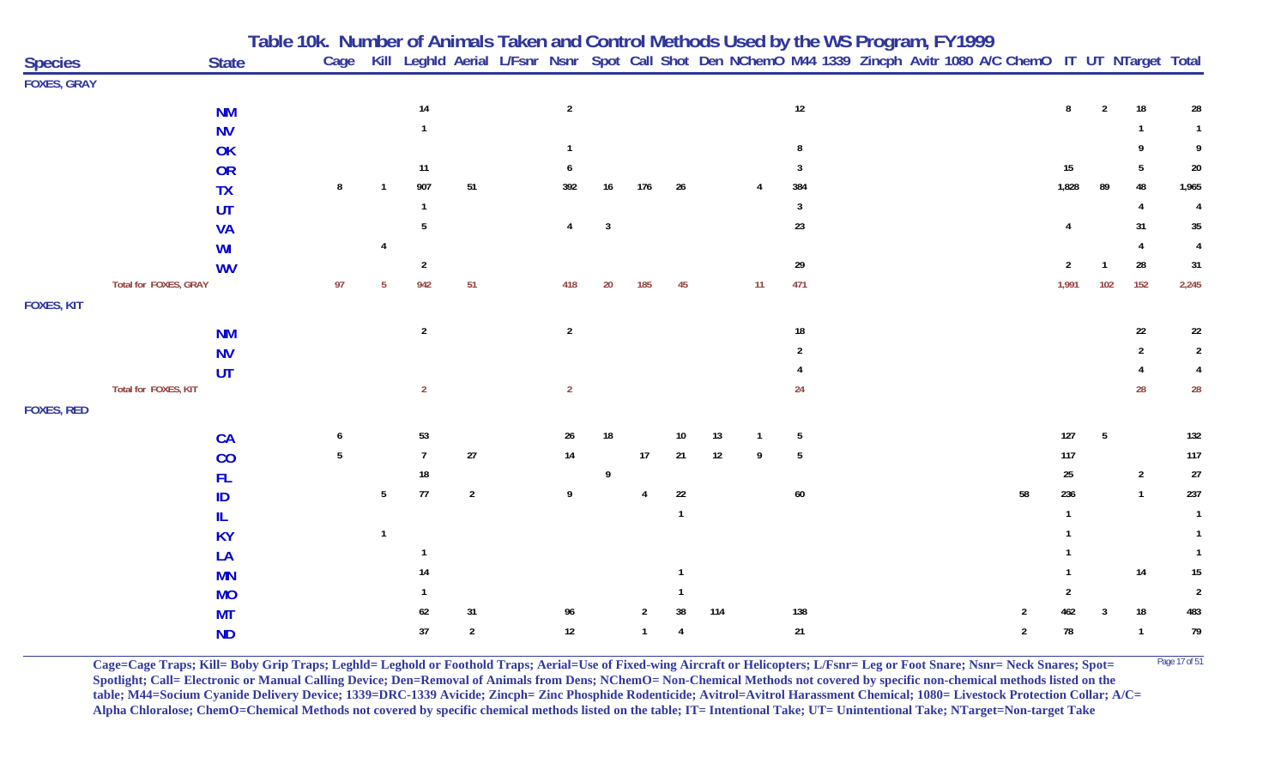|                    |                       | Table 10k. Number of Animals Taken and Control Methods Used by the WS Program, FY1999 |                |                |                |                |                |    |                |              |     |    |        |                                                                                                                        |  |    |       |                |                |                  |
|--------------------|-----------------------|---------------------------------------------------------------------------------------|----------------|----------------|----------------|----------------|----------------|----|----------------|--------------|-----|----|--------|------------------------------------------------------------------------------------------------------------------------|--|----|-------|----------------|----------------|------------------|
| <b>Species</b>     |                       | <b>State</b>                                                                          |                |                |                |                |                |    |                |              |     |    |        | Cage Kill Leghld Aerial L/Fsnr Nsnr Spot Call Shot Den NChemO M44 1339 Zincph Avitr 1080 A/C ChemO IT UT NTarget Total |  |    |       |                |                |                  |
| <b>FOXES, GRAY</b> |                       |                                                                                       |                |                |                |                |                |    |                |              |     |    |        |                                                                                                                        |  |    |       |                |                |                  |
|                    |                       | <b>NM</b>                                                                             |                |                | $14\,$         |                | $\overline{2}$ |    |                |              |     |    | $12\,$ |                                                                                                                        |  |    | 8     | $\overline{2}$ | 18             | 28               |
|                    |                       | <b>NV</b>                                                                             |                |                |                |                |                |    |                |              |     |    |        |                                                                                                                        |  |    |       |                |                | $\mathbf{1}$     |
|                    |                       | OK                                                                                    |                |                |                |                | -1             |    |                |              |     |    | 8      |                                                                                                                        |  |    |       |                |                | 9                |
|                    |                       | <b>OR</b>                                                                             |                |                | 11             |                |                |    |                |              |     |    | 3      |                                                                                                                        |  |    | 15    |                | 5              | 20               |
|                    |                       | <b>TX</b>                                                                             | 8              |                | 907            | 51             | 392            | 16 | 176            | 26           |     |    | 384    |                                                                                                                        |  |    | 1,828 | 89             | 48             | 1,965            |
|                    |                       | UT                                                                                    |                |                | $\mathbf 1$    |                |                |    |                |              |     |    | 3      |                                                                                                                        |  |    |       |                |                | $\overline{4}$   |
|                    |                       | <b>VA</b>                                                                             |                |                | 5              |                | 4              | 3  |                |              |     |    | 23     |                                                                                                                        |  |    |       |                | 31             | $35\phantom{.0}$ |
|                    |                       | WI                                                                                    |                |                |                |                |                |    |                |              |     |    |        |                                                                                                                        |  |    |       |                |                | $\overline{4}$   |
|                    |                       | <b>WV</b>                                                                             |                |                | $\overline{2}$ |                |                |    |                |              |     |    | 29     |                                                                                                                        |  |    | 2     |                | 28             | 31               |
|                    | Total for FOXES, GRAY |                                                                                       | 97             |                | 942            | 51             | 418            | 20 | 185            | 45           |     | 11 | 471    |                                                                                                                        |  |    | 1,991 | 102            | 152            | 2,245            |
| <b>FOXES, KIT</b>  |                       |                                                                                       |                |                |                |                |                |    |                |              |     |    |        |                                                                                                                        |  |    |       |                |                |                  |
|                    |                       | <b>NM</b>                                                                             |                |                | $\overline{2}$ |                | $\overline{2}$ |    |                |              |     |    | 18     |                                                                                                                        |  |    |       |                | 22             | 22               |
|                    |                       | <b>NV</b>                                                                             |                |                |                |                |                |    |                |              |     |    |        |                                                                                                                        |  |    |       |                | 2              | $\overline{2}$   |
|                    |                       | UT                                                                                    |                |                |                |                |                |    |                |              |     |    |        |                                                                                                                        |  |    |       |                |                |                  |
|                    | Total for FOXES, KIT  |                                                                                       |                |                | $\overline{2}$ |                | $\overline{2}$ |    |                |              |     |    | 24     |                                                                                                                        |  |    |       |                | 28             | 28               |
| <b>FOXES, RED</b>  |                       |                                                                                       |                |                |                |                |                |    |                |              |     |    |        |                                                                                                                        |  |    |       |                |                |                  |
|                    |                       | CA                                                                                    | 6              |                | 53             |                | 26             | 18 |                | 10           | 13  |    | 5      |                                                                                                                        |  |    | 127   | 5              |                | 132              |
|                    |                       | CO                                                                                    | $\overline{5}$ |                | $\overline{7}$ | $27\,$         | 14             |    | $17\,$         | $21$         | 12  | 9  | 5      |                                                                                                                        |  |    | 117   |                |                | 117              |
|                    |                       | <b>FL</b>                                                                             |                |                | 18             |                |                | 9  |                |              |     |    |        |                                                                                                                        |  |    | 25    |                | $\overline{2}$ | $27\,$           |
|                    |                       | ID                                                                                    |                | 5 <sub>5</sub> | 77             | $\overline{2}$ | 9              |    | $\overline{4}$ | 22           |     |    | $60\,$ |                                                                                                                        |  | 58 | 236   |                | $\overline{1}$ | 237              |
|                    |                       | IL                                                                                    |                |                |                |                |                |    |                | $\mathbf{1}$ |     |    |        |                                                                                                                        |  |    |       |                |                | $\mathbf{1}$     |
|                    |                       | <b>KY</b>                                                                             |                | $\mathbf{1}$   |                |                |                |    |                |              |     |    |        |                                                                                                                        |  |    |       |                |                | $\mathbf{1}$     |
|                    |                       | LA                                                                                    |                |                |                |                |                |    |                |              |     |    |        |                                                                                                                        |  |    |       |                |                | $\mathbf{1}$     |
|                    |                       | <b>MN</b>                                                                             |                |                | 14             |                |                |    |                |              |     |    |        |                                                                                                                        |  |    |       |                | 14             | $15\,$           |
|                    |                       | <b>MO</b>                                                                             |                |                |                |                |                |    |                |              |     |    |        |                                                                                                                        |  |    |       |                |                | $\overline{2}$   |
|                    |                       | <b>MT</b>                                                                             |                |                | 62             | 31             | 96             |    | 2              | 38           | 114 |    | 138    |                                                                                                                        |  | 2  | 462   | 3              | 18             | 483              |
|                    |                       | <b>ND</b>                                                                             |                |                | $37\,$         | $\overline{a}$ | $12\,$         |    | $\mathbf{1}$   | 4            |     |    | $21\,$ |                                                                                                                        |  | 2  | 78    |                | $\overline{1}$ | 79               |

**Cage=Cage Traps; Kill= Boby Grip Traps; Leghld= Leghold or Foothold Traps; Aerial=Use of Fixed-wing Aircraft or Helicopters; L/Fsnr= Leg or Foot Snare; Nsnr= Neck Snares; Spot=** <sup>Page 17 of 51</sup> **Spotlight; Call= Electronic or Manual Calling Device; Den=Removal of Animals from Dens; NChemO= Non-Chemical Methods not covered by specific non-chemical methods listed on the table; M44=Socium Cyanide Delivery Device; 1339=DRC-1339 Avicide; Zincph= Zinc Phosphide Rodenticide; Avitrol=Avitrol Harassment Chemical; 1080= Livestock Protection Collar; A/C= Alpha Chloralose; ChemO=Chemical Methods not covered by specific chemical methods listed on the table; IT= Intentional Take; UT= Unintentional Take; NTarget=Non-target Take**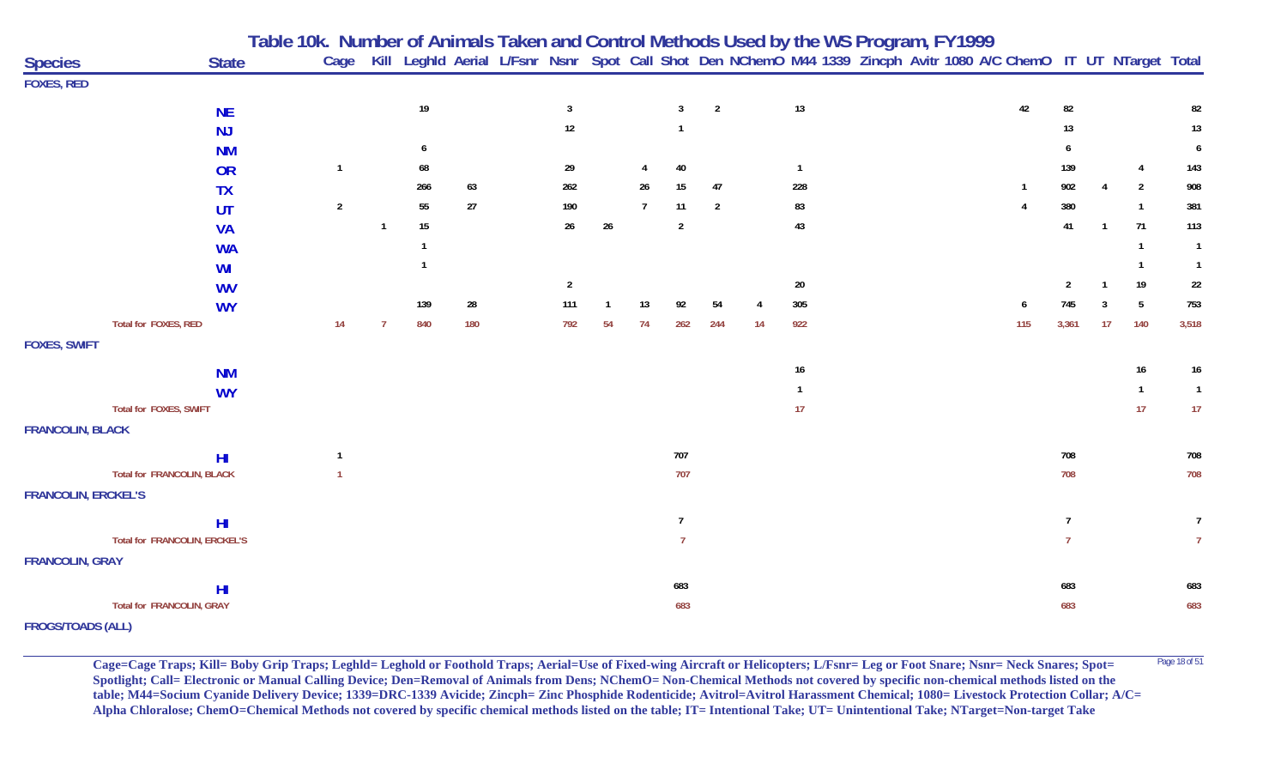|                                   |                 | Table 10k.  Number of Animals Taken and Control Methods Used by the WS Program, FY1999 |             |              |     |                |        |                |                |                |                                                                                                                   |              |  |  |                |                |                |                |                  |
|-----------------------------------|-----------------|----------------------------------------------------------------------------------------|-------------|--------------|-----|----------------|--------|----------------|----------------|----------------|-------------------------------------------------------------------------------------------------------------------|--------------|--|--|----------------|----------------|----------------|----------------|------------------|
| <b>Species</b>                    | <b>State</b>    | Cage                                                                                   |             |              |     |                |        |                |                |                | Kill Leghld Aerial L/Fsnr Nsnr Spot Call Shot Den NChemO M44 1339 Zincph Avitr 1080 A/C ChemO IT UT NTarget Total |              |  |  |                |                |                |                |                  |
| <b>FOXES, RED</b>                 |                 |                                                                                        |             |              |     |                |        |                |                |                |                                                                                                                   |              |  |  |                |                |                |                |                  |
|                                   | <b>NE</b>       |                                                                                        |             | $19$         |     | $\overline{3}$ |        |                | $\overline{3}$ | $\overline{2}$ |                                                                                                                   | 13           |  |  | 42             | 82             |                |                | 82               |
|                                   | NJ              |                                                                                        |             |              |     | $12\,$         |        |                |                |                |                                                                                                                   |              |  |  |                | 13             |                |                | 13               |
|                                   | <b>NM</b>       |                                                                                        |             | 6            |     |                |        |                |                |                |                                                                                                                   |              |  |  |                | 6              |                |                | 6                |
|                                   | OR              | $\overline{1}$                                                                         |             | 68           |     | 29             |        |                | 40             |                |                                                                                                                   | $\mathbf{1}$ |  |  |                | 139            |                | $\overline{4}$ | 143              |
|                                   | <b>TX</b>       |                                                                                        |             | 266          | 63  | 262            |        | 26             | 15             | 47             |                                                                                                                   | 228          |  |  | $\mathbf{1}$   | 902            |                | $\overline{2}$ | 908              |
|                                   | UT              | $\overline{2}$                                                                         |             | 55           | 27  | 190            |        | $\overline{7}$ | 11             | $\overline{2}$ |                                                                                                                   | 83           |  |  | $\overline{4}$ | 380            |                | $\mathbf{1}$   | 381              |
|                                   | <b>VA</b>       |                                                                                        | $\mathbf 1$ | 15           |     | 26             | $26\,$ |                | $\overline{2}$ |                |                                                                                                                   | 43           |  |  |                | 41             | $\overline{1}$ | 71             | 113              |
|                                   | <b>WA</b>       |                                                                                        |             | $\mathbf{1}$ |     |                |        |                |                |                |                                                                                                                   |              |  |  |                |                |                | $\overline{1}$ | $\overline{1}$   |
|                                   | <b>WI</b>       |                                                                                        |             | $\mathbf{1}$ |     |                |        |                |                |                |                                                                                                                   |              |  |  |                |                |                | $\overline{1}$ | $\overline{1}$   |
|                                   | <b>WV</b>       |                                                                                        |             |              |     | $\overline{2}$ |        |                |                |                |                                                                                                                   | 20           |  |  |                | $\overline{2}$ |                | 19             | $22\,$           |
|                                   | <b>WY</b>       |                                                                                        |             | 139          | 28  | 111            |        | 13             | 92             | 54             |                                                                                                                   | 305          |  |  | 6              | 745            | 3              | 5              | 753              |
| Total for FOXES, RED              |                 | 14                                                                                     | -7          | 840          | 180 | 792            | 54     | 74             | 262            | 244            | 14                                                                                                                | 922          |  |  | 115            | 3,361          | 17             | 140            | 3,518            |
| <b>FOXES, SWIFT</b>               |                 |                                                                                        |             |              |     |                |        |                |                |                |                                                                                                                   |              |  |  |                |                |                |                |                  |
|                                   |                 |                                                                                        |             |              |     |                |        |                |                |                |                                                                                                                   | $16\,$       |  |  |                |                |                | 16             | $16\phantom{.0}$ |
|                                   | <b>NM</b>       |                                                                                        |             |              |     |                |        |                |                |                |                                                                                                                   | $\mathbf{1}$ |  |  |                |                |                | $\overline{1}$ | $\overline{1}$   |
| Total for FOXES, SWIFT            | <b>WY</b>       |                                                                                        |             |              |     |                |        |                |                |                |                                                                                                                   | 17           |  |  |                |                |                | 17             | 17               |
| <b>FRANCOLIN, BLACK</b>           |                 |                                                                                        |             |              |     |                |        |                |                |                |                                                                                                                   |              |  |  |                |                |                |                |                  |
|                                   |                 |                                                                                        |             |              |     |                |        |                |                |                |                                                                                                                   |              |  |  |                |                |                |                |                  |
|                                   | H <sub>II</sub> | $\overline{1}$                                                                         |             |              |     |                |        |                | 707            |                |                                                                                                                   |              |  |  |                | 708            |                |                | 708              |
| <b>Total for FRANCOLIN, BLACK</b> |                 |                                                                                        |             |              |     |                |        |                | 707            |                |                                                                                                                   |              |  |  |                | 708            |                |                | 708              |
| <b>FRANCOLIN, ERCKEL'S</b>        |                 |                                                                                        |             |              |     |                |        |                |                |                |                                                                                                                   |              |  |  |                |                |                |                |                  |
|                                   | H <sub>II</sub> |                                                                                        |             |              |     |                |        |                | $\overline{7}$ |                |                                                                                                                   |              |  |  |                | $\overline{7}$ |                |                | $\overline{7}$   |
| Total for FRANCOLIN, ERCKEL'S     |                 |                                                                                        |             |              |     |                |        |                | $\overline{7}$ |                |                                                                                                                   |              |  |  |                | $\overline{7}$ |                |                | $\overline{7}$   |
| <b>FRANCOLIN, GRAY</b>            |                 |                                                                                        |             |              |     |                |        |                |                |                |                                                                                                                   |              |  |  |                |                |                |                |                  |
|                                   | H <sub>II</sub> |                                                                                        |             |              |     |                |        |                | 683            |                |                                                                                                                   |              |  |  |                | 683            |                |                | 683              |
| Total for FRANCOLIN, GRAY         |                 |                                                                                        |             |              |     |                |        |                | 683            |                |                                                                                                                   |              |  |  |                | 683            |                |                | 683              |
| <b>FROGS/TOADS (ALL)</b>          |                 |                                                                                        |             |              |     |                |        |                |                |                |                                                                                                                   |              |  |  |                |                |                |                |                  |

Cage=Cage Traps; Kill= Boby Grip Traps; Leghld= Leghold or Foothold Traps; Aerial=Use of Fixed-wing Aircraft or Helicopters; L/Fsnr= Leg or Foot Snare; Nsnr= Neck Snares; Spot= <sup>Page 18 of 51</sup> **Spotlight; Call= Electronic or Manual Calling Device; Den=Removal of Animals from Dens; NChemO= Non-Chemical Methods not covered by specific non-chemical methods listed on the table; M44=Socium Cyanide Delivery Device; 1339=DRC-1339 Avicide; Zincph= Zinc Phosphide Rodenticide; Avitrol=Avitrol Harassment Chemical; 1080= Livestock Protection Collar; A/C= Alpha Chloralose; ChemO=Chemical Methods not covered by specific chemical methods listed on the table; IT= Intentional Take; UT= Unintentional Take; NTarget=Non-target Take**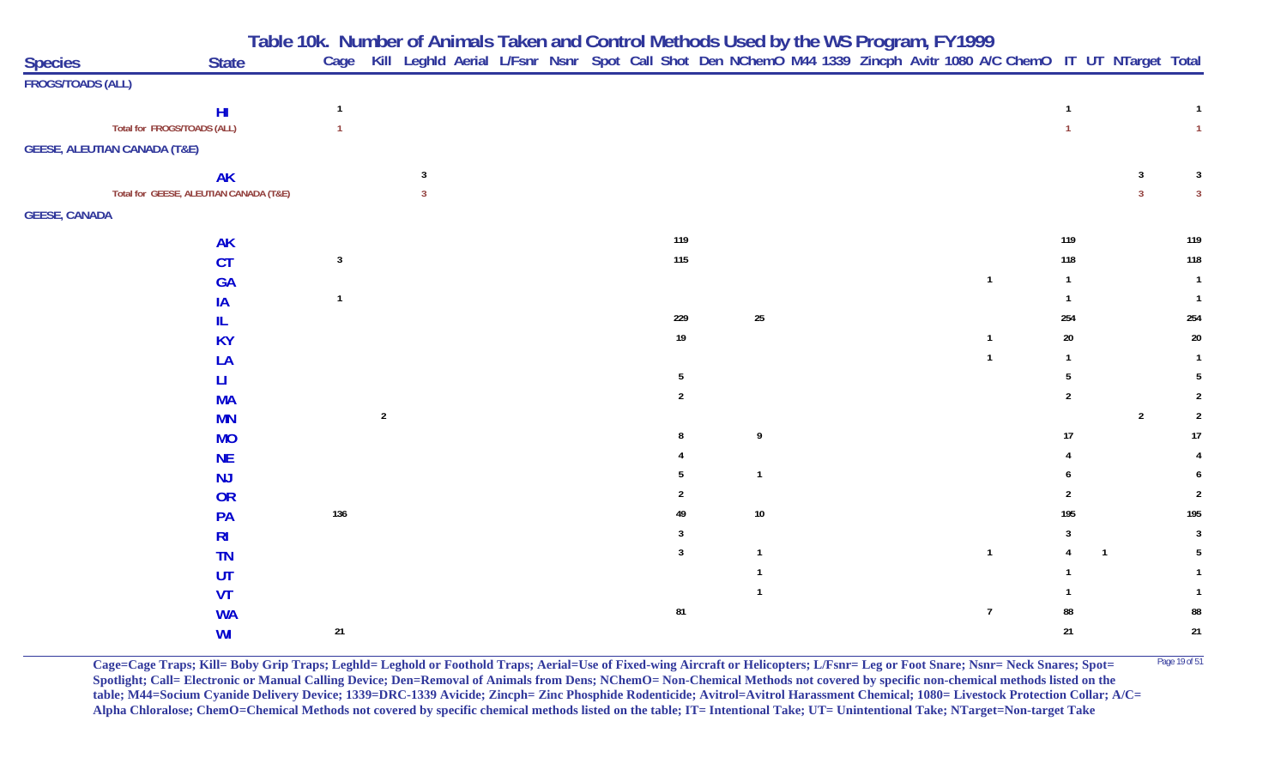**Table 10k. Number of Animals Taken and Control Methods Used by the WS Program, FY 1999**

| <b>Species</b><br><b>State</b>          | Cage           |                |  |  |  |                |              |  |  | Kill Leghld Aerial L/Fsnr Nsnr Spot Call Shot Den NChemO M44 1339 Zincph Avitr 1080 A/C ChemO IT UT NTarget Total |              |                |                         |
|-----------------------------------------|----------------|----------------|--|--|--|----------------|--------------|--|--|-------------------------------------------------------------------------------------------------------------------|--------------|----------------|-------------------------|
| <b>FROGS/TOADS (ALL)</b>                |                |                |  |  |  |                |              |  |  |                                                                                                                   |              |                |                         |
| H <sub>II</sub>                         | $\mathbf{1}$   |                |  |  |  |                |              |  |  |                                                                                                                   |              |                |                         |
| Total for FROGS/TOADS (ALL)             | $\overline{1}$ |                |  |  |  |                |              |  |  |                                                                                                                   |              |                | $\mathbf{1}$            |
| <b>GEESE, ALEUTIAN CANADA (T&amp;E)</b> |                |                |  |  |  |                |              |  |  |                                                                                                                   |              |                |                         |
| <b>AK</b>                               |                |                |  |  |  |                |              |  |  |                                                                                                                   |              | 3              | $\overline{\mathbf{3}}$ |
| Total for GEESE, ALEUTIAN CANADA (T&E)  |                |                |  |  |  |                |              |  |  |                                                                                                                   |              | $\mathbf{3}$   | $\overline{3}$          |
| <b>GEESE, CANADA</b>                    |                |                |  |  |  |                |              |  |  |                                                                                                                   |              |                |                         |
| <b>AK</b>                               |                |                |  |  |  | 119            |              |  |  |                                                                                                                   | 119          |                | 119                     |
| CT                                      | $\mathbf{3}$   |                |  |  |  | 115            |              |  |  |                                                                                                                   | 118          |                | 118                     |
| <b>GA</b>                               |                |                |  |  |  |                |              |  |  | $\mathbf{1}$                                                                                                      | $\mathbf{1}$ |                | $\overline{1}$          |
| IA                                      |                |                |  |  |  |                |              |  |  |                                                                                                                   |              |                |                         |
| IL.                                     |                |                |  |  |  | 229            | $25\,$       |  |  |                                                                                                                   | 254          |                | 254                     |
| <b>KY</b>                               |                |                |  |  |  | $19$           |              |  |  | $\mathbf{1}$                                                                                                      | $20\,$       |                | $20\,$                  |
| LA                                      |                |                |  |  |  |                |              |  |  | $\mathbf{1}$                                                                                                      | $\mathbf{1}$ |                | $\mathbf{1}$            |
| П                                       |                |                |  |  |  | $\overline{5}$ |              |  |  |                                                                                                                   |              |                | 5                       |
| <b>MA</b>                               |                |                |  |  |  | $\overline{2}$ |              |  |  |                                                                                                                   | 2            |                | $\overline{2}$          |
| <b>MN</b>                               |                | $\overline{2}$ |  |  |  |                |              |  |  |                                                                                                                   |              | $\sqrt{2}$     | $\overline{2}$          |
| <b>MO</b>                               |                |                |  |  |  | 8              | 9            |  |  |                                                                                                                   | 17           |                | 17                      |
| <b>NE</b>                               |                |                |  |  |  |                |              |  |  |                                                                                                                   |              |                |                         |
| NJ                                      |                |                |  |  |  | 5              | $\mathbf{1}$ |  |  |                                                                                                                   |              |                | 6                       |
| OR                                      |                |                |  |  |  |                |              |  |  |                                                                                                                   |              |                | $\overline{2}$          |
| PA                                      | 136            |                |  |  |  | 49             | $10\,$       |  |  |                                                                                                                   | 195          |                | 195                     |
| R <sub>l</sub>                          |                |                |  |  |  | 3              |              |  |  |                                                                                                                   | 3            |                | $\overline{3}$          |
| <b>TN</b>                               |                |                |  |  |  | $\mathbf{3}$   | $\mathbf{1}$ |  |  | $\mathbf{1}$                                                                                                      |              | $\overline{1}$ | -5                      |
| UT                                      |                |                |  |  |  |                |              |  |  |                                                                                                                   |              |                |                         |
| <b>VT</b>                               |                |                |  |  |  |                |              |  |  |                                                                                                                   |              |                |                         |
| <b>WA</b>                               |                |                |  |  |  | 81             |              |  |  | $\overline{7}$                                                                                                    | 88           |                | 88                      |
| WI                                      | $21\,$         |                |  |  |  |                |              |  |  |                                                                                                                   | 21           |                | $21$                    |

**Cage=Cage Traps; Kill= Boby Grip Traps; Leghld= Leghold or Foothold Traps; Aerial=Use of Fixed-wing Aircraft or Helicopters; L/Fsnr= Leg or Foot Snare; Nsnr= Neck Snares; Spot=** <sup>Page 19 of 51</sup> **Spotlight; Call= Electronic or Manual Calling Device; Den=Removal of Animals from Dens; NChemO= Non-Chemical Methods not covered by specific non-chemical methods listed on the table; M44=Socium Cyanide Delivery Device; 1339=DRC-1339 Avicide; Zincph= Zinc Phosphide Rodenticide; Avitrol=Avitrol Harassment Chemical; 1080= Livestock Protection Collar; A/C= Alpha Chloralose; ChemO=Chemical Methods not covered by specific chemical methods listed on the table; IT= Intentional Take; UT= Unintentional Take; NTarget=Non-target Take**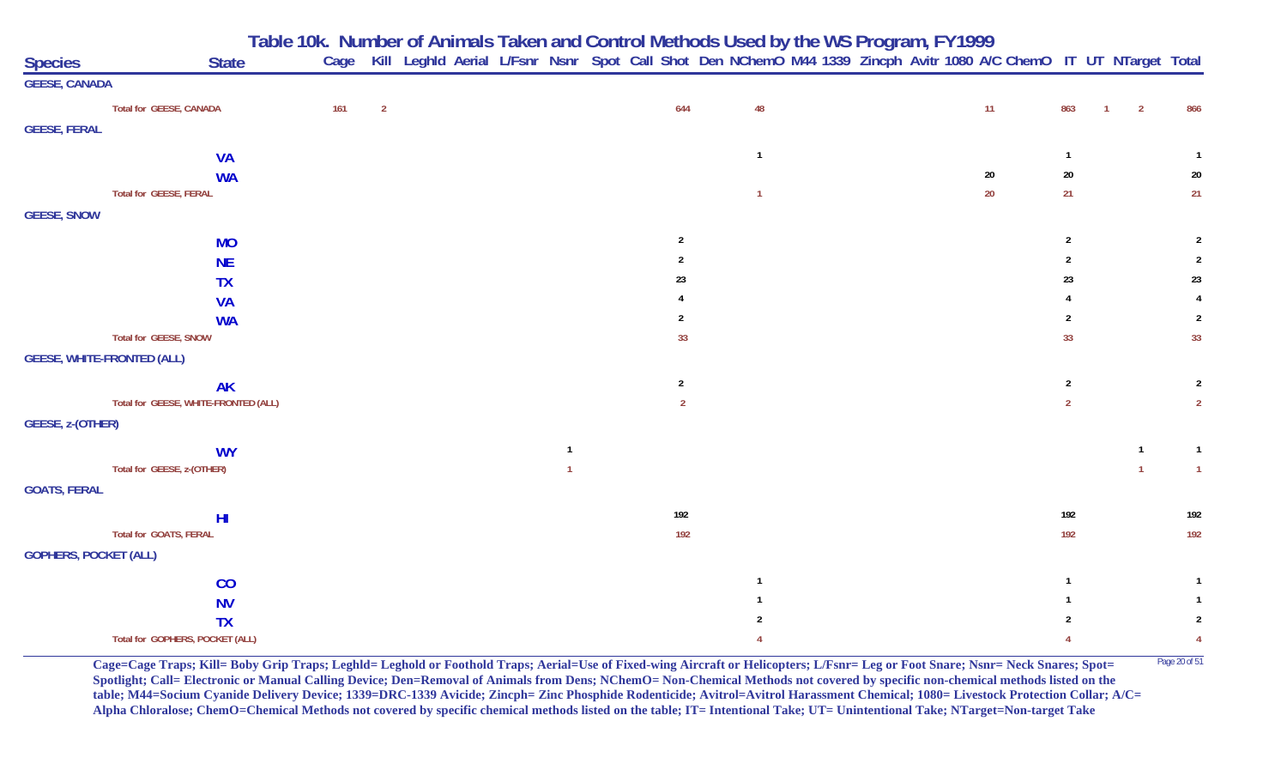**Table 10k. Number of Animals Taken and Control Methods Used by the WS Program, FY 1999**

| <b>Species</b>               | <b>State</b>                         | Cage |                |  |                |  |                | Kill Leghld Aerial L/Fsnr Nsnr Spot Call Shot Den NChemO M44 1339 Zincph Avitr 1080 A/C ChemO IT UT NTarget Total |  |  |        |                |                                  |              |                |
|------------------------------|--------------------------------------|------|----------------|--|----------------|--|----------------|-------------------------------------------------------------------------------------------------------------------|--|--|--------|----------------|----------------------------------|--------------|----------------|
| <b>GEESE, CANADA</b>         |                                      |      |                |  |                |  |                |                                                                                                                   |  |  |        |                |                                  |              |                |
|                              | Total for GEESE, CANADA              | 161  | $\overline{2}$ |  |                |  | 644            | 48                                                                                                                |  |  | 11     | 863            | $\overline{2}$<br>$\overline{1}$ |              | 866            |
| <b>GEESE, FERAL</b>          |                                      |      |                |  |                |  |                |                                                                                                                   |  |  |        |                |                                  |              |                |
|                              | <b>VA</b>                            |      |                |  |                |  |                | $\overline{1}$                                                                                                    |  |  |        |                |                                  |              |                |
|                              | <b>WA</b>                            |      |                |  |                |  |                |                                                                                                                   |  |  | $20\,$ | $20\,$         |                                  |              | $20\,$         |
|                              | Total for GEESE, FERAL               |      |                |  |                |  |                | $\overline{1}$                                                                                                    |  |  | $20\,$ | 21             |                                  |              | 21             |
| <b>GEESE, SNOW</b>           |                                      |      |                |  |                |  |                |                                                                                                                   |  |  |        |                |                                  |              |                |
|                              | <b>MO</b>                            |      |                |  |                |  | $\overline{2}$ |                                                                                                                   |  |  |        | $\overline{2}$ |                                  |              | $\overline{2}$ |
|                              | <b>NE</b>                            |      |                |  |                |  | $\overline{2}$ |                                                                                                                   |  |  |        | $\overline{2}$ |                                  |              | $\overline{2}$ |
|                              | <b>TX</b>                            |      |                |  |                |  | 23             |                                                                                                                   |  |  |        | 23             |                                  |              | 23             |
|                              | <b>VA</b>                            |      |                |  |                |  |                |                                                                                                                   |  |  |        |                |                                  |              |                |
|                              | <b>WA</b>                            |      |                |  |                |  | $\overline{2}$ |                                                                                                                   |  |  |        | $\overline{2}$ |                                  |              | $\overline{2}$ |
|                              | Total for GEESE, SNOW                |      |                |  |                |  | 33             |                                                                                                                   |  |  |        | 33             |                                  |              | 33             |
|                              | <b>GEESE, WHITE-FRONTED (ALL)</b>    |      |                |  |                |  |                |                                                                                                                   |  |  |        |                |                                  |              |                |
|                              | <b>AK</b>                            |      |                |  |                |  | $\overline{2}$ |                                                                                                                   |  |  |        | $\overline{2}$ |                                  |              | $\overline{2}$ |
|                              | Total for GEESE, WHITE-FRONTED (ALL) |      |                |  |                |  | $\overline{2}$ |                                                                                                                   |  |  |        | $\overline{2}$ |                                  |              | $\overline{2}$ |
| GEESE, z-(OTHER)             |                                      |      |                |  |                |  |                |                                                                                                                   |  |  |        |                |                                  |              |                |
|                              | <b>WY</b>                            |      |                |  | $\overline{1}$ |  |                |                                                                                                                   |  |  |        |                |                                  | $\mathbf{1}$ | $\overline{1}$ |
|                              | Total for GEESE, z-(OTHER)           |      |                |  |                |  |                |                                                                                                                   |  |  |        |                |                                  | $\mathbf{1}$ | $\overline{1}$ |
| <b>GOATS, FERAL</b>          |                                      |      |                |  |                |  |                |                                                                                                                   |  |  |        |                |                                  |              |                |
|                              | H <sub>l</sub>                       |      |                |  |                |  | 192            |                                                                                                                   |  |  |        | 192            |                                  |              | 192            |
|                              | Total for GOATS, FERAL               |      |                |  |                |  | 192            |                                                                                                                   |  |  |        | 192            |                                  |              | 192            |
| <b>GOPHERS, POCKET (ALL)</b> |                                      |      |                |  |                |  |                |                                                                                                                   |  |  |        |                |                                  |              |                |
|                              | CO                                   |      |                |  |                |  |                |                                                                                                                   |  |  |        |                |                                  |              |                |
|                              | <b>NV</b>                            |      |                |  |                |  |                |                                                                                                                   |  |  |        |                |                                  |              |                |
|                              | <b>TX</b>                            |      |                |  |                |  |                | 2                                                                                                                 |  |  |        |                |                                  |              | $\overline{2}$ |
|                              | Total for GOPHERS, POCKET (ALL)      |      |                |  |                |  |                |                                                                                                                   |  |  |        | 4              |                                  |              | $\overline{4}$ |

**Cage=Cage Traps; Kill= Boby Grip Traps; Leghld= Leghold or Foothold Traps; Aerial=Use of Fixed-wing Aircraft or Helicopters; L/Fsnr= Leg or Foot Snare; Nsnr= Neck Snares; Spot=** <sup>Page 20 of 51</sup> **Spotlight; Call= Electronic or Manual Calling Device; Den=Removal of Animals from Dens; NChemO= Non-Chemical Methods not covered by specific non-chemical methods listed on the table; M44=Socium Cyanide Delivery Device; 1339=DRC-1339 Avicide; Zincph= Zinc Phosphide Rodenticide; Avitrol=Avitrol Harassment Chemical; 1080= Livestock Protection Collar; A/C= Alpha Chloralose; ChemO=Chemical Methods not covered by specific chemical methods listed on the table; IT= Intentional Take; UT= Unintentional Take; NTarget=Non-target Take**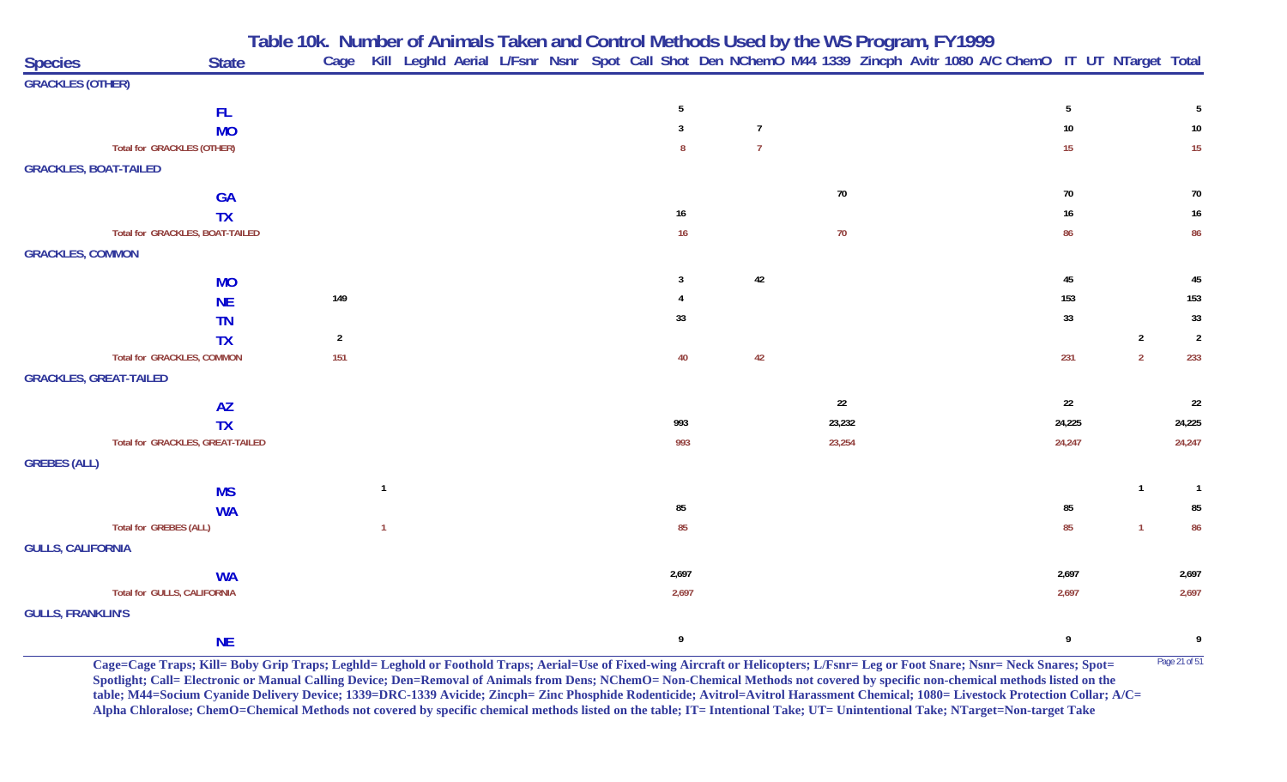|                               |                                   | Table 10k. Number of Animals Taken and Control Methods Used by the WS Program, FY1999<br>Cage Kill Leghld Aerial L/Fsnr Nsnr Spot Call Shot Den NChemO M44 1339 Zincph Avitr 1080 A/C ChemO IT UT NTarget Total |                |  |  |       |                |        |  |                 |                |                |
|-------------------------------|-----------------------------------|-----------------------------------------------------------------------------------------------------------------------------------------------------------------------------------------------------------------|----------------|--|--|-------|----------------|--------|--|-----------------|----------------|----------------|
| <b>Species</b>                | <b>State</b>                      |                                                                                                                                                                                                                 |                |  |  |       |                |        |  |                 |                |                |
| <b>GRACKLES (OTHER)</b>       |                                   |                                                                                                                                                                                                                 |                |  |  |       |                |        |  |                 |                |                |
|                               | FL.                               |                                                                                                                                                                                                                 |                |  |  | 5     |                |        |  | $5\phantom{.0}$ |                | 5              |
|                               | <b>MO</b>                         |                                                                                                                                                                                                                 |                |  |  | 3     | $\overline{7}$ |        |  | 10              |                | 10             |
|                               | <b>Total for GRACKLES (OTHER)</b> |                                                                                                                                                                                                                 |                |  |  | 8     | $\overline{7}$ |        |  | 15              |                | 15             |
| <b>GRACKLES, BOAT-TAILED</b>  |                                   |                                                                                                                                                                                                                 |                |  |  |       |                |        |  |                 |                |                |
|                               | <b>GA</b>                         |                                                                                                                                                                                                                 |                |  |  |       |                | 70     |  | $70\,$          |                | $70\,$         |
|                               | <b>TX</b>                         |                                                                                                                                                                                                                 |                |  |  | 16    |                |        |  | 16              |                | $16\,$         |
|                               | Total for GRACKLES, BOAT-TAILED   |                                                                                                                                                                                                                 |                |  |  | 16    |                | $70$   |  | 86              |                | 86             |
| <b>GRACKLES, COMMON</b>       |                                   |                                                                                                                                                                                                                 |                |  |  |       |                |        |  |                 |                |                |
|                               | <b>MO</b>                         |                                                                                                                                                                                                                 |                |  |  | 3     | 42             |        |  | $45\,$          |                | 45             |
|                               | <b>NE</b>                         | 149                                                                                                                                                                                                             |                |  |  |       |                |        |  | 153             |                | 153            |
|                               | <b>TN</b>                         |                                                                                                                                                                                                                 |                |  |  | 33    |                |        |  | 33              |                | 33             |
|                               | <b>TX</b>                         | $\overline{2}$                                                                                                                                                                                                  |                |  |  |       |                |        |  |                 | $\overline{2}$ | $\overline{2}$ |
|                               | <b>Total for GRACKLES, COMMON</b> | 151                                                                                                                                                                                                             |                |  |  | 40    | 42             |        |  | 231             | $\overline{2}$ | 233            |
| <b>GRACKLES, GREAT-TAILED</b> |                                   |                                                                                                                                                                                                                 |                |  |  |       |                |        |  |                 |                |                |
|                               | <b>AZ</b>                         |                                                                                                                                                                                                                 |                |  |  |       |                | 22     |  | 22              |                | 22             |
|                               | <b>TX</b>                         |                                                                                                                                                                                                                 |                |  |  | 993   |                | 23,232 |  | 24,225          |                | 24,225         |
|                               | Total for GRACKLES, GREAT-TAILED  |                                                                                                                                                                                                                 |                |  |  | 993   |                | 23,254 |  | 24,247          |                | 24,247         |
| <b>GREBES (ALL)</b>           |                                   |                                                                                                                                                                                                                 |                |  |  |       |                |        |  |                 |                |                |
|                               | <b>MS</b>                         |                                                                                                                                                                                                                 | $\overline{1}$ |  |  |       |                |        |  |                 | $\overline{1}$ | $\overline{1}$ |
|                               | <b>WA</b>                         |                                                                                                                                                                                                                 |                |  |  | 85    |                |        |  | 85              |                | 85             |
|                               | <b>Total for GREBES (ALL)</b>     |                                                                                                                                                                                                                 | $\overline{1}$ |  |  | 85    |                |        |  | 85              | $\overline{1}$ | 86             |
| <b>GULLS, CALIFORNIA</b>      |                                   |                                                                                                                                                                                                                 |                |  |  |       |                |        |  |                 |                |                |
|                               | <b>WA</b>                         |                                                                                                                                                                                                                 |                |  |  | 2,697 |                |        |  | 2,697           |                | 2,697          |
|                               | Total for GULLS, CALIFORNIA       |                                                                                                                                                                                                                 |                |  |  | 2,697 |                |        |  | 2,697           |                | 2,697          |
| <b>GULLS, FRANKLIN'S</b>      |                                   |                                                                                                                                                                                                                 |                |  |  |       |                |        |  |                 |                |                |
|                               | <b>NE</b>                         |                                                                                                                                                                                                                 |                |  |  | 9     |                |        |  | 9               |                | 9              |

Cage=Cage Traps; Kill= Boby Grip Traps; Leghld= Leghold or Foothold Traps; Aerial=Use of Fixed-wing Aircraft or Helicopters; L/Fsnr= Leg or Foot Snare; Nsnr= Neck Snares; Spot= <sup>Page 21 of 51</sup> **Spotlight; Call= Electronic or Manual Calling Device; Den=Removal of Animals from Dens; NChemO= Non-Chemical Methods not covered by specific non-chemical methods listed on the table; M44=Socium Cyanide Delivery Device; 1339=DRC-1339 Avicide; Zincph= Zinc Phosphide Rodenticide; Avitrol=Avitrol Harassment Chemical; 1080= Livestock Protection Collar; A/C= Alpha Chloralose; ChemO=Chemical Methods not covered by specific chemical methods listed on the table; IT= Intentional Take; UT= Unintentional Take; NTarget=Non-target Take**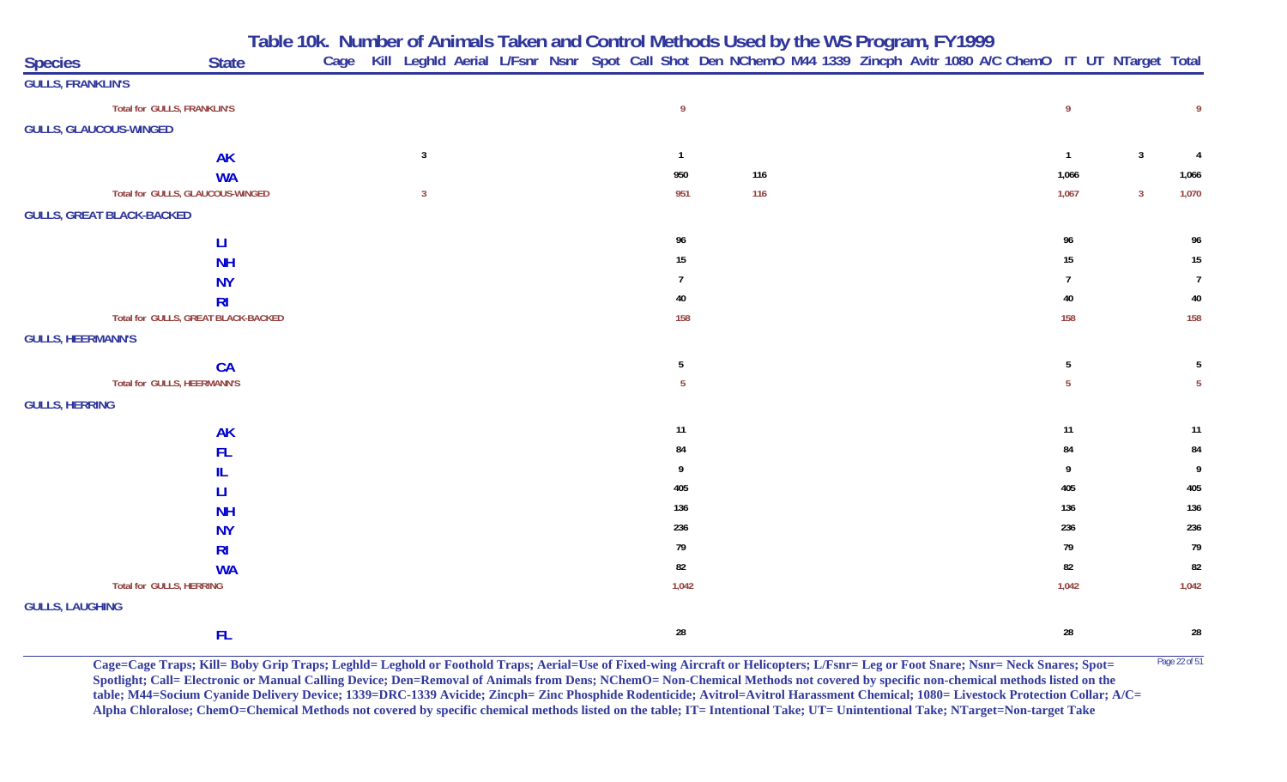|  |  | Table 10k. Number of Animals Taken and Control Methods Used by the WS Program, FY1999 |
|--|--|---------------------------------------------------------------------------------------|
|  |  |                                                                                       |

| <b>Species</b>                |                                     | <b>State</b>   | Cage |                         |  |  |                  | Kill Leghld Aerial L/Fsnr Nsnr Spot Call Shot Den NChemO M44 1339 Zincph Avitr 1080 A/C ChemO IT UT NTarget Total |  |  |  |                  |                         |                |
|-------------------------------|-------------------------------------|----------------|------|-------------------------|--|--|------------------|-------------------------------------------------------------------------------------------------------------------|--|--|--|------------------|-------------------------|----------------|
| <b>GULLS, FRANKLIN'S</b>      |                                     |                |      |                         |  |  |                  |                                                                                                                   |  |  |  |                  |                         |                |
|                               | Total for GULLS, FRANKLIN'S         |                |      |                         |  |  | $\overline{9}$   |                                                                                                                   |  |  |  | $\overline{9}$   |                         | 9              |
| <b>GULLS, GLAUCOUS-WINGED</b> |                                     |                |      |                         |  |  |                  |                                                                                                                   |  |  |  |                  |                         |                |
|                               |                                     | <b>AK</b>      |      | $\overline{3}$          |  |  | $\overline{1}$   |                                                                                                                   |  |  |  | $\mathbf{1}$     | $\overline{\mathbf{3}}$ | $\overline{4}$ |
|                               |                                     | <b>WA</b>      |      |                         |  |  | 950              | 116                                                                                                               |  |  |  | 1,066            |                         | 1,066          |
|                               | Total for GULLS, GLAUCOUS-WINGED    |                |      | $\overline{\mathbf{3}}$ |  |  | 951              | 116                                                                                                               |  |  |  | 1,067            | $\overline{3}$          | 1,070          |
|                               | <b>GULLS, GREAT BLACK-BACKED</b>    |                |      |                         |  |  |                  |                                                                                                                   |  |  |  |                  |                         |                |
|                               |                                     | $\mathsf{H}$   |      |                         |  |  | 96               |                                                                                                                   |  |  |  | 96               |                         | 96             |
|                               |                                     | <b>NH</b>      |      |                         |  |  | $15\phantom{.0}$ |                                                                                                                   |  |  |  | 15 <sub>15</sub> |                         | 15             |
|                               |                                     | <b>NY</b>      |      |                         |  |  | -7               |                                                                                                                   |  |  |  | $\overline{7}$   |                         | $\overline{7}$ |
|                               |                                     | R <sub>l</sub> |      |                         |  |  | 40               |                                                                                                                   |  |  |  | $40\,$           |                         | $40\,$         |
|                               | Total for GULLS, GREAT BLACK-BACKED |                |      |                         |  |  | 158              |                                                                                                                   |  |  |  | 158              |                         | 158            |
| <b>GULLS, HEERMANN'S</b>      |                                     |                |      |                         |  |  |                  |                                                                                                                   |  |  |  |                  |                         |                |
|                               |                                     | <b>CA</b>      |      |                         |  |  | 5                |                                                                                                                   |  |  |  | 5                |                         | 5              |
|                               | Total for GULLS, HEERMANN'S         |                |      |                         |  |  | $5\phantom{.0}$  |                                                                                                                   |  |  |  | 5 <sub>5</sub>   |                         | 5 <sub>1</sub> |
| <b>GULLS, HERRING</b>         |                                     |                |      |                         |  |  |                  |                                                                                                                   |  |  |  |                  |                         |                |
|                               |                                     | <b>AK</b>      |      |                         |  |  | $11$             |                                                                                                                   |  |  |  | 11               |                         | 11             |
|                               |                                     | <b>FL</b>      |      |                         |  |  | 84               |                                                                                                                   |  |  |  | 84               |                         | 84             |
|                               |                                     | IL             |      |                         |  |  | 9                |                                                                                                                   |  |  |  | 9                |                         | 9              |
|                               |                                     | Ш              |      |                         |  |  | 405              |                                                                                                                   |  |  |  | 405              |                         | 405            |
|                               |                                     | <b>NH</b>      |      |                         |  |  | 136              |                                                                                                                   |  |  |  | 136              |                         | 136            |
|                               |                                     | <b>NY</b>      |      |                         |  |  | 236              |                                                                                                                   |  |  |  | 236              |                         | 236            |
|                               |                                     | R <sub>l</sub> |      |                         |  |  | 79               |                                                                                                                   |  |  |  | 79               |                         | 79             |
|                               |                                     | <b>WA</b>      |      |                         |  |  | 82               |                                                                                                                   |  |  |  | 82               |                         | 82             |
|                               | Total for GULLS, HERRING            |                |      |                         |  |  | 1,042            |                                                                                                                   |  |  |  | 1,042            |                         | 1,042          |
| <b>GULLS, LAUGHING</b>        |                                     |                |      |                         |  |  |                  |                                                                                                                   |  |  |  |                  |                         |                |
|                               |                                     | FL.            |      |                         |  |  | ${\bf 28}$       |                                                                                                                   |  |  |  | 28               |                         | 28             |

**Cage=Cage Traps; Kill= Boby Grip Traps; Leghld= Leghold or Foothold Traps; Aerial=Use of Fixed-wing Aircraft or Helicopters; L/Fsnr= Leg or Foot Snare; Nsnr= Neck Snares; Spot=** <sup>Page 22 of 51</sup> **Spotlight; Call= Electronic or Manual Calling Device; Den=Removal of Animals from Dens; NChemO= Non-Chemical Methods not covered by specific non-chemical methods listed on the table; M44=Socium Cyanide Delivery Device; 1339=DRC-1339 Avicide; Zincph= Zinc Phosphide Rodenticide; Avitrol=Avitrol Harassment Chemical; 1080= Livestock Protection Collar; A/C= Alpha Chloralose; ChemO=Chemical Methods not covered by specific chemical methods listed on the table; IT= Intentional Take; UT= Unintentional Take; NTarget=Non-target Take**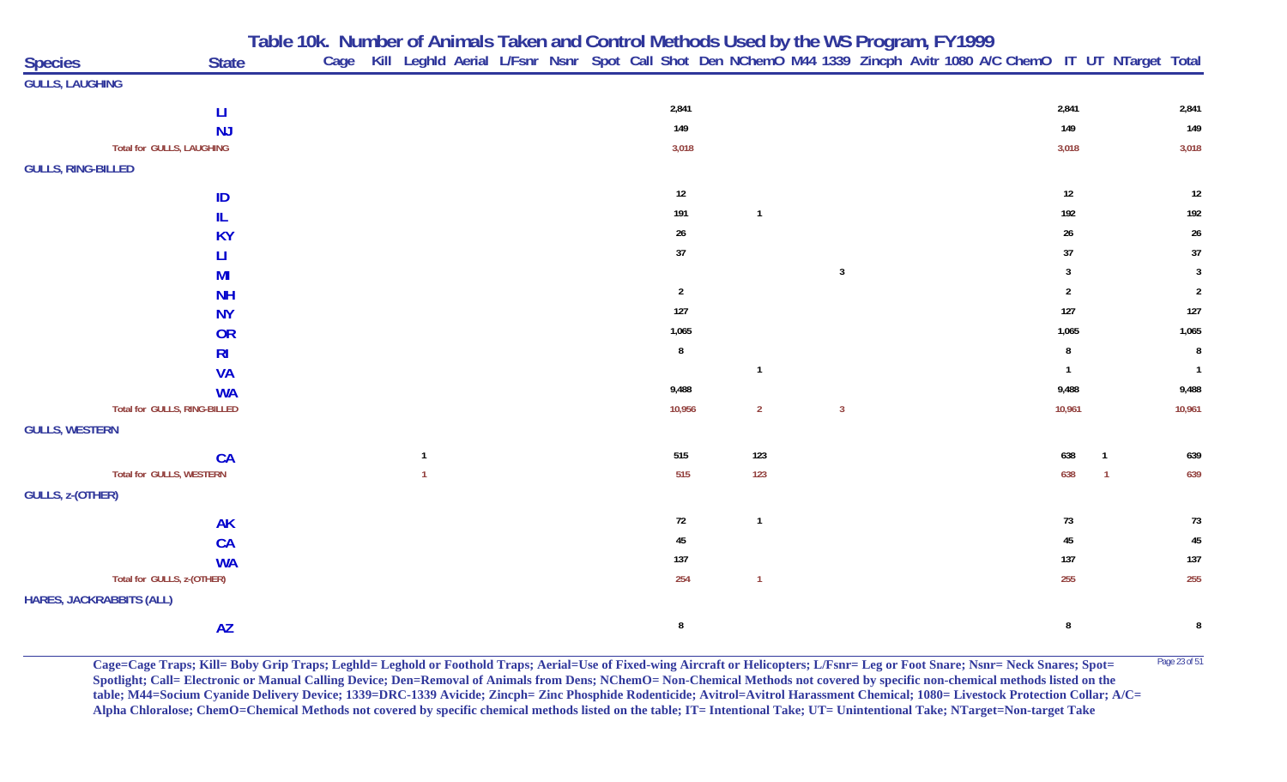**Table 10k. Number of Animals Taken and Control Methods Used by the WS Program, FY 1999**

| <b>Species</b>                  | <b>State</b>                    | Cage |              |  |  |                |                |                         |  |  |                |    | Kill Leghld Aerial L/Fsnr Nsnr Spot Call Shot Den NChemO M44 1339 Zincph Avitr 1080 A/C ChemO IT UT NTarget Total |
|---------------------------------|---------------------------------|------|--------------|--|--|----------------|----------------|-------------------------|--|--|----------------|----|-------------------------------------------------------------------------------------------------------------------|
| <b>GULLS, LAUGHING</b>          |                                 |      |              |  |  |                |                |                         |  |  |                |    |                                                                                                                   |
|                                 | $\mathsf{L}\mathsf{I}$          |      |              |  |  | 2,841          |                |                         |  |  | 2,841          |    | 2,841                                                                                                             |
|                                 | <b>NJ</b>                       |      |              |  |  | 149            |                |                         |  |  | 149            |    | 149                                                                                                               |
|                                 | Total for GULLS, LAUGHING       |      |              |  |  | 3,018          |                |                         |  |  | 3,018          |    | 3,018                                                                                                             |
| <b>GULLS, RING-BILLED</b>       |                                 |      |              |  |  |                |                |                         |  |  |                |    |                                                                                                                   |
|                                 | ID                              |      |              |  |  | $12\,$         |                |                         |  |  | 12             |    | $12\,$                                                                                                            |
|                                 | IL.                             |      |              |  |  | 191            | $\overline{1}$ |                         |  |  | 192            |    | 192                                                                                                               |
|                                 | <b>KY</b>                       |      |              |  |  | $26\,$         |                |                         |  |  | $26\,$         |    | $26\,$                                                                                                            |
|                                 | Ц                               |      |              |  |  | $37\,$         |                |                         |  |  | $37\,$         |    | $37\,$                                                                                                            |
|                                 | MI                              |      |              |  |  |                |                | $\mathbf{3}$            |  |  | 3              |    | $\mathbf{3}$                                                                                                      |
|                                 | <b>NH</b>                       |      |              |  |  | $\overline{2}$ |                |                         |  |  | $\overline{2}$ |    | $\overline{2}$                                                                                                    |
|                                 | <b>NY</b>                       |      |              |  |  | 127            |                |                         |  |  | $127$          |    | 127                                                                                                               |
|                                 | <b>OR</b>                       |      |              |  |  | 1,065          |                |                         |  |  | 1,065          |    | 1,065                                                                                                             |
|                                 | R <sub>l</sub>                  |      |              |  |  | $\bf 8$        |                |                         |  |  | 8              |    | $\bf 8$                                                                                                           |
|                                 | <b>VA</b>                       |      |              |  |  |                | $\overline{1}$ |                         |  |  | $\mathbf{1}$   |    | $\overline{1}$                                                                                                    |
|                                 | <b>WA</b>                       |      |              |  |  | 9,488          |                |                         |  |  | 9,488          |    | 9,488                                                                                                             |
|                                 | Total for GULLS, RING-BILLED    |      |              |  |  | 10,956         | $\overline{2}$ | $\overline{\mathbf{3}}$ |  |  | 10,961         |    | 10,961                                                                                                            |
| <b>GULLS, WESTERN</b>           |                                 |      |              |  |  |                |                |                         |  |  |                |    |                                                                                                                   |
|                                 | CA                              |      | $\mathbf{1}$ |  |  | 515            | 123            |                         |  |  | 638            | -1 | 639                                                                                                               |
|                                 | <b>Total for GULLS, WESTERN</b> |      | $\mathbf{1}$ |  |  | 515            | 123            |                         |  |  | 638            |    | 639                                                                                                               |
| GULLS, z-(OTHER)                |                                 |      |              |  |  |                |                |                         |  |  |                |    |                                                                                                                   |
|                                 | <b>AK</b>                       |      |              |  |  | $72\,$         | $\overline{1}$ |                         |  |  | 73             |    | 73                                                                                                                |
|                                 | <b>CA</b>                       |      |              |  |  | $45\,$         |                |                         |  |  | 45             |    | $\sqrt{45}$                                                                                                       |
|                                 | <b>WA</b>                       |      |              |  |  | 137            |                |                         |  |  | 137            |    | 137                                                                                                               |
|                                 | Total for GULLS, z-(OTHER)      |      |              |  |  | 254            | $\overline{1}$ |                         |  |  | 255            |    | 255                                                                                                               |
| <b>HARES, JACKRABBITS (ALL)</b> |                                 |      |              |  |  |                |                |                         |  |  |                |    |                                                                                                                   |
|                                 | <b>AZ</b>                       |      |              |  |  | $\, 8$         |                |                         |  |  | $\bf 8$        |    | $\bf 8$                                                                                                           |

**Cage=Cage Traps; Kill= Boby Grip Traps; Leghld= Leghold or Foothold Traps; Aerial=Use of Fixed-wing Aircraft or Helicopters; L/Fsnr= Leg or Foot Snare; Nsnr= Neck Snares; Spot= <sup>Page 23 of 51</sup> Spotlight; Call= Electronic or Manual Calling Device; Den=Removal of Animals from Dens; NChemO= Non-Chemical Methods not covered by specific non-chemical methods listed on the table; M44=Socium Cyanide Delivery Device; 1339=DRC-1339 Avicide; Zincph= Zinc Phosphide Rodenticide; Avitrol=Avitrol Harassment Chemical; 1080= Livestock Protection Collar; A/C= Alpha Chloralose; ChemO=Chemical Methods not covered by specific chemical methods listed on the table; IT= Intentional Take; UT= Unintentional Take; NTarget=Non-target Take**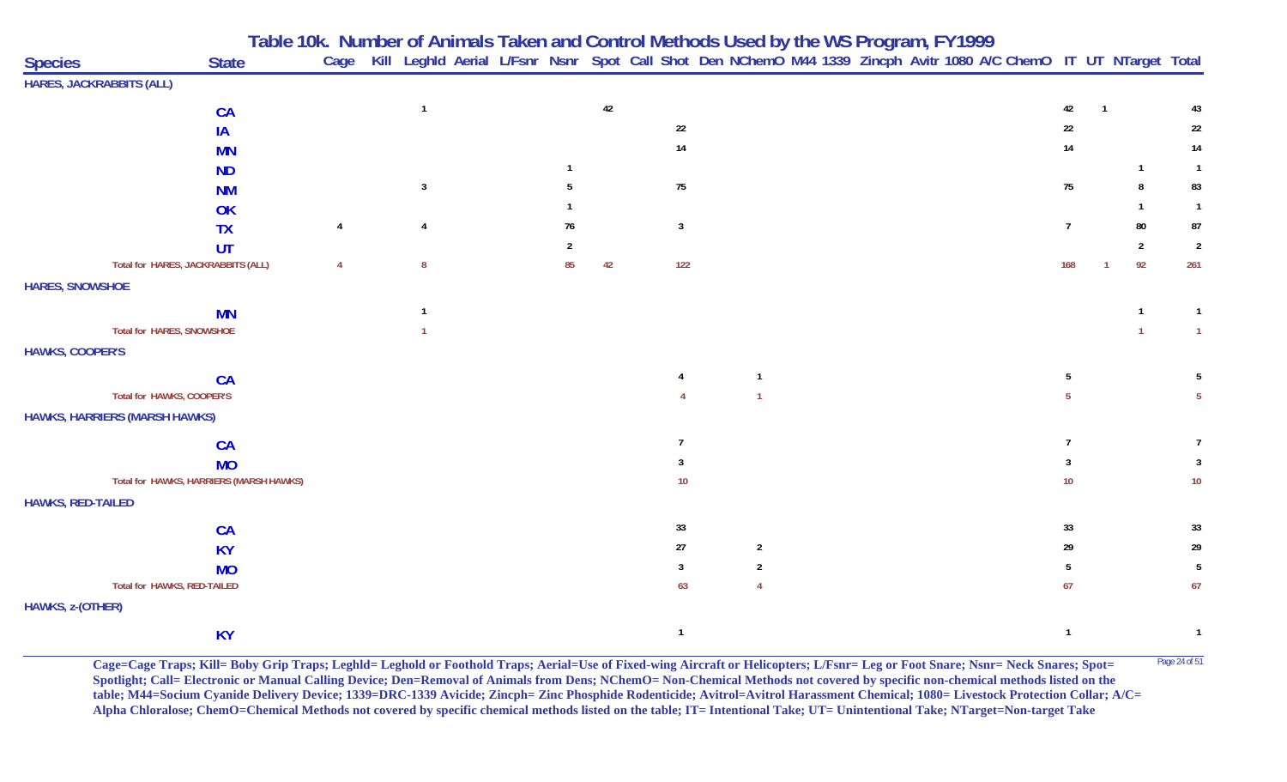|                                      |                                         |                | Table 10k. Number of Animals Taken and Control Methods Used by the WS Program, FY1999 |  |    |    |                |                |  |                                                                                                                        |                 |              |                |                |
|--------------------------------------|-----------------------------------------|----------------|---------------------------------------------------------------------------------------|--|----|----|----------------|----------------|--|------------------------------------------------------------------------------------------------------------------------|-----------------|--------------|----------------|----------------|
| <b>Species</b>                       | <b>State</b>                            |                |                                                                                       |  |    |    |                |                |  | Cage Kill Leghld Aerial L/Fsnr Nsnr Spot Call Shot Den NChemO M44 1339 Zincph Avitr 1080 A/C ChemO IT UT NTarget Total |                 |              |                |                |
| <b>HARES, JACKRABBITS (ALL)</b>      |                                         |                |                                                                                       |  |    |    |                |                |  |                                                                                                                        |                 |              |                |                |
|                                      | <b>CA</b>                               |                | $\mathbf{1}$                                                                          |  |    | 42 |                |                |  |                                                                                                                        | 42              | $\mathbf{1}$ |                | 43             |
|                                      | IA                                      |                |                                                                                       |  |    |    | 22             |                |  |                                                                                                                        | 22              |              |                | 22             |
|                                      | <b>MN</b>                               |                |                                                                                       |  |    |    | 14             |                |  |                                                                                                                        | 14              |              |                | 14             |
|                                      | <b>ND</b>                               |                |                                                                                       |  |    |    |                |                |  |                                                                                                                        |                 |              | $\mathbf{1}$   | $\overline{1}$ |
|                                      | <b>NM</b>                               |                | 3                                                                                     |  |    |    | 75             |                |  |                                                                                                                        | 75              |              |                | 83             |
|                                      | OK                                      |                |                                                                                       |  |    |    |                |                |  |                                                                                                                        |                 |              |                |                |
|                                      | <b>TX</b>                               | $\overline{4}$ | 4                                                                                     |  | 76 |    | $\overline{3}$ |                |  |                                                                                                                        | $\overline{7}$  |              | 80             | 87             |
|                                      | UT                                      |                |                                                                                       |  |    |    |                |                |  |                                                                                                                        |                 |              | $\overline{2}$ | $\overline{2}$ |
|                                      | Total for HARES, JACKRABBITS (ALL)      | $\overline{4}$ | 8                                                                                     |  | 85 | 42 | 122            |                |  |                                                                                                                        | 168             |              | 92             | 261            |
| <b>HARES, SNOWSHOE</b>               |                                         |                |                                                                                       |  |    |    |                |                |  |                                                                                                                        |                 |              |                |                |
|                                      | <b>MN</b>                               |                | $\mathbf{1}$                                                                          |  |    |    |                |                |  |                                                                                                                        |                 |              | -1             | -1             |
| Total for HARES, SNOWSHOE            |                                         |                |                                                                                       |  |    |    |                |                |  |                                                                                                                        |                 |              |                | $\overline{1}$ |
| <b>HAWKS, COOPER'S</b>               |                                         |                |                                                                                       |  |    |    |                |                |  |                                                                                                                        |                 |              |                |                |
|                                      | <b>CA</b>                               |                |                                                                                       |  |    |    |                | $\overline{1}$ |  |                                                                                                                        | 5               |              |                |                |
| Total for HAWKS, COOPER'S            |                                         |                |                                                                                       |  |    |    |                |                |  |                                                                                                                        | 5               |              |                |                |
| <b>HAWKS, HARRIERS (MARSH HAWKS)</b> |                                         |                |                                                                                       |  |    |    |                |                |  |                                                                                                                        |                 |              |                |                |
|                                      | <b>CA</b>                               |                |                                                                                       |  |    |    | $\overline{7}$ |                |  |                                                                                                                        | $\overline{7}$  |              |                |                |
|                                      | <b>MO</b>                               |                |                                                                                       |  |    |    | 3              |                |  |                                                                                                                        | 3               |              |                | -3             |
|                                      | Total for HAWKS, HARRIERS (MARSH HAWKS) |                |                                                                                       |  |    |    | 10             |                |  |                                                                                                                        | 10 <sup>°</sup> |              |                | $10\,$         |
| <b>HAWKS, RED-TAILED</b>             |                                         |                |                                                                                       |  |    |    |                |                |  |                                                                                                                        |                 |              |                |                |
|                                      | <b>CA</b>                               |                |                                                                                       |  |    |    | 33             |                |  |                                                                                                                        | 33              |              |                | 33             |
|                                      | <b>KY</b>                               |                |                                                                                       |  |    |    | 27             | $\overline{2}$ |  |                                                                                                                        | 29              |              |                | 29             |
|                                      | <b>MO</b>                               |                |                                                                                       |  |    |    | -3             | $\overline{2}$ |  |                                                                                                                        | 5               |              |                | -5             |
| Total for HAWKS, RED-TAILED          |                                         |                |                                                                                       |  |    |    | 63             | $\overline{4}$ |  |                                                                                                                        | 67              |              |                | 67             |
| <b>HAWKS, z-(OTHER)</b>              |                                         |                |                                                                                       |  |    |    |                |                |  |                                                                                                                        |                 |              |                |                |
|                                      | <b>KY</b>                               |                |                                                                                       |  |    |    | $\overline{1}$ |                |  |                                                                                                                        | $\overline{1}$  |              |                | $\overline{1}$ |

Cage=Cage Traps; Kill= Boby Grip Traps; Leghld= Leghold or Foothold Traps; Aerial=Use of Fixed-wing Aircraft or Helicopters; L/Fsnr= Leg or Foot Snare; Nsnr= Neck Snares; Spot= <sup>Page 24 of 51</sup> **Spotlight; Call= Electronic or Manual Calling Device; Den=Removal of Animals from Dens; NChemO= Non-Chemical Methods not covered by specific non-chemical methods listed on the table; M44=Socium Cyanide Delivery Device; 1339=DRC-1339 Avicide; Zincph= Zinc Phosphide Rodenticide; Avitrol=Avitrol Harassment Chemical; 1080= Livestock Protection Collar; A/C= Alpha Chloralose; ChemO=Chemical Methods not covered by specific chemical methods listed on the table; IT= Intentional Take; UT= Unintentional Take; NTarget=Non-target Take**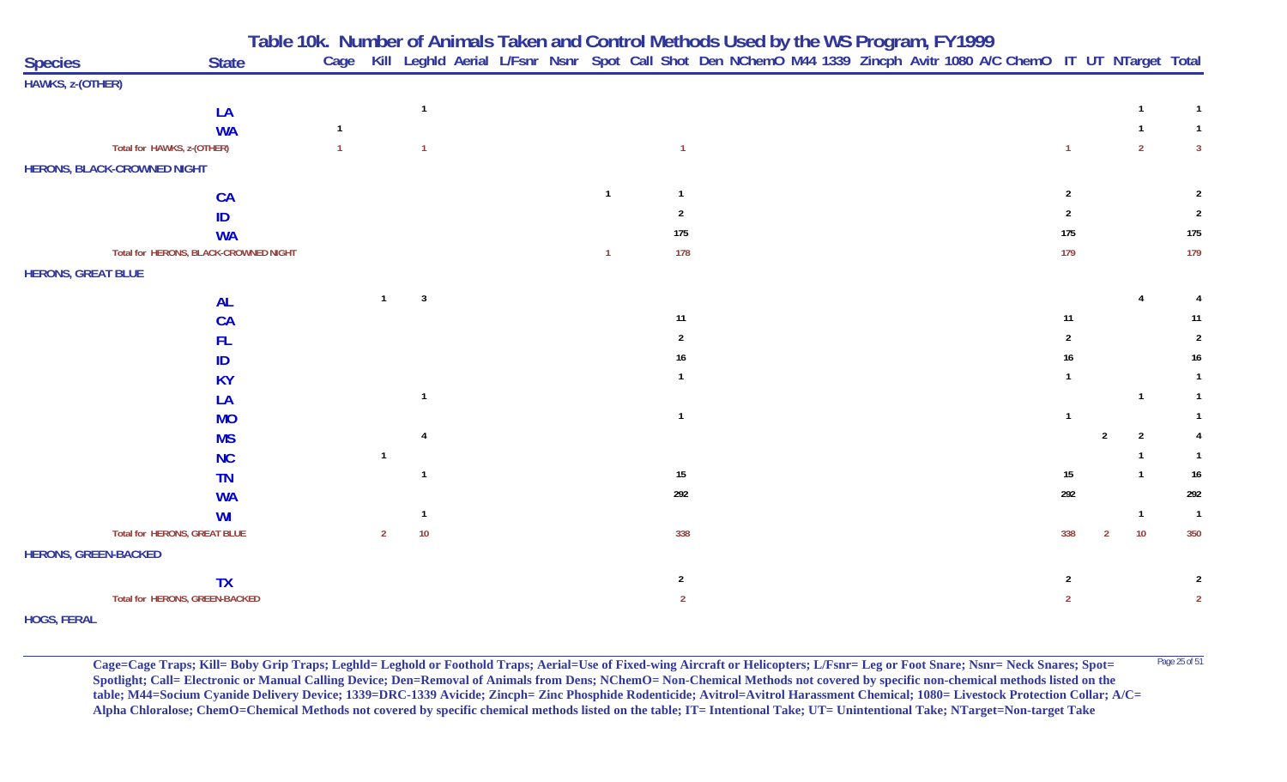|                             |                                       | Table 10k. Number of Animals Taken and Control Methods Used by the WS Program, FY1999 |                |                |                                                                                                                        |                |                |  |  |  |                |                |                |                |
|-----------------------------|---------------------------------------|---------------------------------------------------------------------------------------|----------------|----------------|------------------------------------------------------------------------------------------------------------------------|----------------|----------------|--|--|--|----------------|----------------|----------------|----------------|
| <b>Species</b>              | <b>State</b>                          |                                                                                       |                |                | Cage Kill Leghld Aerial L/Fsnr Nsnr Spot Call Shot Den NChemO M44 1339 Zincph Avitr 1080 A/C ChemO IT UT NTarget Total |                |                |  |  |  |                |                |                |                |
| HAWKS, z-(OTHER)            |                                       |                                                                                       |                |                |                                                                                                                        |                |                |  |  |  |                |                |                |                |
|                             | LA                                    |                                                                                       |                | $\overline{1}$ |                                                                                                                        |                |                |  |  |  |                |                | $\mathbf{1}$   | $\mathbf{1}$   |
|                             | <b>WA</b>                             | -1                                                                                    |                |                |                                                                                                                        |                |                |  |  |  |                |                |                | $\mathbf{1}$   |
|                             | Total for HAWKS, z-(OTHER)            |                                                                                       |                |                |                                                                                                                        |                |                |  |  |  |                |                | $\overline{2}$ | $\mathbf{3}$   |
|                             | <b>HERONS, BLACK-CROWNED NIGHT</b>    |                                                                                       |                |                |                                                                                                                        |                |                |  |  |  |                |                |                |                |
|                             | <b>CA</b>                             |                                                                                       |                |                |                                                                                                                        | $\overline{1}$ |                |  |  |  | 2              |                |                |                |
|                             | ID                                    |                                                                                       |                |                |                                                                                                                        |                | 2              |  |  |  |                |                |                | 2              |
|                             | <b>WA</b>                             |                                                                                       |                |                |                                                                                                                        |                | 175            |  |  |  | 175            |                |                | 175            |
|                             | Total for HERONS, BLACK-CROWNED NIGHT |                                                                                       |                |                |                                                                                                                        | $\overline{1}$ | 178            |  |  |  | 179            |                |                | 179            |
| <b>HERONS, GREAT BLUE</b>   |                                       |                                                                                       |                |                |                                                                                                                        |                |                |  |  |  |                |                |                |                |
|                             | <b>AL</b>                             |                                                                                       | $\mathbf{1}$   | $\overline{3}$ |                                                                                                                        |                |                |  |  |  |                |                | 4              |                |
|                             | <b>CA</b>                             |                                                                                       |                |                |                                                                                                                        |                | 11             |  |  |  | 11             |                |                | 11             |
|                             | <b>FL</b>                             |                                                                                       |                |                |                                                                                                                        |                | $\overline{2}$ |  |  |  | $\overline{2}$ |                |                | $\overline{2}$ |
|                             | ID                                    |                                                                                       |                |                |                                                                                                                        |                | 16             |  |  |  | 16             |                |                | 16             |
|                             | <b>KY</b>                             |                                                                                       |                |                |                                                                                                                        |                |                |  |  |  |                |                |                |                |
|                             | LA                                    |                                                                                       |                |                |                                                                                                                        |                |                |  |  |  |                |                |                |                |
|                             | <b>MO</b>                             |                                                                                       |                |                |                                                                                                                        |                | - 1            |  |  |  |                |                |                |                |
|                             | <b>MS</b>                             |                                                                                       |                |                |                                                                                                                        |                |                |  |  |  |                | $\mathfrak{p}$ | $\overline{2}$ |                |
|                             | <b>NC</b>                             |                                                                                       | $\overline{1}$ |                |                                                                                                                        |                |                |  |  |  |                |                |                |                |
|                             | <b>TN</b>                             |                                                                                       |                |                |                                                                                                                        |                | 15             |  |  |  | 15             |                | $\overline{1}$ | 16             |
|                             | <b>WA</b>                             |                                                                                       |                |                |                                                                                                                        |                | 292            |  |  |  | 292            |                |                | 292            |
|                             | <b>WI</b>                             |                                                                                       |                |                |                                                                                                                        |                |                |  |  |  |                |                | $\overline{1}$ | $\mathbf{1}$   |
|                             | Total for HERONS, GREAT BLUE          |                                                                                       | $\overline{2}$ | 10             |                                                                                                                        |                | 338            |  |  |  | 338            | 2              | 10             | 350            |
| <b>HERONS, GREEN-BACKED</b> |                                       |                                                                                       |                |                |                                                                                                                        |                |                |  |  |  |                |                |                |                |
|                             | <b>TX</b>                             |                                                                                       |                |                |                                                                                                                        |                | $\overline{2}$ |  |  |  | $\overline{2}$ |                |                | 2              |
|                             | Total for HERONS, GREEN-BACKED        |                                                                                       |                |                |                                                                                                                        |                | $\overline{2}$ |  |  |  | $\overline{2}$ |                |                | $\overline{2}$ |
| <b>HOGS, FERAL</b>          |                                       |                                                                                       |                |                |                                                                                                                        |                |                |  |  |  |                |                |                |                |

Cage=Cage Traps; Kill= Boby Grip Traps; Leghld= Leghold or Foothold Traps; Aerial=Use of Fixed-wing Aircraft or Helicopters; L/Fsnr= Leg or Foot Snare; Nsnr= Neck Snares; Spot= <sup>Page 25 of 51</sup> **Spotlight; Call= Electronic or Manual Calling Device; Den=Removal of Animals from Dens; NChemO= Non-Chemical Methods not covered by specific non-chemical methods listed on the table; M44=Socium Cyanide Delivery Device; 1339=DRC-1339 Avicide; Zincph= Zinc Phosphide Rodenticide; Avitrol=Avitrol Harassment Chemical; 1080= Livestock Protection Collar; A/C= Alpha Chloralose; ChemO=Chemical Methods not covered by specific chemical methods listed on the table; IT= Intentional Take; UT= Unintentional Take; NTarget=Non-target Take**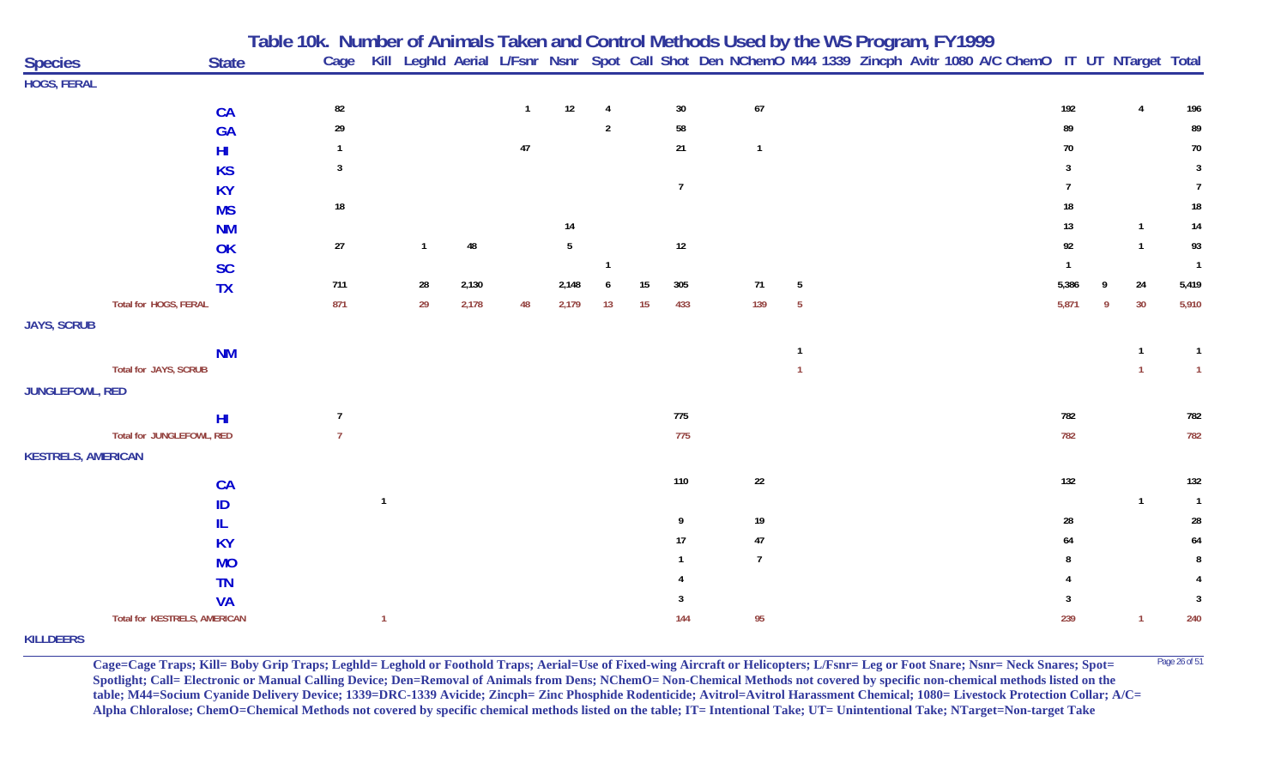| <b>Species</b>            | <b>State</b>                 | Table 10k. Number of Animals Taken and Control Methods Used by the WS Program, FY1999<br>Cage Kill Leghld Aerial L/Fsnr Nsnr Spot Call Shot Den NChemO M44 1339 Zincph Avitr 1080 A/C ChemO IT UT NTarget Total |                         |       |              |       |                |    |                |                |   |  |  |       |   |                |                |
|---------------------------|------------------------------|-----------------------------------------------------------------------------------------------------------------------------------------------------------------------------------------------------------------|-------------------------|-------|--------------|-------|----------------|----|----------------|----------------|---|--|--|-------|---|----------------|----------------|
| <b>HOGS, FERAL</b>        |                              |                                                                                                                                                                                                                 |                         |       |              |       |                |    |                |                |   |  |  |       |   |                |                |
|                           | <b>CA</b>                    | 82                                                                                                                                                                                                              |                         |       | $\mathbf{1}$ | 12    | $\overline{4}$ |    | 30             | $\sqrt{67}$    |   |  |  | 192   |   | $\overline{4}$ | 196            |
|                           | GA                           | 29                                                                                                                                                                                                              |                         |       |              |       | $\overline{2}$ |    | 58             |                |   |  |  | 89    |   |                | 89             |
|                           | H <sub>l</sub>               |                                                                                                                                                                                                                 |                         |       | $47\,$       |       |                |    | 21             | $\overline{1}$ |   |  |  | 70    |   |                | $70\,$         |
|                           | <b>KS</b>                    | 3                                                                                                                                                                                                               |                         |       |              |       |                |    |                |                |   |  |  |       |   |                | $\mathbf{3}$   |
|                           | <b>KY</b>                    |                                                                                                                                                                                                                 |                         |       |              |       |                |    | $\overline{7}$ |                |   |  |  |       |   |                |                |
|                           | <b>MS</b>                    | 18                                                                                                                                                                                                              |                         |       |              |       |                |    |                |                |   |  |  | 18    |   |                | 18             |
|                           | <b>NM</b>                    |                                                                                                                                                                                                                 |                         |       |              | 14    |                |    |                |                |   |  |  | 13    |   | $\overline{1}$ | 14             |
|                           | OK                           | $27\,$                                                                                                                                                                                                          | $\mathbf{1}$            | 48    |              | 5     |                |    | $12\,$         |                |   |  |  | 92    |   | $\overline{1}$ | 93             |
|                           | <b>SC</b>                    |                                                                                                                                                                                                                 |                         |       |              |       | -1             |    |                |                |   |  |  |       |   |                | $\overline{1}$ |
|                           | <b>TX</b>                    | 711                                                                                                                                                                                                             | ${\bf 28}$              | 2,130 |              | 2,148 | 6              | 15 | 305            | 71             | 5 |  |  | 5,386 | Q | 24             | 5,419          |
|                           | Total for HOGS, FERAL        | 871                                                                                                                                                                                                             | 29                      | 2,178 | 48           | 2,179 | 13             | 15 | 433            | 139            | 5 |  |  | 5,871 | Q | 30             | 5,910          |
| <b>JAYS, SCRUB</b>        |                              |                                                                                                                                                                                                                 |                         |       |              |       |                |    |                |                |   |  |  |       |   |                |                |
|                           |                              |                                                                                                                                                                                                                 |                         |       |              |       |                |    |                |                |   |  |  |       |   |                |                |
|                           | <b>NM</b>                    |                                                                                                                                                                                                                 |                         |       |              |       |                |    |                |                |   |  |  |       |   | $\overline{1}$ | $\mathbf{1}$   |
|                           | Total for JAYS, SCRUB        |                                                                                                                                                                                                                 |                         |       |              |       |                |    |                |                |   |  |  |       |   | $\overline{1}$ | $\mathbf{1}$   |
| JUNGLEFOWL, RED           |                              |                                                                                                                                                                                                                 |                         |       |              |       |                |    |                |                |   |  |  |       |   |                |                |
|                           | H <sub>II</sub>              | $\overline{7}$                                                                                                                                                                                                  |                         |       |              |       |                |    | 775            |                |   |  |  | 782   |   |                | 782            |
|                           | Total for JUNGLEFOWL, RED    | $\overline{7}$                                                                                                                                                                                                  |                         |       |              |       |                |    | 775            |                |   |  |  | 782   |   |                | 782            |
| <b>KESTRELS, AMERICAN</b> |                              |                                                                                                                                                                                                                 |                         |       |              |       |                |    |                |                |   |  |  |       |   |                |                |
|                           | <b>CA</b>                    |                                                                                                                                                                                                                 |                         |       |              |       |                |    | 110            | 22             |   |  |  | 132   |   |                | 132            |
|                           | ID                           |                                                                                                                                                                                                                 | $\overline{\mathbf{1}}$ |       |              |       |                |    |                |                |   |  |  |       |   | $\overline{1}$ | $\overline{1}$ |
|                           | IL                           |                                                                                                                                                                                                                 |                         |       |              |       |                |    | 9              | 19             |   |  |  | 28    |   |                | 28             |
|                           | <b>KY</b>                    |                                                                                                                                                                                                                 |                         |       |              |       |                |    | 17             | $47\,$         |   |  |  | 64    |   |                | 64             |
|                           | <b>MO</b>                    |                                                                                                                                                                                                                 |                         |       |              |       |                |    |                | $\overline{7}$ |   |  |  |       |   |                |                |
|                           | <b>TN</b>                    |                                                                                                                                                                                                                 |                         |       |              |       |                |    |                |                |   |  |  |       |   |                |                |
|                           | <b>VA</b>                    |                                                                                                                                                                                                                 |                         |       |              |       |                |    |                |                |   |  |  |       |   |                | $\mathbf{3}$   |
|                           | Total for KESTRELS, AMERICAN |                                                                                                                                                                                                                 | $\overline{1}$          |       |              |       |                |    | 144            | 95             |   |  |  | 239   |   | 1              | 240            |
| <b>VILLDEEDS</b>          |                              |                                                                                                                                                                                                                 |                         |       |              |       |                |    |                |                |   |  |  |       |   |                |                |

**KILLDEERS**

Cage=Cage Traps; Kill= Boby Grip Traps; Leghld= Leghold or Foothold Traps; Aerial=Use of Fixed-wing Aircraft or Helicopters; L/Fsnr= Leg or Foot Snare; Nsnr= Neck Snares; Spot= <sup>Page 26 of 51</sup> **Spotlight; Call= Electronic or Manual Calling Device; Den=Removal of Animals from Dens; NChemO= Non-Chemical Methods not covered by specific non-chemical methods listed on the table; M44=Socium Cyanide Delivery Device; 1339=DRC-1339 Avicide; Zincph= Zinc Phosphide Rodenticide; Avitrol=Avitrol Harassment Chemical; 1080= Livestock Protection Collar; A/C= Alpha Chloralose; ChemO=Chemical Methods not covered by specific chemical methods listed on the table; IT= Intentional Take; UT= Unintentional Take; NTarget=Non-target Take**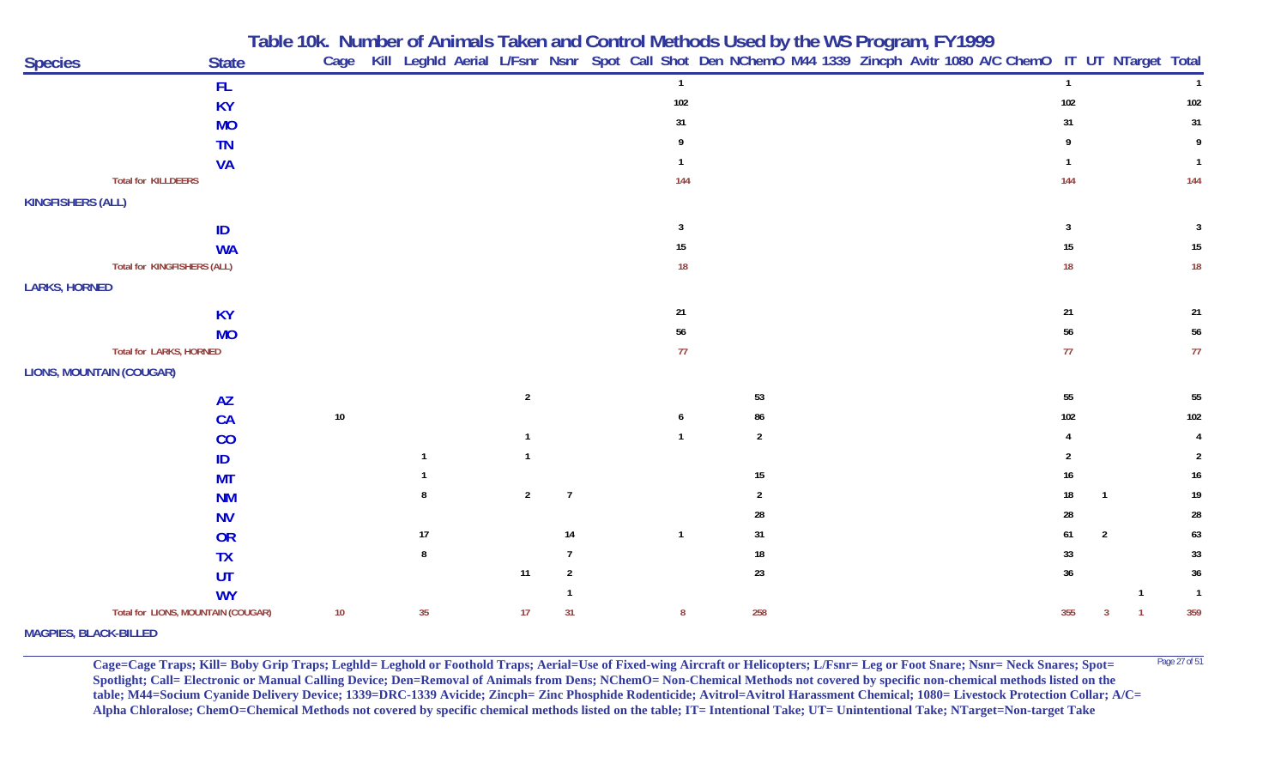|                                    |              |        |    |                |                |                         |                |  | Table 10k. Number of Animals Taken and Control Methods Used by the WS Program, FY1999<br>Cage Kill Leghld Aerial L/Fsnr Nsnr Spot Call Shot Den NChemO M44 1339 Zincph Avitr 1080 A/C ChemO IT UT NTarget Total |                |                |                |                 |
|------------------------------------|--------------|--------|----|----------------|----------------|-------------------------|----------------|--|-----------------------------------------------------------------------------------------------------------------------------------------------------------------------------------------------------------------|----------------|----------------|----------------|-----------------|
| <b>Species</b>                     | <b>State</b> |        |    |                |                |                         |                |  |                                                                                                                                                                                                                 |                |                |                |                 |
|                                    | <b>FL</b>    |        |    |                |                | $\overline{1}$          |                |  |                                                                                                                                                                                                                 | $\overline{1}$ |                |                | $\overline{1}$  |
|                                    | <b>KY</b>    |        |    |                |                | 102                     |                |  |                                                                                                                                                                                                                 | 102            |                |                | 102             |
|                                    | <b>MO</b>    |        |    |                |                | 31                      |                |  |                                                                                                                                                                                                                 | 31             |                |                | 31              |
|                                    | <b>TN</b>    |        |    |                |                |                         |                |  |                                                                                                                                                                                                                 | Q              |                |                | 9               |
|                                    | <b>VA</b>    |        |    |                |                |                         |                |  |                                                                                                                                                                                                                 |                |                |                | $\overline{1}$  |
| <b>Total for KILLDEERS</b>         |              |        |    |                |                | 144                     |                |  |                                                                                                                                                                                                                 | 144            |                |                | 144             |
| <b>KINGFISHERS (ALL)</b>           |              |        |    |                |                |                         |                |  |                                                                                                                                                                                                                 |                |                |                |                 |
|                                    | ID           |        |    |                |                | $\overline{\mathbf{3}}$ |                |  |                                                                                                                                                                                                                 | 3              |                |                | 3               |
|                                    | <b>WA</b>    |        |    |                |                | 15                      |                |  |                                                                                                                                                                                                                 | $15\,$         |                |                | 15              |
| Total for KINGFISHERS (ALL)        |              |        |    |                |                | 18                      |                |  |                                                                                                                                                                                                                 | 18             |                |                | 18              |
| <b>LARKS, HORNED</b>               |              |        |    |                |                |                         |                |  |                                                                                                                                                                                                                 |                |                |                |                 |
|                                    | <b>KY</b>    |        |    |                |                | 21                      |                |  |                                                                                                                                                                                                                 | $21$           |                |                | 21              |
|                                    | <b>MO</b>    |        |    |                |                | 56                      |                |  |                                                                                                                                                                                                                 | 56             |                |                | 56              |
| Total for LARKS, HORNED            |              |        |    |                |                | 77                      |                |  |                                                                                                                                                                                                                 | 77             |                |                | 77              |
| <b>LIONS, MOUNTAIN (COUGAR)</b>    |              |        |    |                |                |                         |                |  |                                                                                                                                                                                                                 |                |                |                |                 |
|                                    | <b>AZ</b>    |        |    | $\overline{2}$ |                |                         | 53             |  |                                                                                                                                                                                                                 | 55             |                |                | 55              |
|                                    | CA           | $10\,$ |    |                |                | 6                       | 86             |  |                                                                                                                                                                                                                 | 102            |                |                | 102             |
|                                    | CO           |        |    | $\mathbf{1}$   |                | $\overline{1}$          | $\sqrt{2}$     |  |                                                                                                                                                                                                                 |                |                |                | 4               |
|                                    | ID           |        | -1 |                |                |                         |                |  |                                                                                                                                                                                                                 |                |                |                | $\overline{2}$  |
|                                    | <b>MT</b>    |        |    |                |                |                         | 15             |  |                                                                                                                                                                                                                 | 16             |                |                | $16\phantom{.}$ |
|                                    | <b>NM</b>    |        |    | $\overline{2}$ | $\overline{7}$ |                         | $\overline{2}$ |  |                                                                                                                                                                                                                 | 18             |                |                | 19              |
|                                    | <b>NV</b>    |        |    |                |                |                         | 28             |  |                                                                                                                                                                                                                 | 28             |                |                | 28              |
|                                    | <b>OR</b>    |        | 17 |                | 14             | $\overline{1}$          | 31             |  |                                                                                                                                                                                                                 | 61             | $\overline{2}$ |                | 63              |
|                                    | <b>TX</b>    |        | 8  |                | 7              |                         | 18             |  |                                                                                                                                                                                                                 | 33             |                |                | 33              |
|                                    | UT           |        |    | 11             | $\overline{2}$ |                         | 23             |  |                                                                                                                                                                                                                 | 36             |                |                | 36              |
|                                    | <b>WY</b>    |        |    |                |                |                         |                |  |                                                                                                                                                                                                                 |                |                | $\overline{1}$ | $\overline{1}$  |
| Total for LIONS, MOUNTAIN (COUGAR) |              | 10     | 35 | 17             | 31             | 8                       | 258            |  |                                                                                                                                                                                                                 | 355            |                |                | 359             |
| <b>MAGPIES, BLACK-BILLED</b>       |              |        |    |                |                |                         |                |  |                                                                                                                                                                                                                 |                |                |                |                 |

**Cage=Cage Traps; Kill= Boby Grip Traps; Leghld= Leghold or Foothold Traps; Aerial=Use of Fixed-wing Aircraft or Helicopters; L/Fsnr= Leg or Foot Snare; Nsnr= Neck Snares; Spot=** <sup>Page 27 of 51</sup> **Spotlight; Call= Electronic or Manual Calling Device; Den=Removal of Animals from Dens; NChemO= Non-Chemical Methods not covered by specific non-chemical methods listed on the table; M44=Socium Cyanide Delivery Device; 1339=DRC-1339 Avicide; Zincph= Zinc Phosphide Rodenticide; Avitrol=Avitrol Harassment Chemical; 1080= Livestock Protection Collar; A/C= Alpha Chloralose; ChemO=Chemical Methods not covered by specific chemical methods listed on the table; IT= Intentional Take; UT= Unintentional Take; NTarget=Non-target Take**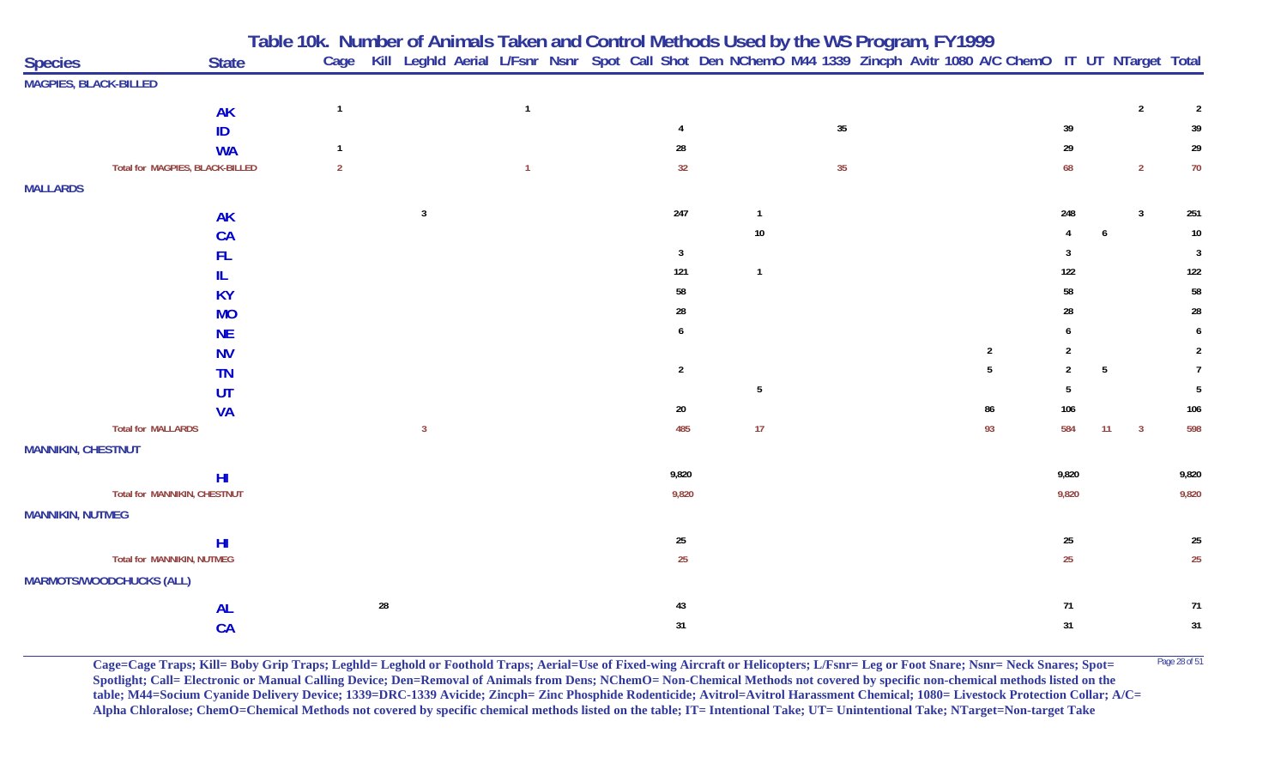| <b>Species</b>                    | <b>State</b>    |                |                | Table 10k. Number of Animals Taken and Control Methods Used by the WS Program, FY1999<br>Cage Kill Leghld Aerial L/Fsnr Nsnr Spot Call Shot Den NChemO M44 1339 Zincph Avitr 1080 A/C ChemO IT UT NTarget Total |  |                  |                 |        |  |              |                |    |                         |                  |
|-----------------------------------|-----------------|----------------|----------------|-----------------------------------------------------------------------------------------------------------------------------------------------------------------------------------------------------------------|--|------------------|-----------------|--------|--|--------------|----------------|----|-------------------------|------------------|
| <b>MAGPIES, BLACK-BILLED</b>      |                 |                |                |                                                                                                                                                                                                                 |  |                  |                 |        |  |              |                |    |                         |                  |
|                                   | <b>AK</b>       | $\overline{1}$ |                | $\overline{1}$                                                                                                                                                                                                  |  |                  |                 |        |  |              |                |    | $\overline{2}$          | $\overline{2}$   |
|                                   | ID              |                |                |                                                                                                                                                                                                                 |  |                  |                 | $35\,$ |  |              | 39             |    |                         | 39               |
|                                   | <b>WA</b>       |                |                |                                                                                                                                                                                                                 |  | 28               |                 |        |  |              | 29             |    |                         | 29               |
| Total for MAGPIES, BLACK-BILLED   |                 | $\overline{2}$ |                | $\mathbf{1}$                                                                                                                                                                                                    |  | 32               |                 | 35     |  |              | 68             |    | $\overline{2}$          | $70\,$           |
| <b>MALLARDS</b>                   |                 |                |                |                                                                                                                                                                                                                 |  |                  |                 |        |  |              |                |    |                         |                  |
|                                   | <b>AK</b>       |                | $\mathbf{3}$   |                                                                                                                                                                                                                 |  | 247              | $\mathbf{1}$    |        |  |              | 248            |    | $\mathbf{3}$            | 251              |
|                                   | <b>CA</b>       |                |                |                                                                                                                                                                                                                 |  |                  | 10              |        |  |              |                | 6  |                         | $10\,$           |
|                                   | <b>FL</b>       |                |                |                                                                                                                                                                                                                 |  | $\overline{3}$   |                 |        |  |              | 3              |    |                         | $\overline{3}$   |
|                                   | IL.             |                |                |                                                                                                                                                                                                                 |  | 121              | $\mathbf{1}$    |        |  |              | 122            |    |                         | 122              |
|                                   | <b>KY</b>       |                |                |                                                                                                                                                                                                                 |  | 58               |                 |        |  |              | 58             |    |                         | ${\bf 58}$       |
|                                   | <b>MO</b>       |                |                |                                                                                                                                                                                                                 |  | 28               |                 |        |  |              | 28             |    |                         | ${\bf 28}$       |
|                                   | <b>NE</b>       |                |                |                                                                                                                                                                                                                 |  | 6                |                 |        |  |              | 6              |    |                         | 6                |
|                                   | <b>NV</b>       |                |                |                                                                                                                                                                                                                 |  |                  |                 |        |  | $\mathbf{2}$ | $\overline{2}$ |    |                         | 2                |
|                                   | <b>TN</b>       |                |                |                                                                                                                                                                                                                 |  | $\overline{2}$   |                 |        |  | 5            | $\overline{2}$ | 5  |                         | $\overline{7}$   |
|                                   | UT              |                |                |                                                                                                                                                                                                                 |  |                  | $5\phantom{.0}$ |        |  |              | 5              |    |                         | 5                |
|                                   | <b>VA</b>       |                |                |                                                                                                                                                                                                                 |  | $20\,$           |                 |        |  | 86           | 106            |    |                         | 106              |
| <b>Total for MALLARDS</b>         |                 |                | $\overline{3}$ |                                                                                                                                                                                                                 |  | 485              | 17              |        |  | 93           | 584            | 11 | $\overline{\mathbf{3}}$ | 598              |
| <b>MANNIKIN, CHESTNUT</b>         |                 |                |                |                                                                                                                                                                                                                 |  |                  |                 |        |  |              |                |    |                         |                  |
|                                   | H <sub>II</sub> |                |                |                                                                                                                                                                                                                 |  | 9,820            |                 |        |  |              | 9,820          |    |                         | 9,820            |
| Total for MANNIKIN, CHESTNUT      |                 |                |                |                                                                                                                                                                                                                 |  | 9,820            |                 |        |  |              | 9,820          |    |                         | 9,820            |
| <b>MANNIKIN, NUTMEG</b>           |                 |                |                |                                                                                                                                                                                                                 |  |                  |                 |        |  |              |                |    |                         |                  |
|                                   | H <sub>l</sub>  |                |                |                                                                                                                                                                                                                 |  | $25\phantom{.0}$ |                 |        |  |              | $25\,$         |    |                         | $25\,$           |
| <b>Total for MANNIKIN, NUTMEG</b> |                 |                |                |                                                                                                                                                                                                                 |  | 25               |                 |        |  |              | 25             |    |                         | $25\phantom{.0}$ |
| <b>MARMOTS/WOODCHUCKS (ALL)</b>   |                 |                |                |                                                                                                                                                                                                                 |  |                  |                 |        |  |              |                |    |                         |                  |
|                                   | <b>AL</b>       |                | ${\bf 28}$     |                                                                                                                                                                                                                 |  | 43               |                 |        |  |              | 71             |    |                         | 71               |
|                                   | CA              |                |                |                                                                                                                                                                                                                 |  | 31               |                 |        |  |              | 31             |    |                         | 31               |

**Cage=Cage Traps; Kill= Boby Grip Traps; Leghld= Leghold or Foothold Traps; Aerial=Use of Fixed-wing Aircraft or Helicopters; L/Fsnr= Leg or Foot Snare; Nsnr= Neck Snares; Spot=** <sup>Page 28 of 51</sup> **Spotlight; Call= Electronic or Manual Calling Device; Den=Removal of Animals from Dens; NChemO= Non-Chemical Methods not covered by specific non-chemical methods listed on the table; M44=Socium Cyanide Delivery Device; 1339=DRC-1339 Avicide; Zincph= Zinc Phosphide Rodenticide; Avitrol=Avitrol Harassment Chemical; 1080= Livestock Protection Collar; A/C= Alpha Chloralose; ChemO=Chemical Methods not covered by specific chemical methods listed on the table; IT= Intentional Take; UT= Unintentional Take; NTarget=Non-target Take**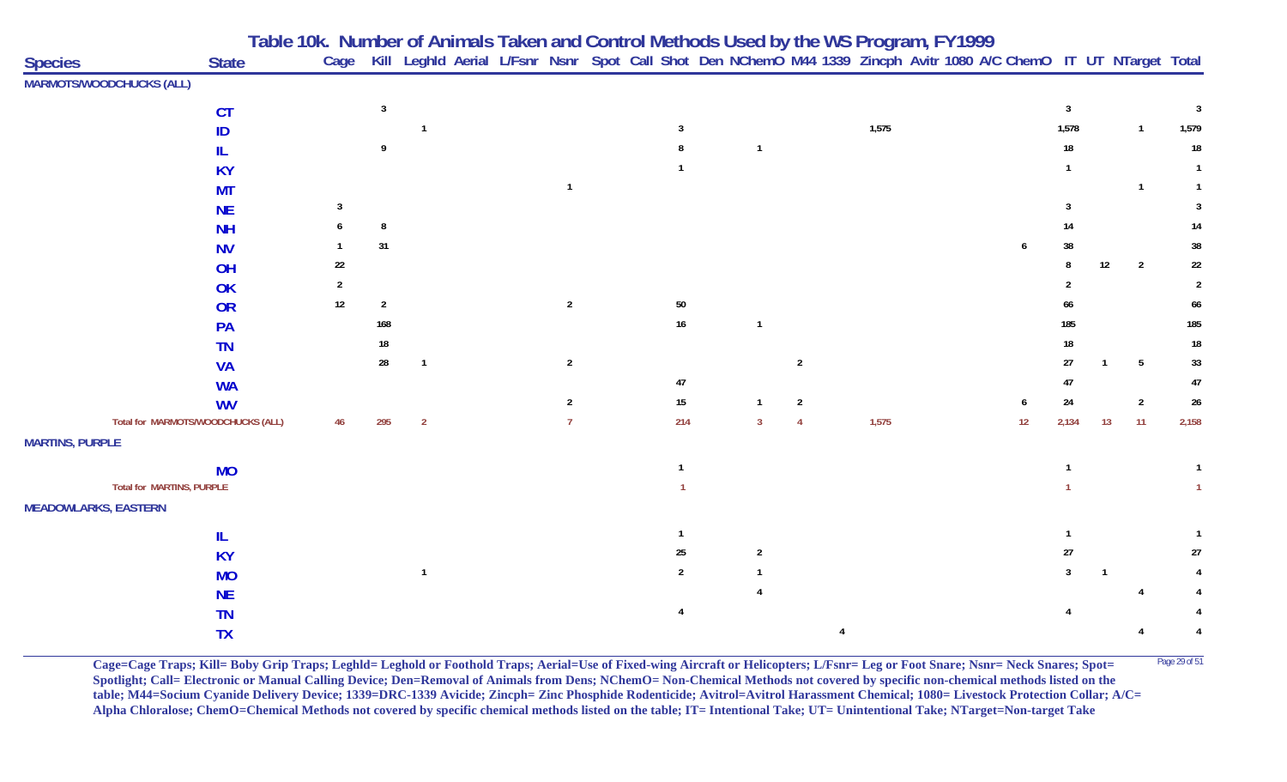| <b>Species</b>                  | <b>State</b>                       |                |                |                |                |                |                |                | Table 10k. Number of Animals Taken and Control Methods Used by the WS Program, FY1999<br>Cage Kill Leghld Aerial L/Fsnr Nsnr Spot Call Shot Den NChemO M44 1339 Zincph Avitr 1080 A/C ChemO IT UT NTarget Total |    |                |              |                |                |
|---------------------------------|------------------------------------|----------------|----------------|----------------|----------------|----------------|----------------|----------------|-----------------------------------------------------------------------------------------------------------------------------------------------------------------------------------------------------------------|----|----------------|--------------|----------------|----------------|
| <b>MARMOTS/WOODCHUCKS (ALL)</b> |                                    |                |                |                |                |                |                |                |                                                                                                                                                                                                                 |    |                |              |                |                |
|                                 | <b>CT</b>                          |                | $\overline{3}$ |                |                |                |                |                |                                                                                                                                                                                                                 |    | $\overline{3}$ |              |                | 3              |
|                                 | ID                                 |                |                |                |                | -3             |                |                | 1,575                                                                                                                                                                                                           |    | 1,578          |              | $\mathbf{1}$   | 1,579          |
|                                 |                                    |                |                |                |                |                | $\overline{1}$ |                |                                                                                                                                                                                                                 |    | 18             |              |                | $18\,$         |
|                                 | <b>KY</b>                          |                |                |                |                |                |                |                |                                                                                                                                                                                                                 |    |                |              |                |                |
|                                 | <b>MT</b>                          |                |                |                |                |                |                |                |                                                                                                                                                                                                                 |    |                |              | $\mathbf{1}$   |                |
|                                 | <b>NE</b>                          |                |                |                |                |                |                |                |                                                                                                                                                                                                                 |    |                |              |                | -3             |
|                                 | <b>NH</b>                          |                |                |                |                |                |                |                |                                                                                                                                                                                                                 |    | 14             |              |                | 14             |
|                                 | <b>NV</b>                          |                | 31             |                |                |                |                |                |                                                                                                                                                                                                                 |    | 38             |              |                | 38             |
|                                 | OH                                 | $22\,$         |                |                |                |                |                |                |                                                                                                                                                                                                                 |    |                | 12           | $\overline{2}$ | $22\,$         |
|                                 | OK                                 | $\overline{2}$ |                |                |                |                |                |                |                                                                                                                                                                                                                 |    |                |              |                | $\overline{2}$ |
|                                 | OR                                 | $12\,$         | $\overline{2}$ |                | $\overline{2}$ | $50\,$         |                |                |                                                                                                                                                                                                                 |    | 66             |              |                | 66             |
|                                 | PA                                 |                | 168            |                |                | $16\,$         | $\overline{1}$ |                |                                                                                                                                                                                                                 |    | 185            |              |                | 185            |
|                                 | <b>TN</b>                          |                | 18             |                |                |                |                |                |                                                                                                                                                                                                                 |    | 18             |              |                | $18\,$         |
|                                 | <b>VA</b>                          |                | 28             | $\overline{1}$ | $\overline{2}$ |                |                | $\overline{2}$ |                                                                                                                                                                                                                 |    | 27             | $\mathbf{1}$ | 5              | 33             |
|                                 | <b>WA</b>                          |                |                |                |                | 47             |                |                |                                                                                                                                                                                                                 |    | 47             |              |                | $47\,$         |
|                                 | <b>WV</b>                          |                |                |                | -2             | 15             | $\mathbf{1}$   | $\overline{2}$ |                                                                                                                                                                                                                 | 6  | 24             |              | $\overline{2}$ | 26             |
|                                 | Total for MARMOTS/WOODCHUCKS (ALL) | 46             | 295            | $\overline{2}$ |                | 214            | $\overline{3}$ | $\overline{4}$ | 1,575                                                                                                                                                                                                           | 12 | 2,134          | 13           | 11             | 2,158          |
| <b>MARTINS, PURPLE</b>          |                                    |                |                |                |                |                |                |                |                                                                                                                                                                                                                 |    |                |              |                |                |
|                                 | <b>MO</b>                          |                |                |                |                |                |                |                |                                                                                                                                                                                                                 |    |                |              |                |                |
|                                 | <b>Total for MARTINS, PURPLE</b>   |                |                |                |                |                |                |                |                                                                                                                                                                                                                 |    |                |              |                |                |
| <b>MEADOWLARKS, EASTERN</b>     |                                    |                |                |                |                |                |                |                |                                                                                                                                                                                                                 |    |                |              |                |                |
|                                 | IL                                 |                |                |                |                |                |                |                |                                                                                                                                                                                                                 |    |                |              |                |                |
|                                 | <b>KY</b>                          |                |                |                |                | 25             | $\overline{2}$ |                |                                                                                                                                                                                                                 |    | $27\,$         |              |                | 27             |
|                                 | <b>MO</b>                          |                |                |                |                | $\overline{2}$ |                |                |                                                                                                                                                                                                                 |    |                | -1           |                |                |
|                                 | <b>NE</b>                          |                |                |                |                |                |                |                |                                                                                                                                                                                                                 |    |                |              |                |                |
|                                 | <b>TN</b>                          |                |                |                |                | 4              |                |                |                                                                                                                                                                                                                 |    |                |              |                |                |
|                                 | <b>TX</b>                          |                |                |                |                |                |                |                |                                                                                                                                                                                                                 |    |                |              |                |                |

**Cage=Cage Traps; Kill= Boby Grip Traps; Leghld= Leghold or Foothold Traps; Aerial=Use of Fixed-wing Aircraft or Helicopters; L/Fsnr= Leg or Foot Snare; Nsnr= Neck Snares; Spot=** <sup>Page 29 of 51</sup> **Spotlight; Call= Electronic or Manual Calling Device; Den=Removal of Animals from Dens; NChemO= Non-Chemical Methods not covered by specific non-chemical methods listed on the table; M44=Socium Cyanide Delivery Device; 1339=DRC-1339 Avicide; Zincph= Zinc Phosphide Rodenticide; Avitrol=Avitrol Harassment Chemical; 1080= Livestock Protection Collar; A/C= Alpha Chloralose; ChemO=Chemical Methods not covered by specific chemical methods listed on the table; IT= Intentional Take; UT= Unintentional Take; NTarget=Non-target Take**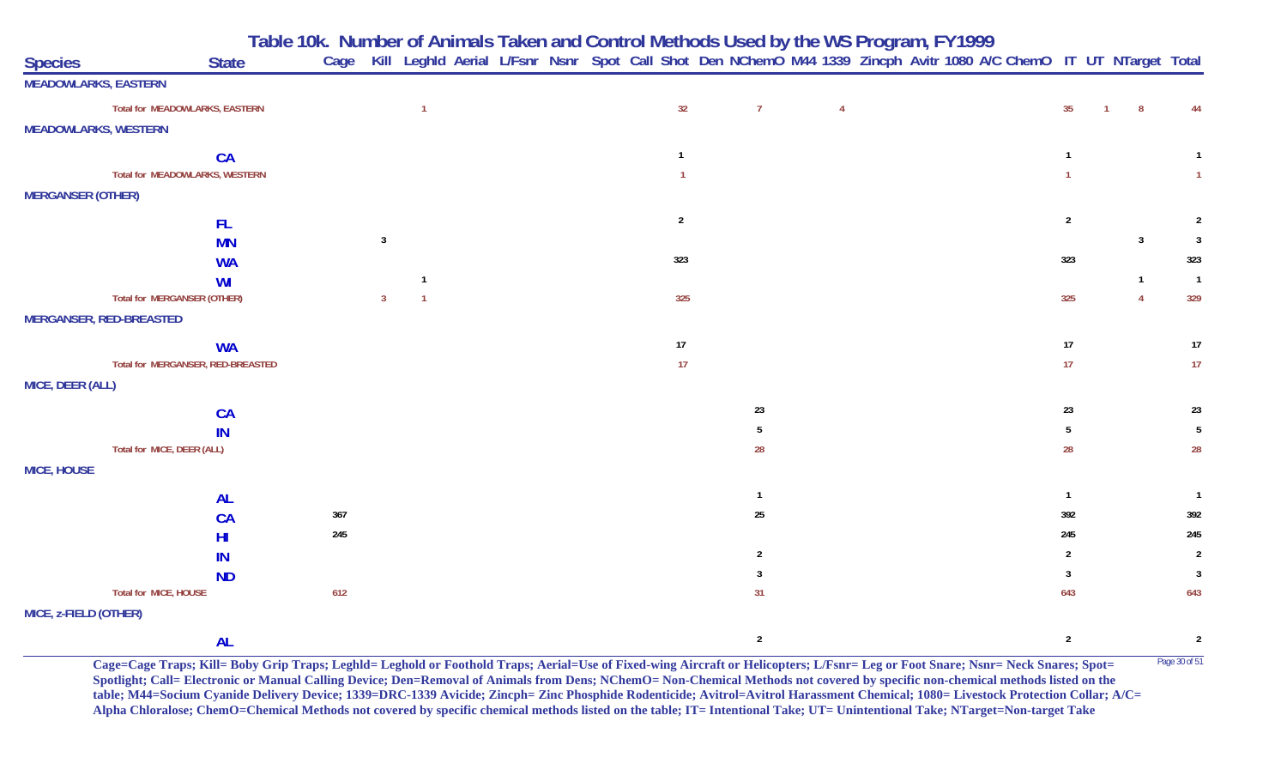**Table 10k. Number of Animals Taken and Control Methods Used by the WS Program, FY 1999**

| <b>Species</b>              | <b>State</b>                       |     |                | Cage Kill Leghld Aerial L/Fsnr Nsnr Spot Call Shot Den NChemO M44 1339 Zincph Avitr 1080 A/C ChemO IT UT NTarget Total |  |                |                |                |  |  |                |                |                         |
|-----------------------------|------------------------------------|-----|----------------|------------------------------------------------------------------------------------------------------------------------|--|----------------|----------------|----------------|--|--|----------------|----------------|-------------------------|
| <b>MEADOWLARKS, EASTERN</b> |                                    |     |                |                                                                                                                        |  |                |                |                |  |  |                |                |                         |
|                             | Total for MEADOWLARKS, EASTERN     |     |                | $\overline{1}$                                                                                                         |  | 32             | $\overline{7}$ | $\overline{4}$ |  |  | 35             | 8              | 44                      |
| <b>MEADOWLARKS, WESTERN</b> |                                    |     |                |                                                                                                                        |  |                |                |                |  |  |                |                |                         |
|                             | <b>CA</b>                          |     |                |                                                                                                                        |  | $\mathbf{1}$   |                |                |  |  |                |                |                         |
|                             | Total for MEADOWLARKS, WESTERN     |     |                |                                                                                                                        |  | $\overline{1}$ |                |                |  |  | $\mathbf{1}$   |                | $\mathbf{1}$            |
| <b>MERGANSER (OTHER)</b>    |                                    |     |                |                                                                                                                        |  |                |                |                |  |  |                |                |                         |
|                             | FL.                                |     |                |                                                                                                                        |  | $\overline{2}$ |                |                |  |  | $\overline{2}$ |                | $\overline{2}$          |
|                             | <b>MN</b>                          |     | $\mathbf{3}$   |                                                                                                                        |  |                |                |                |  |  |                | $\mathbf{3}$   | $\overline{\mathbf{3}}$ |
|                             | <b>WA</b>                          |     |                |                                                                                                                        |  | 323            |                |                |  |  | 323            |                | 323                     |
|                             | WI                                 |     |                |                                                                                                                        |  |                |                |                |  |  |                | $\overline{1}$ | $\overline{1}$          |
|                             | <b>Total for MERGANSER (OTHER)</b> |     | $\overline{3}$ | $\overline{1}$                                                                                                         |  | 325            |                |                |  |  | 325            | $\overline{4}$ | 329                     |
|                             | <b>MERGANSER, RED-BREASTED</b>     |     |                |                                                                                                                        |  |                |                |                |  |  |                |                |                         |
|                             | <b>WA</b>                          |     |                |                                                                                                                        |  | 17             |                |                |  |  | $17\,$         |                | 17                      |
|                             | Total for MERGANSER, RED-BREASTED  |     |                |                                                                                                                        |  | 17             |                |                |  |  | 17             |                | 17                      |
| MICE, DEER (ALL)            |                                    |     |                |                                                                                                                        |  |                |                |                |  |  |                |                |                         |
|                             | CA                                 |     |                |                                                                                                                        |  |                | 23             |                |  |  | 23             |                | 23                      |
|                             | IN                                 |     |                |                                                                                                                        |  |                | 5              |                |  |  | 5              |                | $5\phantom{.0}$         |
|                             | Total for MICE, DEER (ALL)         |     |                |                                                                                                                        |  |                | 28             |                |  |  | 28             |                | ${\bf 28}$              |
| <b>MICE, HOUSE</b>          |                                    |     |                |                                                                                                                        |  |                |                |                |  |  |                |                |                         |
|                             | <b>AL</b>                          |     |                |                                                                                                                        |  |                | - 1            |                |  |  | $\overline{1}$ |                | $\overline{1}$          |
|                             | CA                                 | 367 |                |                                                                                                                        |  |                | 25             |                |  |  | 392            |                | 392                     |
|                             | H <sub>l</sub>                     | 245 |                |                                                                                                                        |  |                |                |                |  |  | 245            |                | 245                     |
|                             | IN                                 |     |                |                                                                                                                        |  |                | $\overline{2}$ |                |  |  | $\overline{2}$ |                | $\overline{2}$          |
|                             | <b>ND</b>                          |     |                |                                                                                                                        |  |                | 3              |                |  |  | $\overline{3}$ |                | $\overline{3}$          |
|                             | Total for MICE, HOUSE              | 612 |                |                                                                                                                        |  |                | 31             |                |  |  | 643            |                | 643                     |
| MICE, z-FIELD (OTHER)       |                                    |     |                |                                                                                                                        |  |                |                |                |  |  |                |                |                         |
|                             | <b>AL</b>                          |     |                |                                                                                                                        |  |                | $\overline{2}$ |                |  |  | $\overline{2}$ |                | $\overline{2}$          |

**Cage=Cage Traps; Kill= Boby Grip Traps; Leghld= Leghold or Foothold Traps; Aerial=Use of Fixed-wing Aircraft or Helicopters; L/Fsnr= Leg or Foot Snare; Nsnr= Neck Snares; Spot=** Page 30 of 51 **Spotlight; Call= Electronic or Manual Calling Device; Den=Removal of Animals from Dens; NChemO= Non-Chemical Methods not covered by specific non-chemical methods listed on the table; M44=Socium Cyanide Delivery Device; 1339=DRC-1339 Avicide; Zincph= Zinc Phosphide Rodenticide; Avitrol=Avitrol Harassment Chemical; 1080= Livestock Protection Collar; A/C= Alpha Chloralose; ChemO=Chemical Methods not covered by specific chemical methods listed on the table; IT= Intentional Take; UT= Unintentional Take; NTarget=Non-target Take**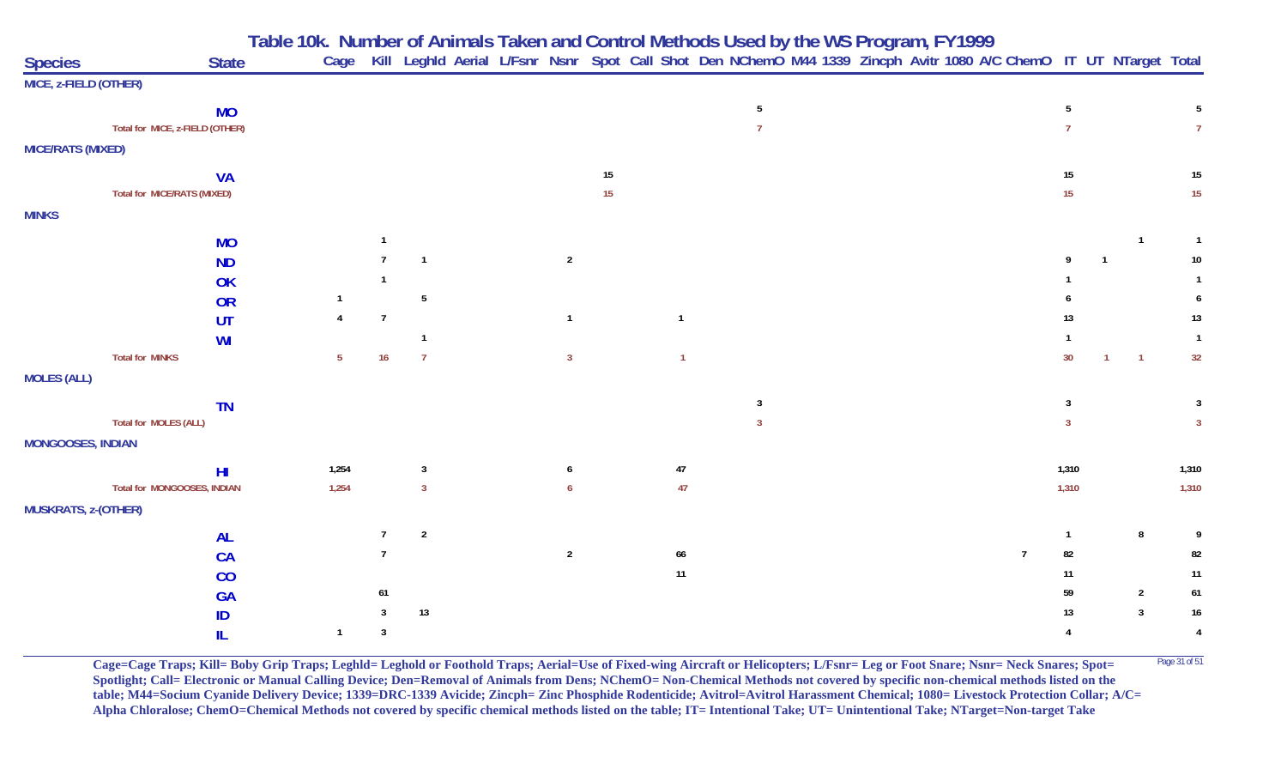| Table 10k. Number of Animals Taken and Control Methods Used by the WS Program, FY1999 |  |
|---------------------------------------------------------------------------------------|--|
|---------------------------------------------------------------------------------------|--|

| <b>Species</b>             |                                 | <b>State</b> | Cage           |                |                         |                |        |                |                |  | Kill Leghld Aerial L/Fsnr Nsnr Spot Call Shot Den NChemO M44 1339 Zincph Avitr 1080 A/C ChemO IT UT NTarget Total |                |                  |                |                |                |
|----------------------------|---------------------------------|--------------|----------------|----------------|-------------------------|----------------|--------|----------------|----------------|--|-------------------------------------------------------------------------------------------------------------------|----------------|------------------|----------------|----------------|----------------|
| MICE, z-FIELD (OTHER)      |                                 |              |                |                |                         |                |        |                |                |  |                                                                                                                   |                |                  |                |                |                |
|                            | <b>MO</b>                       |              |                |                |                         |                |        |                | 5              |  |                                                                                                                   |                | $5\phantom{.0}$  |                |                | 5 <sub>5</sub> |
|                            | Total for MICE, z-FIELD (OTHER) |              |                |                |                         |                |        |                | $\overline{7}$ |  |                                                                                                                   |                | $\overline{7}$   |                |                | 7 <sup>7</sup> |
| <b>MICE/RATS (MIXED)</b>   |                                 |              |                |                |                         |                |        |                |                |  |                                                                                                                   |                |                  |                |                |                |
|                            | <b>VA</b>                       |              |                |                |                         |                | $15\,$ |                |                |  |                                                                                                                   |                | $15\,$           |                |                | 15             |
|                            | Total for MICE/RATS (MIXED)     |              |                |                |                         |                | 15     |                |                |  |                                                                                                                   |                | 15 <sub>15</sub> |                |                | 15             |
| <b>MINKS</b>               |                                 |              |                |                |                         |                |        |                |                |  |                                                                                                                   |                |                  |                |                |                |
|                            | <b>MO</b>                       |              |                | $\overline{1}$ |                         |                |        |                |                |  |                                                                                                                   |                |                  |                | $\overline{1}$ | $\overline{1}$ |
|                            | <b>ND</b>                       |              |                | $\overline{7}$ | $\overline{\mathbf{1}}$ | $\overline{2}$ |        |                |                |  |                                                                                                                   |                | Q                |                |                | 10             |
|                            | OK                              |              |                | $\mathbf 1$    |                         |                |        |                |                |  |                                                                                                                   |                |                  |                |                |                |
|                            | <b>OR</b>                       |              |                |                | 5                       |                |        |                |                |  |                                                                                                                   |                |                  |                |                | 6              |
|                            | <b>UT</b>                       |              | $\overline{4}$ | $\overline{7}$ |                         | $\mathbf{1}$   |        | $\overline{1}$ |                |  |                                                                                                                   |                | 13               |                |                | 13             |
|                            | <b>WI</b>                       |              |                |                | $\overline{1}$          |                |        |                |                |  |                                                                                                                   |                |                  |                |                | $\overline{1}$ |
|                            | <b>Total for MINKS</b>          |              | 5 <sup>5</sup> | 16             | $\overline{7}$          | $\overline{3}$ |        |                |                |  |                                                                                                                   |                | 30 <sup>°</sup>  | $\overline{1}$ | $\overline{1}$ | 32             |
| <b>MOLES (ALL)</b>         |                                 |              |                |                |                         |                |        |                |                |  |                                                                                                                   |                |                  |                |                |                |
|                            | <b>TN</b>                       |              |                |                |                         |                |        |                | 3              |  |                                                                                                                   |                | $\mathbf{3}$     |                |                | 3              |
|                            | Total for MOLES (ALL)           |              |                |                |                         |                |        |                | $\overline{3}$ |  |                                                                                                                   |                | $\overline{3}$   |                |                | $\mathbf{3}$   |
| <b>MONGOOSES, INDIAN</b>   |                                 |              |                |                |                         |                |        |                |                |  |                                                                                                                   |                |                  |                |                |                |
|                            | H <sub>II</sub>                 |              | 1,254          |                | $\overline{3}$          | 6              |        | $47\,$         |                |  |                                                                                                                   |                | 1,310            |                |                | 1,310          |
|                            | Total for MONGOOSES, INDIAN     |              | 1,254          |                | $\overline{3}$          | $\sqrt{6}$     |        | 47             |                |  |                                                                                                                   |                | 1,310            |                |                | 1,310          |
| <b>MUSKRATS, z-(OTHER)</b> |                                 |              |                |                |                         |                |        |                |                |  |                                                                                                                   |                |                  |                |                |                |
|                            | <b>AL</b>                       |              |                | $\overline{7}$ | $\overline{2}$          |                |        |                |                |  |                                                                                                                   |                | $\mathbf{1}$     |                | 8              | 9              |
|                            | <b>CA</b>                       |              |                | $\overline{7}$ |                         | $\sqrt{2}$     |        | 66             |                |  |                                                                                                                   | $\overline{7}$ | 82               |                |                | 82             |
|                            | CO                              |              |                |                |                         |                |        | $11$           |                |  |                                                                                                                   |                | 11               |                |                | 11             |
|                            | <b>GA</b>                       |              |                | $61\,$         |                         |                |        |                |                |  |                                                                                                                   |                | 59               |                | $\overline{2}$ | 61             |
|                            | ID                              |              |                | $\mathbf{3}$   | $13$                    |                |        |                |                |  |                                                                                                                   |                | 13               |                | $\overline{3}$ | 16             |
|                            | IL.                             |              | $\overline{1}$ | $\overline{3}$ |                         |                |        |                |                |  |                                                                                                                   |                | $\overline{4}$   |                |                | $\overline{4}$ |

**Cage=Cage Traps; Kill= Boby Grip Traps; Leghld= Leghold or Foothold Traps; Aerial=Use of Fixed-wing Aircraft or Helicopters; L/Fsnr= Leg or Foot Snare; Nsnr= Neck Snares; Spot=** Page 31 of 51 **Spotlight; Call= Electronic or Manual Calling Device; Den=Removal of Animals from Dens; NChemO= Non-Chemical Methods not covered by specific non-chemical methods listed on the table; M44=Socium Cyanide Delivery Device; 1339=DRC-1339 Avicide; Zincph= Zinc Phosphide Rodenticide; Avitrol=Avitrol Harassment Chemical; 1080= Livestock Protection Collar; A/C= Alpha Chloralose; ChemO=Chemical Methods not covered by specific chemical methods listed on the table; IT= Intentional Take; UT= Unintentional Take; NTarget=Non-target Take**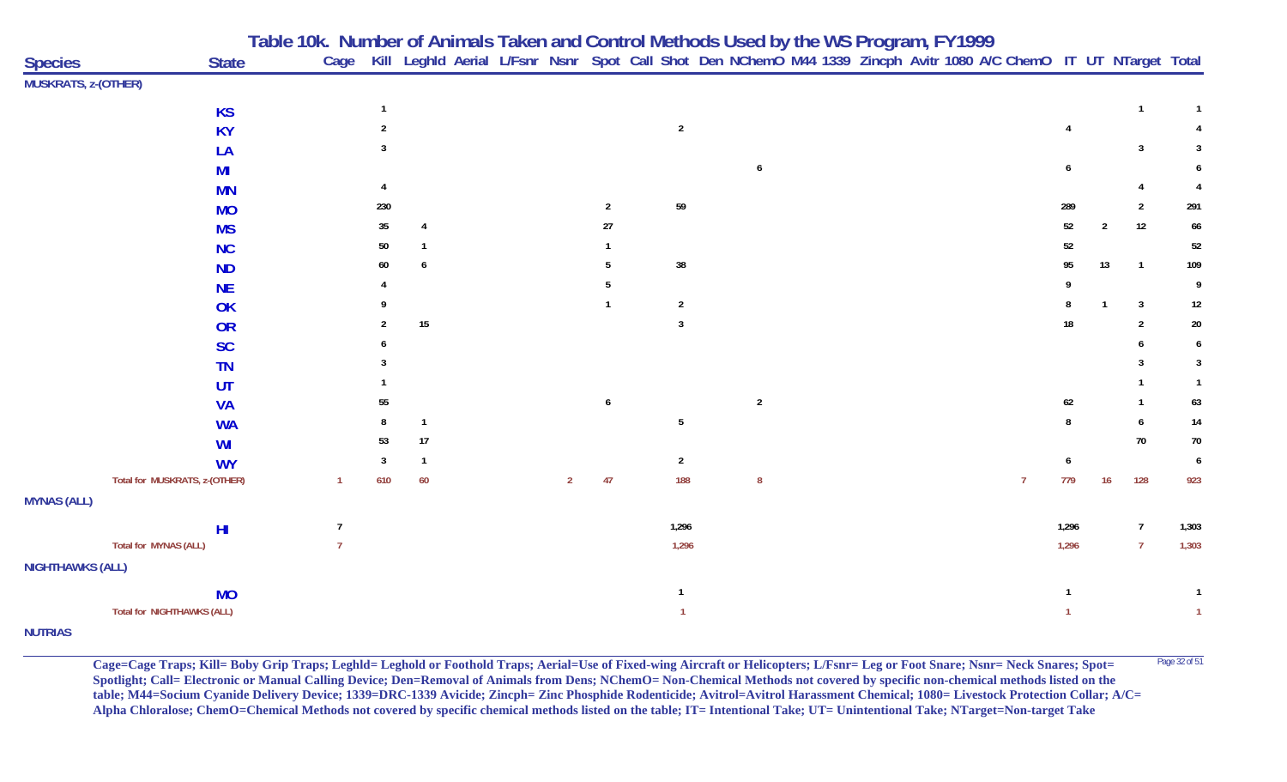|                         |                                   | Table 10k. Number of Animals Taken and Control Methods Used by the WS Program, FY1999 |                |                |                |                |                                                                                                                        |  |                |        |                |                |                |
|-------------------------|-----------------------------------|---------------------------------------------------------------------------------------|----------------|----------------|----------------|----------------|------------------------------------------------------------------------------------------------------------------------|--|----------------|--------|----------------|----------------|----------------|
| <b>Species</b>          | <b>State</b>                      |                                                                                       |                |                |                |                | Cage Kill Leghld Aerial L/Fsnr Nsnr Spot Call Shot Den NChemO M44 1339 Zincph Avitr 1080 A/C ChemO IT UT NTarget Total |  |                |        |                |                |                |
| MUSKRATS, z-(OTHER)     |                                   |                                                                                       |                |                |                |                |                                                                                                                        |  |                |        |                |                |                |
|                         | <b>KS</b>                         |                                                                                       |                |                |                |                |                                                                                                                        |  |                |        |                | $\mathbf{1}$   |                |
|                         | <b>KY</b>                         |                                                                                       |                |                |                | $\overline{2}$ |                                                                                                                        |  |                |        |                |                |                |
|                         | LA                                |                                                                                       |                |                |                |                |                                                                                                                        |  |                |        |                | 3              | 3              |
|                         | MI                                |                                                                                       |                |                |                |                | 6                                                                                                                      |  |                |        |                |                |                |
|                         | <b>MN</b>                         |                                                                                       |                |                |                |                |                                                                                                                        |  |                |        |                |                |                |
|                         | <b>MO</b>                         | 230                                                                                   |                |                | $\overline{2}$ | $59\,$         |                                                                                                                        |  |                | 289    |                | $\overline{2}$ | 291            |
|                         | <b>MS</b>                         | 35                                                                                    |                |                | 27             |                |                                                                                                                        |  |                | $52\,$ | $\overline{2}$ | 12             | 66             |
|                         | <b>NC</b>                         | 50                                                                                    |                |                |                |                |                                                                                                                        |  |                | 52     |                |                | 52             |
|                         | <b>ND</b>                         | 60                                                                                    | 6              |                |                | $38\,$         |                                                                                                                        |  |                | 95     | 13             | $\overline{1}$ | 109            |
|                         | <b>NE</b>                         |                                                                                       |                |                |                |                |                                                                                                                        |  |                |        |                |                | 9              |
|                         | OK                                |                                                                                       |                |                |                | $\overline{2}$ |                                                                                                                        |  |                |        | $\mathbf{1}$   | $\mathbf{3}$   | 12             |
|                         | OR                                |                                                                                       | $15\,$         |                |                | $\overline{3}$ |                                                                                                                        |  |                | 18     |                | $\overline{2}$ | $20\,$         |
|                         | <b>SC</b>                         |                                                                                       |                |                |                |                |                                                                                                                        |  |                |        |                |                | 6              |
|                         | <b>TN</b>                         |                                                                                       |                |                |                |                |                                                                                                                        |  |                |        |                | 3              | 3              |
|                         | UT                                |                                                                                       |                |                |                |                |                                                                                                                        |  |                |        |                |                | $\mathbf{1}$   |
|                         | <b>VA</b>                         | 55                                                                                    |                |                | 6              |                | $\sqrt{2}$                                                                                                             |  |                | $62\,$ |                | -1             | 63             |
|                         | <b>WA</b>                         |                                                                                       | $\overline{1}$ |                |                | 5              |                                                                                                                        |  |                |        |                | 6              | 14             |
|                         | WI                                | 53                                                                                    | $17$           |                |                |                |                                                                                                                        |  |                |        |                | 70             | $70\,$         |
|                         | <b>WY</b>                         | 3                                                                                     | $\overline{1}$ |                |                | $\overline{2}$ |                                                                                                                        |  |                |        |                |                | 6              |
|                         | Total for MUSKRATS, z-(OTHER)     | 610<br>1                                                                              | 60             | $\overline{2}$ | 47             | 188            | $\boldsymbol{8}$                                                                                                       |  | $\overline{7}$ | 779    | 16             | 128            | 923            |
| <b>MYNAS (ALL)</b>      |                                   |                                                                                       |                |                |                |                |                                                                                                                        |  |                |        |                |                |                |
|                         | H <sub>II</sub>                   | $\overline{7}$                                                                        |                |                |                | 1,296          |                                                                                                                        |  |                | 1,296  |                | $\overline{7}$ | 1,303          |
|                         | <b>Total for MYNAS (ALL)</b>      | $\overline{7}$                                                                        |                |                |                | 1,296          |                                                                                                                        |  |                | 1,296  |                | $\overline{7}$ | 1,303          |
| <b>NIGHTHAWKS (ALL)</b> |                                   |                                                                                       |                |                |                |                |                                                                                                                        |  |                |        |                |                |                |
|                         | <b>MO</b>                         |                                                                                       |                |                |                | $\mathbf{1}$   |                                                                                                                        |  |                |        |                |                |                |
|                         | <b>Total for NIGHTHAWKS (ALL)</b> |                                                                                       |                |                |                |                |                                                                                                                        |  |                |        |                |                | $\overline{1}$ |
| <b>NUTRIAS</b>          |                                   |                                                                                       |                |                |                |                |                                                                                                                        |  |                |        |                |                |                |

Cage=Cage Traps; Kill= Boby Grip Traps; Leghld= Leghold or Foothold Traps; Aerial=Use of Fixed-wing Aircraft or Helicopters; L/Fsnr= Leg or Foot Snare; Nsnr= Neck Snares; Spot= <sup>Page 32 of 51</sup> **Spotlight; Call= Electronic or Manual Calling Device; Den=Removal of Animals from Dens; NChemO= Non-Chemical Methods not covered by specific non-chemical methods listed on the table; M44=Socium Cyanide Delivery Device; 1339=DRC-1339 Avicide; Zincph= Zinc Phosphide Rodenticide; Avitrol=Avitrol Harassment Chemical; 1080= Livestock Protection Collar; A/C= Alpha Chloralose; ChemO=Chemical Methods not covered by specific chemical methods listed on the table; IT= Intentional Take; UT= Unintentional Take; NTarget=Non-target Take**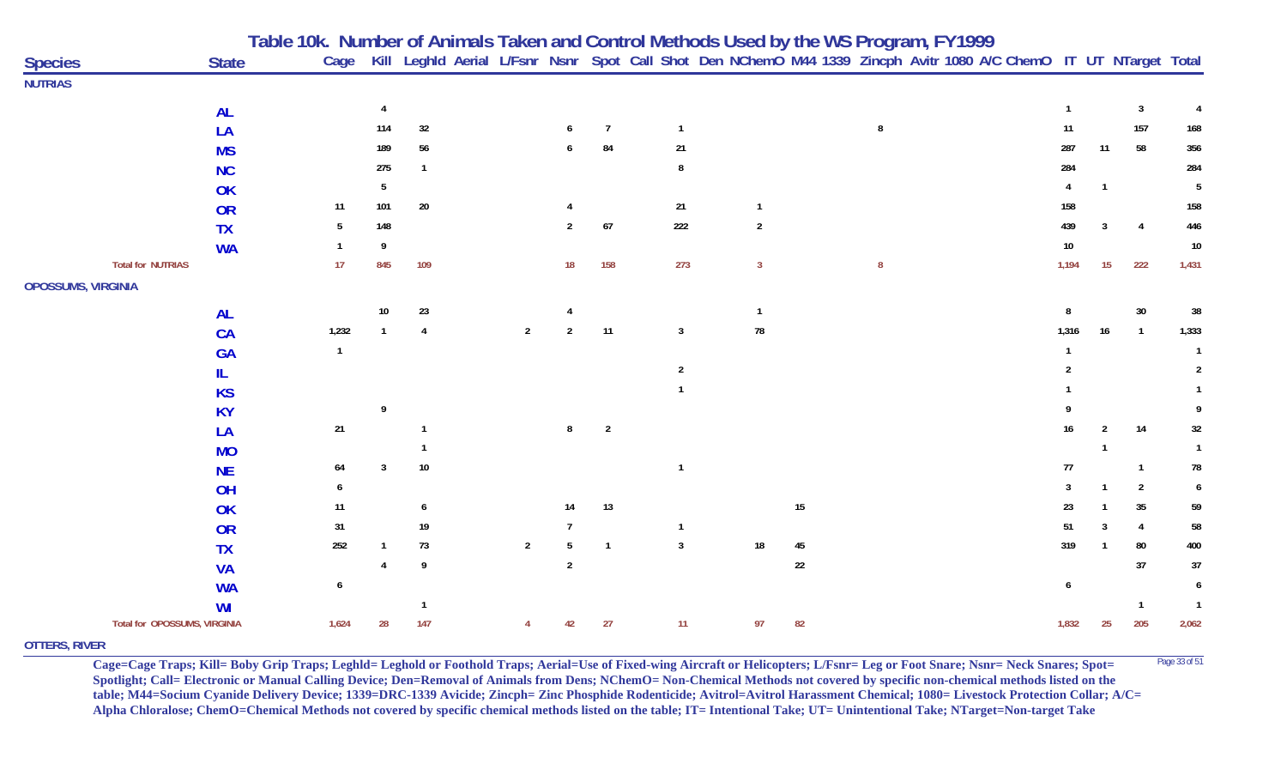|                              |              | Table 10k.  Number of Animals Taken and Control Methods Used by the WS Program, FY1999 |                 |              |                |                |                |                |                |        |   |                                                                                                                        |                |                  |                |                |
|------------------------------|--------------|----------------------------------------------------------------------------------------|-----------------|--------------|----------------|----------------|----------------|----------------|----------------|--------|---|------------------------------------------------------------------------------------------------------------------------|----------------|------------------|----------------|----------------|
| <b>Species</b>               | <b>State</b> |                                                                                        |                 |              |                |                |                |                |                |        |   | Cage Kill Leghld Aerial L/Fsnr Nsnr Spot Call Shot Den NChemO M44 1339 Zincph Avitr 1080 A/C ChemO IT UT NTarget Total |                |                  |                |                |
| <b>NUTRIAS</b>               |              |                                                                                        |                 |              |                |                |                |                |                |        |   |                                                                                                                        |                |                  |                |                |
|                              | <b>AL</b>    |                                                                                        | 4               |              |                |                |                |                |                |        |   |                                                                                                                        | $\overline{1}$ |                  | $\mathbf{3}$   |                |
|                              | LA           |                                                                                        | 114             | 32           |                | 6              | $\overline{7}$ | $\mathbf{1}$   |                |        | 8 |                                                                                                                        | 11             |                  | 157            | 168            |
|                              | <b>MS</b>    |                                                                                        | 189             | 56           |                |                | 84             | 21             |                |        |   |                                                                                                                        | 287            | 11               | 58             | 356            |
|                              | <b>NC</b>    |                                                                                        | 275             |              |                |                |                | $\mathbf{g}$   |                |        |   |                                                                                                                        | 284            |                  |                | 284            |
|                              | OK           |                                                                                        | 5               |              |                |                |                |                |                |        |   |                                                                                                                        |                | $\mathbf{1}$     |                | 5              |
|                              | <b>OR</b>    | 11                                                                                     | 101             | $20\,$       |                |                |                | 21             |                |        |   |                                                                                                                        | 158            |                  |                | 158            |
|                              | <b>TX</b>    | 5                                                                                      | 148             |              |                | $\overline{2}$ | $67\,$         | 222            | $\overline{2}$ |        |   |                                                                                                                        | 439            | 3                | $\overline{A}$ | 446            |
|                              | <b>WA</b>    |                                                                                        |                 |              |                |                |                |                |                |        |   |                                                                                                                        | $10\,$         |                  |                | $10\,$         |
| <b>Total for NUTRIAS</b>     |              | 17                                                                                     | 845             | 109          |                | 18             | 158            | 273            | $\overline{3}$ |        | 8 |                                                                                                                        | 1,194          | 15 <sub>15</sub> | 222            | 1,431          |
| <b>OPOSSUMS, VIRGINIA</b>    |              |                                                                                        |                 |              |                |                |                |                |                |        |   |                                                                                                                        |                |                  |                |                |
|                              | <b>AL</b>    |                                                                                        | 10 <sup>°</sup> | 23           |                |                |                |                | $\mathbf{1}$   |        |   |                                                                                                                        |                |                  | 30             | 38             |
|                              | CA           | 1,232                                                                                  |                 |              | $\overline{2}$ | $\overline{2}$ | 11             | $\overline{3}$ | ${\bf 78}$     |        |   |                                                                                                                        | 1,316          | 16               | $\overline{1}$ | 1,333          |
|                              | <b>GA</b>    | $\mathbf{1}$                                                                           |                 |              |                |                |                |                |                |        |   |                                                                                                                        |                |                  |                |                |
|                              | IL.          |                                                                                        |                 |              |                |                |                | $\overline{2}$ |                |        |   |                                                                                                                        |                |                  |                | 2              |
|                              | <b>KS</b>    |                                                                                        |                 |              |                |                |                |                |                |        |   |                                                                                                                        |                |                  |                |                |
|                              | <b>KY</b>    |                                                                                        | 9               |              |                |                |                |                |                |        |   |                                                                                                                        |                |                  |                | 9              |
|                              | LA           | $21\,$                                                                                 |                 |              |                | 8              | $\overline{2}$ |                |                |        |   |                                                                                                                        | 16             |                  | 14             | 32             |
|                              | <b>MO</b>    |                                                                                        |                 |              |                |                |                |                |                |        |   |                                                                                                                        |                |                  |                |                |
|                              | <b>NE</b>    | 64                                                                                     | 3               | 10           |                |                |                |                |                |        |   |                                                                                                                        | 77             |                  | $\mathbf{1}$   | 78             |
|                              | OH           | 6                                                                                      |                 |              |                |                |                |                |                |        |   |                                                                                                                        | 3              |                  | $\overline{2}$ | 6              |
|                              | OK           | $11$                                                                                   |                 | 6            |                | 14             | 13             |                |                | $15\,$ |   |                                                                                                                        | 23             |                  | 35             | 59             |
|                              | <b>OR</b>    | 31                                                                                     |                 | 19           |                | $\mathbf{7}$   |                | -1             |                |        |   |                                                                                                                        | 51             |                  | 4              | 58             |
|                              | <b>TX</b>    | 252                                                                                    |                 | 73           | $\overline{2}$ | 5              | $\overline{1}$ | $\overline{3}$ | 18             | $45\,$ |   |                                                                                                                        | 319            |                  | 80             | 400            |
|                              | <b>VA</b>    |                                                                                        |                 |              |                | $\overline{2}$ |                |                |                | $22\,$ |   |                                                                                                                        |                |                  | 37             | $37\,$         |
|                              | <b>WA</b>    | 6                                                                                      |                 |              |                |                |                |                |                |        |   |                                                                                                                        | 6              |                  |                | 6              |
|                              | WI           |                                                                                        |                 | $\mathbf{1}$ |                |                |                |                |                |        |   |                                                                                                                        |                |                  | -1             | $\overline{1}$ |
| Total for OPOSSUMS, VIRGINIA |              | 1,624                                                                                  | 28              | 147          |                | 42             | 27             | 11             | 97             | 82     |   |                                                                                                                        | 1,832          | 25               | 205            | 2,062          |
| _______                      |              |                                                                                        |                 |              |                |                |                |                |                |        |   |                                                                                                                        |                |                  |                |                |

## **OTTERS, RIVER**

**Cage=Cage Traps; Kill= Boby Grip Traps; Leghld= Leghold or Foothold Traps; Aerial=Use of Fixed-wing Aircraft or Helicopters; L/Fsnr= Leg or Foot Snare; Nsnr= Neck Snares; Spot=** <sup>Page 33 of 51</sup> **Spotlight; Call= Electronic or Manual Calling Device; Den=Removal of Animals from Dens; NChemO= Non-Chemical Methods not covered by specific non-chemical methods listed on the table; M44=Socium Cyanide Delivery Device; 1339=DRC-1339 Avicide; Zincph= Zinc Phosphide Rodenticide; Avitrol=Avitrol Harassment Chemical; 1080= Livestock Protection Collar; A/C= Alpha Chloralose; ChemO=Chemical Methods not covered by specific chemical methods listed on the table; IT= Intentional Take; UT= Unintentional Take; NTarget=Non-target Take**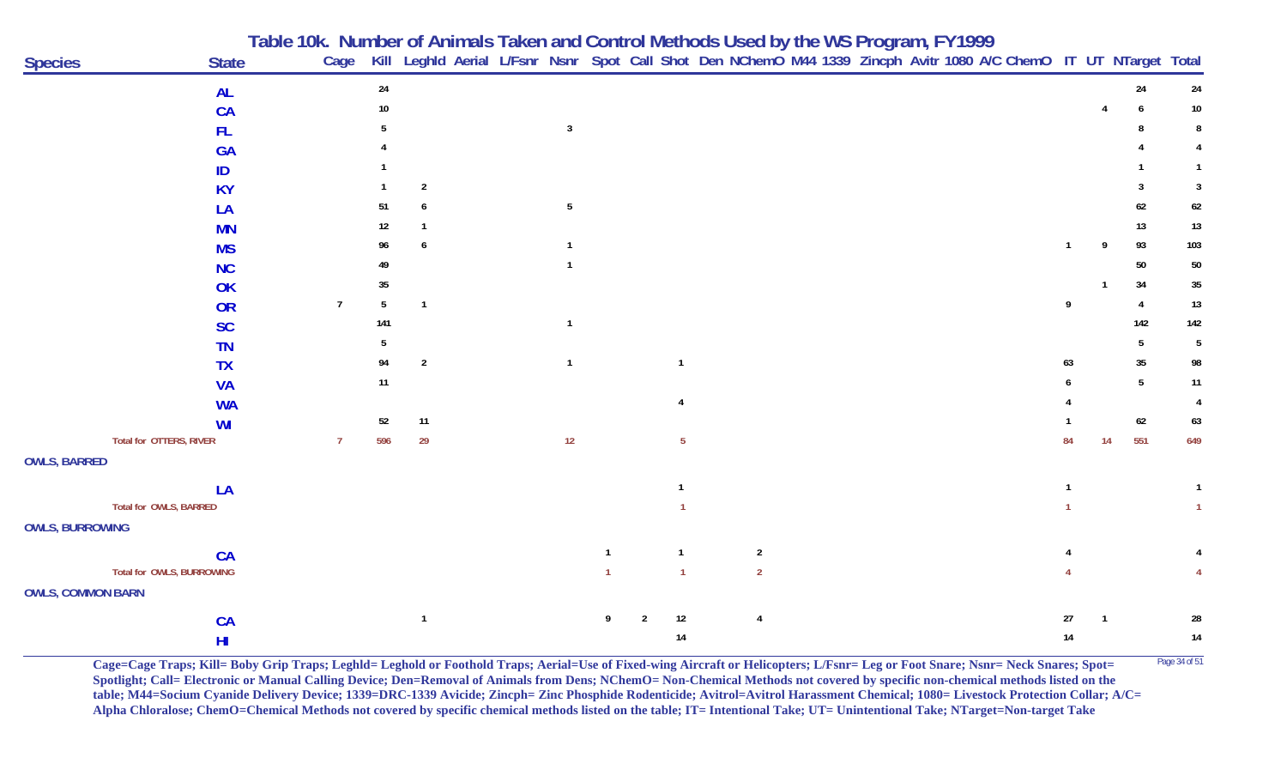|                          |                           | Table 10k. Number of Animals Taken and Control Methods Used by the WS Program, FY1999<br>Cage Kill Leghld Aerial L/Fsnr Nsnr Spot Call Shot Den NChemO M44 1339 Zincph Avitr 1080 A/C ChemO IT UT NTarget Total |                 |                |                 |                |                |                |                |  |  |              |    |                |                 |                 |
|--------------------------|---------------------------|-----------------------------------------------------------------------------------------------------------------------------------------------------------------------------------------------------------------|-----------------|----------------|-----------------|----------------|----------------|----------------|----------------|--|--|--------------|----|----------------|-----------------|-----------------|
| <b>Species</b>           | <b>State</b>              |                                                                                                                                                                                                                 |                 |                |                 |                |                |                |                |  |  |              |    |                |                 |                 |
|                          | <b>AL</b>                 |                                                                                                                                                                                                                 | $24\,$          |                |                 |                |                |                |                |  |  |              |    |                | 24              | $24\,$          |
|                          | CA                        |                                                                                                                                                                                                                 | 10 <sup>°</sup> |                |                 |                |                |                |                |  |  |              |    |                |                 | $10\,$          |
|                          | <b>FL</b>                 |                                                                                                                                                                                                                 |                 |                | $\overline{3}$  |                |                |                |                |  |  |              |    |                |                 | 8               |
|                          | <b>GA</b>                 |                                                                                                                                                                                                                 |                 |                |                 |                |                |                |                |  |  |              |    |                |                 |                 |
|                          | ID                        |                                                                                                                                                                                                                 |                 |                |                 |                |                |                |                |  |  |              |    |                |                 |                 |
|                          | <b>KY</b>                 |                                                                                                                                                                                                                 |                 | $\overline{2}$ |                 |                |                |                |                |  |  |              |    |                |                 | 3               |
|                          | LA                        |                                                                                                                                                                                                                 | 51              |                | $5\phantom{.0}$ |                |                |                |                |  |  |              |    |                | 62              | $62\,$          |
|                          | <b>MN</b>                 |                                                                                                                                                                                                                 | 12              |                |                 |                |                |                |                |  |  |              |    |                | 13              | 13              |
|                          | <b>MS</b>                 |                                                                                                                                                                                                                 | 96              | 6              |                 |                |                |                |                |  |  | $\mathbf{1}$ | 9  |                | 93              | 103             |
|                          | <b>NC</b>                 |                                                                                                                                                                                                                 | 49              |                |                 |                |                |                |                |  |  |              |    |                | 50              | $50\,$          |
|                          | OK                        |                                                                                                                                                                                                                 | 35              |                |                 |                |                |                |                |  |  |              |    |                | 34              | $35\,$          |
|                          | <b>OR</b>                 | $\overline{1}$                                                                                                                                                                                                  | 5               | $\overline{1}$ |                 |                |                |                |                |  |  | 9            |    | $\overline{4}$ |                 | $13\,$          |
|                          | <b>SC</b>                 |                                                                                                                                                                                                                 | 141             |                | $\mathbf{1}$    |                |                |                |                |  |  |              |    |                | 142             | 142             |
|                          | <b>TN</b>                 |                                                                                                                                                                                                                 | 5               |                |                 |                |                |                |                |  |  |              |    |                | 5               | $5\phantom{.0}$ |
|                          | <b>TX</b>                 |                                                                                                                                                                                                                 | 94              | $\overline{2}$ | $\overline{1}$  |                |                |                |                |  |  | 63           |    |                | $35\,$          | 98              |
|                          | <b>VA</b>                 |                                                                                                                                                                                                                 | 11              |                |                 |                |                |                |                |  |  |              |    |                | $5\phantom{.0}$ | 11              |
|                          | <b>WA</b>                 |                                                                                                                                                                                                                 |                 |                |                 |                |                |                |                |  |  |              |    |                |                 | $\overline{4}$  |
|                          | WI                        |                                                                                                                                                                                                                 | 52              | 11             |                 |                |                |                |                |  |  |              |    |                | $62\,$          | 63              |
|                          | Total for OTTERS, RIVER   |                                                                                                                                                                                                                 | 596             | 29             | $12$            |                |                | -5             |                |  |  | 84           | 14 | 551            |                 | 649             |
| <b>OWLS, BARRED</b>      |                           |                                                                                                                                                                                                                 |                 |                |                 |                |                |                |                |  |  |              |    |                |                 |                 |
|                          | LA                        |                                                                                                                                                                                                                 |                 |                |                 |                |                |                |                |  |  |              |    |                |                 |                 |
|                          | Total for OWLS, BARRED    |                                                                                                                                                                                                                 |                 |                |                 |                |                |                |                |  |  |              |    |                |                 | $\mathbf{1}$    |
| <b>OWLS, BURROWING</b>   |                           |                                                                                                                                                                                                                 |                 |                |                 |                |                |                |                |  |  |              |    |                |                 |                 |
|                          | CA                        |                                                                                                                                                                                                                 |                 |                |                 | $\overline{1}$ |                | $\overline{1}$ | $\overline{2}$ |  |  |              |    |                |                 |                 |
|                          | Total for OWLS, BURROWING |                                                                                                                                                                                                                 |                 |                |                 |                |                |                | $\overline{2}$ |  |  |              |    |                |                 |                 |
| <b>OWLS, COMMON BARN</b> |                           |                                                                                                                                                                                                                 |                 |                |                 |                |                |                |                |  |  |              |    |                |                 |                 |
|                          | CA                        |                                                                                                                                                                                                                 |                 | $\overline{1}$ |                 | 9              | $\overline{2}$ | 12             | $\overline{4}$ |  |  | 27           |    |                |                 | 28              |
|                          | H <sub>II</sub>           |                                                                                                                                                                                                                 |                 |                |                 |                |                | 14             |                |  |  | 14           |    |                |                 | $14\,$          |

Cage=Cage Traps; Kill= Boby Grip Traps; Leghld= Leghold or Foothold Traps; Aerial=Use of Fixed-wing Aircraft or Helicopters; L/Fsnr= Leg or Foot Snare; Nsnr= Neck Snares; Spot= <sup>Page 34 of 51</sup> **Spotlight; Call= Electronic or Manual Calling Device; Den=Removal of Animals from Dens; NChemO= Non-Chemical Methods not covered by specific non-chemical methods listed on the table; M44=Socium Cyanide Delivery Device; 1339=DRC-1339 Avicide; Zincph= Zinc Phosphide Rodenticide; Avitrol=Avitrol Harassment Chemical; 1080= Livestock Protection Collar; A/C= Alpha Chloralose; ChemO=Chemical Methods not covered by specific chemical methods listed on the table; IT= Intentional Take; UT= Unintentional Take; NTarget=Non-target Take**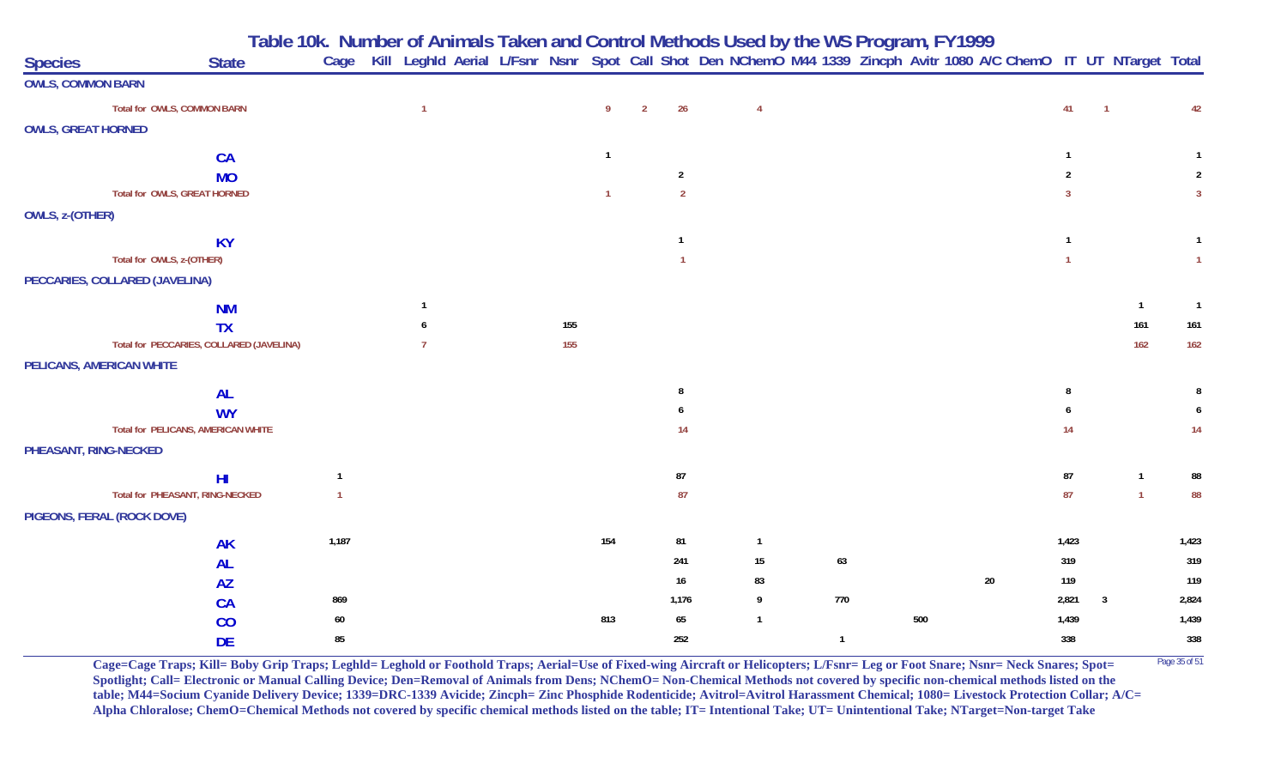**Table 10k. Number of Animals Taken and Control Methods Used by the WS Program, FY 1999**

| <b>Species</b>            | <b>State</b>                             | Cage  |                |  |     |              |                |                | Kill Leghld Aerial L/Fsnr Nsnr Spot Call Shot Den NChemO M44 1339 Zincph Avitr 1080 A/C ChemO IT UT NTarget Total |                |     |    |            |                |              |                |
|---------------------------|------------------------------------------|-------|----------------|--|-----|--------------|----------------|----------------|-------------------------------------------------------------------------------------------------------------------|----------------|-----|----|------------|----------------|--------------|----------------|
| <b>OWLS, COMMON BARN</b>  |                                          |       |                |  |     |              |                |                |                                                                                                                   |                |     |    |            |                |              |                |
|                           | Total for OWLS, COMMON BARN              |       | $\overline{1}$ |  |     | 9            | $\overline{2}$ | 26             | $\overline{4}$                                                                                                    |                |     |    | 41         | $\overline{1}$ |              | 42             |
| <b>OWLS, GREAT HORNED</b> |                                          |       |                |  |     |              |                |                |                                                                                                                   |                |     |    |            |                |              |                |
|                           | CA                                       |       |                |  |     | $\mathbf{1}$ |                |                |                                                                                                                   |                |     |    |            |                |              |                |
|                           | <b>MO</b>                                |       |                |  |     |              |                | $\overline{2}$ |                                                                                                                   |                |     |    | 2          |                |              | $\mathcal{P}$  |
|                           | Total for OWLS, GREAT HORNED             |       |                |  |     | $\mathbf{1}$ |                | $\overline{2}$ |                                                                                                                   |                |     |    | 3          |                |              | $\overline{3}$ |
| OWLS, z-(OTHER)           |                                          |       |                |  |     |              |                |                |                                                                                                                   |                |     |    |            |                |              |                |
|                           | <b>KY</b>                                |       |                |  |     |              |                |                |                                                                                                                   |                |     |    |            |                |              | $\overline{1}$ |
|                           | Total for OWLS, z-(OTHER)                |       |                |  |     |              |                |                |                                                                                                                   |                |     |    |            |                |              | $\overline{1}$ |
|                           | PECCARIES, COLLARED (JAVELINA)           |       |                |  |     |              |                |                |                                                                                                                   |                |     |    |            |                |              |                |
|                           | <b>NM</b>                                |       | -1             |  |     |              |                |                |                                                                                                                   |                |     |    |            |                | $\mathbf{1}$ | $\overline{1}$ |
|                           | <b>TX</b>                                |       |                |  | 155 |              |                |                |                                                                                                                   |                |     |    |            |                | 161          | 161            |
|                           | Total for PECCARIES, COLLARED (JAVELINA) |       |                |  | 155 |              |                |                |                                                                                                                   |                |     |    |            |                | 162          | 162            |
|                           | PELICANS, AMERICAN WHITE                 |       |                |  |     |              |                |                |                                                                                                                   |                |     |    |            |                |              |                |
|                           | <b>AL</b>                                |       |                |  |     |              |                | -8             |                                                                                                                   |                |     |    |            |                |              |                |
|                           | <b>WY</b>                                |       |                |  |     |              |                |                |                                                                                                                   |                |     |    |            |                |              |                |
|                           | Total for PELICANS, AMERICAN WHITE       |       |                |  |     |              |                | 14             |                                                                                                                   |                |     |    | 14         |                |              | 14             |
|                           | PHEASANT, RING-NECKED                    |       |                |  |     |              |                |                |                                                                                                                   |                |     |    |            |                |              |                |
|                           | H <sub>l</sub>                           | 1     |                |  |     |              |                | ${\bf 87}$     |                                                                                                                   |                |     |    | ${\bf 87}$ |                | $\mathbf{1}$ | 88             |
|                           | Total for PHEASANT, RING-NECKED          |       |                |  |     |              |                | 87             |                                                                                                                   |                |     |    | 87         |                | $\mathbf{1}$ | 88             |
|                           | PIGEONS, FERAL (ROCK DOVE)               |       |                |  |     |              |                |                |                                                                                                                   |                |     |    |            |                |              |                |
|                           | <b>AK</b>                                | 1,187 |                |  |     | 154          |                | 81             | $\overline{1}$                                                                                                    |                |     |    | 1,423      |                |              | 1,423          |
|                           | <b>AL</b>                                |       |                |  |     |              |                | 241            | 15                                                                                                                | 63             |     |    | 319        |                |              | 319            |
|                           | <b>AZ</b>                                |       |                |  |     |              |                | 16             | 83                                                                                                                |                |     | 20 | 119        |                |              | 119            |
|                           | <b>CA</b>                                | 869   |                |  |     |              |                | 1,176          | 9                                                                                                                 | 770            |     |    | 2,821      | $\overline{3}$ |              | 2,824          |
|                           | CO                                       | 60    |                |  |     | 813          |                | 65             | $\overline{1}$                                                                                                    |                | 500 |    | 1,439      |                |              | 1,439          |
|                           | <b>DE</b>                                | 85    |                |  |     |              |                | 252            |                                                                                                                   | $\overline{1}$ |     |    | 338        |                |              | 338            |

**Cage=Cage Traps; Kill= Boby Grip Traps; Leghld= Leghold or Foothold Traps; Aerial=Use of Fixed-wing Aircraft or Helicopters; L/Fsnr= Leg or Foot Snare; Nsnr= Neck Snares; Spot= <sup>Page 35 of 51</sup> Spotlight; Call= Electronic or Manual Calling Device; Den=Removal of Animals from Dens; NChemO= Non-Chemical Methods not covered by specific non-chemical methods listed on the table; M44=Socium Cyanide Delivery Device; 1339=DRC-1339 Avicide; Zincph= Zinc Phosphide Rodenticide; Avitrol=Avitrol Harassment Chemical; 1080= Livestock Protection Collar; A/C= Alpha Chloralose; ChemO=Chemical Methods not covered by specific chemical methods listed on the table; IT= Intentional Take; UT= Unintentional Take; NTarget=Non-target Take**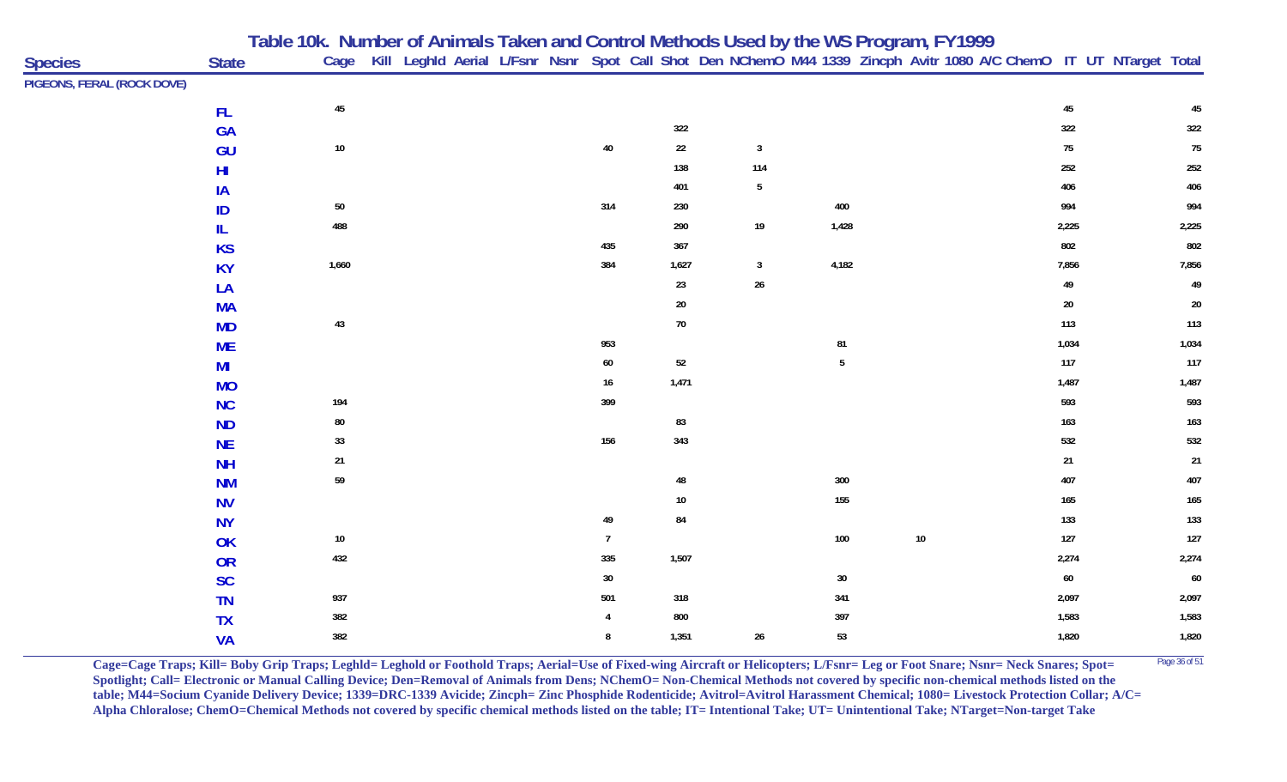|                            |              | Table 10k. Number of Animals Taken and Control Methods Used by the WS Program, FY1999 |        |  |  |                 |        |                 |                |        |  |        |                                                                                                                        |
|----------------------------|--------------|---------------------------------------------------------------------------------------|--------|--|--|-----------------|--------|-----------------|----------------|--------|--|--------|------------------------------------------------------------------------------------------------------------------------|
| <b>Species</b>             | <b>State</b> |                                                                                       |        |  |  |                 |        |                 |                |        |  |        | Cage Kill Leghld Aerial L/Fsnr Nsnr Spot Call Shot Den NChemO M44 1339 Zincph Avitr 1080 A/C ChemO IT UT NTarget Total |
| PIGEONS, FERAL (ROCK DOVE) |              |                                                                                       |        |  |  |                 |        |                 |                |        |  |        |                                                                                                                        |
|                            | FL.          |                                                                                       | 45     |  |  |                 |        |                 |                |        |  | 45     | 45                                                                                                                     |
|                            | <b>GA</b>    |                                                                                       |        |  |  |                 | 322    |                 |                |        |  | 322    | 322                                                                                                                    |
|                            | GU           |                                                                                       | $10\,$ |  |  | $40\,$          | 22     | $\mathbf{3}$    |                |        |  | $75\,$ | 75                                                                                                                     |
|                            | HI           |                                                                                       |        |  |  |                 | 138    | 114             |                |        |  | 252    | 252                                                                                                                    |
|                            | IA           |                                                                                       |        |  |  |                 | 401    | $5\phantom{.0}$ |                |        |  | 406    | 406                                                                                                                    |
|                            | ID           |                                                                                       | $50\,$ |  |  | 314             | 230    |                 | 400            |        |  | 994    | 994                                                                                                                    |
|                            | IL.          |                                                                                       | 488    |  |  |                 | 290    | $19$            | 1,428          |        |  | 2,225  | 2,225                                                                                                                  |
|                            | <b>KS</b>    |                                                                                       |        |  |  | 435             | 367    |                 |                |        |  | 802    | 802                                                                                                                    |
|                            | <b>KY</b>    |                                                                                       | 1,660  |  |  | 384             | 1,627  | $\mathbf{3}$    | 4,182          |        |  | 7,856  | 7,856                                                                                                                  |
|                            | LA           |                                                                                       |        |  |  |                 | 23     | $26\,$          |                |        |  | 49     | 49                                                                                                                     |
|                            | <b>MA</b>    |                                                                                       |        |  |  |                 | $20\,$ |                 |                |        |  | $20\,$ | $20\,$                                                                                                                 |
|                            | <b>MD</b>    |                                                                                       | 43     |  |  |                 | 70     |                 |                |        |  | 113    | 113                                                                                                                    |
|                            | <b>ME</b>    |                                                                                       |        |  |  | 953             |        |                 | 81             |        |  | 1,034  | 1,034                                                                                                                  |
|                            | MI           |                                                                                       |        |  |  | $60\,$          | $52\,$ |                 | $5\phantom{a}$ |        |  | 117    | 117                                                                                                                    |
|                            | <b>MO</b>    |                                                                                       |        |  |  | 16              | 1,471  |                 |                |        |  | 1,487  | 1,487                                                                                                                  |
|                            | <b>NC</b>    |                                                                                       | 194    |  |  | 399             |        |                 |                |        |  | 593    | 593                                                                                                                    |
|                            | <b>ND</b>    |                                                                                       | $80\,$ |  |  |                 | 83     |                 |                |        |  | 163    | 163                                                                                                                    |
|                            | <b>NE</b>    |                                                                                       | 33     |  |  | 156             | 343    |                 |                |        |  | 532    | 532                                                                                                                    |
|                            | <b>NH</b>    |                                                                                       | 21     |  |  |                 |        |                 |                |        |  | $21\,$ | $21$                                                                                                                   |
|                            | <b>NM</b>    |                                                                                       | 59     |  |  |                 | 48     |                 | 300            |        |  | 407    | 407                                                                                                                    |
|                            | <b>NV</b>    |                                                                                       |        |  |  |                 | 10     |                 | 155            |        |  | 165    | 165                                                                                                                    |
|                            | <b>NY</b>    |                                                                                       |        |  |  | 49              | 84     |                 |                |        |  | 133    | 133                                                                                                                    |
|                            | OK           |                                                                                       | $10\,$ |  |  | $7\overline{ }$ |        |                 | 100            | $10\,$ |  | 127    | 127                                                                                                                    |
|                            | OR           |                                                                                       | 432    |  |  | 335             | 1,507  |                 |                |        |  | 2,274  | 2,274                                                                                                                  |
|                            | <b>SC</b>    |                                                                                       |        |  |  | 30              |        |                 | $30\,$         |        |  | $60\,$ | 60                                                                                                                     |
|                            | <b>TN</b>    |                                                                                       | 937    |  |  | 501             | 318    |                 | 341            |        |  | 2,097  | 2,097                                                                                                                  |
|                            | <b>TX</b>    |                                                                                       | 382    |  |  |                 | 800    |                 | 397            |        |  | 1,583  | 1,583                                                                                                                  |
|                            | <b>VA</b>    |                                                                                       | 382    |  |  | 8               | 1,351  | 26              | 53             |        |  | 1,820  | 1,820                                                                                                                  |

**Cage=Cage Traps; Kill= Boby Grip Traps; Leghld= Leghold or Foothold Traps; Aerial=Use of Fixed-wing Aircraft or Helicopters; L/Fsnr= Leg or Foot Snare; Nsnr= Neck Snares; Spot=** <sup>Page 36 of 51</sup> **Spotlight; Call= Electronic or Manual Calling Device; Den=Removal of Animals from Dens; NChemO= Non-Chemical Methods not covered by specific non-chemical methods listed on the table; M44=Socium Cyanide Delivery Device; 1339=DRC-1339 Avicide; Zincph= Zinc Phosphide Rodenticide; Avitrol=Avitrol Harassment Chemical; 1080= Livestock Protection Collar; A/C= Alpha Chloralose; ChemO=Chemical Methods not covered by specific chemical methods listed on the table; IT= Intentional Take; UT= Unintentional Take; NTarget=Non-target Take**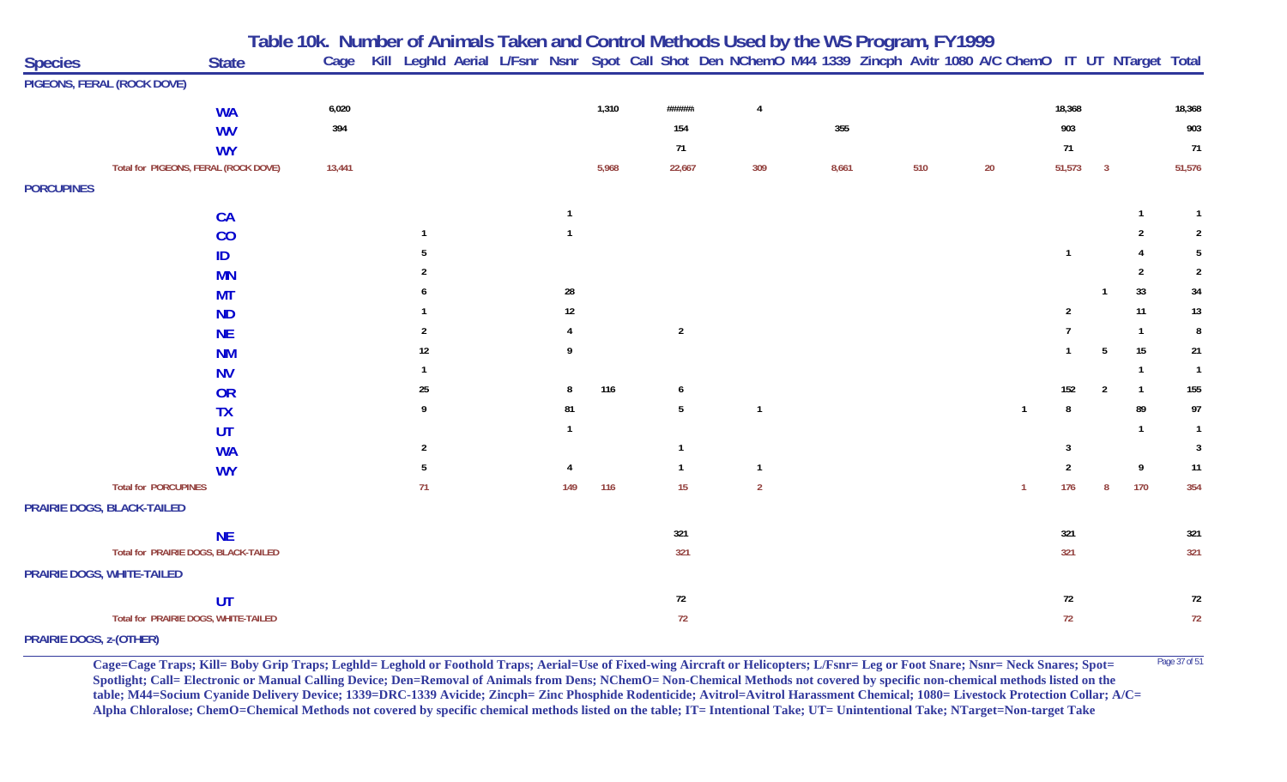|                                |                                      | Table 10k. Number of Animals Taken and Control Methods Used by the WS Program, FY1999 |                |                                                                                                                   |        |       |                |                |       |     |    |                |                |                |                  |                |
|--------------------------------|--------------------------------------|---------------------------------------------------------------------------------------|----------------|-------------------------------------------------------------------------------------------------------------------|--------|-------|----------------|----------------|-------|-----|----|----------------|----------------|----------------|------------------|----------------|
| <b>Species</b>                 | <b>State</b>                         | Cage                                                                                  |                | Kill Leghld Aerial L/Fsnr Nsnr Spot Call Shot Den NChemO M44 1339 Zincph Avitr 1080 A/C ChemO IT UT NTarget Total |        |       |                |                |       |     |    |                |                |                |                  |                |
|                                | PIGEONS, FERAL (ROCK DOVE)           |                                                                                       |                |                                                                                                                   |        |       |                |                |       |     |    |                |                |                |                  |                |
|                                | <b>WA</b>                            | 6,020                                                                                 |                |                                                                                                                   |        | 1,310 | ######         | $\overline{4}$ |       |     |    |                | 18,368         |                |                  | 18,368         |
|                                | <b>WV</b>                            | 394                                                                                   |                |                                                                                                                   |        |       | 154            |                | 355   |     |    |                | 903            |                |                  | 903            |
|                                | <b>WY</b>                            |                                                                                       |                |                                                                                                                   |        |       | 71             |                |       |     |    |                | 71             |                |                  | 71             |
|                                | Total for PIGEONS, FERAL (ROCK DOVE) | 13,441                                                                                |                |                                                                                                                   |        | 5,968 | 22,667         | 309            | 8,661 | 510 | 20 |                | 51,573         | $\overline{3}$ |                  | 51,576         |
| <b>PORCUPINES</b>              |                                      |                                                                                       |                |                                                                                                                   |        |       |                |                |       |     |    |                |                |                |                  |                |
|                                | CA                                   |                                                                                       |                |                                                                                                                   | -1     |       |                |                |       |     |    |                |                |                | $\mathbf{1}$     | $\overline{1}$ |
|                                | CO                                   |                                                                                       |                |                                                                                                                   |        |       |                |                |       |     |    |                |                |                | 2                | $\overline{2}$ |
|                                | ID                                   |                                                                                       |                |                                                                                                                   |        |       |                |                |       |     |    |                | $\overline{1}$ |                |                  | 5              |
|                                | <b>MN</b>                            |                                                                                       |                |                                                                                                                   |        |       |                |                |       |     |    |                |                |                | 2                | $\overline{2}$ |
|                                | <b>MT</b>                            |                                                                                       |                |                                                                                                                   | 28     |       |                |                |       |     |    |                |                |                | 33               | 34             |
|                                | <b>ND</b>                            |                                                                                       |                |                                                                                                                   | $12\,$ |       |                |                |       |     |    |                | $\mathfrak{p}$ |                | 11               | $13\,$         |
|                                | <b>NE</b>                            |                                                                                       | $\mathfrak{p}$ |                                                                                                                   |        |       | $\overline{2}$ |                |       |     |    |                |                |                | $\overline{1}$   | 8              |
|                                | <b>NM</b>                            |                                                                                       | 12             |                                                                                                                   | 9      |       |                |                |       |     |    |                | $\mathbf{1}$   | -5             | 15               | 21             |
|                                | <b>NV</b>                            |                                                                                       |                |                                                                                                                   |        |       |                |                |       |     |    |                |                |                | $\overline{1}$   | $\overline{1}$ |
|                                | OR                                   |                                                                                       | 25             |                                                                                                                   | -8     | 116   | 6              |                |       |     |    |                | 152            | $\overline{2}$ | $\overline{1}$   | 155            |
|                                | <b>TX</b>                            |                                                                                       | 9              |                                                                                                                   | 81     |       | 5              | $\overline{1}$ |       |     |    | $\overline{1}$ | 8              |                | 89               | 97             |
|                                | UT                                   |                                                                                       |                |                                                                                                                   |        |       |                |                |       |     |    |                |                |                | $\overline{1}$   | $\mathbf{1}$   |
|                                | <b>WA</b>                            |                                                                                       | $\overline{2}$ |                                                                                                                   |        |       | $\overline{1}$ |                |       |     |    |                | 3              |                |                  | $\mathbf{3}$   |
|                                | <b>WY</b>                            |                                                                                       | 5              |                                                                                                                   |        |       | $\overline{1}$ | $\overline{1}$ |       |     |    |                | $\overline{2}$ |                | $\boldsymbol{9}$ | 11             |
|                                | <b>Total for PORCUPINES</b>          |                                                                                       | 71             |                                                                                                                   | 149    | 116   | 15             | $\overline{2}$ |       |     |    | $\overline{1}$ | 176            | $\mathbf{8}$   | 170              | 354            |
|                                | PRAIRIE DOGS, BLACK-TAILED           |                                                                                       |                |                                                                                                                   |        |       |                |                |       |     |    |                |                |                |                  |                |
|                                | <b>NE</b>                            |                                                                                       |                |                                                                                                                   |        |       | 321            |                |       |     |    |                | 321            |                |                  | 321            |
|                                | Total for PRAIRIE DOGS, BLACK-TAILED |                                                                                       |                |                                                                                                                   |        |       | 321            |                |       |     |    |                | 321            |                |                  | 321            |
|                                | PRAIRIE DOGS, WHITE-TAILED           |                                                                                       |                |                                                                                                                   |        |       |                |                |       |     |    |                |                |                |                  |                |
|                                | UT                                   |                                                                                       |                |                                                                                                                   |        |       | 72             |                |       |     |    |                | 72             |                |                  | 72             |
|                                | Total for PRAIRIE DOGS, WHITE-TAILED |                                                                                       |                |                                                                                                                   |        |       | 72             |                |       |     |    |                | 72             |                |                  | 72             |
| <b>PRAIRIE DOGS, z-(OTHER)</b> |                                      |                                                                                       |                |                                                                                                                   |        |       |                |                |       |     |    |                |                |                |                  |                |

Cage=Cage Traps; Kill= Boby Grip Traps; Leghld= Leghold or Foothold Traps; Aerial=Use of Fixed-wing Aircraft or Helicopters; L/Fsnr= Leg or Foot Snare; Nsnr= Neck Snares; Spot= <sup>Page 37 of 51</sup> **Spotlight; Call= Electronic or Manual Calling Device; Den=Removal of Animals from Dens; NChemO= Non-Chemical Methods not covered by specific non-chemical methods listed on the table; M44=Socium Cyanide Delivery Device; 1339=DRC-1339 Avicide; Zincph= Zinc Phosphide Rodenticide; Avitrol=Avitrol Harassment Chemical; 1080= Livestock Protection Collar; A/C= Alpha Chloralose; ChemO=Chemical Methods not covered by specific chemical methods listed on the table; IT= Intentional Take; UT= Unintentional Take; NTarget=Non-target Take**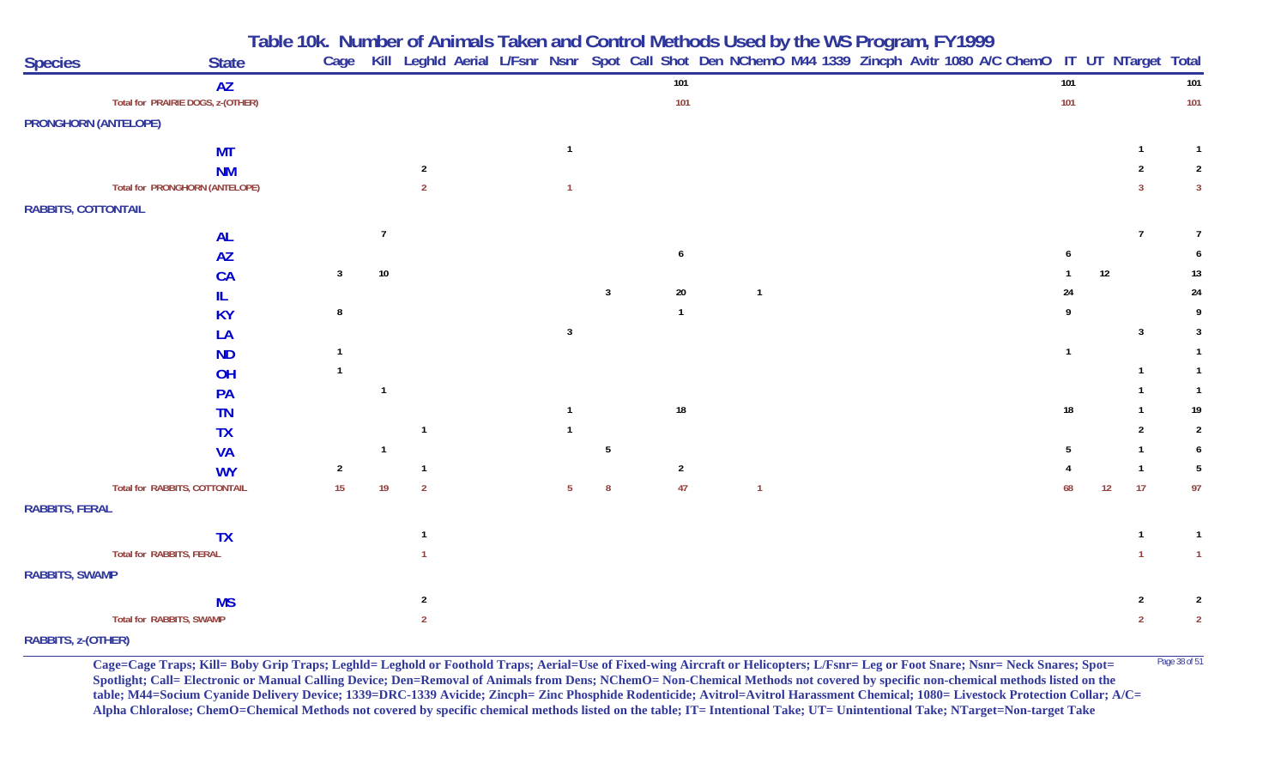**Table 10k. Number of Animals Taken and Control Methods Used by the WS Program, FY 1999**

| <b>Species</b>              | <b>State</b>                          | Cage            |                |                |  |                 |                |                |                |  | Kill Leghld Aerial L/Fsnr Nsnr Spot Call Shot Den NChemO M44 1339 Zincph Avitr 1080 A/C ChemO IT UT NTarget Total |                |    |                |                |
|-----------------------------|---------------------------------------|-----------------|----------------|----------------|--|-----------------|----------------|----------------|----------------|--|-------------------------------------------------------------------------------------------------------------------|----------------|----|----------------|----------------|
|                             | <b>AZ</b>                             |                 |                |                |  |                 |                | 101            |                |  |                                                                                                                   | 101            |    |                | 101            |
|                             | Total for PRAIRIE DOGS, z-(OTHER)     |                 |                |                |  |                 |                | 101            |                |  |                                                                                                                   | 101            |    |                | 101            |
| <b>PRONGHORN (ANTELOPE)</b> |                                       |                 |                |                |  |                 |                |                |                |  |                                                                                                                   |                |    |                |                |
|                             | <b>MT</b>                             |                 |                |                |  |                 |                |                |                |  |                                                                                                                   |                |    |                |                |
|                             | <b>NM</b>                             |                 |                | 2              |  |                 |                |                |                |  |                                                                                                                   |                |    |                | 2              |
|                             | <b>Total for PRONGHORN (ANTELOPE)</b> |                 |                | $\overline{2}$ |  |                 |                |                |                |  |                                                                                                                   |                |    | 3              | $\mathbf{3}$   |
| <b>RABBITS, COTTONTAIL</b>  |                                       |                 |                |                |  |                 |                |                |                |  |                                                                                                                   |                |    |                |                |
|                             |                                       |                 | $\overline{7}$ |                |  |                 |                |                |                |  |                                                                                                                   |                |    | $\overline{7}$ | $\overline{7}$ |
|                             | <b>AL</b><br><b>AZ</b>                |                 |                |                |  |                 |                | 6              |                |  |                                                                                                                   |                |    |                | 6              |
|                             | CA                                    | $\mathbf{3}$    | $10\,$         |                |  |                 |                |                |                |  |                                                                                                                   |                | 12 |                | 13             |
|                             | IL                                    |                 |                |                |  |                 | $\overline{3}$ | $20\,$         | $\overline{1}$ |  |                                                                                                                   | 24             |    |                | 24             |
|                             | <b>KY</b>                             | 8               |                |                |  |                 |                | $\overline{1}$ |                |  |                                                                                                                   |                |    |                | 9              |
|                             | LA                                    |                 |                |                |  | $\overline{3}$  |                |                |                |  |                                                                                                                   |                |    | $\overline{3}$ | 3              |
|                             | <b>ND</b>                             |                 |                |                |  |                 |                |                |                |  |                                                                                                                   | $\overline{1}$ |    |                | $\mathbf{1}$   |
|                             | OH                                    |                 |                |                |  |                 |                |                |                |  |                                                                                                                   |                |    |                | $\mathbf{1}$   |
|                             | PA                                    |                 | $\overline{1}$ |                |  |                 |                |                |                |  |                                                                                                                   |                |    |                | $\overline{1}$ |
|                             | <b>TN</b>                             |                 |                |                |  |                 |                | $18\,$         |                |  |                                                                                                                   | 18             |    |                | 19             |
|                             | <b>TX</b>                             |                 |                |                |  |                 |                |                |                |  |                                                                                                                   |                |    | 2              | $\overline{2}$ |
|                             | <b>VA</b>                             |                 | -1             |                |  |                 | 5              |                |                |  |                                                                                                                   |                |    |                | 6              |
|                             | <b>WY</b>                             | $\overline{2}$  |                |                |  |                 |                | $\overline{2}$ |                |  |                                                                                                                   |                |    |                | 5              |
|                             | <b>Total for RABBITS, COTTONTAIL</b>  | 15 <sub>1</sub> | 19             | $\overline{2}$ |  | $5\overline{)}$ | 8              | 47             | $\mathbf{1}$   |  |                                                                                                                   | 68             |    | 17<br>12       | 97             |
| <b>RABBITS, FERAL</b>       |                                       |                 |                |                |  |                 |                |                |                |  |                                                                                                                   |                |    |                |                |
|                             | <b>TX</b>                             |                 |                |                |  |                 |                |                |                |  |                                                                                                                   |                |    | $\mathbf{1}$   | $\overline{1}$ |
|                             | Total for RABBITS, FERAL              |                 |                |                |  |                 |                |                |                |  |                                                                                                                   |                |    |                | $\overline{1}$ |
| <b>RABBITS, SWAMP</b>       |                                       |                 |                |                |  |                 |                |                |                |  |                                                                                                                   |                |    |                |                |
|                             |                                       |                 |                | $\overline{2}$ |  |                 |                |                |                |  |                                                                                                                   |                |    | $\overline{2}$ | 2              |
|                             | <b>MS</b><br>Total for RABBITS, SWAMP |                 |                | $\overline{2}$ |  |                 |                |                |                |  |                                                                                                                   |                |    | $\overline{2}$ | $\overline{2}$ |
| RABBITS, z-(OTHER)          |                                       |                 |                |                |  |                 |                |                |                |  |                                                                                                                   |                |    |                |                |

**Cage=Cage Traps; Kill= Boby Grip Traps; Leghld= Leghold or Foothold Traps; Aerial=Use of Fixed-wing Aircraft or Helicopters; L/Fsnr= Leg or Foot Snare; Nsnr= Neck Snares; Spot=** <sup>Page 38 of 51</sup> **Spotlight; Call= Electronic or Manual Calling Device; Den=Removal of Animals from Dens; NChemO= Non-Chemical Methods not covered by specific non-chemical methods listed on the table; M44=Socium Cyanide Delivery Device; 1339=DRC-1339 Avicide; Zincph= Zinc Phosphide Rodenticide; Avitrol=Avitrol Harassment Chemical; 1080= Livestock Protection Collar; A/C= Alpha Chloralose; ChemO=Chemical Methods not covered by specific chemical methods listed on the table; IT= Intentional Take; UT= Unintentional Take; NTarget=Non-target Take**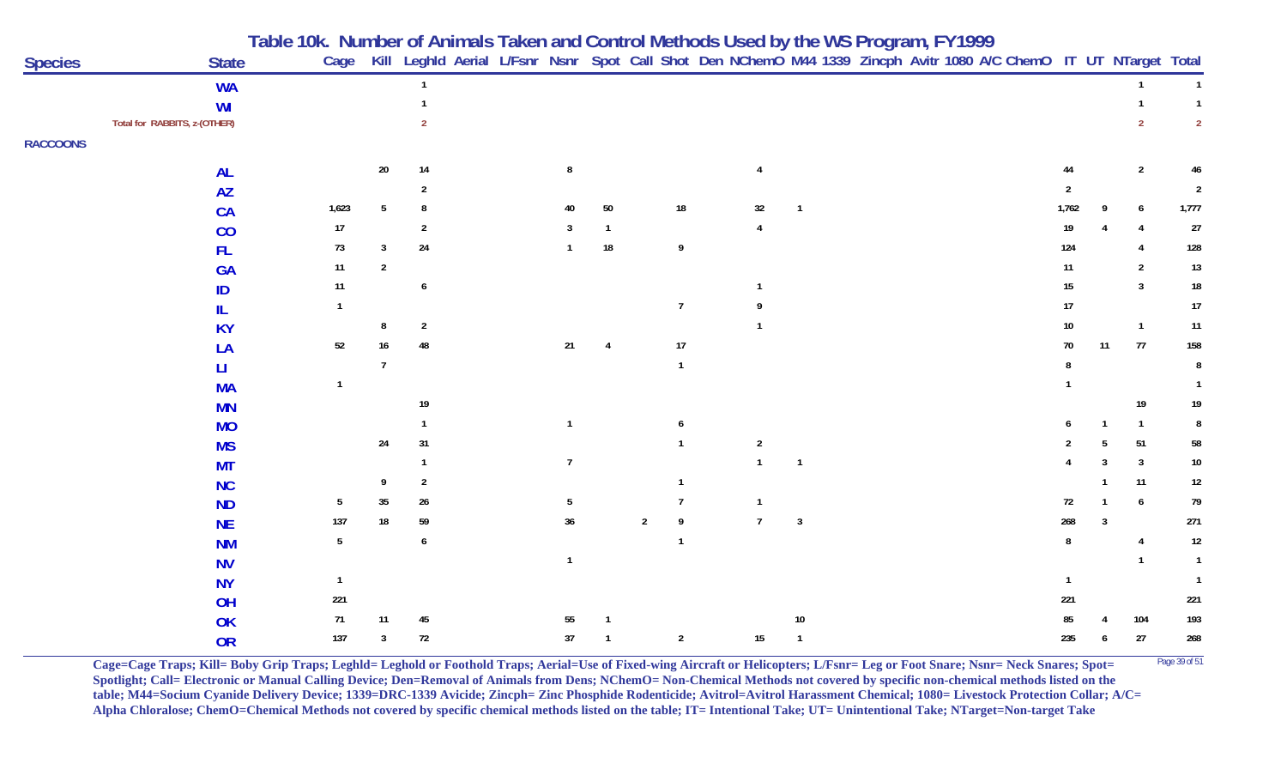|                 |                              | Table 10k. Number of Animals Taken and Control Methods Used by the WS Program, FY1999<br>Cage Kill Leghld Aerial L/Fsnr Nsnr Spot Call Shot Den NChemO M44 1339 Zincph Avitr 1080 A/C ChemO IT UT NTarget Total |                |                |  |                |                        |                |                  |                |                         |  |  |                |    |                |                |
|-----------------|------------------------------|-----------------------------------------------------------------------------------------------------------------------------------------------------------------------------------------------------------------|----------------|----------------|--|----------------|------------------------|----------------|------------------|----------------|-------------------------|--|--|----------------|----|----------------|----------------|
| <b>Species</b>  | <b>State</b>                 |                                                                                                                                                                                                                 |                |                |  |                |                        |                |                  |                |                         |  |  |                |    |                |                |
|                 | <b>WA</b>                    |                                                                                                                                                                                                                 |                |                |  |                |                        |                |                  |                |                         |  |  |                |    |                |                |
|                 | WI                           |                                                                                                                                                                                                                 |                |                |  |                |                        |                |                  |                |                         |  |  |                |    |                | $\mathbf{1}$   |
|                 | Total for RABBITS, z-(OTHER) |                                                                                                                                                                                                                 |                | $\mathcal{P}$  |  |                |                        |                |                  |                |                         |  |  |                |    |                | $\overline{2}$ |
| <b>RACCOONS</b> |                              |                                                                                                                                                                                                                 |                |                |  |                |                        |                |                  |                |                         |  |  |                |    |                |                |
|                 | <b>AL</b>                    |                                                                                                                                                                                                                 | 20             | 14             |  | 8              |                        |                |                  |                |                         |  |  | 44             |    | $\overline{2}$ |                |
|                 | <b>AZ</b>                    |                                                                                                                                                                                                                 |                | $\overline{2}$ |  |                |                        |                |                  |                |                         |  |  | $\overline{2}$ |    |                | $\overline{2}$ |
|                 | <b>CA</b>                    | 1,623                                                                                                                                                                                                           |                | 8              |  | 40             | 50                     |                | 18               | $32\,$         | $\overline{\mathbf{1}}$ |  |  | 1,762          |    | 6              | 1,777          |
|                 | CO                           | 17                                                                                                                                                                                                              |                | $\overline{2}$ |  |                |                        |                |                  | $\overline{4}$ |                         |  |  | 19             |    |                | $27\,$         |
|                 | <b>FL</b>                    | 73                                                                                                                                                                                                              | 3              | $24\,$         |  | $\mathbf{1}$   | $18\,$                 |                | $\boldsymbol{9}$ |                |                         |  |  | 124            |    |                | 128            |
|                 | <b>GA</b>                    | 11                                                                                                                                                                                                              | $\overline{2}$ |                |  |                |                        |                |                  |                |                         |  |  | 11             |    | $\overline{2}$ | $13\,$         |
|                 | ID                           | 11                                                                                                                                                                                                              |                | 6              |  |                |                        |                |                  |                |                         |  |  | $15\,$         |    | 3              | $18\,$         |
|                 | IL                           | $\mathbf{1}$                                                                                                                                                                                                    |                |                |  |                |                        |                | $\overline{7}$   |                |                         |  |  | 17             |    |                | 17             |
|                 | <b>KY</b>                    |                                                                                                                                                                                                                 |                | $\overline{2}$ |  |                |                        |                |                  |                |                         |  |  | 10             |    | $\mathbf{1}$   | 11             |
|                 | LA                           | 52                                                                                                                                                                                                              | 16             | 48             |  | 21             | $\boldsymbol{\Lambda}$ |                | 17               |                |                         |  |  | 70             | 11 | $77\,$         | 158            |
|                 | LI                           |                                                                                                                                                                                                                 |                |                |  |                |                        |                | $\mathbf{1}$     |                |                         |  |  |                |    |                | 8              |
|                 | <b>MA</b>                    | $\mathbf{1}$                                                                                                                                                                                                    |                |                |  |                |                        |                |                  |                |                         |  |  |                |    |                | $\mathbf{1}$   |
|                 | <b>MN</b>                    |                                                                                                                                                                                                                 |                | $19$           |  |                |                        |                |                  |                |                         |  |  |                |    | 19             | 19             |
|                 | <b>MO</b>                    |                                                                                                                                                                                                                 |                |                |  | $\mathbf{1}$   |                        |                | 6                |                |                         |  |  |                |    | $\overline{1}$ | 8              |
|                 | <b>MS</b>                    |                                                                                                                                                                                                                 | 24             | 31             |  |                |                        |                | $\mathbf{1}$     | $\overline{2}$ |                         |  |  |                |    | 51             | 58             |
|                 | <b>MT</b>                    |                                                                                                                                                                                                                 |                |                |  | $\overline{1}$ |                        |                |                  |                |                         |  |  |                |    | 3              | $10\,$         |
|                 | <b>NC</b>                    |                                                                                                                                                                                                                 | Q              | $\overline{2}$ |  |                |                        |                | $\mathbf 1$      |                |                         |  |  |                |    | 11             | $12\,$         |
|                 | <b>ND</b>                    | 5                                                                                                                                                                                                               | 35             | $26\,$         |  | 5              |                        |                | $\overline{7}$   | $\overline{1}$ |                         |  |  | 72             |    | 6              | 79             |
|                 | <b>NE</b>                    | 137                                                                                                                                                                                                             | 18             | 59             |  | 36             |                        | $\overline{2}$ | 9                | $\overline{7}$ | $\mathbf{3}$            |  |  | 268            | 3  |                | 271            |
|                 | <b>NM</b>                    | 5                                                                                                                                                                                                               |                | 6              |  |                |                        |                | $\mathbf{1}$     |                |                         |  |  | 8              |    | 4              | 12             |
|                 | <b>NV</b>                    |                                                                                                                                                                                                                 |                |                |  | $\mathbf{1}$   |                        |                |                  |                |                         |  |  |                |    |                |                |
|                 | <b>NY</b>                    | $\mathbf{1}$                                                                                                                                                                                                    |                |                |  |                |                        |                |                  |                |                         |  |  |                |    |                |                |
|                 | OH                           | 221                                                                                                                                                                                                             |                |                |  |                |                        |                |                  |                |                         |  |  | 221            |    |                | 221            |
|                 | OK                           | 71                                                                                                                                                                                                              | 11             | 45             |  | 55             |                        |                |                  |                | 10                      |  |  | 85             |    | 104            | 193            |
|                 | <b>OR</b>                    | 137                                                                                                                                                                                                             | 3              | $72\,$         |  | 37             |                        |                | $\overline{2}$   | 15             |                         |  |  | 235            |    | $27\,$         | 268            |

**Cage=Cage Traps; Kill= Boby Grip Traps; Leghld= Leghold or Foothold Traps; Aerial=Use of Fixed-wing Aircraft or Helicopters; L/Fsnr= Leg or Foot Snare; Nsnr= Neck Snares; Spot=** <sup>Page 39 of 51</sup> **Spotlight; Call= Electronic or Manual Calling Device; Den=Removal of Animals from Dens; NChemO= Non-Chemical Methods not covered by specific non-chemical methods listed on the table; M44=Socium Cyanide Delivery Device; 1339=DRC-1339 Avicide; Zincph= Zinc Phosphide Rodenticide; Avitrol=Avitrol Harassment Chemical; 1080= Livestock Protection Collar; A/C= Alpha Chloralose; ChemO=Chemical Methods not covered by specific chemical methods listed on the table; IT= Intentional Take; UT= Unintentional Take; NTarget=Non-target Take**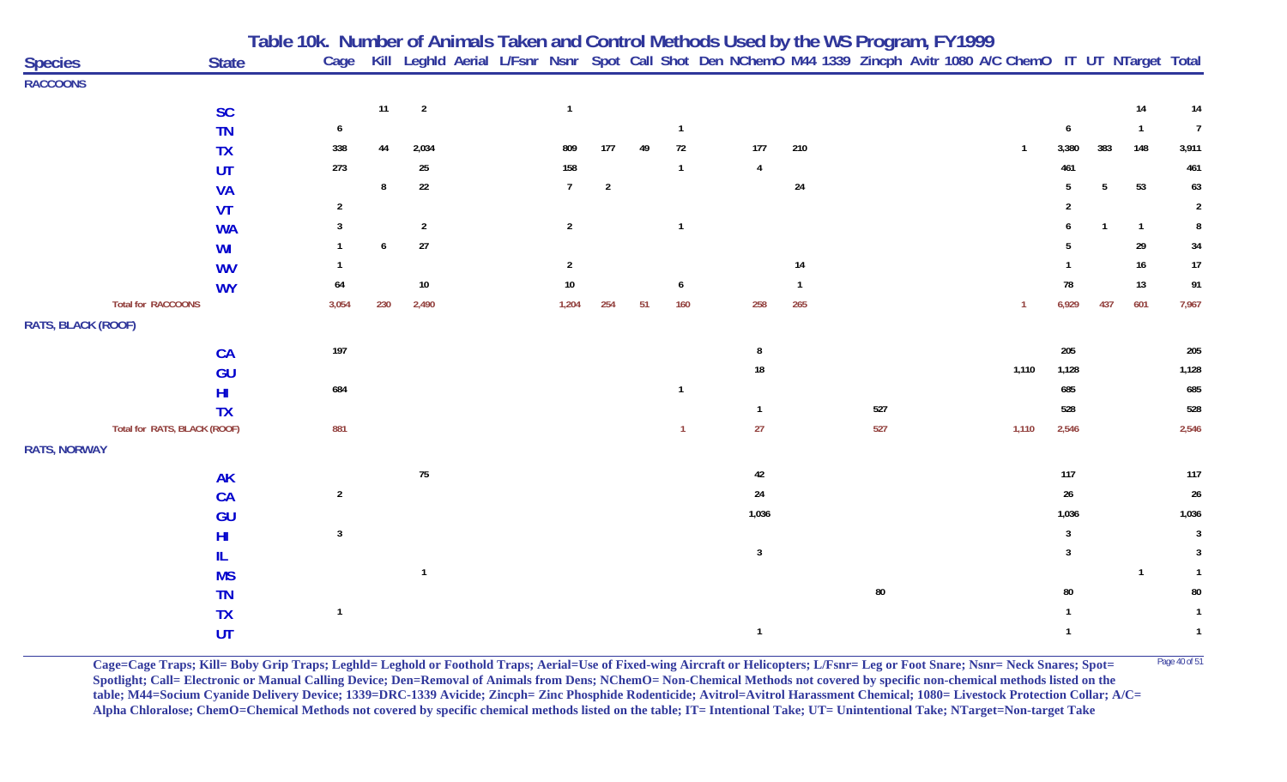|                           |                                           | Table 10k.  Number of Animals Taken and Control Methods Used by the WS Program, FY1999 |     |                |  |                |                |    |                |                                                                                                                        |              |            |  |                |       |     |                |                |
|---------------------------|-------------------------------------------|----------------------------------------------------------------------------------------|-----|----------------|--|----------------|----------------|----|----------------|------------------------------------------------------------------------------------------------------------------------|--------------|------------|--|----------------|-------|-----|----------------|----------------|
| <b>Species</b>            | <b>State</b>                              |                                                                                        |     |                |  |                |                |    |                | Cage Kill Leghld Aerial L/Fsnr Nsnr Spot Call Shot Den NChemO M44 1339 Zincph Avitr 1080 A/C ChemO IT UT NTarget Total |              |            |  |                |       |     |                |                |
| <b>RACCOONS</b>           |                                           |                                                                                        |     |                |  |                |                |    |                |                                                                                                                        |              |            |  |                |       |     |                |                |
|                           | <b>SC</b>                                 |                                                                                        | 11  | $\overline{2}$ |  | $\overline{1}$ |                |    |                |                                                                                                                        |              |            |  |                |       |     | 14             | 14             |
|                           | <b>TN</b>                                 | 6                                                                                      |     |                |  |                |                |    | $\mathbf{1}$   |                                                                                                                        |              |            |  |                |       |     | $\overline{1}$ | $\overline{1}$ |
|                           | <b>TX</b>                                 | 338                                                                                    | 44  | 2,034          |  | 809            | 177            | 49 | $72\,$         | 177                                                                                                                    | 210          |            |  |                | 3,380 | 383 | 148            | 3,911          |
|                           | UT                                        | 273                                                                                    |     | $25\,$         |  | 158            |                |    | $\mathbf{1}$   | $\overline{4}$                                                                                                         |              |            |  |                | 461   |     |                | 461            |
|                           | <b>VA</b>                                 |                                                                                        | 8   | $22\,$         |  | $\overline{7}$ | $\overline{2}$ |    |                |                                                                                                                        | 24           |            |  |                | 5     | 5   | 53             | 63             |
|                           | <b>VT</b>                                 | 2                                                                                      |     |                |  |                |                |    |                |                                                                                                                        |              |            |  |                |       |     |                | $\overline{2}$ |
|                           | <b>WA</b>                                 | 3                                                                                      |     | $\overline{2}$ |  | $\overline{2}$ |                |    | $\mathbf{1}$   |                                                                                                                        |              |            |  |                |       |     | $\overline{1}$ | 8              |
|                           | WI                                        |                                                                                        |     | $27$           |  |                |                |    |                |                                                                                                                        |              |            |  |                |       |     | 29             | 34             |
|                           | <b>WV</b>                                 |                                                                                        |     |                |  | $\overline{2}$ |                |    |                |                                                                                                                        | 14           |            |  |                |       |     | 16             | $17$           |
|                           | <b>WY</b>                                 | 64                                                                                     |     | $10\,$         |  | 10             |                |    | 6              |                                                                                                                        | $\mathbf{1}$ |            |  |                | 78    |     | 13             | 91             |
| <b>Total for RACCOONS</b> |                                           | 3,054                                                                                  | 230 | 2,490          |  | 1,204          | 254            | 51 | 160            | 258                                                                                                                    | 265          |            |  | $\overline{1}$ | 6,929 | 437 | 601            | 7,967          |
| RATS, BLACK (ROOF)        |                                           |                                                                                        |     |                |  |                |                |    |                |                                                                                                                        |              |            |  |                |       |     |                |                |
|                           |                                           | 197                                                                                    |     |                |  |                |                |    |                |                                                                                                                        |              |            |  |                | 205   |     |                |                |
|                           | <b>CA</b>                                 |                                                                                        |     |                |  |                |                |    |                | 8<br>18                                                                                                                |              |            |  | 1,110          | 1,128 |     |                | 205<br>1,128   |
|                           | GU                                        | 684                                                                                    |     |                |  |                |                |    | $\mathbf{1}$   |                                                                                                                        |              |            |  |                | 685   |     |                | 685            |
|                           | HI                                        |                                                                                        |     |                |  |                |                |    |                |                                                                                                                        |              | 527        |  |                | 528   |     |                | 528            |
|                           | <b>TX</b><br>Total for RATS, BLACK (ROOF) | 881                                                                                    |     |                |  |                |                |    | $\overline{1}$ | $\mathbf{1}$<br>27                                                                                                     |              | 527        |  | 1,110          | 2,546 |     |                | 2,546          |
|                           |                                           |                                                                                        |     |                |  |                |                |    |                |                                                                                                                        |              |            |  |                |       |     |                |                |
| <b>RATS, NORWAY</b>       |                                           |                                                                                        |     |                |  |                |                |    |                |                                                                                                                        |              |            |  |                |       |     |                |                |
|                           | <b>AK</b>                                 |                                                                                        |     | 75             |  |                |                |    |                | 42                                                                                                                     |              |            |  |                | 117   |     |                | 117            |
|                           | CA                                        | $\overline{2}$                                                                         |     |                |  |                |                |    |                | 24                                                                                                                     |              |            |  |                | 26    |     |                | 26             |
|                           | GU                                        |                                                                                        |     |                |  |                |                |    |                | 1,036                                                                                                                  |              |            |  |                | 1,036 |     |                | 1,036          |
|                           | H <sub>II</sub>                           | $\mathbf{3}$                                                                           |     |                |  |                |                |    |                |                                                                                                                        |              |            |  |                | 3     |     |                | $\mathbf{3}$   |
|                           |                                           |                                                                                        |     |                |  |                |                |    |                | $\mathbf{3}$                                                                                                           |              |            |  |                | 3     |     |                | $\overline{3}$ |
|                           | <b>MS</b>                                 |                                                                                        |     |                |  |                |                |    |                |                                                                                                                        |              |            |  |                |       |     | $\mathbf{1}$   | $\overline{1}$ |
|                           | <b>TN</b>                                 |                                                                                        |     |                |  |                |                |    |                |                                                                                                                        |              | ${\bf 80}$ |  |                | 80    |     |                | 80             |
|                           | <b>TX</b>                                 | $\mathbf{1}$                                                                           |     |                |  |                |                |    |                |                                                                                                                        |              |            |  |                |       |     |                |                |
|                           | UT                                        |                                                                                        |     |                |  |                |                |    |                | $\mathbf{1}$                                                                                                           |              |            |  |                |       |     |                | $\overline{1}$ |

**Cage=Cage Traps; Kill= Boby Grip Traps; Leghld= Leghold or Foothold Traps; Aerial=Use of Fixed-wing Aircraft or Helicopters; L/Fsnr= Leg or Foot Snare; Nsnr= Neck Snares; Spot=** <sup>Page 40 of 51</sup> **Spotlight; Call= Electronic or Manual Calling Device; Den=Removal of Animals from Dens; NChemO= Non-Chemical Methods not covered by specific non-chemical methods listed on the table; M44=Socium Cyanide Delivery Device; 1339=DRC-1339 Avicide; Zincph= Zinc Phosphide Rodenticide; Avitrol=Avitrol Harassment Chemical; 1080= Livestock Protection Collar; A/C= Alpha Chloralose; ChemO=Chemical Methods not covered by specific chemical methods listed on the table; IT= Intentional Take; UT= Unintentional Take; NTarget=Non-target Take**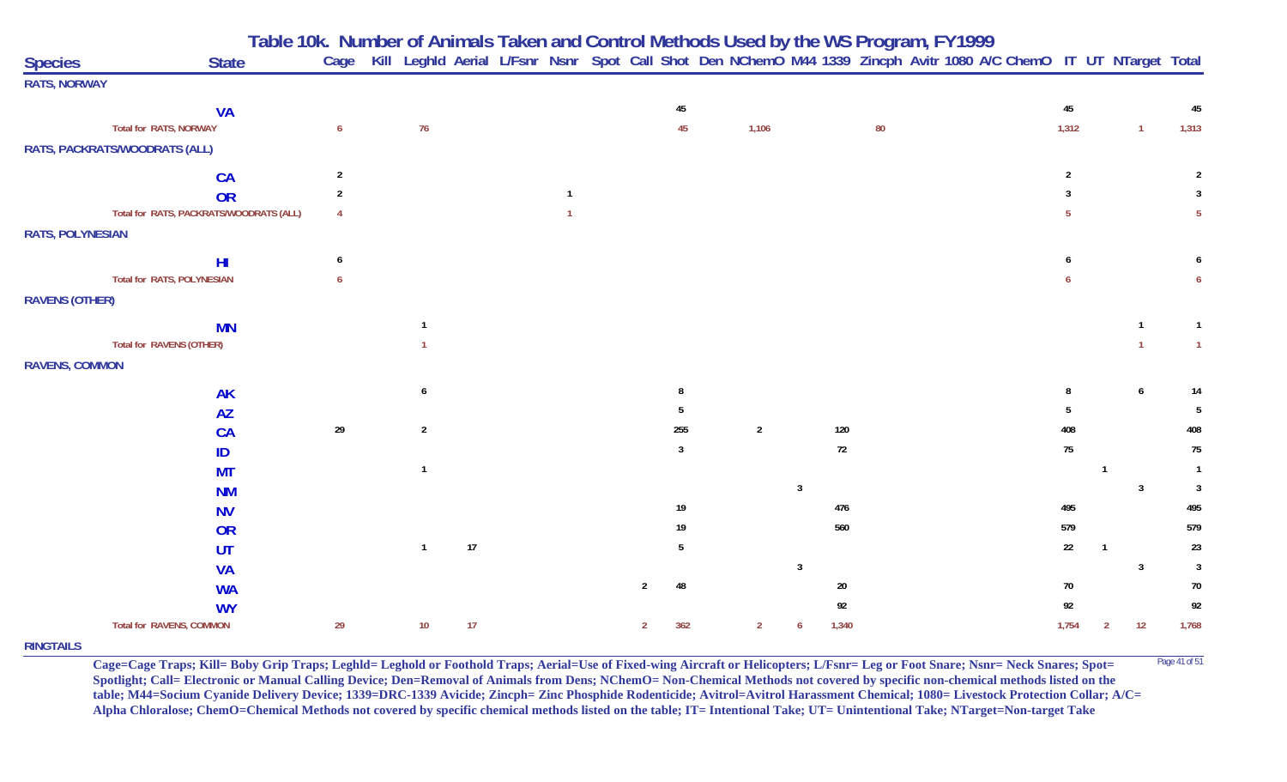**Table 10k. Number of Animals Taken and Control Methods Used by the WS Program, FY 1999**

| <b>Species</b>          | <b>State</b>                            | Cage           |                |    |  |                |              |                |                |        |        | Kill Leghld Aerial L/Fsnr Nsnr Spot Call Shot Den NChemO M44 1339 Zincph Avitr 1080 A/C ChemO IT UT NTarget Total |                |              |              |                 |
|-------------------------|-----------------------------------------|----------------|----------------|----|--|----------------|--------------|----------------|----------------|--------|--------|-------------------------------------------------------------------------------------------------------------------|----------------|--------------|--------------|-----------------|
| <b>RATS, NORWAY</b>     |                                         |                |                |    |  |                |              |                |                |        |        |                                                                                                                   |                |              |              |                 |
|                         | <b>VA</b>                               |                |                |    |  |                | 45           |                |                |        |        |                                                                                                                   | 45             |              |              | 45              |
|                         | Total for RATS, NORWAY                  | 6              | 76             |    |  |                | 45           | 1,106          |                |        | $80\,$ |                                                                                                                   | 1,312          |              | $\mathbf{1}$ | 1,313           |
|                         | RATS, PACKRATS/WOODRATS (ALL)           |                |                |    |  |                |              |                |                |        |        |                                                                                                                   |                |              |              |                 |
|                         | CA                                      | $\overline{2}$ |                |    |  |                |              |                |                |        |        |                                                                                                                   | $\overline{2}$ |              |              | 2               |
|                         | OR                                      | $\overline{2}$ |                |    |  |                |              |                |                |        |        |                                                                                                                   | 3              |              |              | $\mathbf{3}$    |
|                         | Total for RATS, PACKRATS/WOODRATS (ALL) | $\overline{4}$ |                |    |  |                |              |                |                |        |        |                                                                                                                   | $\overline{5}$ |              |              | 5 <sub>5</sub>  |
| <b>RATS, POLYNESIAN</b> |                                         |                |                |    |  |                |              |                |                |        |        |                                                                                                                   |                |              |              |                 |
|                         | H <sub>II</sub>                         | 6              |                |    |  |                |              |                |                |        |        |                                                                                                                   |                |              |              |                 |
|                         | Total for RATS, POLYNESIAN              | 6              |                |    |  |                |              |                |                |        |        |                                                                                                                   |                |              |              | 6               |
| <b>RAVENS (OTHER)</b>   |                                         |                |                |    |  |                |              |                |                |        |        |                                                                                                                   |                |              |              |                 |
|                         | <b>MN</b>                               |                |                |    |  |                |              |                |                |        |        |                                                                                                                   |                |              |              | $\mathbf{1}$    |
|                         | Total for RAVENS (OTHER)                |                |                |    |  |                |              |                |                |        |        |                                                                                                                   |                |              |              | $\mathbf{1}$    |
| <b>RAVENS, COMMON</b>   |                                         |                |                |    |  |                |              |                |                |        |        |                                                                                                                   |                |              |              |                 |
|                         | <b>AK</b>                               |                | 6              |    |  |                | -8           |                |                |        |        |                                                                                                                   |                |              | 6            | 14              |
|                         | <b>AZ</b>                               |                |                |    |  |                | -5           |                |                |        |        |                                                                                                                   | 5              |              |              | $5\phantom{.0}$ |
|                         | <b>CA</b>                               | $29\,$         | $\overline{2}$ |    |  |                | 255          | $\overline{2}$ |                | 120    |        |                                                                                                                   | 408            |              |              | 408             |
|                         | ID                                      |                |                |    |  |                | $\mathbf{3}$ |                |                | $72\,$ |        |                                                                                                                   | 75             |              |              | 75              |
|                         | <b>MT</b>                               |                | $\mathbf{1}$   |    |  |                |              |                |                |        |        |                                                                                                                   |                | -1           |              | $\overline{1}$  |
|                         | <b>NM</b>                               |                |                |    |  |                |              |                | $\overline{3}$ |        |        |                                                                                                                   |                |              | 3            | $\mathbf{3}$    |
|                         | <b>NV</b>                               |                |                |    |  |                | $19\,$       |                |                | 476    |        |                                                                                                                   | 495            |              |              | 495             |
|                         | OR                                      |                |                |    |  |                | 19           |                |                | 560    |        |                                                                                                                   | 579            |              |              | 579             |
|                         | <b>UT</b>                               |                | $\mathbf{1}$   | 17 |  |                | 5            |                |                |        |        |                                                                                                                   | 22             |              |              | 23              |
|                         | <b>VA</b>                               |                |                |    |  |                |              |                | $\overline{3}$ |        |        |                                                                                                                   |                |              | 3            | $\overline{3}$  |
|                         | <b>WA</b>                               |                |                |    |  | $\overline{2}$ | 48           |                |                | $20\,$ |        |                                                                                                                   | 70             |              |              | 70              |
|                         | <b>WY</b>                               |                |                |    |  |                |              |                |                | 92     |        |                                                                                                                   | 92             |              |              | 92              |
|                         | <b>Total for RAVENS, COMMON</b>         | 29             | $10\,$         | 17 |  | 2              | 362          | $\overline{2}$ | -6             | 1,340  |        |                                                                                                                   | 1,754          | $\mathbf{2}$ | 12           | 1,768           |

## **RINGTAILS**

**Cage=Cage Traps; Kill= Boby Grip Traps; Leghld= Leghold or Foothold Traps; Aerial=Use of Fixed-wing Aircraft or Helicopters; L/Fsnr= Leg or Foot Snare; Nsnr= Neck Snares; Spot=** <sup>Page 41 of 51</sup> **Spotlight; Call= Electronic or Manual Calling Device; Den=Removal of Animals from Dens; NChemO= Non-Chemical Methods not covered by specific non-chemical methods listed on the table; M44=Socium Cyanide Delivery Device; 1339=DRC-1339 Avicide; Zincph= Zinc Phosphide Rodenticide; Avitrol=Avitrol Harassment Chemical; 1080= Livestock Protection Collar; A/C= Alpha Chloralose; ChemO=Chemical Methods not covered by specific chemical methods listed on the table; IT= Intentional Take; UT= Unintentional Take; NTarget=Non-target Take**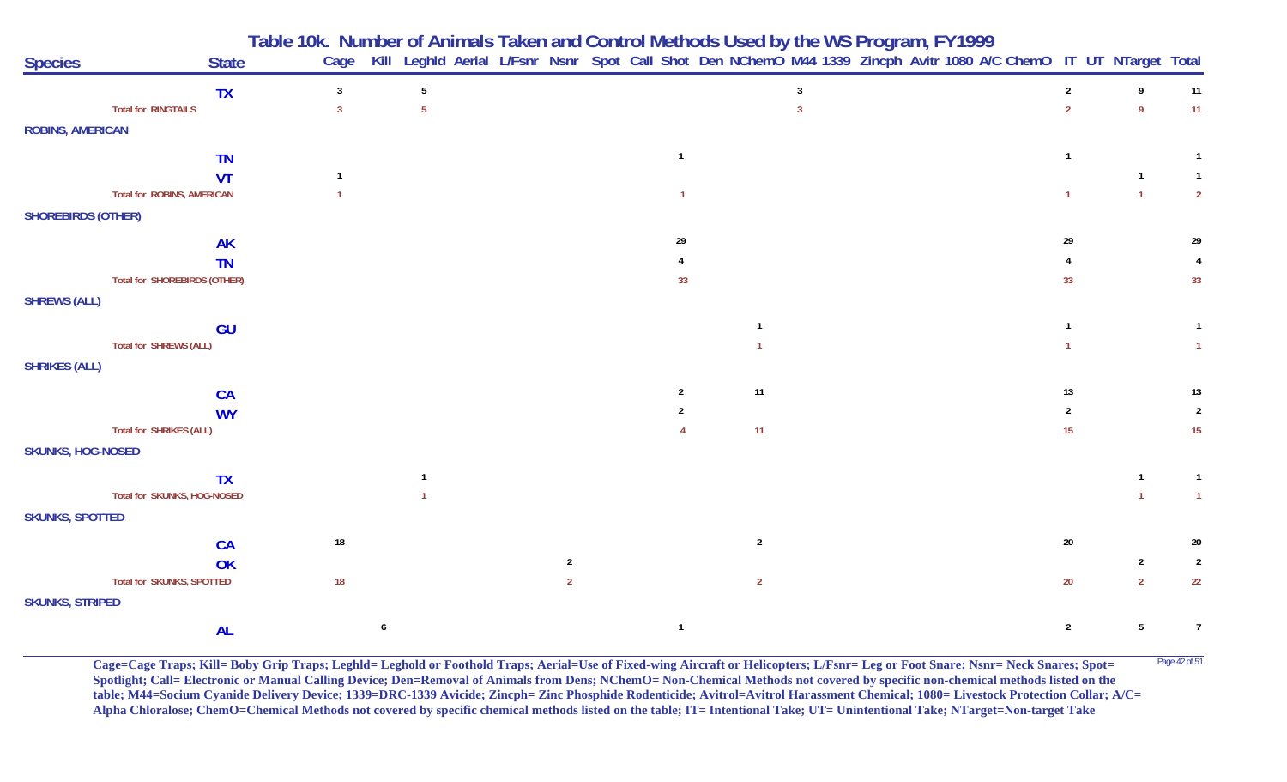|                                   |                                     | Table 10k. Number of Animals Taken and Control Methods Used by the WS Program, FY1999<br>Cage Kill Leghld Aerial L/Fsnr Nsnr Spot Call Shot Den NChemO M44 1339 Zincph Avitr 1080 A/C ChemO IT UT NTarget Total |                 |                |                |                |                |  |  |                |                 |                |
|-----------------------------------|-------------------------------------|-----------------------------------------------------------------------------------------------------------------------------------------------------------------------------------------------------------------|-----------------|----------------|----------------|----------------|----------------|--|--|----------------|-----------------|----------------|
| <b>Species</b>                    | <b>State</b>                        |                                                                                                                                                                                                                 |                 |                |                |                |                |  |  |                |                 |                |
|                                   | <b>TX</b>                           | $\overline{3}$                                                                                                                                                                                                  | $5\phantom{.0}$ |                |                |                | $\overline{3}$ |  |  | $2^{\circ}$    | 9               | 11             |
| <b>Total for RINGTAILS</b>        |                                     | $\mathbf{3}$                                                                                                                                                                                                    | $5\phantom{.0}$ |                |                |                |                |  |  | $\overline{2}$ | 9               | 11             |
| <b>ROBINS, AMERICAN</b>           |                                     |                                                                                                                                                                                                                 |                 |                |                |                |                |  |  |                |                 |                |
|                                   | <b>TN</b>                           |                                                                                                                                                                                                                 |                 |                | $\overline{1}$ |                |                |  |  |                |                 |                |
|                                   | VT                                  |                                                                                                                                                                                                                 |                 |                |                |                |                |  |  |                |                 |                |
| <b>Total for ROBINS, AMERICAN</b> |                                     |                                                                                                                                                                                                                 |                 |                | $\overline{1}$ |                |                |  |  |                | $\overline{1}$  | $\overline{2}$ |
| <b>SHOREBIRDS (OTHER)</b>         |                                     |                                                                                                                                                                                                                 |                 |                |                |                |                |  |  |                |                 |                |
|                                   | <b>AK</b>                           |                                                                                                                                                                                                                 |                 |                | 29             |                |                |  |  | 29             |                 | 29             |
|                                   | <b>TN</b>                           |                                                                                                                                                                                                                 |                 |                |                |                |                |  |  |                |                 |                |
|                                   | <b>Total for SHOREBIRDS (OTHER)</b> |                                                                                                                                                                                                                 |                 |                | 33             |                |                |  |  | 33             |                 | 33             |
| <b>SHREWS (ALL)</b>               |                                     |                                                                                                                                                                                                                 |                 |                |                |                |                |  |  |                |                 |                |
|                                   | <b>GU</b>                           |                                                                                                                                                                                                                 |                 |                |                |                |                |  |  |                |                 | $\mathbf{1}$   |
| <b>Total for SHREWS (ALL)</b>     |                                     |                                                                                                                                                                                                                 |                 |                |                |                |                |  |  |                |                 |                |
| <b>SHRIKES (ALL)</b>              |                                     |                                                                                                                                                                                                                 |                 |                |                |                |                |  |  |                |                 |                |
|                                   | CA                                  |                                                                                                                                                                                                                 |                 |                | $\overline{2}$ | 11             |                |  |  | 13             |                 | 13             |
|                                   | <b>WY</b>                           |                                                                                                                                                                                                                 |                 |                |                |                |                |  |  | $\overline{2}$ |                 | $\overline{2}$ |
| Total for SHRIKES (ALL)           |                                     |                                                                                                                                                                                                                 |                 |                |                | 11             |                |  |  | 15             |                 | 15             |
| <b>SKUNKS, HOG-NOSED</b>          |                                     |                                                                                                                                                                                                                 |                 |                |                |                |                |  |  |                |                 |                |
|                                   | <b>TX</b>                           |                                                                                                                                                                                                                 |                 |                |                |                |                |  |  |                |                 | $\mathbf{1}$   |
|                                   | Total for SKUNKS, HOG-NOSED         |                                                                                                                                                                                                                 |                 |                |                |                |                |  |  |                |                 | $\mathbf{1}$   |
| <b>SKUNKS, SPOTTED</b>            |                                     |                                                                                                                                                                                                                 |                 |                |                |                |                |  |  |                |                 |                |
|                                   | <b>CA</b>                           | $18\,$                                                                                                                                                                                                          |                 |                |                | $\overline{2}$ |                |  |  | $20\,$         |                 | 20             |
|                                   | OK                                  |                                                                                                                                                                                                                 |                 | $\overline{2}$ |                |                |                |  |  |                | $\overline{2}$  | $\overline{2}$ |
| Total for SKUNKS, SPOTTED         |                                     | 18                                                                                                                                                                                                              |                 | $\overline{2}$ |                | $\overline{2}$ |                |  |  | 20             | $\overline{2}$  | 22             |
| <b>SKUNKS, STRIPED</b>            |                                     |                                                                                                                                                                                                                 |                 |                |                |                |                |  |  |                |                 |                |
|                                   | <b>AL</b>                           |                                                                                                                                                                                                                 | 6               |                | $\overline{1}$ |                |                |  |  | $\overline{2}$ | $5\phantom{.0}$ | $\overline{7}$ |

Cage=Cage Traps; Kill= Boby Grip Traps; Leghld= Leghold or Foothold Traps; Aerial=Use of Fixed-wing Aircraft or Helicopters; L/Fsnr= Leg or Foot Snare; Nsnr= Neck Snares; Spot= <sup>Page 42 of 51</sup> **Spotlight; Call= Electronic or Manual Calling Device; Den=Removal of Animals from Dens; NChemO= Non-Chemical Methods not covered by specific non-chemical methods listed on the table; M44=Socium Cyanide Delivery Device; 1339=DRC-1339 Avicide; Zincph= Zinc Phosphide Rodenticide; Avitrol=Avitrol Harassment Chemical; 1080= Livestock Protection Collar; A/C= Alpha Chloralose; ChemO=Chemical Methods not covered by specific chemical methods listed on the table; IT= Intentional Take; UT= Unintentional Take; NTarget=Non-target Take**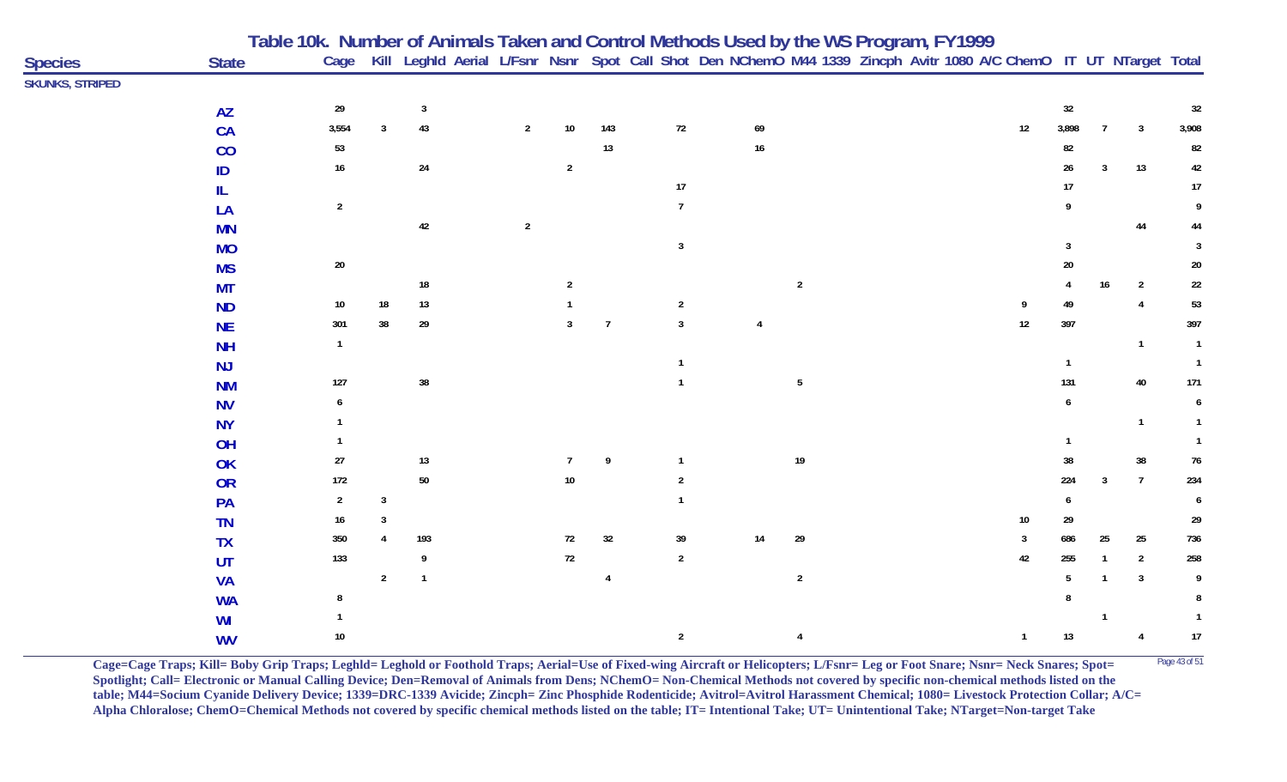|                        |              | Table 10k. Number of Animals Taken and Control Methods Used by the WS Program, FY1999 |                |            |                |                |                |                |              |                                                                                                                   |                 |  |                |        |                |                |                |
|------------------------|--------------|---------------------------------------------------------------------------------------|----------------|------------|----------------|----------------|----------------|----------------|--------------|-------------------------------------------------------------------------------------------------------------------|-----------------|--|----------------|--------|----------------|----------------|----------------|
| <b>Species</b>         | <b>State</b> | Cage                                                                                  |                |            |                |                |                |                |              | Kill Leghld Aerial L/Fsnr Nsnr Spot Call Shot Den NChemO M44 1339 Zincph Avitr 1080 A/C ChemO IT UT NTarget Total |                 |  |                |        |                |                |                |
| <b>SKUNKS, STRIPED</b> |              |                                                                                       |                |            |                |                |                |                |              |                                                                                                                   |                 |  |                |        |                |                |                |
|                        | <b>AZ</b>    | 29                                                                                    |                | 3          |                |                |                |                |              |                                                                                                                   |                 |  |                | 32     |                |                | 32             |
|                        | CA           | 3,554                                                                                 | -3             | 43         | $\overline{2}$ | $10\,$         | 143            | $72\,$         |              | 69                                                                                                                |                 |  | 12             | 3,898  | $\overline{7}$ | $\overline{3}$ | 3,908          |
|                        | CO           | 53                                                                                    |                |            |                |                | 13             |                |              | $16\,$                                                                                                            |                 |  |                | 82     |                |                | 82             |
|                        | ID           | $16\phantom{.0}$                                                                      |                | 24         |                | $\overline{2}$ |                |                |              |                                                                                                                   |                 |  |                | 26     | $\overline{3}$ | 13             | 42             |
|                        | IL           |                                                                                       |                |            |                |                |                | $17\,$         |              |                                                                                                                   |                 |  |                | 17     |                |                | $17\,$         |
|                        | LA           | $\overline{2}$                                                                        |                |            |                |                |                | $\overline{7}$ |              |                                                                                                                   |                 |  |                |        |                |                | 9              |
|                        | <b>MN</b>    |                                                                                       |                | 42         | $\overline{2}$ |                |                |                |              |                                                                                                                   |                 |  |                |        |                | 44             | 44             |
|                        | <b>MO</b>    |                                                                                       |                |            |                |                |                | $\mathbf{3}$   |              |                                                                                                                   |                 |  |                | 3      |                |                | 3              |
|                        | <b>MS</b>    | $20\,$                                                                                |                |            |                |                |                |                |              |                                                                                                                   |                 |  |                | $20\,$ |                |                | $20\,$         |
|                        | <b>MT</b>    |                                                                                       |                | ${\bf 18}$ |                | $\overline{2}$ |                |                |              |                                                                                                                   | $\mathbf{2}$    |  |                | 4      | $16\,$         | $\overline{2}$ | $22\,$         |
|                        | <b>ND</b>    | 10                                                                                    | 18             | $13$       |                |                |                | $\overline{2}$ |              |                                                                                                                   |                 |  |                | 49     |                | $\overline{4}$ | 53             |
|                        | <b>NE</b>    | 301                                                                                   | 38             | $29\,$     |                | 3              | $\overline{7}$ | $\overline{3}$ |              |                                                                                                                   |                 |  | 12             | 397    |                |                | 397            |
|                        | <b>NH</b>    | $\mathbf{1}$                                                                          |                |            |                |                |                |                |              |                                                                                                                   |                 |  |                |        |                | $\mathbf{1}$   | $\overline{1}$ |
|                        | NJ           |                                                                                       |                |            |                |                |                |                |              |                                                                                                                   |                 |  |                |        |                |                | $\overline{1}$ |
|                        | <b>NM</b>    | 127                                                                                   |                | $38\,$     |                |                |                |                |              |                                                                                                                   | $5\phantom{.0}$ |  |                | 131    |                | 40             | 171            |
|                        | <b>NV</b>    |                                                                                       |                |            |                |                |                |                |              |                                                                                                                   |                 |  |                |        |                |                |                |
|                        | <b>NY</b>    |                                                                                       |                |            |                |                |                |                |              |                                                                                                                   |                 |  |                |        |                | $\mathbf{1}$   |                |
|                        | OH           |                                                                                       |                |            |                |                |                |                |              |                                                                                                                   |                 |  |                |        |                |                |                |
|                        | OK           | 27                                                                                    |                | $13$       |                | $\overline{7}$ | 9              | $\mathbf{1}$   |              |                                                                                                                   | $19$            |  |                | 38     |                | 38             | 76             |
|                        | OR           | 172                                                                                   |                | $50\,$     |                | $10\,$         |                | 2              |              |                                                                                                                   |                 |  |                | 224    | $\overline{3}$ | $\overline{7}$ | 234            |
|                        | PA           | $\overline{2}$                                                                        | $\overline{3}$ |            |                |                |                |                |              |                                                                                                                   |                 |  |                |        |                |                | 6              |
|                        | <b>TN</b>    | 16                                                                                    |                |            |                |                |                |                |              |                                                                                                                   |                 |  | 10             | 29     |                |                | 29             |
|                        | <b>TX</b>    | 350                                                                                   |                | 193        |                | 72             | 32             | 39             |              | 14                                                                                                                | 29              |  | $\overline{3}$ | 686    | 25             | 25             | 736            |
|                        | UT           | 133                                                                                   |                | 9          |                | $72\,$         |                | $\sqrt{2}$     |              |                                                                                                                   |                 |  | 42             | 255    |                | $\overline{2}$ | 258            |
|                        | <b>VA</b>    |                                                                                       | $\overline{2}$ | -1         |                |                | $\overline{4}$ |                |              |                                                                                                                   | $\overline{2}$  |  |                | 5      |                | $\overline{3}$ | 9              |
|                        | <b>WA</b>    | 8                                                                                     |                |            |                |                |                |                |              |                                                                                                                   |                 |  |                |        |                |                | 8              |
|                        | WI           |                                                                                       |                |            |                |                |                |                |              |                                                                                                                   |                 |  |                |        | $\mathbf{1}$   |                |                |
|                        | <b>WV</b>    | 10 <sub>1</sub>                                                                       |                |            |                |                |                |                | $\mathbf{2}$ |                                                                                                                   | $\overline{4}$  |  | $\mathbf{1}$   | $13$   |                | 4              | $17\,$         |

**Cage=Cage Traps; Kill= Boby Grip Traps; Leghld= Leghold or Foothold Traps; Aerial=Use of Fixed-wing Aircraft or Helicopters; L/Fsnr= Leg or Foot Snare; Nsnr= Neck Snares; Spot=** <sup>Page 43 of 51</sup> **Spotlight; Call= Electronic or Manual Calling Device; Den=Removal of Animals from Dens; NChemO= Non-Chemical Methods not covered by specific non-chemical methods listed on the table; M44=Socium Cyanide Delivery Device; 1339=DRC-1339 Avicide; Zincph= Zinc Phosphide Rodenticide; Avitrol=Avitrol Harassment Chemical; 1080= Livestock Protection Collar; A/C= Alpha Chloralose; ChemO=Chemical Methods not covered by specific chemical methods listed on the table; IT= Intentional Take; UT= Unintentional Take; NTarget=Non-target Take**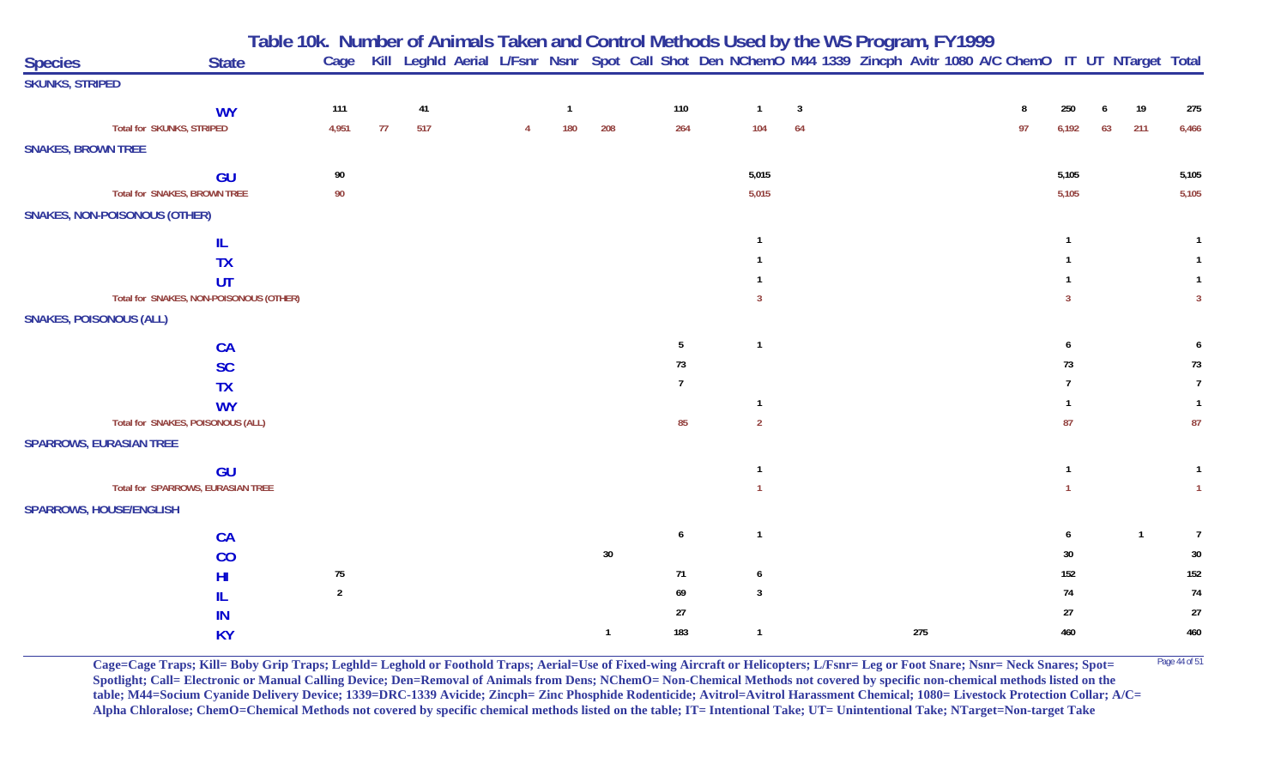|                                |                                         |                |    |     |  |                |              |     |                | Table 10k. Number of Animals Taken and Control Methods Used by the WS Program, FY1999                             |     |    |                |    |              |                |
|--------------------------------|-----------------------------------------|----------------|----|-----|--|----------------|--------------|-----|----------------|-------------------------------------------------------------------------------------------------------------------|-----|----|----------------|----|--------------|----------------|
| <b>Species</b>                 | <b>State</b>                            | Cage           |    |     |  |                |              |     |                | Kill Leghld Aerial L/Fsnr Nsnr Spot Call Shot Den NChemO M44 1339 Zincph Avitr 1080 A/C ChemO IT UT NTarget Total |     |    |                |    |              |                |
| <b>SKUNKS, STRIPED</b>         |                                         |                |    |     |  |                |              |     |                |                                                                                                                   |     |    |                |    |              |                |
|                                | <b>WY</b>                               | 111            |    | 41  |  | $\overline{1}$ |              | 110 | $\overline{1}$ | $\overline{3}$                                                                                                    |     | 8  | 250            |    | 19           | 275            |
|                                | <b>Total for SKUNKS, STRIPED</b>        | 4,951          | 77 | 517 |  | 180            | 208          | 264 | 104            | 64                                                                                                                |     | 97 | 6,192          | 63 | 211          | 6,466          |
| <b>SNAKES, BROWN TREE</b>      |                                         |                |    |     |  |                |              |     |                |                                                                                                                   |     |    |                |    |              |                |
|                                | GU                                      | 90             |    |     |  |                |              |     | 5,015          |                                                                                                                   |     |    | 5,105          |    |              | 5,105          |
|                                | <b>Total for SNAKES, BROWN TREE</b>     | $90\,$         |    |     |  |                |              |     | 5,015          |                                                                                                                   |     |    | 5,105          |    |              | 5,105          |
|                                | <b>SNAKES, NON-POISONOUS (OTHER)</b>    |                |    |     |  |                |              |     |                |                                                                                                                   |     |    |                |    |              |                |
|                                | IL                                      |                |    |     |  |                |              |     | -1             |                                                                                                                   |     |    | $\mathbf{1}$   |    |              | $\overline{1}$ |
|                                | <b>TX</b>                               |                |    |     |  |                |              |     |                |                                                                                                                   |     |    |                |    |              |                |
|                                | UT                                      |                |    |     |  |                |              |     |                |                                                                                                                   |     |    |                |    |              |                |
|                                | Total for SNAKES, NON-POISONOUS (OTHER) |                |    |     |  |                |              |     | -3             |                                                                                                                   |     |    | $\overline{3}$ |    |              | $\overline{3}$ |
| <b>SNAKES, POISONOUS (ALL)</b> |                                         |                |    |     |  |                |              |     |                |                                                                                                                   |     |    |                |    |              |                |
|                                | CA                                      |                |    |     |  |                |              | 5   | $\overline{1}$ |                                                                                                                   |     |    | 6              |    |              |                |
|                                | <b>SC</b>                               |                |    |     |  |                |              | 73  |                |                                                                                                                   |     |    | 73             |    |              | 73             |
|                                | <b>TX</b>                               |                |    |     |  |                |              | -7  |                |                                                                                                                   |     |    |                |    |              | $\overline{7}$ |
|                                | <b>WY</b>                               |                |    |     |  |                |              |     | $\overline{1}$ |                                                                                                                   |     |    |                |    |              |                |
|                                | Total for SNAKES, POISONOUS (ALL)       |                |    |     |  |                |              | 85  | $\overline{2}$ |                                                                                                                   |     |    | 87             |    |              | 87             |
|                                | <b>SPARROWS, EURASIAN TREE</b>          |                |    |     |  |                |              |     |                |                                                                                                                   |     |    |                |    |              |                |
|                                | GU                                      |                |    |     |  |                |              |     | $\mathbf{1}$   |                                                                                                                   |     |    | $\mathbf{1}$   |    |              | $\mathbf{1}$   |
|                                | Total for SPARROWS, EURASIAN TREE       |                |    |     |  |                |              |     |                |                                                                                                                   |     |    |                |    |              | $\overline{1}$ |
|                                | <b>SPARROWS, HOUSE/ENGLISH</b>          |                |    |     |  |                |              |     |                |                                                                                                                   |     |    |                |    |              |                |
|                                | CA                                      |                |    |     |  |                |              | 6   | $\overline{1}$ |                                                                                                                   |     |    | 6              |    | $\mathbf{1}$ | $\overline{7}$ |
|                                | CO                                      |                |    |     |  |                | $30\,$       |     |                |                                                                                                                   |     |    | $30\,$         |    |              | $30\,$         |
|                                | HI                                      | $75\,$         |    |     |  |                |              | 71  | 6              |                                                                                                                   |     |    | 152            |    |              | 152            |
|                                | IL                                      | $\overline{2}$ |    |     |  |                |              | 69  | $\overline{3}$ |                                                                                                                   |     |    | 74             |    |              | $74$           |
|                                | IN                                      |                |    |     |  |                |              | 27  |                |                                                                                                                   |     |    | 27             |    |              | $27\,$         |
|                                | <b>KY</b>                               |                |    |     |  |                | $\mathbf{1}$ | 183 | $\overline{1}$ |                                                                                                                   | 275 |    | 460            |    |              | 460            |

**Cage=Cage Traps; Kill= Boby Grip Traps; Leghld= Leghold or Foothold Traps; Aerial=Use of Fixed-wing Aircraft or Helicopters; L/Fsnr= Leg or Foot Snare; Nsnr= Neck Snares; Spot= <sup>Page 44 of 51</sup> Spotlight; Call= Electronic or Manual Calling Device; Den=Removal of Animals from Dens; NChemO= Non-Chemical Methods not covered by specific non-chemical methods listed on the table; M44=Socium Cyanide Delivery Device; 1339=DRC-1339 Avicide; Zincph= Zinc Phosphide Rodenticide; Avitrol=Avitrol Harassment Chemical; 1080= Livestock Protection Collar; A/C= Alpha Chloralose; ChemO=Chemical Methods not covered by specific chemical methods listed on the table; IT= Intentional Take; UT= Unintentional Take; NTarget=Non-target Take**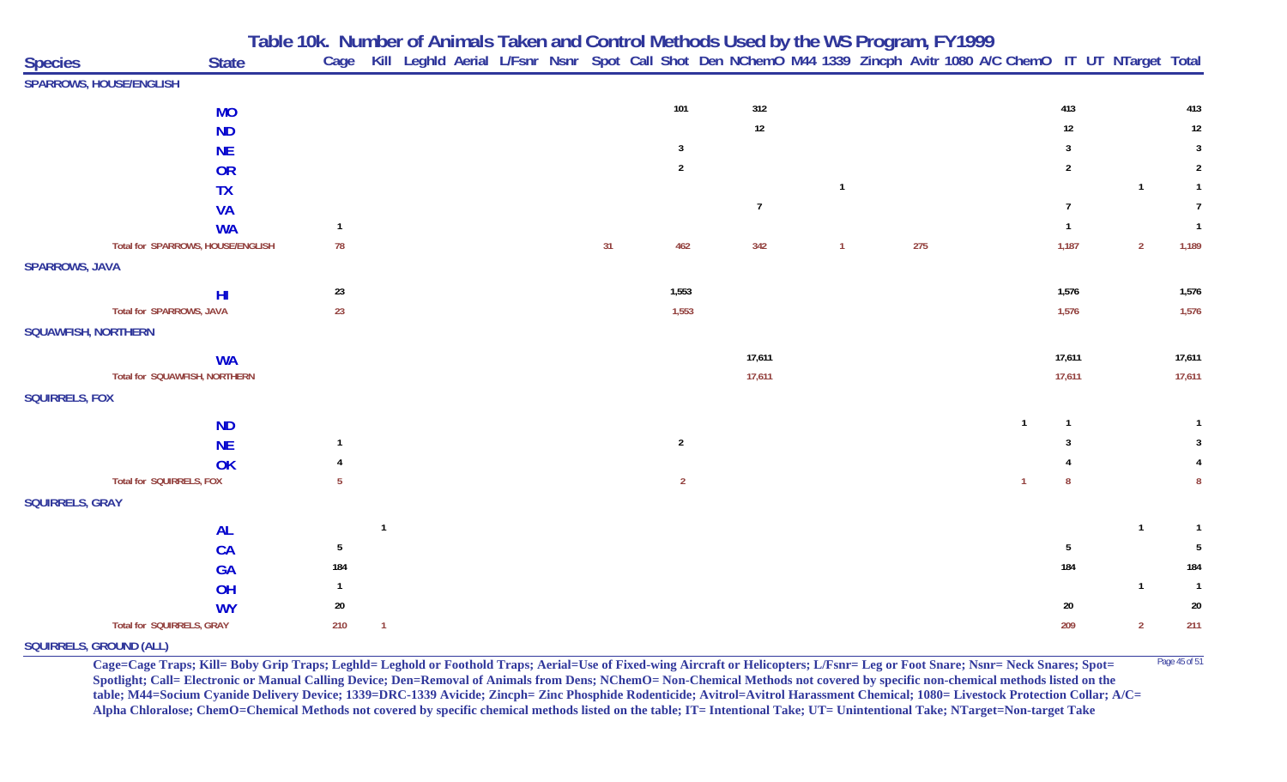**Table 10k. Number of Animals Taken and Control Methods Used by the WS Program, FY 1999**

| <b>State</b><br><b>Species</b>    | Cage            |                         |  |  |    |                | Kill Leghld Aerial L/Fsnr Nsnr Spot Call Shot Den NChemO M44 1339 Zincph Avitr 1080 A/C ChemO IT UT NTarget Total |                |     |                |                |                |                |
|-----------------------------------|-----------------|-------------------------|--|--|----|----------------|-------------------------------------------------------------------------------------------------------------------|----------------|-----|----------------|----------------|----------------|----------------|
| <b>SPARROWS, HOUSE/ENGLISH</b>    |                 |                         |  |  |    |                |                                                                                                                   |                |     |                |                |                |                |
| <b>MO</b>                         |                 |                         |  |  |    | 101            | 312                                                                                                               |                |     |                | 413            |                | 413            |
| <b>ND</b>                         |                 |                         |  |  |    |                | 12                                                                                                                |                |     |                | $12\,$         |                | $12\,$         |
| <b>NE</b>                         |                 |                         |  |  |    | $\overline{3}$ |                                                                                                                   |                |     |                | 3              |                | $\overline{3}$ |
| <b>OR</b>                         |                 |                         |  |  |    | $\overline{2}$ |                                                                                                                   |                |     |                | $\overline{2}$ |                | $\overline{2}$ |
| <b>TX</b>                         |                 |                         |  |  |    |                |                                                                                                                   | - 1            |     |                |                | $\mathbf{1}$   | $\mathbf{1}$   |
| <b>VA</b>                         |                 |                         |  |  |    |                | $\overline{7}$                                                                                                    |                |     |                | $\overline{7}$ |                | $\overline{7}$ |
| <b>WA</b>                         | $\overline{1}$  |                         |  |  |    |                |                                                                                                                   |                |     |                | $\mathbf{1}$   |                | $\overline{1}$ |
| Total for SPARROWS, HOUSE/ENGLISH | 78              |                         |  |  | 31 | 462            | 342                                                                                                               | $\overline{1}$ | 275 |                | 1,187          | $\overline{2}$ | 1,189          |
| <b>SPARROWS, JAVA</b>             |                 |                         |  |  |    |                |                                                                                                                   |                |     |                |                |                |                |
| H <sub>l</sub>                    | $23\,$          |                         |  |  |    | 1,553          |                                                                                                                   |                |     |                | 1,576          |                | 1,576          |
| Total for SPARROWS, JAVA          | 23              |                         |  |  |    | 1,553          |                                                                                                                   |                |     |                | 1,576          |                | 1,576          |
| <b>SQUAWFISH, NORTHERN</b>        |                 |                         |  |  |    |                |                                                                                                                   |                |     |                |                |                |                |
| <b>WA</b>                         |                 |                         |  |  |    |                | 17,611                                                                                                            |                |     |                | 17,611         |                | 17,611         |
| Total for SQUAWFISH, NORTHERN     |                 |                         |  |  |    |                | 17,611                                                                                                            |                |     |                | 17,611         |                | 17,611         |
| <b>SQUIRRELS, FOX</b>             |                 |                         |  |  |    |                |                                                                                                                   |                |     |                |                |                |                |
| <b>ND</b>                         |                 |                         |  |  |    |                |                                                                                                                   |                |     | $\overline{1}$ |                |                |                |
| <b>NE</b>                         |                 |                         |  |  |    | $\overline{2}$ |                                                                                                                   |                |     |                |                |                | 3              |
| OK                                |                 |                         |  |  |    |                |                                                                                                                   |                |     |                |                |                |                |
| Total for SQUIRRELS, FOX          | 5               |                         |  |  |    | $\overline{2}$ |                                                                                                                   |                |     | $\overline{1}$ | -8             |                | 8              |
| <b>SQUIRRELS, GRAY</b>            |                 |                         |  |  |    |                |                                                                                                                   |                |     |                |                |                |                |
| <b>AL</b>                         |                 | $\overline{\mathbf{1}}$ |  |  |    |                |                                                                                                                   |                |     |                |                | $\mathbf{1}$   | $\mathbf{1}$   |
| <b>CA</b>                         | $5\phantom{.0}$ |                         |  |  |    |                |                                                                                                                   |                |     |                | 5              |                | -5             |
| <b>GA</b>                         | 184             |                         |  |  |    |                |                                                                                                                   |                |     |                | 184            |                | 184            |
| OH                                | $\overline{1}$  |                         |  |  |    |                |                                                                                                                   |                |     |                |                | $\mathbf{1}$   | $\overline{1}$ |
| <b>WY</b>                         | $20\,$          |                         |  |  |    |                |                                                                                                                   |                |     |                | $20\,$         |                | $20\,$         |
| Total for SQUIRRELS, GRAY         | 210             | $\overline{1}$          |  |  |    |                |                                                                                                                   |                |     |                | 209            | $\overline{2}$ | 211            |

**SQUIRRELS, GROUND (ALL)**

**Cage=Cage Traps; Kill= Boby Grip Traps; Leghld= Leghold or Foothold Traps; Aerial=Use of Fixed-wing Aircraft or Helicopters; L/Fsnr= Leg or Foot Snare; Nsnr= Neck Snares; Spot=** <sup>Page 45 of 51</sup> **Spotlight; Call= Electronic or Manual Calling Device; Den=Removal of Animals from Dens; NChemO= Non-Chemical Methods not covered by specific non-chemical methods listed on the table; M44=Socium Cyanide Delivery Device; 1339=DRC-1339 Avicide; Zincph= Zinc Phosphide Rodenticide; Avitrol=Avitrol Harassment Chemical; 1080= Livestock Protection Collar; A/C= Alpha Chloralose; ChemO=Chemical Methods not covered by specific chemical methods listed on the table; IT= Intentional Take; UT= Unintentional Take; NTarget=Non-target Take**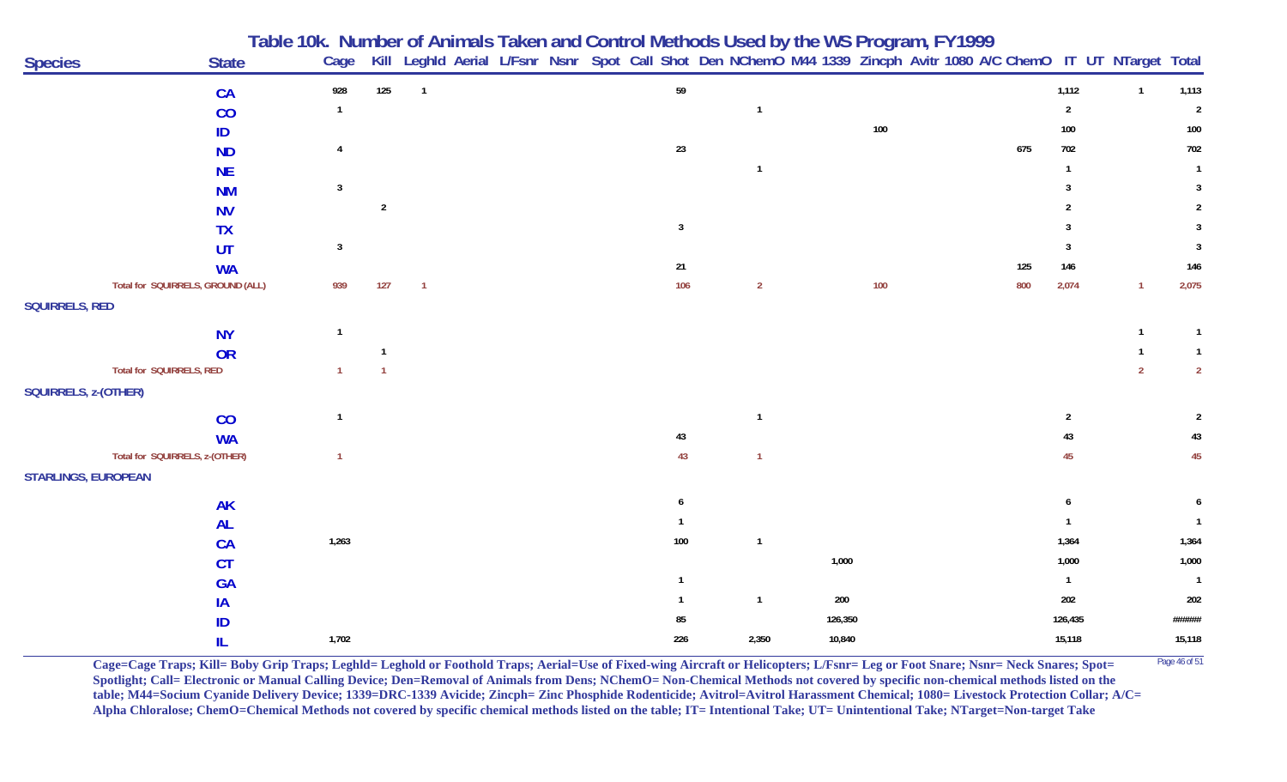|                            |                                   | Table 10k.  Number of Animals Taken and Control Methods Used by the WS Program, FY1999 |                |                |  |  |                |                |         |  |                                                                                                                   |                |                |                |
|----------------------------|-----------------------------------|----------------------------------------------------------------------------------------|----------------|----------------|--|--|----------------|----------------|---------|--|-------------------------------------------------------------------------------------------------------------------|----------------|----------------|----------------|
| <b>Species</b>             | <b>State</b>                      | Cage                                                                                   |                |                |  |  |                |                |         |  | Kill Leghld Aerial L/Fsnr Nsnr Spot Call Shot Den NChemO M44 1339 Zincph Avitr 1080 A/C ChemO IT UT NTarget Total |                |                |                |
|                            | <b>CA</b>                         | 928                                                                                    | 125            | $\overline{1}$ |  |  | 59             |                |         |  |                                                                                                                   | 1,112          | $\mathbf{1}$   | 1,113          |
|                            | CO                                | $\overline{1}$                                                                         |                |                |  |  |                | $\overline{1}$ |         |  |                                                                                                                   | $\overline{2}$ |                | $\overline{2}$ |
|                            | ID                                |                                                                                        |                |                |  |  |                |                | 100     |  |                                                                                                                   | 100            |                | 100            |
|                            | <b>ND</b>                         |                                                                                        |                |                |  |  | 23             |                |         |  | 675                                                                                                               | 702            |                | 702            |
|                            | <b>NE</b>                         |                                                                                        |                |                |  |  |                | $\mathbf{1}$   |         |  |                                                                                                                   |                |                | $\overline{1}$ |
|                            | <b>NM</b>                         | $\overline{3}$                                                                         |                |                |  |  |                |                |         |  |                                                                                                                   |                |                |                |
|                            | <b>NV</b>                         |                                                                                        | $\overline{2}$ |                |  |  |                |                |         |  |                                                                                                                   |                |                |                |
|                            | <b>TX</b>                         |                                                                                        |                |                |  |  | $\overline{3}$ |                |         |  |                                                                                                                   |                |                |                |
|                            | UT                                | $\mathbf{3}$                                                                           |                |                |  |  |                |                |         |  |                                                                                                                   |                |                | $\overline{3}$ |
|                            | <b>WA</b>                         |                                                                                        |                |                |  |  | 21             |                |         |  | 125                                                                                                               | 146            |                | 146            |
|                            | Total for SQUIRRELS, GROUND (ALL) | 939                                                                                    | 127            | $\mathbf{1}$   |  |  | 106            | $\overline{2}$ | 100     |  | 800                                                                                                               | 2,074          | $\mathbf{1}$   | 2,075          |
| <b>SQUIRRELS, RED</b>      |                                   |                                                                                        |                |                |  |  |                |                |         |  |                                                                                                                   |                |                |                |
|                            | <b>NY</b>                         | -1                                                                                     |                |                |  |  |                |                |         |  |                                                                                                                   |                | $\mathbf{1}$   | $\overline{1}$ |
|                            | <b>OR</b>                         |                                                                                        |                |                |  |  |                |                |         |  |                                                                                                                   |                |                | $\mathbf{1}$   |
| Total for SQUIRRELS, RED   |                                   |                                                                                        |                |                |  |  |                |                |         |  |                                                                                                                   |                | $\overline{2}$ | $\overline{2}$ |
| SQUIRRELS, z-(OTHER)       |                                   |                                                                                        |                |                |  |  |                |                |         |  |                                                                                                                   |                |                |                |
|                            | CO                                |                                                                                        |                |                |  |  |                | $\mathbf{1}$   |         |  |                                                                                                                   | $\overline{2}$ |                |                |
|                            | <b>WA</b>                         |                                                                                        |                |                |  |  | 43             |                |         |  |                                                                                                                   | 43             |                | 43             |
|                            | Total for SQUIRRELS, z-(OTHER)    |                                                                                        |                |                |  |  | 43             | $\mathbf{1}$   |         |  |                                                                                                                   | 45             |                | 45             |
| <b>STARLINGS, EUROPEAN</b> |                                   |                                                                                        |                |                |  |  |                |                |         |  |                                                                                                                   |                |                |                |
|                            | <b>AK</b>                         |                                                                                        |                |                |  |  | -6             |                |         |  |                                                                                                                   |                |                |                |
|                            | <b>AL</b>                         |                                                                                        |                |                |  |  |                |                |         |  |                                                                                                                   |                |                |                |
|                            | <b>CA</b>                         | 1,263                                                                                  |                |                |  |  | 100            | $\overline{1}$ |         |  |                                                                                                                   | 1,364          |                | 1,364          |
|                            | <b>CT</b>                         |                                                                                        |                |                |  |  |                |                | 1,000   |  |                                                                                                                   | 1,000          |                | 1,000          |
|                            | <b>GA</b>                         |                                                                                        |                |                |  |  |                |                |         |  |                                                                                                                   | $\mathbf{1}$   |                | $\overline{1}$ |
|                            | IA                                |                                                                                        |                |                |  |  |                | $\mathbf{1}$   | 200     |  |                                                                                                                   | 202            |                | 202            |
|                            | ID                                |                                                                                        |                |                |  |  | 85             |                | 126,350 |  |                                                                                                                   | 126,435        |                | ######         |
|                            | IL                                | 1,702                                                                                  |                |                |  |  | 226            | 2,350          | 10,840  |  |                                                                                                                   | 15,118         |                | 15,118         |

**Cage=Cage Traps; Kill= Boby Grip Traps; Leghld= Leghold or Foothold Traps; Aerial=Use of Fixed-wing Aircraft or Helicopters; L/Fsnr= Leg or Foot Snare; Nsnr= Neck Snares; Spot= <sup>Page 46 of 51</sup> Spotlight; Call= Electronic or Manual Calling Device; Den=Removal of Animals from Dens; NChemO= Non-Chemical Methods not covered by specific non-chemical methods listed on the table; M44=Socium Cyanide Delivery Device; 1339=DRC-1339 Avicide; Zincph= Zinc Phosphide Rodenticide; Avitrol=Avitrol Harassment Chemical; 1080= Livestock Protection Collar; A/C= Alpha Chloralose; ChemO=Chemical Methods not covered by specific chemical methods listed on the table; IT= Intentional Take; UT= Unintentional Take; NTarget=Non-target Take**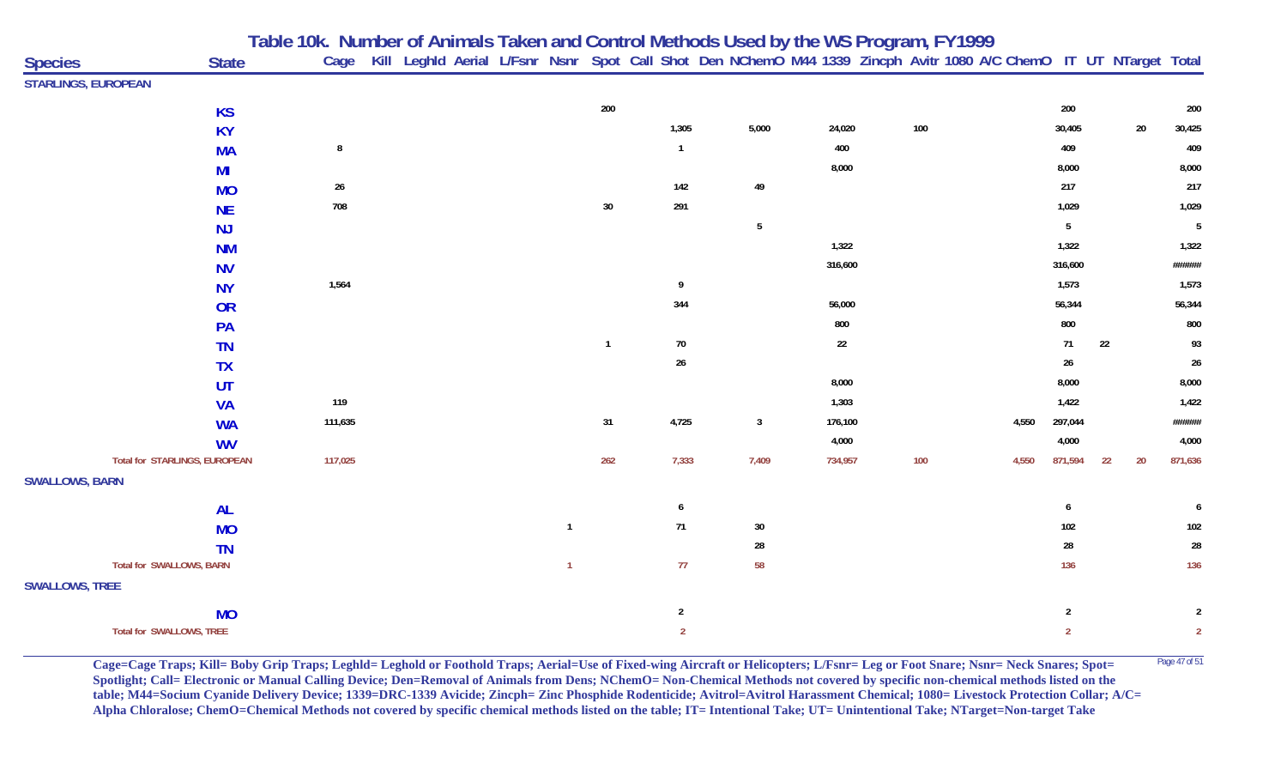|                                 |              | Table 10k. Number of Animals Taken and Control Methods Used by the WS Program, FY1999 |                                                                                                                        |  |                |              |                |                         |         |         |       |                |    |        |                |
|---------------------------------|--------------|---------------------------------------------------------------------------------------|------------------------------------------------------------------------------------------------------------------------|--|----------------|--------------|----------------|-------------------------|---------|---------|-------|----------------|----|--------|----------------|
| <b>Species</b>                  | <b>State</b> |                                                                                       | Cage Kill Leghld Aerial L/Fsnr Nsnr Spot Call Shot Den NChemO M44 1339 Zincph Avitr 1080 A/C ChemO IT UT NTarget Total |  |                |              |                |                         |         |         |       |                |    |        |                |
| <b>STARLINGS, EUROPEAN</b>      |              |                                                                                       |                                                                                                                        |  |                |              |                |                         |         |         |       |                |    |        |                |
|                                 | <b>KS</b>    |                                                                                       |                                                                                                                        |  |                | 200          |                |                         |         |         |       | 200            |    |        | 200            |
|                                 | <b>KY</b>    |                                                                                       |                                                                                                                        |  |                |              | 1,305          | 5,000                   | 24,020  | $100\,$ |       | 30,405         |    | $20\,$ | 30,425         |
|                                 | <b>MA</b>    | 8                                                                                     |                                                                                                                        |  |                |              | $\overline{1}$ |                         | 400     |         |       | 409            |    |        | 409            |
|                                 | MI           |                                                                                       |                                                                                                                        |  |                |              |                |                         | 8,000   |         |       | 8,000          |    |        | 8,000          |
|                                 | <b>MO</b>    | $26\,$                                                                                |                                                                                                                        |  |                |              | 142            | 49                      |         |         |       | 217            |    |        | 217            |
|                                 | <b>NE</b>    | 708                                                                                   |                                                                                                                        |  |                | $30\,$       | 291            |                         |         |         |       | 1,029          |    |        | 1,029          |
|                                 | NJ           |                                                                                       |                                                                                                                        |  |                |              |                | $5\phantom{.0}$         |         |         |       | 5 <sub>5</sub> |    |        | 5              |
|                                 | <b>NM</b>    |                                                                                       |                                                                                                                        |  |                |              |                |                         | 1,322   |         |       | 1,322          |    |        | 1,322          |
|                                 | <b>NV</b>    |                                                                                       |                                                                                                                        |  |                |              |                |                         | 316,600 |         |       | 316,600        |    |        | ######         |
|                                 | <b>NY</b>    | 1,564                                                                                 |                                                                                                                        |  |                |              | 9              |                         |         |         |       | 1,573          |    |        | 1,573          |
|                                 | <b>OR</b>    |                                                                                       |                                                                                                                        |  |                |              | 344            |                         | 56,000  |         |       | 56,344         |    |        | 56,344         |
|                                 | PA           |                                                                                       |                                                                                                                        |  |                |              |                |                         | 800     |         |       | 800            |    |        | 800            |
|                                 | <b>TN</b>    |                                                                                       |                                                                                                                        |  |                | $\mathbf{1}$ | $70\,$         |                         | 22      |         |       | 71             | 22 |        | 93             |
|                                 | <b>TX</b>    |                                                                                       |                                                                                                                        |  |                |              | $26\,$         |                         |         |         |       | $26\,$         |    |        | 26             |
|                                 | UT           |                                                                                       |                                                                                                                        |  |                |              |                |                         | 8,000   |         |       | 8,000          |    |        | 8,000          |
|                                 | <b>VA</b>    | 119                                                                                   |                                                                                                                        |  |                |              |                |                         | 1,303   |         |       | 1,422          |    |        | 1,422          |
|                                 | <b>WA</b>    | 111,635                                                                               |                                                                                                                        |  |                | 31           | 4,725          | $\overline{\mathbf{3}}$ | 176,100 |         | 4,550 | 297,044        |    |        | ######         |
|                                 | <b>WV</b>    |                                                                                       |                                                                                                                        |  |                |              |                |                         | 4,000   |         |       | 4,000          |    |        | 4,000          |
| Total for STARLINGS, EUROPEAN   |              | 117,025                                                                               |                                                                                                                        |  |                | 262          | 7,333          | 7,409                   | 734,957 | 100     | 4,550 | 871,594        | 22 | 20     | 871,636        |
| <b>SWALLOWS, BARN</b>           |              |                                                                                       |                                                                                                                        |  |                |              |                |                         |         |         |       |                |    |        |                |
|                                 | <b>AL</b>    |                                                                                       |                                                                                                                        |  |                |              | 6              |                         |         |         |       | 6              |    |        | 6              |
|                                 | <b>MO</b>    |                                                                                       |                                                                                                                        |  | $\overline{1}$ |              | 71             | 30                      |         |         |       | 102            |    |        | 102            |
|                                 | <b>TN</b>    |                                                                                       |                                                                                                                        |  |                |              |                | 28                      |         |         |       | 28             |    |        | 28             |
| <b>Total for SWALLOWS, BARN</b> |              |                                                                                       |                                                                                                                        |  | $\overline{1}$ |              | 77             | 58                      |         |         |       | 136            |    |        | 136            |
| <b>SWALLOWS, TREE</b>           |              |                                                                                       |                                                                                                                        |  |                |              |                |                         |         |         |       |                |    |        |                |
|                                 | <b>MO</b>    |                                                                                       |                                                                                                                        |  |                |              | $\overline{2}$ |                         |         |         |       | $\overline{2}$ |    |        | $\overline{2}$ |
| Total for SWALLOWS, TREE        |              |                                                                                       |                                                                                                                        |  |                |              | $\overline{2}$ |                         |         |         |       | $\overline{2}$ |    |        | $\overline{2}$ |

**Cage=Cage Traps; Kill= Boby Grip Traps; Leghld= Leghold or Foothold Traps; Aerial=Use of Fixed-wing Aircraft or Helicopters; L/Fsnr= Leg or Foot Snare; Nsnr= Neck Snares; Spot=** <sup>Page 47 of 51</sup> **Spotlight; Call= Electronic or Manual Calling Device; Den=Removal of Animals from Dens; NChemO= Non-Chemical Methods not covered by specific non-chemical methods listed on the table; M44=Socium Cyanide Delivery Device; 1339=DRC-1339 Avicide; Zincph= Zinc Phosphide Rodenticide; Avitrol=Avitrol Harassment Chemical; 1080= Livestock Protection Collar; A/C= Alpha Chloralose; ChemO=Chemical Methods not covered by specific chemical methods listed on the table; IT= Intentional Take; UT= Unintentional Take; NTarget=Non-target Take**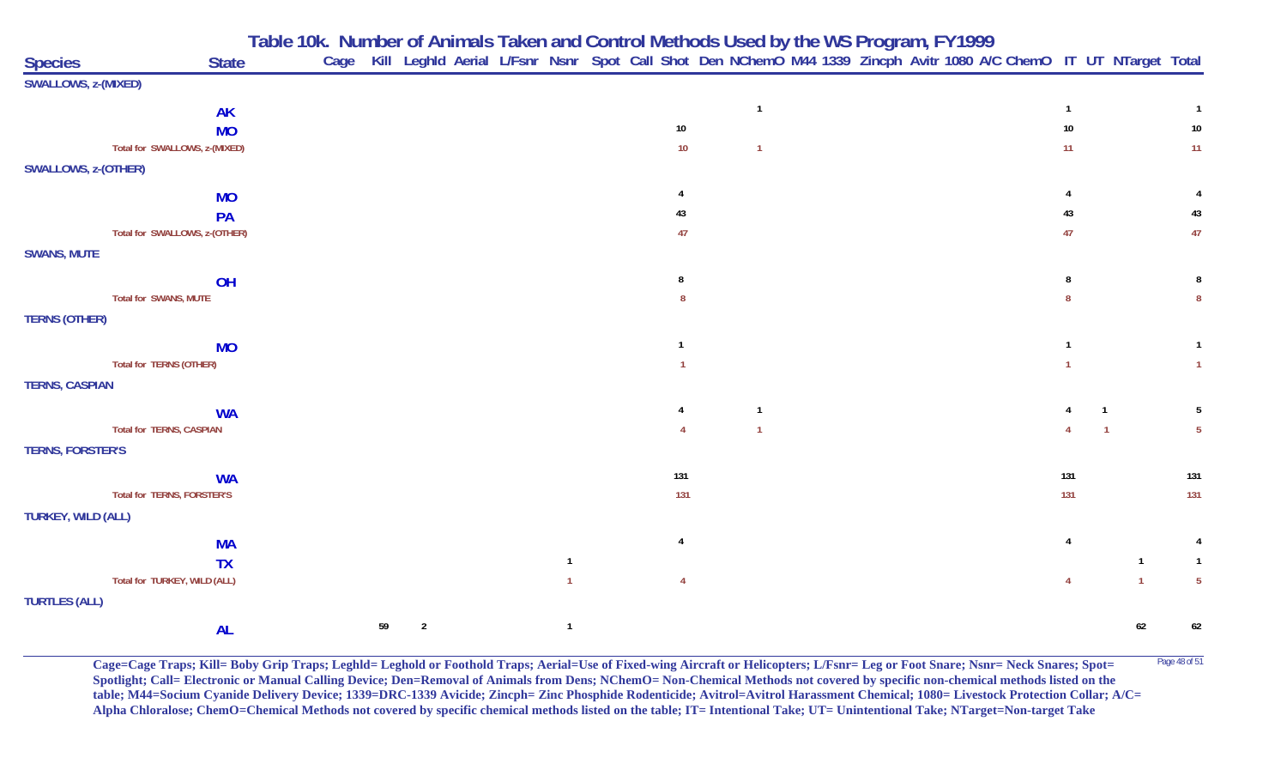|                            |                                 | Table 10k. Number of Animals Taken and Control Methods Used by the WS Program, FY1999 |  |  |  |                                                                                                                        |  |  |  |     |  |                 |
|----------------------------|---------------------------------|---------------------------------------------------------------------------------------|--|--|--|------------------------------------------------------------------------------------------------------------------------|--|--|--|-----|--|-----------------|
| <b>Species</b>             | <b>State</b>                    |                                                                                       |  |  |  | Cage Kill Leghld Aerial L/Fsnr Nsnr Spot Call Shot Den NChemO M44 1339 Zincph Avitr 1080 A/C ChemO IT UT NTarget Total |  |  |  |     |  |                 |
| SWALLOWS, z-(MIXED)        |                                 |                                                                                       |  |  |  |                                                                                                                        |  |  |  |     |  |                 |
|                            | <b>AK</b>                       |                                                                                       |  |  |  |                                                                                                                        |  |  |  |     |  |                 |
|                            | <b>MO</b>                       |                                                                                       |  |  |  | 10                                                                                                                     |  |  |  | 10  |  | 10              |
|                            | Total for SWALLOWS, z-(MIXED)   |                                                                                       |  |  |  | 10                                                                                                                     |  |  |  | 11  |  | 11              |
| <b>SWALLOWS, z-(OTHER)</b> |                                 |                                                                                       |  |  |  |                                                                                                                        |  |  |  |     |  |                 |
|                            | <b>MO</b>                       |                                                                                       |  |  |  |                                                                                                                        |  |  |  |     |  |                 |
|                            | PA                              |                                                                                       |  |  |  | 43                                                                                                                     |  |  |  | 43  |  | 43              |
|                            | Total for SWALLOWS, z-(OTHER)   |                                                                                       |  |  |  | 47                                                                                                                     |  |  |  | 47  |  | 47              |
| <b>SWANS, MUTE</b>         |                                 |                                                                                       |  |  |  |                                                                                                                        |  |  |  |     |  |                 |
|                            | OH                              |                                                                                       |  |  |  |                                                                                                                        |  |  |  |     |  |                 |
|                            | Total for SWANS, MUTE           |                                                                                       |  |  |  |                                                                                                                        |  |  |  |     |  |                 |
| <b>TERNS (OTHER)</b>       |                                 |                                                                                       |  |  |  |                                                                                                                        |  |  |  |     |  |                 |
|                            | <b>MO</b>                       |                                                                                       |  |  |  |                                                                                                                        |  |  |  |     |  |                 |
|                            | Total for TERNS (OTHER)         |                                                                                       |  |  |  |                                                                                                                        |  |  |  |     |  |                 |
| <b>TERNS, CASPIAN</b>      |                                 |                                                                                       |  |  |  |                                                                                                                        |  |  |  |     |  |                 |
|                            | <b>WA</b>                       |                                                                                       |  |  |  |                                                                                                                        |  |  |  |     |  |                 |
|                            | <b>Total for TERNS, CASPIAN</b> |                                                                                       |  |  |  |                                                                                                                        |  |  |  |     |  | $5\phantom{.0}$ |
| <b>TERNS, FORSTER'S</b>    |                                 |                                                                                       |  |  |  |                                                                                                                        |  |  |  |     |  |                 |
|                            | <b>WA</b>                       |                                                                                       |  |  |  | 131                                                                                                                    |  |  |  | 131 |  | 131             |
|                            | Total for TERNS, FORSTER'S      |                                                                                       |  |  |  | 131                                                                                                                    |  |  |  | 131 |  | 131             |
| TURKEY, WILD (ALL)         |                                 |                                                                                       |  |  |  |                                                                                                                        |  |  |  |     |  |                 |
|                            | <b>MA</b>                       |                                                                                       |  |  |  |                                                                                                                        |  |  |  |     |  |                 |
|                            | <b>TX</b>                       |                                                                                       |  |  |  |                                                                                                                        |  |  |  |     |  |                 |
|                            | Total for TURKEY, WILD (ALL)    |                                                                                       |  |  |  |                                                                                                                        |  |  |  |     |  | $5\phantom{.0}$ |
| <b>TURTLES (ALL)</b>       |                                 |                                                                                       |  |  |  |                                                                                                                        |  |  |  |     |  |                 |

**Cage=Cage Traps; Kill= Boby Grip Traps; Leghld= Leghold or Foothold Traps; Aerial=Use of Fixed-wing Aircraft or Helicopters; L/Fsnr= Leg or Foot Snare; Nsnr= Neck Snares; Spot=** <sup>Page 48 of 51</sup> **Spotlight; Call= Electronic or Manual Calling Device; Den=Removal of Animals from Dens; NChemO= Non-Chemical Methods not covered by specific non-chemical methods listed on the table; M44=Socium Cyanide Delivery Device; 1339=DRC-1339 Avicide; Zincph= Zinc Phosphide Rodenticide; Avitrol=Avitrol Harassment Chemical; 1080= Livestock Protection Collar; A/C= Alpha Chloralose; ChemO=Chemical Methods not covered by specific chemical methods listed on the table; IT= Intentional Take; UT= Unintentional Take; NTarget=Non-target Take**

**<sup>59</sup> <sup>2</sup> <sup>1</sup> <sup>62</sup> <sup>62</sup>**

**AL**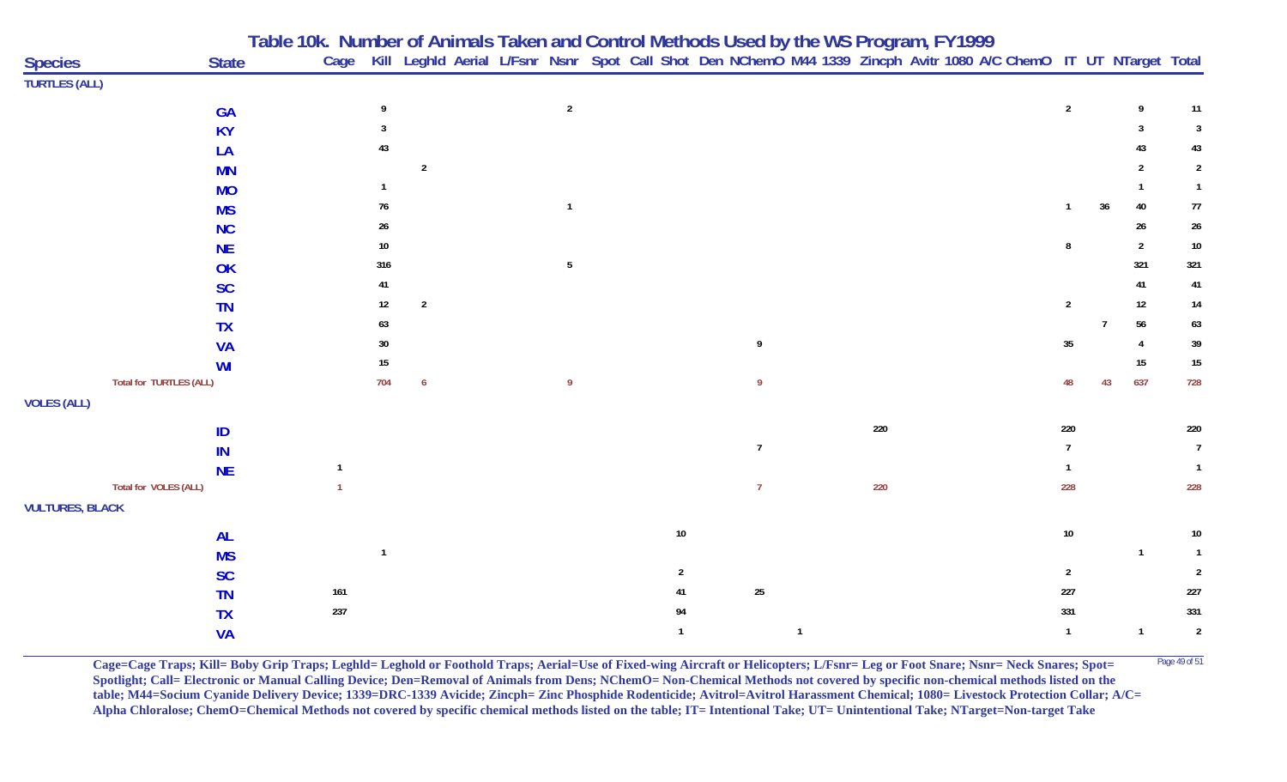|                        |                         | Table 10k. Number of Animals Taken and Control Methods Used by the WS Program, FY1999<br>Cage Kill Leghld Aerial L/Fsnr Nsnr Spot Call Shot Den NChemO M44 1339 Zincph Avitr 1080 A/C ChemO IT UT NTarget Total |                  |                 |                |                |                |     |                  |        |                |                |
|------------------------|-------------------------|-----------------------------------------------------------------------------------------------------------------------------------------------------------------------------------------------------------------|------------------|-----------------|----------------|----------------|----------------|-----|------------------|--------|----------------|----------------|
| <b>Species</b>         | <b>State</b>            |                                                                                                                                                                                                                 |                  |                 |                |                |                |     |                  |        |                |                |
| <b>TURTLES (ALL)</b>   |                         |                                                                                                                                                                                                                 |                  |                 |                |                |                |     |                  |        |                |                |
|                        | <b>GA</b>               | 9                                                                                                                                                                                                               |                  | $\overline{2}$  |                |                |                |     | $\overline{2}$   |        | 9              | 11             |
|                        | <b>KY</b>               |                                                                                                                                                                                                                 |                  |                 |                |                |                |     |                  |        | 3              | $\mathbf{3}$   |
|                        | LA                      | 43                                                                                                                                                                                                              |                  |                 |                |                |                |     |                  |        | 43             | 43             |
|                        | <b>MN</b>               |                                                                                                                                                                                                                 | $\overline{2}$   |                 |                |                |                |     |                  |        |                | $\overline{2}$ |
|                        | <b>MO</b>               |                                                                                                                                                                                                                 |                  |                 |                |                |                |     |                  |        |                | $\mathbf{1}$   |
|                        | <b>MS</b>               | 76                                                                                                                                                                                                              |                  | $\overline{1}$  |                |                |                |     | $\mathbf{1}$     | $36\,$ | 40             | $77\,$         |
|                        | <b>NC</b>               | 26                                                                                                                                                                                                              |                  |                 |                |                |                |     |                  |        | $26\,$         | $26\,$         |
|                        | <b>NE</b>               | 10                                                                                                                                                                                                              |                  |                 |                |                |                |     |                  |        | $\overline{2}$ | $10\,$         |
|                        | OK                      | 316                                                                                                                                                                                                             |                  | $5\phantom{.0}$ |                |                |                |     |                  |        | 321            | 321            |
|                        | <b>SC</b>               | 41                                                                                                                                                                                                              |                  |                 |                |                |                |     |                  |        | 41             | 41             |
|                        | <b>TN</b>               | 12                                                                                                                                                                                                              | $\sqrt{2}$       |                 |                |                |                |     | $\overline{2}$   |        | 12             | $14$           |
|                        | <b>TX</b>               | 63                                                                                                                                                                                                              |                  |                 |                |                |                |     |                  | 7      | 56             | 63             |
|                        | <b>VA</b>               | 30                                                                                                                                                                                                              |                  |                 |                | 9              |                |     | $35\phantom{.0}$ |        | 4              | 39             |
|                        | <b>WI</b>               | 15                                                                                                                                                                                                              |                  |                 |                |                |                |     |                  |        | 15             | 15             |
|                        | Total for TURTLES (ALL) | 704                                                                                                                                                                                                             | $\boldsymbol{6}$ | -9              |                | -9             |                |     | 48               | 43     | 637            | 728            |
| <b>VOLES (ALL)</b>     |                         |                                                                                                                                                                                                                 |                  |                 |                |                |                |     |                  |        |                |                |
|                        | ID                      |                                                                                                                                                                                                                 |                  |                 |                |                |                | 220 | 220              |        |                | 220            |
|                        | IN                      |                                                                                                                                                                                                                 |                  |                 |                | $\overline{7}$ |                |     | $\overline{1}$   |        |                | $\overline{7}$ |
|                        | <b>NE</b>               | $\mathbf 1$                                                                                                                                                                                                     |                  |                 |                |                |                |     |                  |        |                | $\overline{1}$ |
|                        | Total for VOLES (ALL)   |                                                                                                                                                                                                                 |                  |                 |                | $\overline{7}$ |                | 220 | 228              |        |                | 228            |
| <b>VULTURES, BLACK</b> |                         |                                                                                                                                                                                                                 |                  |                 |                |                |                |     |                  |        |                |                |
|                        | <b>AL</b>               |                                                                                                                                                                                                                 |                  |                 | $10\,$         |                |                |     | $10\,$           |        |                | $10\,$         |
|                        | <b>MS</b>               | $\mathbf{1}$                                                                                                                                                                                                    |                  |                 |                |                |                |     |                  |        | $\mathbf{1}$   | $\overline{1}$ |
|                        | <b>SC</b>               |                                                                                                                                                                                                                 |                  |                 | $\overline{2}$ |                |                |     | $\overline{2}$   |        |                | $\overline{2}$ |
|                        | <b>TN</b>               | 161                                                                                                                                                                                                             |                  |                 | 41             | 25             |                |     | 227              |        |                | 227            |
|                        | <b>TX</b>               | 237                                                                                                                                                                                                             |                  |                 | 94             |                |                |     | 331              |        |                | 331            |
|                        | <b>VA</b>               |                                                                                                                                                                                                                 |                  |                 |                |                | $\overline{1}$ |     | $\mathbf{1}$     |        | $\mathbf{1}$   | $\sqrt{2}$     |

**Cage=Cage Traps; Kill= Boby Grip Traps; Leghld= Leghold or Foothold Traps; Aerial=Use of Fixed-wing Aircraft or Helicopters; L/Fsnr= Leg or Foot Snare; Nsnr= Neck Snares; Spot=** <sup>Page 49 of 51</sup> **Spotlight; Call= Electronic or Manual Calling Device; Den=Removal of Animals from Dens; NChemO= Non-Chemical Methods not covered by specific non-chemical methods listed on the table; M44=Socium Cyanide Delivery Device; 1339=DRC-1339 Avicide; Zincph= Zinc Phosphide Rodenticide; Avitrol=Avitrol Harassment Chemical; 1080= Livestock Protection Collar; A/C= Alpha Chloralose; ChemO=Chemical Methods not covered by specific chemical methods listed on the table; IT= Intentional Take; UT= Unintentional Take; NTarget=Non-target Take**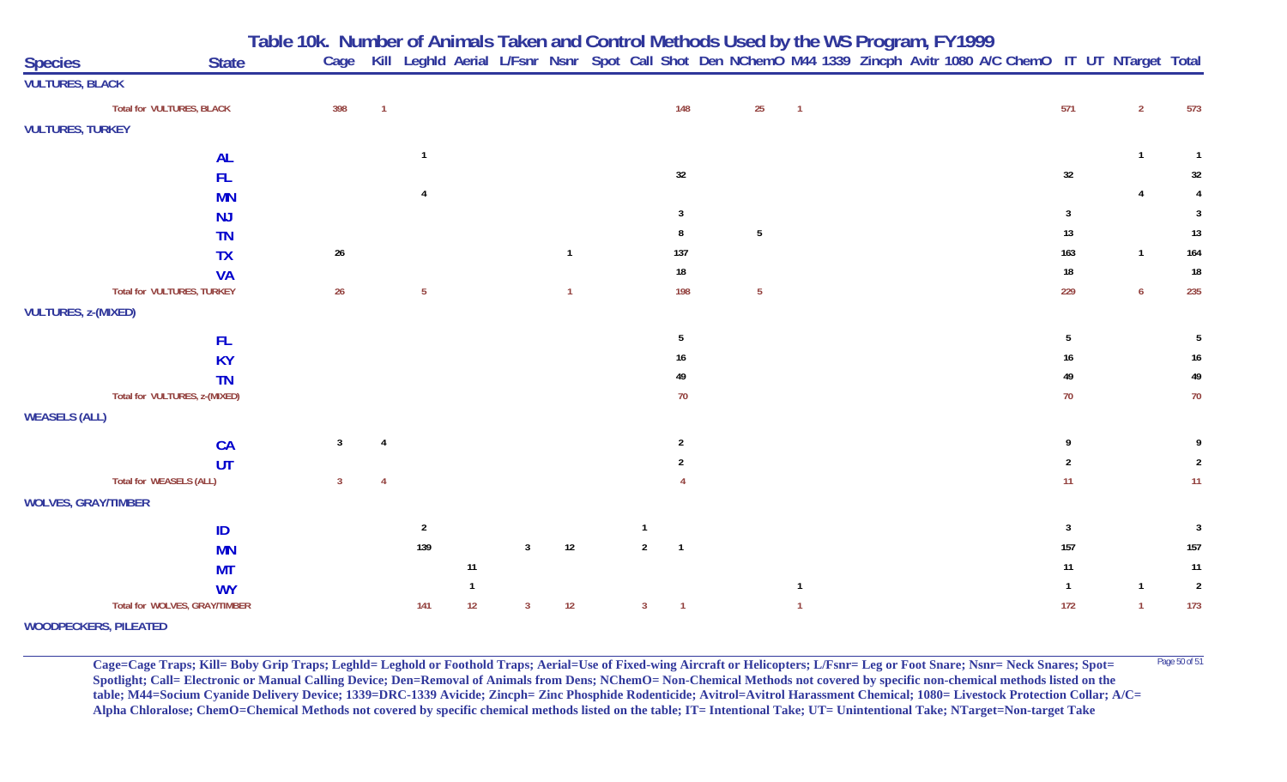**Table 10k. Number of Animals Taken and Control Methods Used by the WS Program, FY 1999**

| <b>Species</b><br><b>State</b>                                | Cage             |                       |              |                |              |                |                 | Kill Leghld Aerial L/Fsnr Nsnr Spot Call Shot Den NChemO M44 1339 Zincph Avitr 1080 A/C ChemO IT UT NTarget Total |                |  |  |  |         |                                |                |
|---------------------------------------------------------------|------------------|-----------------------|--------------|----------------|--------------|----------------|-----------------|-------------------------------------------------------------------------------------------------------------------|----------------|--|--|--|---------|--------------------------------|----------------|
| <b>VULTURES, BLACK</b>                                        |                  |                       |              |                |              |                |                 |                                                                                                                   |                |  |  |  |         |                                |                |
| Total for VULTURES, BLACK                                     | 398              |                       |              |                |              |                | 148             | 25                                                                                                                | $\overline{1}$ |  |  |  | 571     | $\overline{2}$                 | 573            |
| <b>VULTURES, TURKEY</b>                                       |                  |                       |              |                |              |                |                 |                                                                                                                   |                |  |  |  |         |                                |                |
| <b>AL</b>                                                     |                  |                       |              |                |              |                |                 |                                                                                                                   |                |  |  |  |         |                                | $\overline{1}$ |
| <b>FL</b>                                                     |                  |                       |              |                |              |                | $32\,$          |                                                                                                                   |                |  |  |  | 32      |                                | 32             |
| <b>MN</b>                                                     |                  |                       |              |                |              |                |                 |                                                                                                                   |                |  |  |  |         |                                |                |
| <b>NJ</b>                                                     |                  |                       |              |                |              |                | $\mathbf{3}$    |                                                                                                                   |                |  |  |  | 3       |                                | 3              |
| <b>TN</b>                                                     |                  |                       |              |                |              |                | 8               | $\overline{5}$                                                                                                    |                |  |  |  | 13      |                                | 13             |
| <b>TX</b>                                                     | $26\,$           |                       |              |                | $\mathbf{1}$ |                | 137             |                                                                                                                   |                |  |  |  | 163     | $\mathbf{1}$                   | 164            |
| <b>VA</b>                                                     |                  |                       |              |                |              |                | $18\,$          |                                                                                                                   |                |  |  |  | $18\,$  |                                | $18\,$         |
| <b>Total for VULTURES, TURKEY</b>                             | $26\phantom{.0}$ | $5\phantom{.0}$       |              |                | $\mathbf{1}$ |                | 198             | $5\phantom{.0}$                                                                                                   |                |  |  |  | 229     | $\overline{6}$                 | 235            |
| <b>VULTURES, z-(MIXED)</b>                                    |                  |                       |              |                |              |                |                 |                                                                                                                   |                |  |  |  |         |                                |                |
| <b>FL</b>                                                     |                  |                       |              |                |              |                | $5\phantom{.0}$ |                                                                                                                   |                |  |  |  | 5       |                                | 5              |
| <b>KY</b>                                                     |                  |                       |              |                |              |                | 16              |                                                                                                                   |                |  |  |  | 16      |                                | 16             |
| <b>TN</b>                                                     |                  |                       |              |                |              |                | 49              |                                                                                                                   |                |  |  |  | 49      |                                | 49             |
| Total for VULTURES, z-(MIXED)                                 |                  |                       |              |                |              |                | $70\,$          |                                                                                                                   |                |  |  |  | 70      |                                | 70             |
| <b>WEASELS (ALL)</b>                                          |                  |                       |              |                |              |                |                 |                                                                                                                   |                |  |  |  |         |                                |                |
| <b>CA</b>                                                     | $\mathbf{3}$     |                       |              |                |              |                | 2               |                                                                                                                   |                |  |  |  | Q       |                                |                |
| UT                                                            |                  |                       |              |                |              |                |                 |                                                                                                                   |                |  |  |  |         |                                | 2              |
| Total for WEASELS (ALL)                                       | $\overline{3}$   |                       |              |                |              |                |                 |                                                                                                                   |                |  |  |  | 11      |                                | 11             |
| <b>WOLVES, GRAY/TIMBER</b>                                    |                  |                       |              |                |              |                |                 |                                                                                                                   |                |  |  |  |         |                                |                |
|                                                               |                  |                       |              |                |              |                |                 |                                                                                                                   |                |  |  |  | 3       |                                |                |
| ID                                                            |                  | $\overline{2}$<br>139 |              | $\overline{3}$ | $12$         | $\overline{2}$ | $\overline{1}$  |                                                                                                                   |                |  |  |  |         |                                | $\mathbf{3}$   |
| <b>MN</b>                                                     |                  |                       |              |                |              |                |                 |                                                                                                                   |                |  |  |  | $157\,$ |                                | $157$          |
| <b>MT</b>                                                     |                  |                       | 11           |                |              |                |                 |                                                                                                                   |                |  |  |  | 11      |                                | 11             |
| <b>WY</b>                                                     |                  |                       | $\mathbf{1}$ |                |              | 3              |                 |                                                                                                                   |                |  |  |  | -1      | $\mathbf{1}$<br>$\overline{1}$ | $\overline{2}$ |
| Total for WOLVES, GRAY/TIMBER<br><b>WOODPECKERS, PILEATED</b> |                  | 141                   | 12           | 3              | 12           |                |                 |                                                                                                                   |                |  |  |  | 172     |                                | 173            |

**Cage=Cage Traps; Kill= Boby Grip Traps; Leghld= Leghold or Foothold Traps; Aerial=Use of Fixed-wing Aircraft or Helicopters; L/Fsnr= Leg or Foot Snare; Nsnr= Neck Snares; Spot= <sup>Page 50 of 51</sup> Spotlight; Call= Electronic or Manual Calling Device; Den=Removal of Animals from Dens; NChemO= Non-Chemical Methods not covered by specific non-chemical methods listed on the table; M44=Socium Cyanide Delivery Device; 1339=DRC-1339 Avicide; Zincph= Zinc Phosphide Rodenticide; Avitrol=Avitrol Harassment Chemical; 1080= Livestock Protection Collar; A/C= Alpha Chloralose; ChemO=Chemical Methods not covered by specific chemical methods listed on the table; IT= Intentional Take; UT= Unintentional Take; NTarget=Non-target Take**